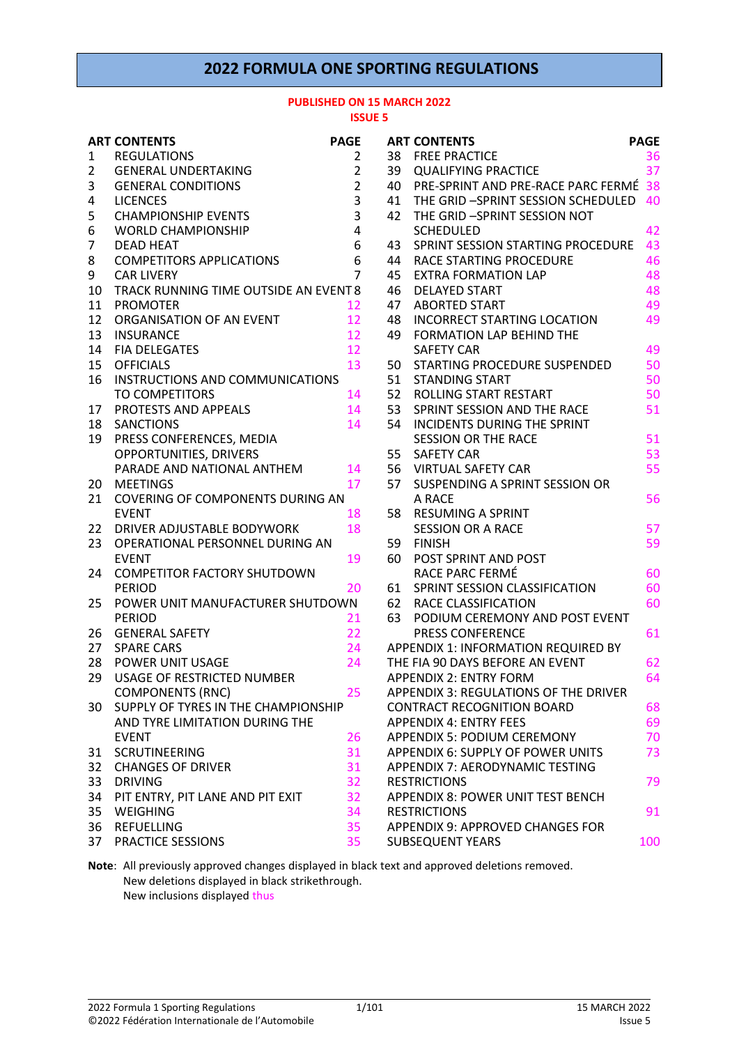### **2022 FORMULA ONE SPORTING REGULATIONS**

#### **PUBLISHED ON 15 MARCH 2022 ISSUE 5**

|                 | <b>ART CONTENTS</b>                                      | <b>PAGE</b>    | A |
|-----------------|----------------------------------------------------------|----------------|---|
| 1               | <b>REGULATIONS</b>                                       | 2              | 3 |
| $\overline{2}$  | <b>GENERAL UNDERTAKING</b>                               | 2              | 3 |
| 3               | <b>GENERAL CONDITIONS</b>                                | $\overline{c}$ | 4 |
| 4               | <b>LICENCES</b>                                          | 3              | 4 |
| 5               | <b>CHAMPIONSHIP EVENTS</b>                               | 3              | 4 |
| 6               | <b>WORLD CHAMPIONSHIP</b>                                | 4              |   |
| 7               | <b>DEAD HEAT</b>                                         | 6              | 4 |
| 8               | <b>COMPETITORS APPLICATIONS</b>                          | 6              | 4 |
| 9               | <b>CAR LIVERY</b>                                        | 7              | 4 |
| 10              | TRACK RUNNING TIME OUTSIDE AN EVENT 8                    |                | 4 |
| 11              | <b>PROMOTER</b>                                          | 12             | 4 |
| 12              | ORGANISATION OF AN EVENT                                 | 12             | 4 |
| 13              | INSURANCE                                                | 12             | 4 |
|                 | 14 FIA DELEGATES                                         | 12             |   |
| 15 <sub>1</sub> | <b>OFFICIALS</b>                                         | 13             | 5 |
| 16              | INSTRUCTIONS AND COMMUNICATIONS                          |                | 5 |
|                 | <b>TO COMPETITORS</b>                                    | 14             | 5 |
| 17              | PROTESTS AND APPEALS                                     | 14             | 5 |
| 18              | <b>SANCTIONS</b>                                         | 14             | 5 |
| 19              | PRESS CONFERENCES, MEDIA                                 |                |   |
|                 | OPPORTUNITIES, DRIVERS                                   |                | 5 |
|                 | PARADE AND NATIONAL ANTHEM                               | 14             | 5 |
| 20              | <b>MEETINGS</b>                                          | 17             | 5 |
| 21              | COVERING OF COMPONENTS DURING AN                         |                |   |
|                 | <b>EVENT</b>                                             | 18             | 5 |
| 22              | DRIVER ADJUSTABLE BODYWORK                               | 18             |   |
| 23              | OPERATIONAL PERSONNEL DURING AN                          |                | 5 |
|                 | <b>EVENT</b>                                             | 19             | 6 |
| 24              | <b>COMPETITOR FACTORY SHUTDOWN</b>                       |                |   |
|                 | <b>PERIOD</b>                                            | 20             | 6 |
| 25              | POWER UNIT MANUFACTURER SHUTDOWN                         |                | 6 |
|                 | <b>PERIOD</b>                                            | 21             | 6 |
| 26              | <b>GENERAL SAFETY</b>                                    | 22             |   |
|                 | 27 SPARE CARS                                            | 24             | Α |
|                 | 28 POWER UNIT USAGE<br><b>USAGE OF RESTRICTED NUMBER</b> | 24             | т |
| 29              |                                                          | 25             | Α |
|                 | <b>COMPONENTS (RNC)</b>                                  |                | A |
| 30              | SUPPLY OF TYRES IN THE CHAMPIONSHIP                      |                | С |
|                 | AND TYRE LIMITATION DURING THE                           |                | Α |
|                 | <b>EVENT</b>                                             | 26             | A |
| 31              | <b>SCRUTINEERING</b>                                     | 31             | Α |
| 32              | <b>CHANGES OF DRIVER</b>                                 | 31             | A |
| 33              | <b>DRIVING</b>                                           | 32             | R |
| 34              | PIT ENTRY, PIT LANE AND PIT EXIT                         | 32             | A |
| 35              | WEIGHING                                                 | 34             | R |
| 36              | <b>REFUELLING</b>                                        | 35             | A |
| 37              | PRACTICE SESSIONS                                        | 35             | S |

|     | <b>ART CONTENTS</b>                      | <b>PAGE</b> |
|-----|------------------------------------------|-------------|
| 38  | <b>FREE PRACTICE</b>                     | 36          |
| 39  | <b>QUALIFYING PRACTICE</b>               | 37          |
|     | 40 PRE-SPRINT AND PRE-RACE PARC FERMÉ    | 38          |
| 41  | THE GRID -SPRINT SESSION SCHEDULED       | 40          |
| 42  | THE GRID -SPRINT SESSION NOT             |             |
|     | <b>SCHEDULED</b>                         | 42          |
| 43  | SPRINT SESSION STARTING PROCEDURE        | 43          |
|     | <b>44 RACE STARTING PROCEDURE</b>        | 46          |
| 45  | <b>EXTRA FORMATION LAP</b>               | 48          |
| 46  | <b>DELAYED START</b>                     | 48          |
| 47  | <b>ABORTED START</b>                     | 49          |
| 48  | INCORRECT STARTING LOCATION              | 49          |
| 49  | <b>FORMATION LAP BEHIND THE</b>          |             |
|     | <b>SAFETY CAR</b>                        | 49          |
| 50  | STARTING PROCEDURE SUSPENDED             | 50          |
| 51  | <b>STANDING START</b>                    | 50          |
|     | 52 ROLLING START RESTART                 | 50          |
| 53  | SPRINT SESSION AND THE RACE              | 51          |
| 54  | <b>INCIDENTS DURING THE SPRINT</b>       |             |
|     | <b>SESSION OR THE RACE</b>               | 51          |
| 55  | <b>SAFETY CAR</b>                        | 53          |
|     | 56 VIRTUAL SAFETY CAR                    | 55          |
| 57  | SUSPENDING A SPRINT SESSION OR           |             |
|     | A RACE                                   | 56          |
| 58  | <b>RESUMING A SPRINT</b>                 |             |
|     | <b>SESSION OR A RACE</b>                 | 57          |
| 59  | <b>FINISH</b>                            | 59          |
| 60  | POST SPRINT AND POST                     |             |
|     | RACE PARC FERMÉ                          | 60          |
| 61  | SPRINT SESSION CLASSIFICATION            | 60          |
|     | 62 RACE CLASSIFICATION                   | 60          |
| 63. | PODIUM CEREMONY AND POST EVENT           |             |
|     | <b>PRESS CONFERENCE</b>                  | 61          |
|     | APPENDIX 1: INFORMATION REQUIRED BY      |             |
|     | THE FIA 90 DAYS BEFORE AN EVENT          | 62          |
|     | <b>APPENDIX 2: ENTRY FORM</b>            | 64          |
|     | APPENDIX 3: REGULATIONS OF THE DRIVER    |             |
|     | <b>CONTRACT RECOGNITION BOARD</b>        | 68          |
|     | <b>APPENDIX 4: ENTRY FEES</b>            | 69          |
|     | <b>APPENDIX 5: PODIUM CEREMONY</b>       | 70          |
|     | APPENDIX 6: SUPPLY OF POWER UNITS        | 73          |
|     | APPENDIX 7: AERODYNAMIC TESTING          |             |
|     | <b>RESTRICTIONS</b>                      | 79          |
|     | <b>APPENDIX 8: POWER UNIT TEST BENCH</b> |             |
|     | <b>RESTRICTIONS</b>                      | 91          |
|     | APPENDIX 9: APPROVED CHANGES FOR         |             |
|     | <b>SUBSEQUENT YEARS</b>                  | 100         |

**Note**: All previously approved changes displayed in black text and approved deletions removed. New deletions displayed in black strikethrough. New inclusions displayed thus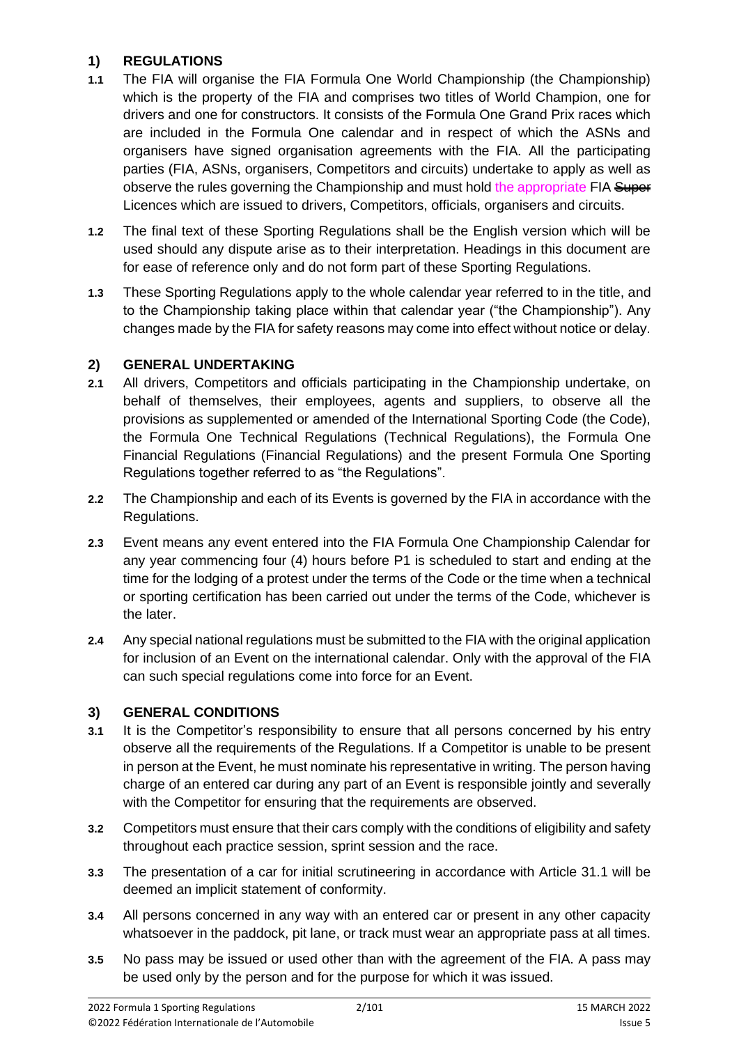### **1) REGULATIONS**

- **1.1** The FIA will organise the FIA Formula One World Championship (the Championship) which is the property of the FIA and comprises two titles of World Champion, one for drivers and one for constructors. It consists of the Formula One Grand Prix races which are included in the Formula One calendar and in respect of which the ASNs and organisers have signed organisation agreements with the FIA. All the participating parties (FIA, ASNs, organisers, Competitors and circuits) undertake to apply as well as observe the rules governing the Championship and must hold the appropriate FIA Super Licences which are issued to drivers, Competitors, officials, organisers and circuits.
- **1.2** The final text of these Sporting Regulations shall be the English version which will be used should any dispute arise as to their interpretation. Headings in this document are for ease of reference only and do not form part of these Sporting Regulations.
- **1.3** These Sporting Regulations apply to the whole calendar year referred to in the title, and to the Championship taking place within that calendar year ("the Championship"). Any changes made by the FIA for safety reasons may come into effect without notice or delay.

### **2) GENERAL UNDERTAKING**

- **2.1** All drivers, Competitors and officials participating in the Championship undertake, on behalf of themselves, their employees, agents and suppliers, to observe all the provisions as supplemented or amended of the International Sporting Code (the Code), the Formula One Technical Regulations (Technical Regulations), the Formula One Financial Regulations (Financial Regulations) and the present Formula One Sporting Regulations together referred to as "the Regulations".
- **2.2** The Championship and each of its Events is governed by the FIA in accordance with the Regulations.
- **2.3** Event means any event entered into the FIA Formula One Championship Calendar for any year commencing four (4) hours before P1 is scheduled to start and ending at the time for the lodging of a protest under the terms of the Code or the time when a technical or sporting certification has been carried out under the terms of the Code, whichever is the later.
- **2.4** Any special national regulations must be submitted to the FIA with the original application for inclusion of an Event on the international calendar. Only with the approval of the FIA can such special regulations come into force for an Event.

# **3) GENERAL CONDITIONS**

- **3.1** It is the Competitor's responsibility to ensure that all persons concerned by his entry observe all the requirements of the Regulations. If a Competitor is unable to be present in person at the Event, he must nominate his representative in writing. The person having charge of an entered car during any part of an Event is responsible jointly and severally with the Competitor for ensuring that the requirements are observed.
- **3.2** Competitors must ensure that their cars comply with the conditions of eligibility and safety throughout each practice session, sprint session and the race.
- **3.3** The presentation of a car for initial scrutineering in accordance with Article 31.1 will be deemed an implicit statement of conformity.
- **3.4** All persons concerned in any way with an entered car or present in any other capacity whatsoever in the paddock, pit lane, or track must wear an appropriate pass at all times.
- **3.5** No pass may be issued or used other than with the agreement of the FIA. A pass may be used only by the person and for the purpose for which it was issued.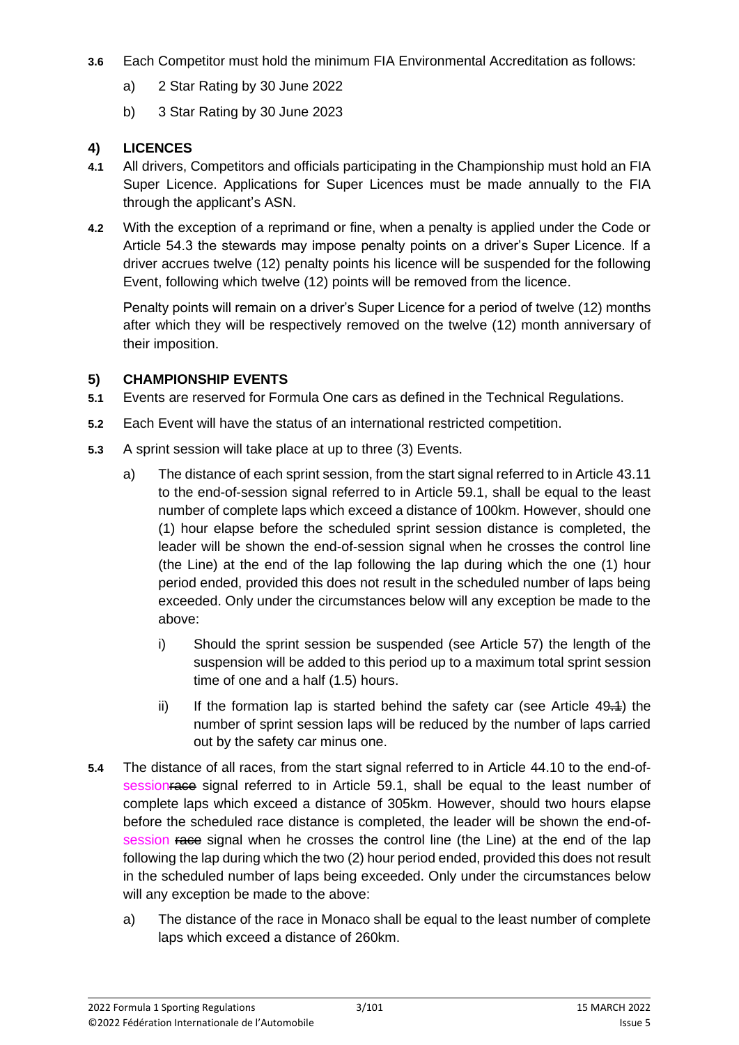- **3.6** Each Competitor must hold the minimum FIA Environmental Accreditation as follows:
	- a) 2 Star Rating by 30 June 2022
	- b) 3 Star Rating by 30 June 2023

### **4) LICENCES**

- **4.1** All drivers, Competitors and officials participating in the Championship must hold an FIA Super Licence. Applications for Super Licences must be made annually to the FIA through the applicant's ASN.
- **4.2** With the exception of a reprimand or fine, when a penalty is applied under the Code or Article 54.3 the stewards may impose penalty points on a driver's Super Licence. If a driver accrues twelve (12) penalty points his licence will be suspended for the following Event, following which twelve (12) points will be removed from the licence.

Penalty points will remain on a driver's Super Licence for a period of twelve (12) months after which they will be respectively removed on the twelve (12) month anniversary of their imposition.

#### **5) CHAMPIONSHIP EVENTS**

- **5.1** Events are reserved for Formula One cars as defined in the Technical Regulations.
- **5.2** Each Event will have the status of an international restricted competition.
- **5.3** A sprint session will take place at up to three (3) Events.
	- a) The distance of each sprint session, from the start signal referred to in Article 43.11 to the end-of-session signal referred to in Article 59.1, shall be equal to the least number of complete laps which exceed a distance of 100km. However, should one (1) hour elapse before the scheduled sprint session distance is completed, the leader will be shown the end-of-session signal when he crosses the control line (the Line) at the end of the lap following the lap during which the one (1) hour period ended, provided this does not result in the scheduled number of laps being exceeded. Only under the circumstances below will any exception be made to the above:
		- i) Should the sprint session be suspended (see Article 57) the length of the suspension will be added to this period up to a maximum total sprint session time of one and a half (1.5) hours.
		- ii) If the formation lap is started behind the safety car (see Article  $49\neq 1$ ) the number of sprint session laps will be reduced by the number of laps carried out by the safety car minus one.
- **5.4** The distance of all races, from the start signal referred to in Article 44.10 to the end-ofsessionrace signal referred to in Article 59.1, shall be equal to the least number of complete laps which exceed a distance of 305km. However, should two hours elapse before the scheduled race distance is completed, the leader will be shown the end-ofsession race signal when he crosses the control line (the Line) at the end of the lap following the lap during which the two (2) hour period ended, provided this does not result in the scheduled number of laps being exceeded. Only under the circumstances below will any exception be made to the above:
	- a) The distance of the race in Monaco shall be equal to the least number of complete laps which exceed a distance of 260km.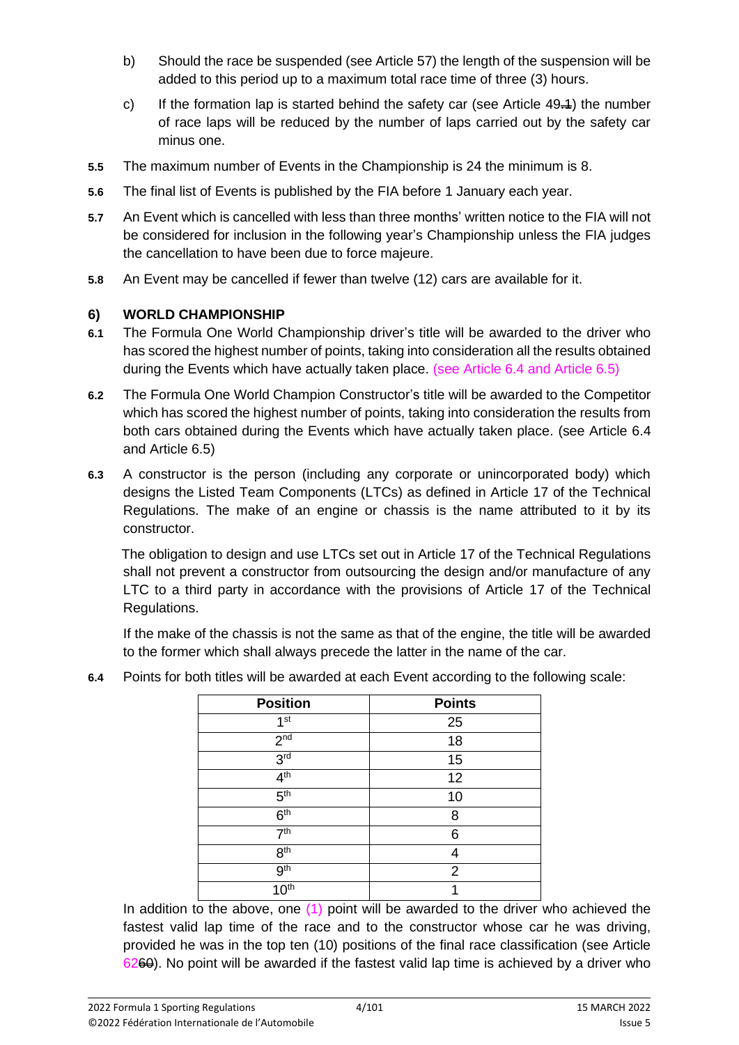- b) Should the race be suspended (see Article 57) the length of the suspension will be added to this period up to a maximum total race time of three (3) hours.
- c) If the formation lap is started behind the safety car (see Article  $49\rightarrow 1$ ) the number of race laps will be reduced by the number of laps carried out by the safety car minus one.
- **5.5** The maximum number of Events in the Championship is 24 the minimum is 8.
- **5.6** The final list of Events is published by the FIA before 1 January each year.
- **5.7** An Event which is cancelled with less than three months' written notice to the FIA will not be considered for inclusion in the following year's Championship unless the FIA judges the cancellation to have been due to force majeure.
- **5.8** An Event may be cancelled if fewer than twelve (12) cars are available for it.

### **6) WORLD CHAMPIONSHIP**

- **6.1** The Formula One World Championship driver's title will be awarded to the driver who has scored the highest number of points, taking into consideration all the results obtained during the Events which have actually taken place. (see Article 6.4 and Article 6.5)
- **6.2** The Formula One World Champion Constructor's title will be awarded to the Competitor which has scored the highest number of points, taking into consideration the results from both cars obtained during the Events which have actually taken place. (see Article 6.4 and Article 6.5)
- **6.3** A constructor is the person (including any corporate or unincorporated body) which designs the Listed Team Components (LTCs) as defined in Article 17 of the Technical Regulations. The make of an engine or chassis is the name attributed to it by its constructor.

The obligation to design and use LTCs set out in Article 17 of the Technical Regulations shall not prevent a constructor from outsourcing the design and/or manufacture of any LTC to a third party in accordance with the provisions of Article 17 of the Technical Regulations.

If the make of the chassis is not the same as that of the engine, the title will be awarded to the former which shall always precede the latter in the name of the car.

| <b>Position</b>      | <b>Points</b>  |
|----------------------|----------------|
| 1 <sup>st</sup>      | 25             |
| 2 <sup>nd</sup>      | 18             |
| 3 <sup>rd</sup>      | 15             |
| 4 <sup>th</sup>      | 12             |
| 5 <sup>th</sup>      | 10             |
| 6 <sup>th</sup>      | 8              |
| 7 <sup>th</sup>      | 6              |
| 8 <sup>th</sup>      |                |
| 9 <sup>th</sup>      | $\overline{2}$ |
| $10^{\overline{th}}$ |                |

**6.4** Points for both titles will be awarded at each Event according to the following scale:

In addition to the above, one (1) point will be awarded to the driver who achieved the fastest valid lap time of the race and to the constructor whose car he was driving, provided he was in the top ten (10) positions of the final race classification (see Article 6260). No point will be awarded if the fastest valid lap time is achieved by a driver who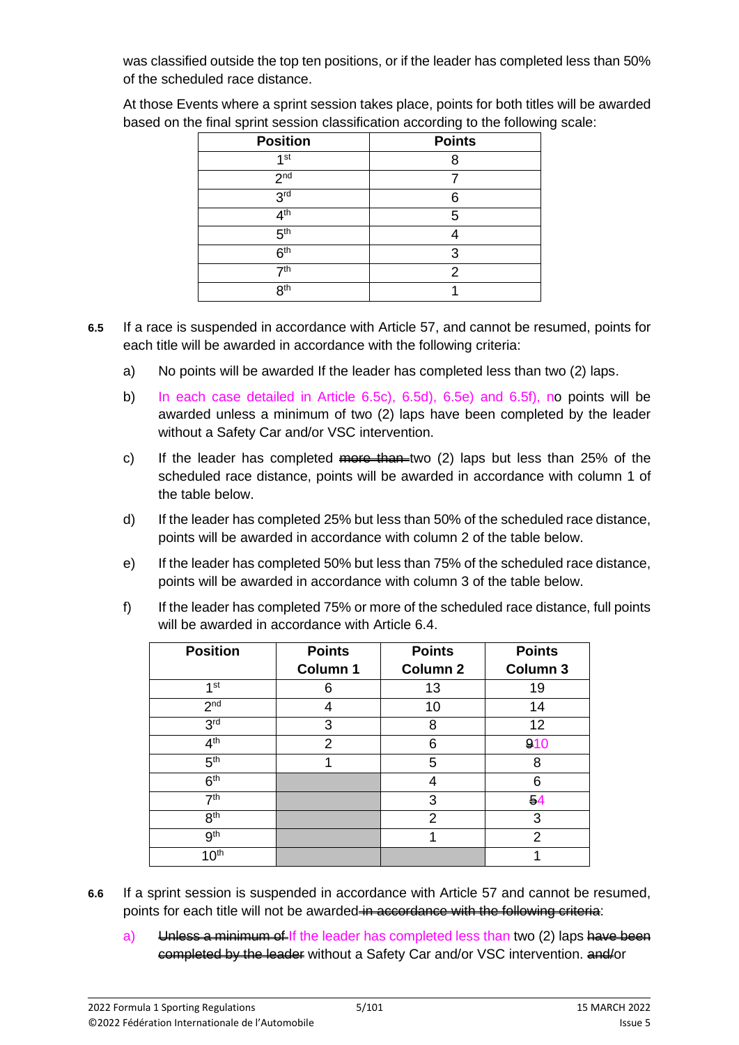was classified outside the top ten positions, or if the leader has completed less than 50% of the scheduled race distance.

At those Events where a sprint session takes place, points for both titles will be awarded based on the final sprint session classification according to the following scale:

| <b>Position</b> | <b>Points</b> |
|-----------------|---------------|
| 1 <sup>st</sup> |               |
| 2 <sub>nd</sub> |               |
| 3 <sup>rd</sup> | ค             |
| 4 <sup>th</sup> | 5             |
| 5 <sup>th</sup> |               |
| 6 <sup>th</sup> | 3             |
| 7 <sup>th</sup> | 2             |
| 8 <sup>th</sup> |               |

- **6.5** If a race is suspended in accordance with Article 57, and cannot be resumed, points for each title will be awarded in accordance with the following criteria:
	- a) No points will be awarded If the leader has completed less than two (2) laps.
	- b) In each case detailed in Article 6.5c), 6.5d), 6.5e) and 6.5f), no points will be awarded unless a minimum of two (2) laps have been completed by the leader without a Safety Car and/or VSC intervention.
	- c) If the leader has completed  $\frac{m}{r}$  than two (2) laps but less than 25% of the scheduled race distance, points will be awarded in accordance with column 1 of the table below.
	- d) If the leader has completed 25% but less than 50% of the scheduled race distance, points will be awarded in accordance with column 2 of the table below.
	- e) If the leader has completed 50% but less than 75% of the scheduled race distance, points will be awarded in accordance with column 3 of the table below.
	- f) If the leader has completed 75% or more of the scheduled race distance, full points will be awarded in accordance with Article 6.4.

| <b>Position</b>  | <b>Points</b> | <b>Points</b>   | <b>Points</b>  |  |
|------------------|---------------|-----------------|----------------|--|
|                  | Column 1      | <b>Column 2</b> | Column 3       |  |
| 1 <sup>st</sup>  | 6             | 13              | 19             |  |
| 2 <sub>nd</sub>  |               | 10              | 14             |  |
| 3 <sup>rd</sup>  | 3             | 8               | 12             |  |
| 4 <sup>th</sup>  | 2             | 6               | 910            |  |
| 5 <sup>th</sup>  |               | 5               | 8              |  |
| 6 <sup>th</sup>  |               | 4               | 6              |  |
| 7 <sup>th</sup>  |               | 3               | 54             |  |
| 8 <sup>th</sup>  |               | $\overline{2}$  | 3              |  |
| 9 <sup>th</sup>  |               | 1               | $\overline{2}$ |  |
| 10 <sup>th</sup> |               |                 | 1              |  |

- **6.6** If a sprint session is suspended in accordance with Article 57 and cannot be resumed, points for each title will not be awarded in accordance with the following criteria:
	- a) Unless a minimum of If the leader has completed less than two (2) laps have been eompleted by the leader without a Safety Car and/or VSC intervention. and/or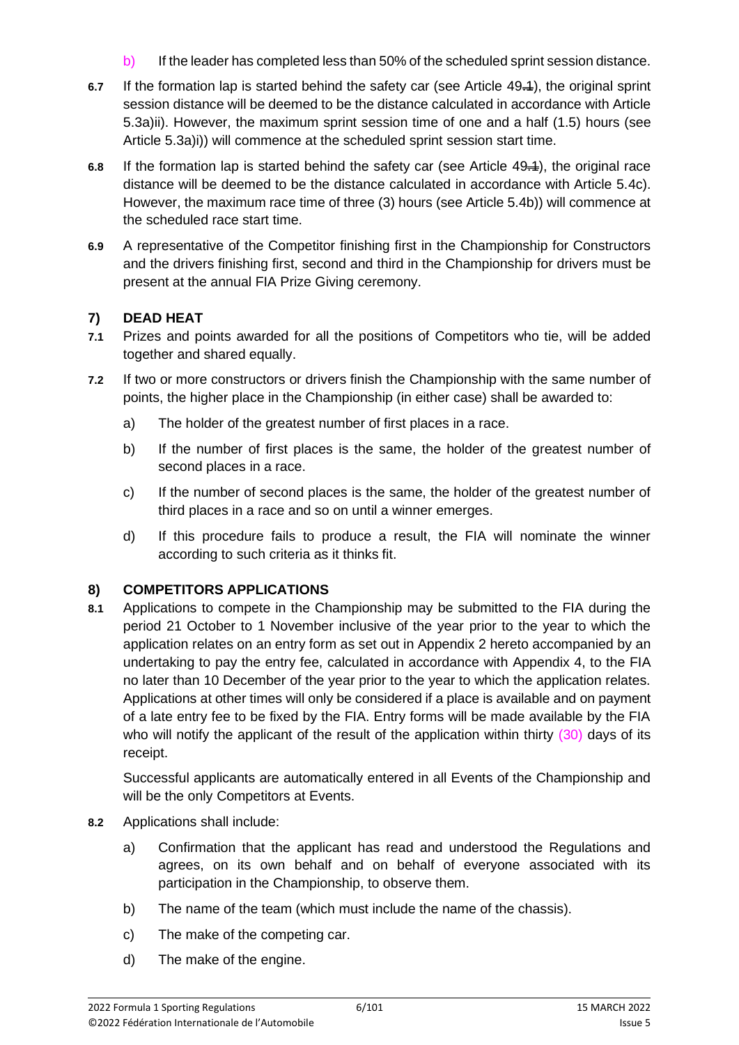- b) If the leader has completed less than 50% of the scheduled sprint session distance.
- **6.7** If the formation lap is started behind the safety car (see Article 49.1), the original sprint session distance will be deemed to be the distance calculated in accordance with Article 5.3a)ii). However, the maximum sprint session time of one and a half (1.5) hours (see Article 5.3a)i)) will commence at the scheduled sprint session start time.
- **6.8** If the formation lap is started behind the safety car (see Article 49.<sup>1</sup>), the original race distance will be deemed to be the distance calculated in accordance with Article 5.4c). However, the maximum race time of three (3) hours (see Article 5.4b)) will commence at the scheduled race start time.
- **6.9** A representative of the Competitor finishing first in the Championship for Constructors and the drivers finishing first, second and third in the Championship for drivers must be present at the annual FIA Prize Giving ceremony.

### **7) DEAD HEAT**

- **7.1** Prizes and points awarded for all the positions of Competitors who tie, will be added together and shared equally.
- **7.2** If two or more constructors or drivers finish the Championship with the same number of points, the higher place in the Championship (in either case) shall be awarded to:
	- a) The holder of the greatest number of first places in a race.
	- b) If the number of first places is the same, the holder of the greatest number of second places in a race.
	- c) If the number of second places is the same, the holder of the greatest number of third places in a race and so on until a winner emerges.
	- d) If this procedure fails to produce a result, the FIA will nominate the winner according to such criteria as it thinks fit.

### **8) COMPETITORS APPLICATIONS**

**8.1** Applications to compete in the Championship may be submitted to the FIA during the period 21 October to 1 November inclusive of the year prior to the year to which the application relates on an entry form as set out in Appendix 2 hereto accompanied by an undertaking to pay the entry fee, calculated in accordance with Appendix 4, to the FIA no later than 10 December of the year prior to the year to which the application relates. Applications at other times will only be considered if a place is available and on payment of a late entry fee to be fixed by the FIA. Entry forms will be made available by the FIA who will notify the applicant of the result of the application within thirty  $(30)$  days of its receipt.

Successful applicants are automatically entered in all Events of the Championship and will be the only Competitors at Events.

- **8.2** Applications shall include:
	- a) Confirmation that the applicant has read and understood the Regulations and agrees, on its own behalf and on behalf of everyone associated with its participation in the Championship, to observe them.
	- b) The name of the team (which must include the name of the chassis).
	- c) The make of the competing car.
	- d) The make of the engine.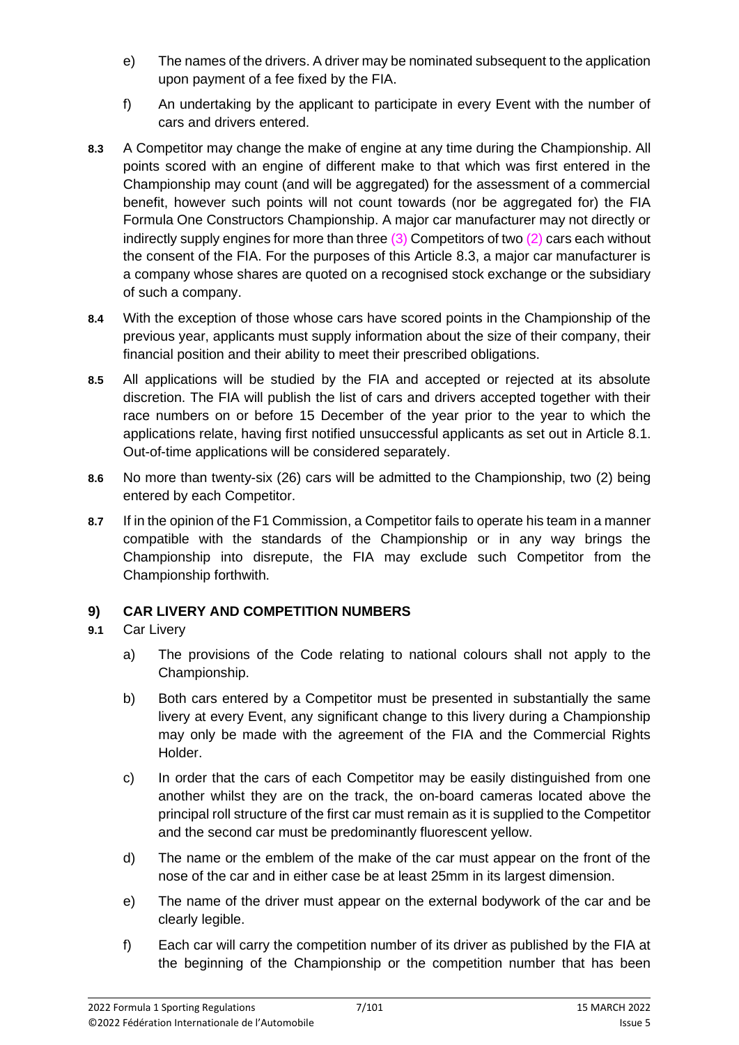- e) The names of the drivers. A driver may be nominated subsequent to the application upon payment of a fee fixed by the FIA.
- f) An undertaking by the applicant to participate in every Event with the number of cars and drivers entered.
- **8.3** A Competitor may change the make of engine at any time during the Championship. All points scored with an engine of different make to that which was first entered in the Championship may count (and will be aggregated) for the assessment of a commercial benefit, however such points will not count towards (nor be aggregated for) the FIA Formula One Constructors Championship. A major car manufacturer may not directly or indirectly supply engines for more than three  $(3)$  Competitors of two  $(2)$  cars each without the consent of the FIA. For the purposes of this Article 8.3, a major car manufacturer is a company whose shares are quoted on a recognised stock exchange or the subsidiary of such a company.
- **8.4** With the exception of those whose cars have scored points in the Championship of the previous year, applicants must supply information about the size of their company, their financial position and their ability to meet their prescribed obligations.
- **8.5** All applications will be studied by the FIA and accepted or rejected at its absolute discretion. The FIA will publish the list of cars and drivers accepted together with their race numbers on or before 15 December of the year prior to the year to which the applications relate, having first notified unsuccessful applicants as set out in Article 8.1. Out-of-time applications will be considered separately.
- **8.6** No more than twenty-six (26) cars will be admitted to the Championship, two (2) being entered by each Competitor.
- **8.7** If in the opinion of the F1 Commission, a Competitor fails to operate his team in a manner compatible with the standards of the Championship or in any way brings the Championship into disrepute, the FIA may exclude such Competitor from the Championship forthwith.

# **9) CAR LIVERY AND COMPETITION NUMBERS**

### **9.1** Car Livery

- a) The provisions of the Code relating to national colours shall not apply to the Championship.
- b) Both cars entered by a Competitor must be presented in substantially the same livery at every Event, any significant change to this livery during a Championship may only be made with the agreement of the FIA and the Commercial Rights Holder.
- c) In order that the cars of each Competitor may be easily distinguished from one another whilst they are on the track, the on-board cameras located above the principal roll structure of the first car must remain as it is supplied to the Competitor and the second car must be predominantly fluorescent yellow.
- d) The name or the emblem of the make of the car must appear on the front of the nose of the car and in either case be at least 25mm in its largest dimension.
- e) The name of the driver must appear on the external bodywork of the car and be clearly legible.
- f) Each car will carry the competition number of its driver as published by the FIA at the beginning of the Championship or the competition number that has been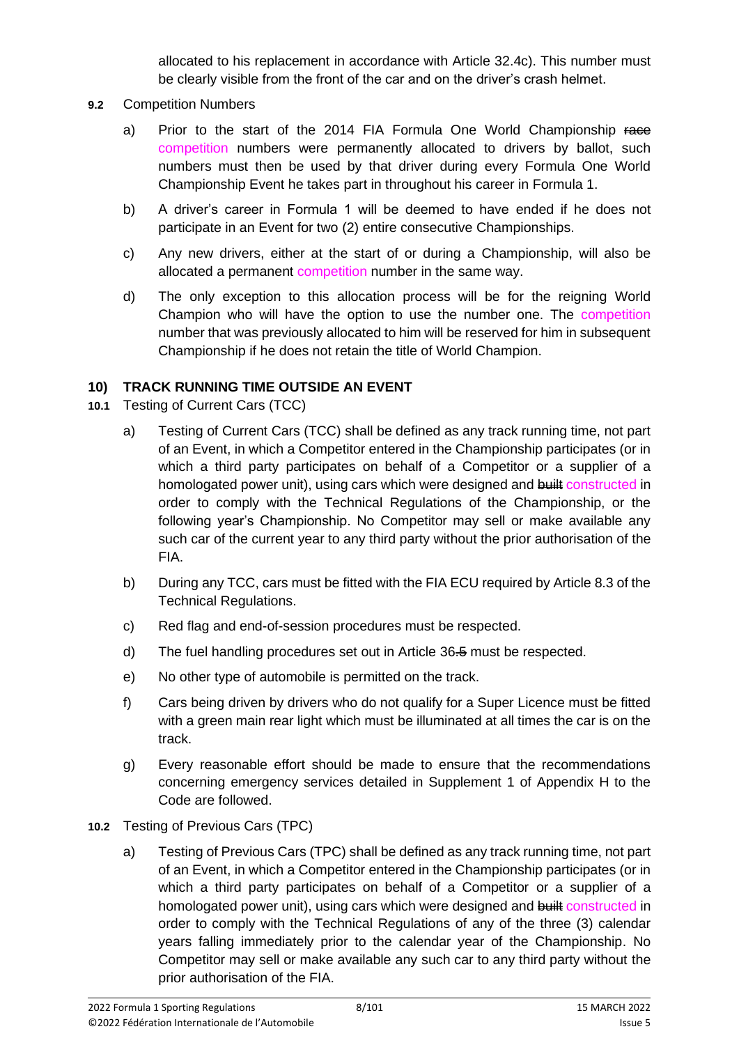allocated to his replacement in accordance with Article 32.4c). This number must be clearly visible from the front of the car and on the driver's crash helmet.

- **9.2** Competition Numbers
	- a) Prior to the start of the 2014 FIA Formula One World Championship Face competition numbers were permanently allocated to drivers by ballot, such numbers must then be used by that driver during every Formula One World Championship Event he takes part in throughout his career in Formula 1.
	- b) A driver's career in Formula 1 will be deemed to have ended if he does not participate in an Event for two (2) entire consecutive Championships.
	- c) Any new drivers, either at the start of or during a Championship, will also be allocated a permanent competition number in the same way.
	- d) The only exception to this allocation process will be for the reigning World Champion who will have the option to use the number one. The competition number that was previously allocated to him will be reserved for him in subsequent Championship if he does not retain the title of World Champion.

#### **10) TRACK RUNNING TIME OUTSIDE AN EVENT**

- **10.1** Testing of Current Cars (TCC)
	- a) Testing of Current Cars (TCC) shall be defined as any track running time, not part of an Event, in which a Competitor entered in the Championship participates (or in which a third party participates on behalf of a Competitor or a supplier of a homologated power unit), using cars which were designed and built constructed in order to comply with the Technical Regulations of the Championship, or the following year's Championship. No Competitor may sell or make available any such car of the current year to any third party without the prior authorisation of the FIA.
	- b) During any TCC, cars must be fitted with the FIA ECU required by Article 8.3 of the Technical Regulations.
	- c) Red flag and end-of-session procedures must be respected.
	- d) The fuel handling procedures set out in Article 36.5 must be respected.
	- e) No other type of automobile is permitted on the track.
	- f) Cars being driven by drivers who do not qualify for a Super Licence must be fitted with a green main rear light which must be illuminated at all times the car is on the track.
	- g) Every reasonable effort should be made to ensure that the recommendations concerning emergency services detailed in Supplement 1 of Appendix H to the Code are followed.
- **10.2** Testing of Previous Cars (TPC)
	- a) Testing of Previous Cars (TPC) shall be defined as any track running time, not part of an Event, in which a Competitor entered in the Championship participates (or in which a third party participates on behalf of a Competitor or a supplier of a homologated power unit), using cars which were designed and built constructed in order to comply with the Technical Regulations of any of the three (3) calendar years falling immediately prior to the calendar year of the Championship. No Competitor may sell or make available any such car to any third party without the prior authorisation of the FIA.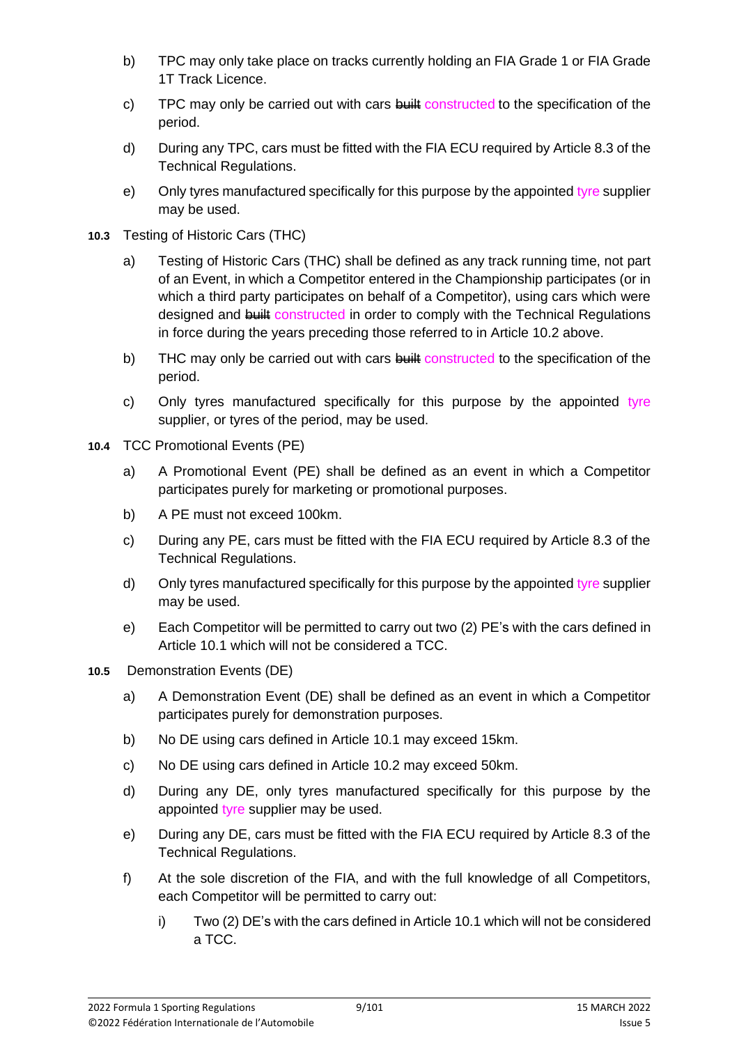- b) TPC may only take place on tracks currently holding an FIA Grade 1 or FIA Grade 1T Track Licence.
- c) TPC may only be carried out with cars  $\frac{1}{2}$  constructed to the specification of the period.
- d) During any TPC, cars must be fitted with the FIA ECU required by Article 8.3 of the Technical Regulations.
- e) Only tyres manufactured specifically for this purpose by the appointed tyre supplier may be used.
- **10.3** Testing of Historic Cars (THC)
	- a) Testing of Historic Cars (THC) shall be defined as any track running time, not part of an Event, in which a Competitor entered in the Championship participates (or in which a third party participates on behalf of a Competitor), using cars which were designed and built constructed in order to comply with the Technical Regulations in force during the years preceding those referred to in Article 10.2 above.
	- b) THC may only be carried out with cars built constructed to the specification of the period.
	- c) Only tyres manufactured specifically for this purpose by the appointed tyre supplier, or tyres of the period, may be used.
- **10.4** TCC Promotional Events (PE)
	- a) A Promotional Event (PE) shall be defined as an event in which a Competitor participates purely for marketing or promotional purposes.
	- b) A PE must not exceed 100km.
	- c) During any PE, cars must be fitted with the FIA ECU required by Article 8.3 of the Technical Regulations.
	- d) Only tyres manufactured specifically for this purpose by the appointed tyre supplier may be used.
	- e) Each Competitor will be permitted to carry out two (2) PE's with the cars defined in Article 10.1 which will not be considered a TCC.
- **10.5** Demonstration Events (DE)
	- a) A Demonstration Event (DE) shall be defined as an event in which a Competitor participates purely for demonstration purposes.
	- b) No DE using cars defined in Article 10.1 may exceed 15km.
	- c) No DE using cars defined in Article 10.2 may exceed 50km.
	- d) During any DE, only tyres manufactured specifically for this purpose by the appointed tyre supplier may be used.
	- e) During any DE, cars must be fitted with the FIA ECU required by Article 8.3 of the Technical Regulations.
	- f) At the sole discretion of the FIA, and with the full knowledge of all Competitors, each Competitor will be permitted to carry out:
		- i) Two (2) DE's with the cars defined in Article 10.1 which will not be considered a TCC.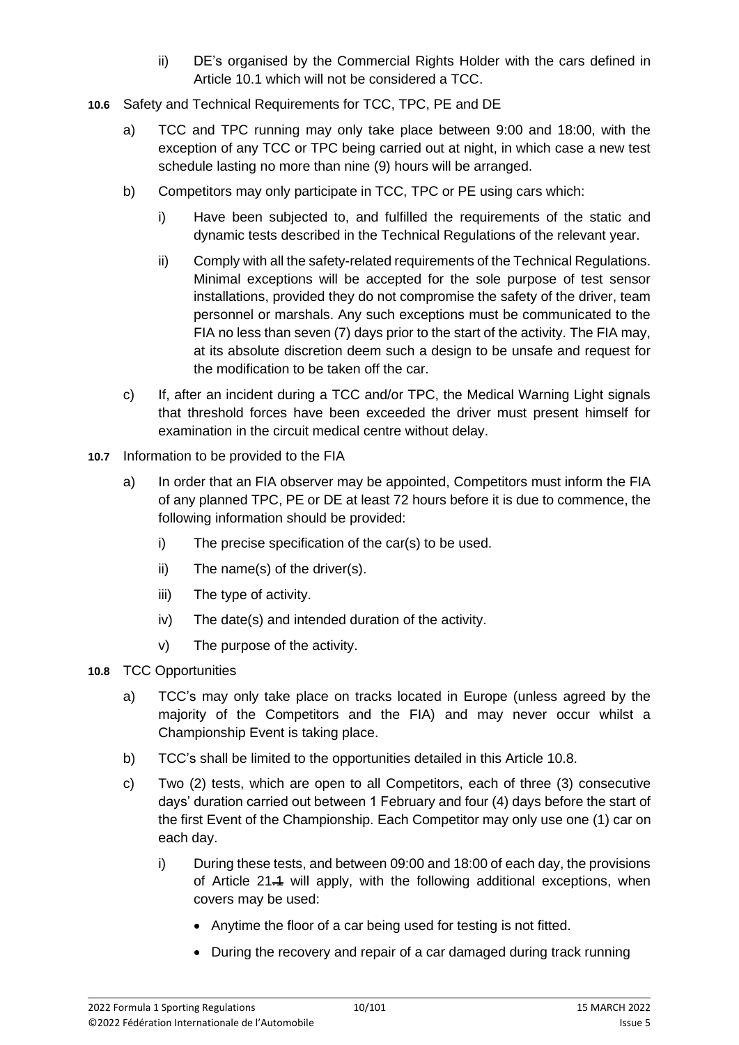- ii) DE's organised by the Commercial Rights Holder with the cars defined in Article 10.1 which will not be considered a TCC.
- **10.6** Safety and Technical Requirements for TCC, TPC, PE and DE
	- a) TCC and TPC running may only take place between 9:00 and 18:00, with the exception of any TCC or TPC being carried out at night, in which case a new test schedule lasting no more than nine (9) hours will be arranged.
	- b) Competitors may only participate in TCC, TPC or PE using cars which:
		- i) Have been subjected to, and fulfilled the requirements of the static and dynamic tests described in the Technical Regulations of the relevant year.
		- ii) Comply with all the safety-related requirements of the Technical Regulations. Minimal exceptions will be accepted for the sole purpose of test sensor installations, provided they do not compromise the safety of the driver, team personnel or marshals. Any such exceptions must be communicated to the FIA no less than seven (7) days prior to the start of the activity. The FIA may, at its absolute discretion deem such a design to be unsafe and request for the modification to be taken off the car.
	- c) If, after an incident during a TCC and/or TPC, the Medical Warning Light signals that threshold forces have been exceeded the driver must present himself for examination in the circuit medical centre without delay.
- **10.7** Information to be provided to the FIA
	- a) In order that an FIA observer may be appointed, Competitors must inform the FIA of any planned TPC, PE or DE at least 72 hours before it is due to commence, the following information should be provided:
		- i) The precise specification of the car(s) to be used.
		- ii) The name(s) of the driver(s).
		- iii) The type of activity.
		- iv) The date(s) and intended duration of the activity.
		- v) The purpose of the activity.
- **10.8** TCC Opportunities
	- a) TCC's may only take place on tracks located in Europe (unless agreed by the majority of the Competitors and the FIA) and may never occur whilst a Championship Event is taking place.
	- b) TCC's shall be limited to the opportunities detailed in this Article 10.8.
	- c) Two (2) tests, which are open to all Competitors, each of three (3) consecutive days' duration carried out between 1 February and four (4) days before the start of the first Event of the Championship. Each Competitor may only use one (1) car on each day.
		- i) During these tests, and between 09:00 and 18:00 of each day, the provisions of Article  $21.4$  will apply, with the following additional exceptions, when covers may be used:
			- Anytime the floor of a car being used for testing is not fitted.
			- During the recovery and repair of a car damaged during track running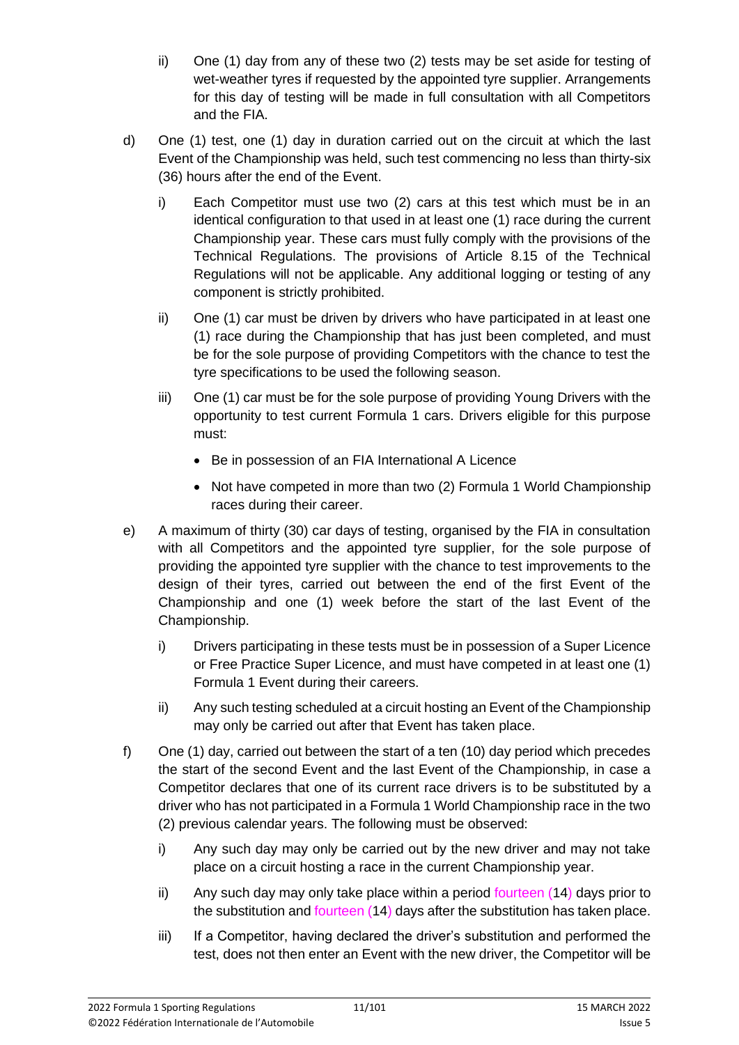- ii) One (1) day from any of these two (2) tests may be set aside for testing of wet-weather tyres if requested by the appointed tyre supplier. Arrangements for this day of testing will be made in full consultation with all Competitors and the FIA.
- d) One (1) test, one (1) day in duration carried out on the circuit at which the last Event of the Championship was held, such test commencing no less than thirty-six (36) hours after the end of the Event.
	- i) Each Competitor must use two (2) cars at this test which must be in an identical configuration to that used in at least one (1) race during the current Championship year. These cars must fully comply with the provisions of the Technical Regulations. The provisions of Article 8.15 of the Technical Regulations will not be applicable. Any additional logging or testing of any component is strictly prohibited.
	- ii) One (1) car must be driven by drivers who have participated in at least one (1) race during the Championship that has just been completed, and must be for the sole purpose of providing Competitors with the chance to test the tyre specifications to be used the following season.
	- iii) One (1) car must be for the sole purpose of providing Young Drivers with the opportunity to test current Formula 1 cars. Drivers eligible for this purpose must:
		- Be in possession of an FIA International A Licence
		- Not have competed in more than two (2) Formula 1 World Championship races during their career.
- e) A maximum of thirty (30) car days of testing, organised by the FIA in consultation with all Competitors and the appointed tyre supplier, for the sole purpose of providing the appointed tyre supplier with the chance to test improvements to the design of their tyres, carried out between the end of the first Event of the Championship and one (1) week before the start of the last Event of the Championship.
	- i) Drivers participating in these tests must be in possession of a Super Licence or Free Practice Super Licence, and must have competed in at least one (1) Formula 1 Event during their careers.
	- ii) Any such testing scheduled at a circuit hosting an Event of the Championship may only be carried out after that Event has taken place.
- f) One (1) day, carried out between the start of a ten (10) day period which precedes the start of the second Event and the last Event of the Championship, in case a Competitor declares that one of its current race drivers is to be substituted by a driver who has not participated in a Formula 1 World Championship race in the two (2) previous calendar years. The following must be observed:
	- i) Any such day may only be carried out by the new driver and may not take place on a circuit hosting a race in the current Championship year.
	- ii) Any such day may only take place within a period fourteen (14) days prior to the substitution and fourteen (14) days after the substitution has taken place.
	- iii) If a Competitor, having declared the driver's substitution and performed the test, does not then enter an Event with the new driver, the Competitor will be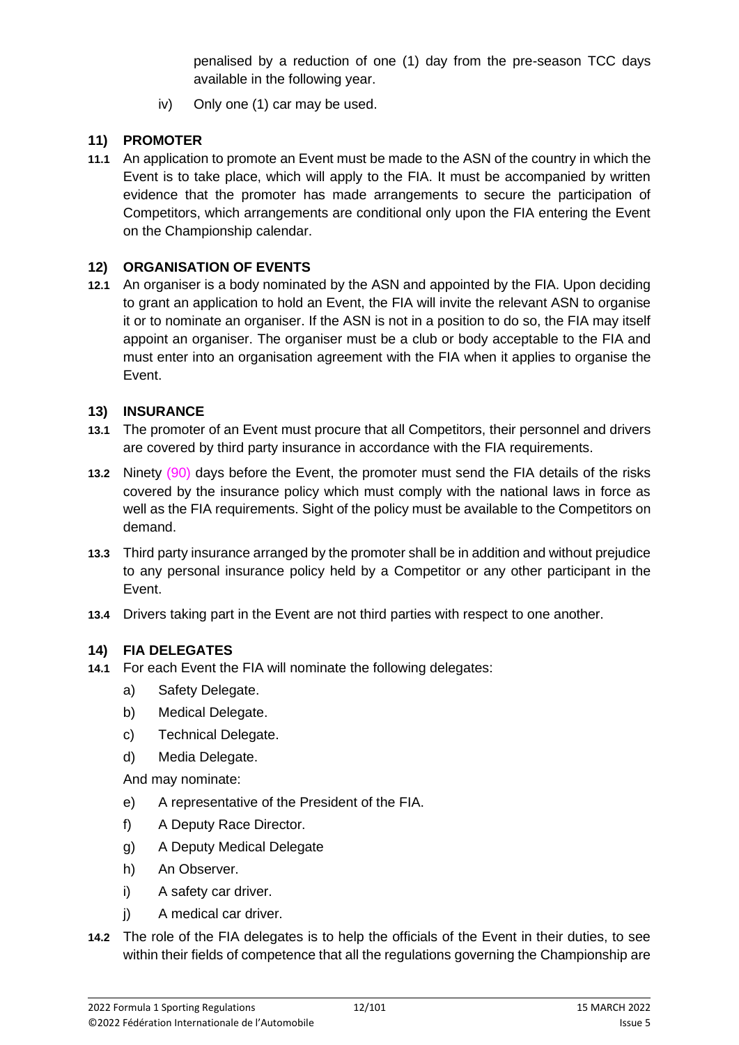penalised by a reduction of one (1) day from the pre-season TCC days available in the following year.

iv) Only one (1) car may be used.

# **11) PROMOTER**

**11.1** An application to promote an Event must be made to the ASN of the country in which the Event is to take place, which will apply to the FIA. It must be accompanied by written evidence that the promoter has made arrangements to secure the participation of Competitors, which arrangements are conditional only upon the FIA entering the Event on the Championship calendar.

# **12) ORGANISATION OF EVENTS**

**12.1** An organiser is a body nominated by the ASN and appointed by the FIA. Upon deciding to grant an application to hold an Event, the FIA will invite the relevant ASN to organise it or to nominate an organiser. If the ASN is not in a position to do so, the FIA may itself appoint an organiser. The organiser must be a club or body acceptable to the FIA and must enter into an organisation agreement with the FIA when it applies to organise the Event.

### **13) INSURANCE**

- **13.1** The promoter of an Event must procure that all Competitors, their personnel and drivers are covered by third party insurance in accordance with the FIA requirements.
- **13.2** Ninety (90) days before the Event, the promoter must send the FIA details of the risks covered by the insurance policy which must comply with the national laws in force as well as the FIA requirements. Sight of the policy must be available to the Competitors on demand.
- **13.3** Third party insurance arranged by the promoter shall be in addition and without prejudice to any personal insurance policy held by a Competitor or any other participant in the Event.
- **13.4** Drivers taking part in the Event are not third parties with respect to one another.

### **14) FIA DELEGATES**

- **14.1** For each Event the FIA will nominate the following delegates:
	- a) Safety Delegate.
	- b) Medical Delegate.
	- c) Technical Delegate.
	- d) Media Delegate.

And may nominate:

- e) A representative of the President of the FIA.
- f) A Deputy Race Director.
- g) A Deputy Medical Delegate
- h) An Observer.
- i) A safety car driver.
- j) A medical car driver.
- **14.2** The role of the FIA delegates is to help the officials of the Event in their duties, to see within their fields of competence that all the regulations governing the Championship are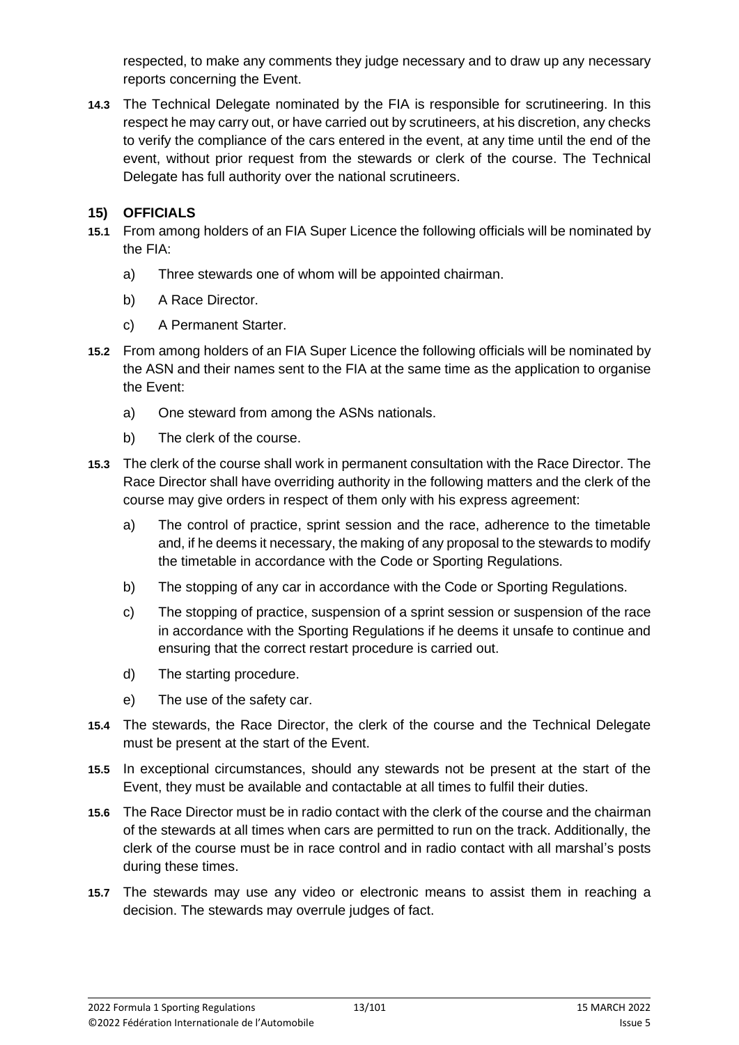respected, to make any comments they judge necessary and to draw up any necessary reports concerning the Event.

**14.3** The Technical Delegate nominated by the FIA is responsible for scrutineering. In this respect he may carry out, or have carried out by scrutineers, at his discretion, any checks to verify the compliance of the cars entered in the event, at any time until the end of the event, without prior request from the stewards or clerk of the course. The Technical Delegate has full authority over the national scrutineers.

### **15) OFFICIALS**

- **15.1** From among holders of an FIA Super Licence the following officials will be nominated by the FIA:
	- a) Three stewards one of whom will be appointed chairman.
	- b) A Race Director.
	- c) A Permanent Starter.
- **15.2** From among holders of an FIA Super Licence the following officials will be nominated by the ASN and their names sent to the FIA at the same time as the application to organise the Event:
	- a) One steward from among the ASNs nationals.
	- b) The clerk of the course.
- **15.3** The clerk of the course shall work in permanent consultation with the Race Director. The Race Director shall have overriding authority in the following matters and the clerk of the course may give orders in respect of them only with his express agreement:
	- a) The control of practice, sprint session and the race, adherence to the timetable and, if he deems it necessary, the making of any proposal to the stewards to modify the timetable in accordance with the Code or Sporting Regulations.
	- b) The stopping of any car in accordance with the Code or Sporting Regulations.
	- c) The stopping of practice, suspension of a sprint session or suspension of the race in accordance with the Sporting Regulations if he deems it unsafe to continue and ensuring that the correct restart procedure is carried out.
	- d) The starting procedure.
	- e) The use of the safety car.
- **15.4** The stewards, the Race Director, the clerk of the course and the Technical Delegate must be present at the start of the Event.
- **15.5** In exceptional circumstances, should any stewards not be present at the start of the Event, they must be available and contactable at all times to fulfil their duties.
- **15.6** The Race Director must be in radio contact with the clerk of the course and the chairman of the stewards at all times when cars are permitted to run on the track. Additionally, the clerk of the course must be in race control and in radio contact with all marshal's posts during these times.
- **15.7** The stewards may use any video or electronic means to assist them in reaching a decision. The stewards may overrule judges of fact.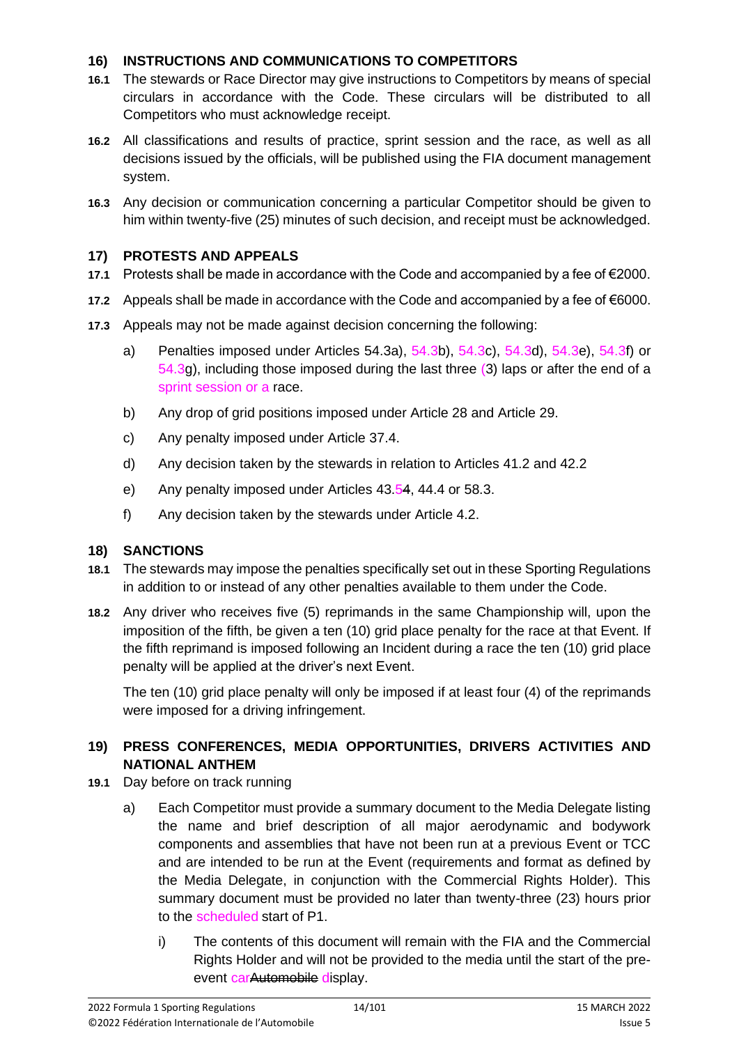#### **16) INSTRUCTIONS AND COMMUNICATIONS TO COMPETITORS**

- **16.1** The stewards or Race Director may give instructions to Competitors by means of special circulars in accordance with the Code. These circulars will be distributed to all Competitors who must acknowledge receipt.
- **16.2** All classifications and results of practice, sprint session and the race, as well as all decisions issued by the officials, will be published using the FIA document management system.
- **16.3** Any decision or communication concerning a particular Competitor should be given to him within twenty-five (25) minutes of such decision, and receipt must be acknowledged.

#### **17) PROTESTS AND APPEALS**

- **17.1** Protests shall be made in accordance with the Code and accompanied by a fee of €2000.
- **17.2** Appeals shall be made in accordance with the Code and accompanied by a fee of €6000.
- **17.3** Appeals may not be made against decision concerning the following:
	- a) Penalties imposed under Articles 54.3a), 54.3b), 54.3c), 54.3d), 54.3e), 54.3f) or 54.3g), including those imposed during the last three (3) laps or after the end of a sprint session or a race.
	- b) Any drop of grid positions imposed under Article 28 and Article 29.
	- c) Any penalty imposed under Article 37.4.
	- d) Any decision taken by the stewards in relation to Articles 41.2 and 42.2
	- e) Any penalty imposed under Articles 43.54, 44.4 or 58.3.
	- f) Any decision taken by the stewards under Article 4.2.

### **18) SANCTIONS**

- **18.1** The stewards may impose the penalties specifically set out in these Sporting Regulations in addition to or instead of any other penalties available to them under the Code.
- **18.2** Any driver who receives five (5) reprimands in the same Championship will, upon the imposition of the fifth, be given a ten (10) grid place penalty for the race at that Event. If the fifth reprimand is imposed following an Incident during a race the ten (10) grid place penalty will be applied at the driver's next Event.

The ten (10) grid place penalty will only be imposed if at least four (4) of the reprimands were imposed for a driving infringement.

### **19) PRESS CONFERENCES, MEDIA OPPORTUNITIES, DRIVERS ACTIVITIES AND NATIONAL ANTHEM**

- **19.1** Day before on track running
	- a) Each Competitor must provide a summary document to the Media Delegate listing the name and brief description of all major aerodynamic and bodywork components and assemblies that have not been run at a previous Event or TCC and are intended to be run at the Event (requirements and format as defined by the Media Delegate, in conjunction with the Commercial Rights Holder). This summary document must be provided no later than twenty-three (23) hours prior to the scheduled start of P1.
		- i) The contents of this document will remain with the FIA and the Commercial Rights Holder and will not be provided to the media until the start of the preevent carAutomobile display.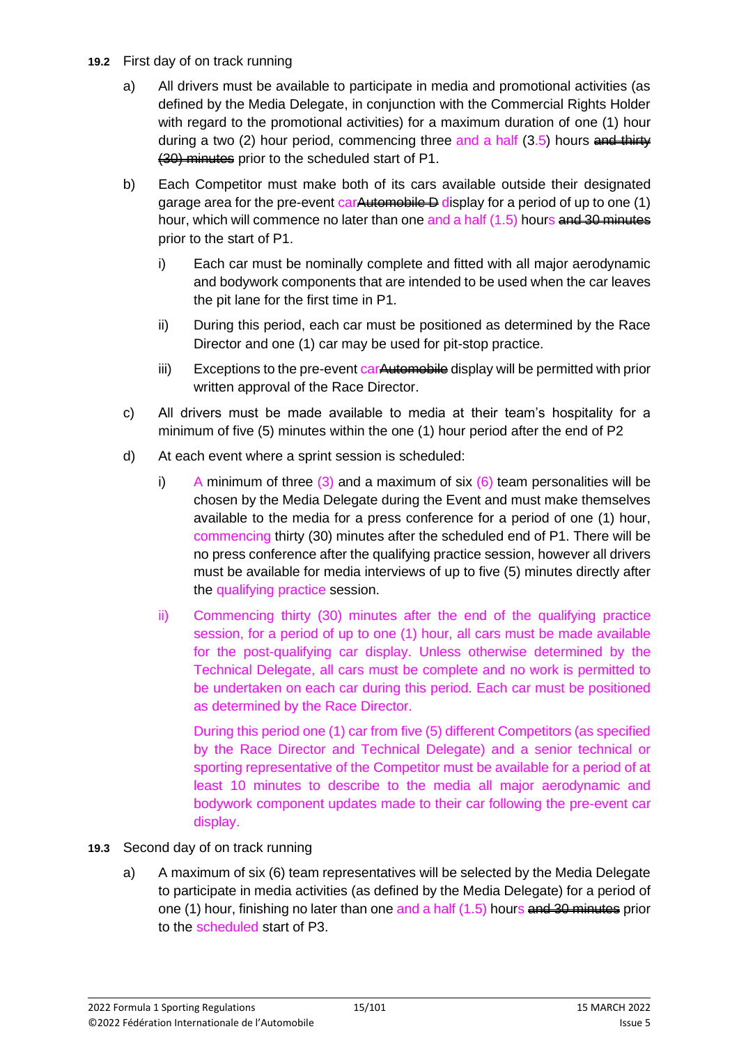- **19.2** First day of on track running
	- a) All drivers must be available to participate in media and promotional activities (as defined by the Media Delegate, in conjunction with the Commercial Rights Holder with regard to the promotional activities) for a maximum duration of one (1) hour during a two  $(2)$  hour period, commencing three and a half  $(3.5)$  hours and thirty (30) minutes prior to the scheduled start of P1.
	- b) Each Competitor must make both of its cars available outside their designated garage area for the pre-event car Automobile D display for a period of up to one  $(1)$ hour, which will commence no later than one and a half (1.5) hours and 30 minutes prior to the start of P1.
		- i) Each car must be nominally complete and fitted with all major aerodynamic and bodywork components that are intended to be used when the car leaves the pit lane for the first time in P1.
		- ii) During this period, each car must be positioned as determined by the Race Director and one (1) car may be used for pit-stop practice.
		- iii) Exceptions to the pre-event carAutomobile display will be permitted with prior written approval of the Race Director.
	- c) All drivers must be made available to media at their team's hospitality for a minimum of five (5) minutes within the one (1) hour period after the end of P2
	- d) At each event where a sprint session is scheduled:
		- i) A minimum of three  $(3)$  and a maximum of six  $(6)$  team personalities will be chosen by the Media Delegate during the Event and must make themselves available to the media for a press conference for a period of one (1) hour, commencing thirty (30) minutes after the scheduled end of P1. There will be no press conference after the qualifying practice session, however all drivers must be available for media interviews of up to five (5) minutes directly after the qualifying practice session.
		- ii) Commencing thirty (30) minutes after the end of the qualifying practice session, for a period of up to one (1) hour, all cars must be made available for the post-qualifying car display. Unless otherwise determined by the Technical Delegate, all cars must be complete and no work is permitted to be undertaken on each car during this period. Each car must be positioned as determined by the Race Director.

During this period one (1) car from five (5) different Competitors (as specified by the Race Director and Technical Delegate) and a senior technical or sporting representative of the Competitor must be available for a period of at least 10 minutes to describe to the media all major aerodynamic and bodywork component updates made to their car following the pre-event car display.

- **19.3** Second day of on track running
	- a) A maximum of six (6) team representatives will be selected by the Media Delegate to participate in media activities (as defined by the Media Delegate) for a period of one (1) hour, finishing no later than one and a half  $(1.5)$  hours and 30 minutes prior to the scheduled start of P3.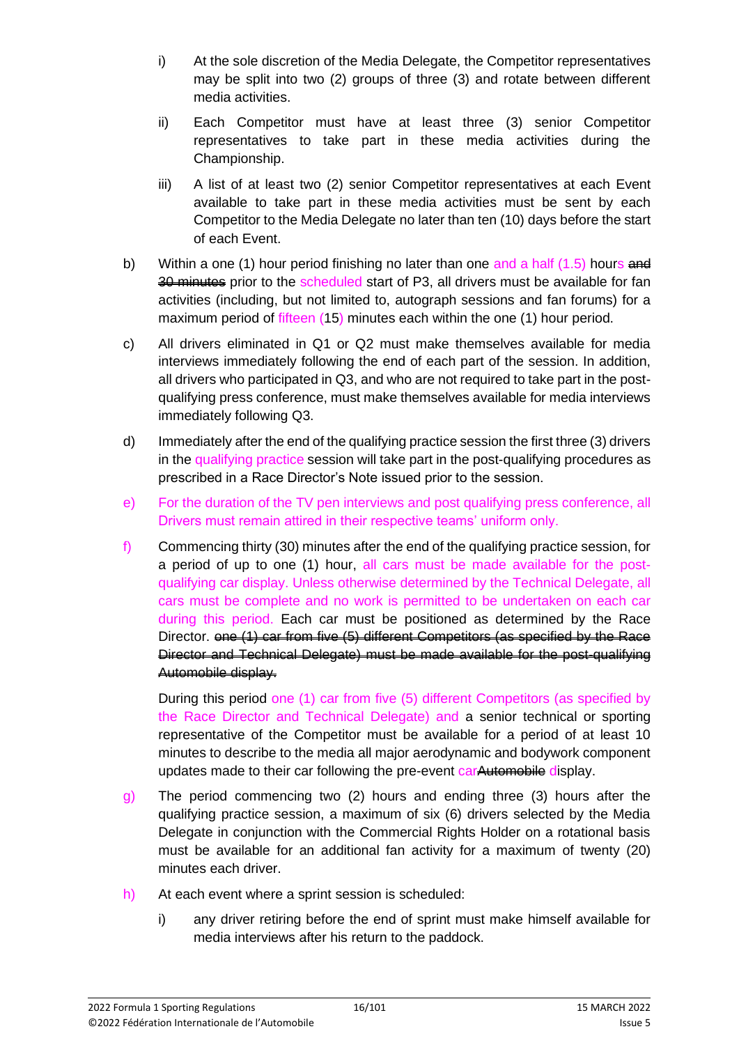- i) At the sole discretion of the Media Delegate, the Competitor representatives may be split into two (2) groups of three (3) and rotate between different media activities.
- ii) Each Competitor must have at least three (3) senior Competitor representatives to take part in these media activities during the Championship.
- iii) A list of at least two (2) senior Competitor representatives at each Event available to take part in these media activities must be sent by each Competitor to the Media Delegate no later than ten (10) days before the start of each Event.
- b) Within a one (1) hour period finishing no later than one and a half  $(1.5)$  hours and 30 minutes prior to the scheduled start of P3, all drivers must be available for fan activities (including, but not limited to, autograph sessions and fan forums) for a maximum period of fifteen (15) minutes each within the one (1) hour period.
- c) All drivers eliminated in Q1 or Q2 must make themselves available for media interviews immediately following the end of each part of the session. In addition, all drivers who participated in Q3, and who are not required to take part in the postqualifying press conference, must make themselves available for media interviews immediately following Q3.
- d) Immediately after the end of the qualifying practice session the first three (3) drivers in the qualifying practice session will take part in the post-qualifying procedures as prescribed in a Race Director's Note issued prior to the session.
- e) For the duration of the TV pen interviews and post qualifying press conference, all Drivers must remain attired in their respective teams' uniform only.
- f) Commencing thirty (30) minutes after the end of the qualifying practice session, for a period of up to one (1) hour, all cars must be made available for the postqualifying car display. Unless otherwise determined by the Technical Delegate, all cars must be complete and no work is permitted to be undertaken on each car during this period. Each car must be positioned as determined by the Race Director. one (1) car from five (5) different Competitors (as specified by the Race Director and Technical Delegate) must be made available for the post-qualifying Automobile display.

During this period one (1) car from five (5) different Competitors (as specified by the Race Director and Technical Delegate) and a senior technical or sporting representative of the Competitor must be available for a period of at least 10 minutes to describe to the media all major aerodynamic and bodywork component updates made to their car following the pre-event carAutomobile display.

- g) The period commencing two (2) hours and ending three (3) hours after the qualifying practice session, a maximum of six (6) drivers selected by the Media Delegate in conjunction with the Commercial Rights Holder on a rotational basis must be available for an additional fan activity for a maximum of twenty (20) minutes each driver.
- h) At each event where a sprint session is scheduled:
	- i) any driver retiring before the end of sprint must make himself available for media interviews after his return to the paddock.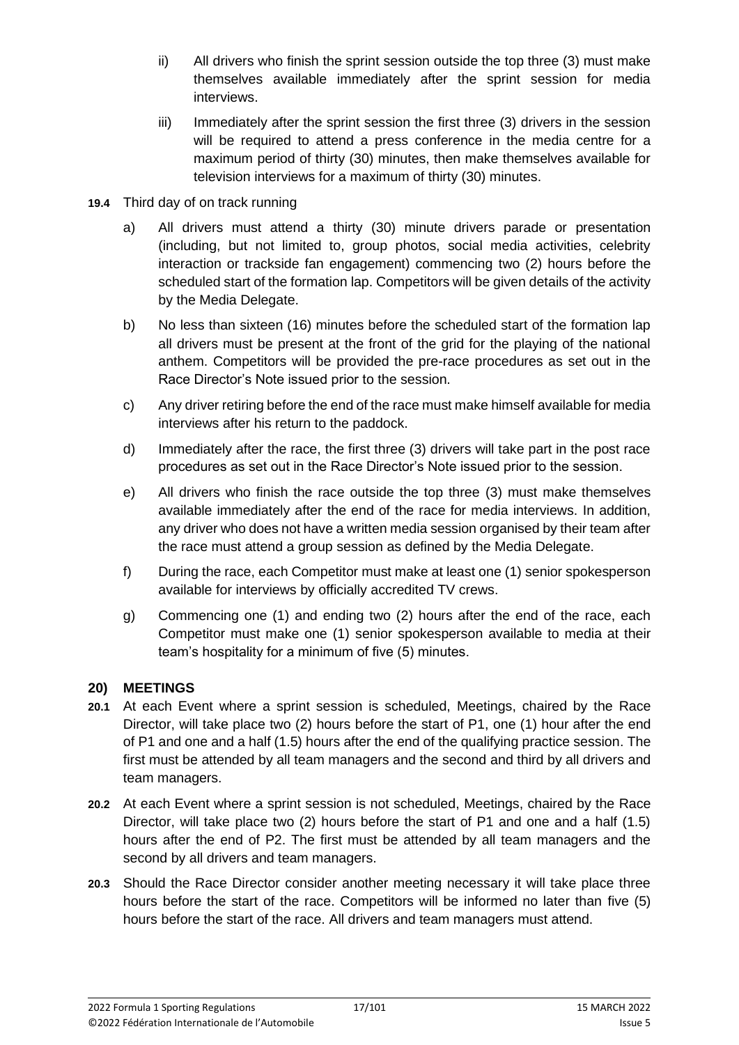- ii) All drivers who finish the sprint session outside the top three (3) must make themselves available immediately after the sprint session for media interviews.
- iii) Immediately after the sprint session the first three (3) drivers in the session will be required to attend a press conference in the media centre for a maximum period of thirty (30) minutes, then make themselves available for television interviews for a maximum of thirty (30) minutes.
- **19.4** Third day of on track running
	- a) All drivers must attend a thirty (30) minute drivers parade or presentation (including, but not limited to, group photos, social media activities, celebrity interaction or trackside fan engagement) commencing two (2) hours before the scheduled start of the formation lap. Competitors will be given details of the activity by the Media Delegate.
	- b) No less than sixteen (16) minutes before the scheduled start of the formation lap all drivers must be present at the front of the grid for the playing of the national anthem. Competitors will be provided the pre-race procedures as set out in the Race Director's Note issued prior to the session.
	- c) Any driver retiring before the end of the race must make himself available for media interviews after his return to the paddock.
	- d) Immediately after the race, the first three (3) drivers will take part in the post race procedures as set out in the Race Director's Note issued prior to the session.
	- e) All drivers who finish the race outside the top three (3) must make themselves available immediately after the end of the race for media interviews. In addition, any driver who does not have a written media session organised by their team after the race must attend a group session as defined by the Media Delegate.
	- f) During the race, each Competitor must make at least one (1) senior spokesperson available for interviews by officially accredited TV crews.
	- g) Commencing one (1) and ending two (2) hours after the end of the race, each Competitor must make one (1) senior spokesperson available to media at their team's hospitality for a minimum of five (5) minutes.

### **20) MEETINGS**

- **20.1** At each Event where a sprint session is scheduled, Meetings, chaired by the Race Director, will take place two (2) hours before the start of P1, one (1) hour after the end of P1 and one and a half (1.5) hours after the end of the qualifying practice session. The first must be attended by all team managers and the second and third by all drivers and team managers.
- **20.2** At each Event where a sprint session is not scheduled, Meetings, chaired by the Race Director, will take place two (2) hours before the start of P1 and one and a half (1.5) hours after the end of P2. The first must be attended by all team managers and the second by all drivers and team managers.
- **20.3** Should the Race Director consider another meeting necessary it will take place three hours before the start of the race. Competitors will be informed no later than five (5) hours before the start of the race. All drivers and team managers must attend.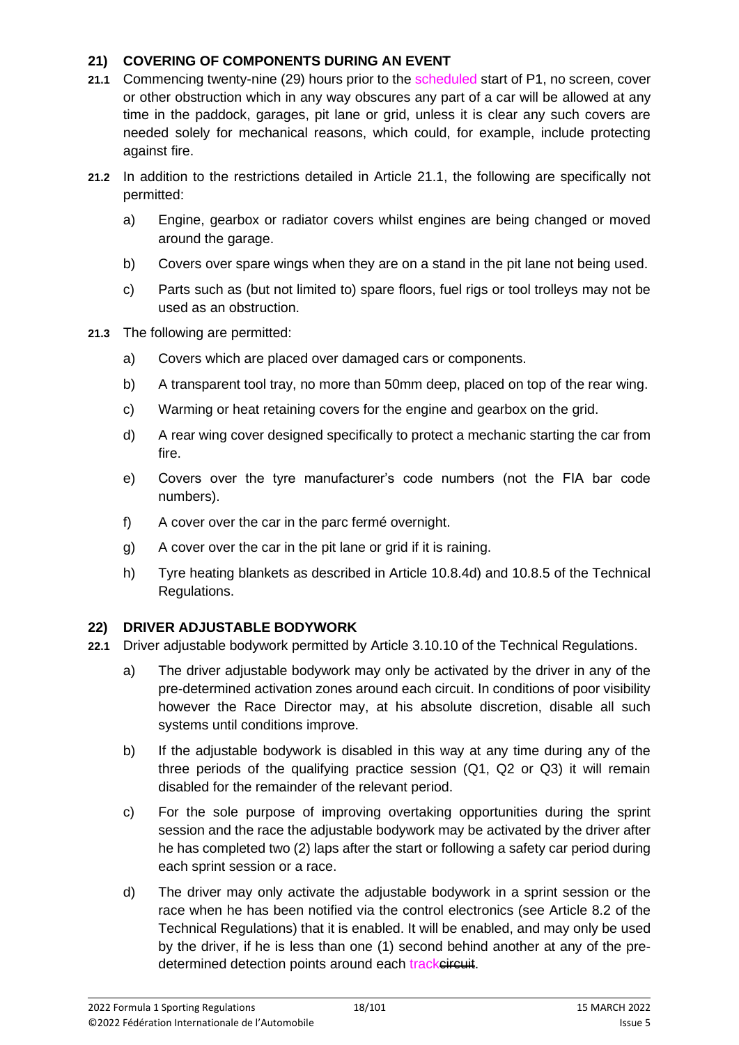### **21) COVERING OF COMPONENTS DURING AN EVENT**

- **21.1** Commencing twenty-nine (29) hours prior to the scheduled start of P1, no screen, cover or other obstruction which in any way obscures any part of a car will be allowed at any time in the paddock, garages, pit lane or grid, unless it is clear any such covers are needed solely for mechanical reasons, which could, for example, include protecting against fire.
- **21.2** In addition to the restrictions detailed in Article 21.1, the following are specifically not permitted:
	- a) Engine, gearbox or radiator covers whilst engines are being changed or moved around the garage.
	- b) Covers over spare wings when they are on a stand in the pit lane not being used.
	- c) Parts such as (but not limited to) spare floors, fuel rigs or tool trolleys may not be used as an obstruction.
- **21.3** The following are permitted:
	- a) Covers which are placed over damaged cars or components.
	- b) A transparent tool tray, no more than 50mm deep, placed on top of the rear wing.
	- c) Warming or heat retaining covers for the engine and gearbox on the grid.
	- d) A rear wing cover designed specifically to protect a mechanic starting the car from fire.
	- e) Covers over the tyre manufacturer's code numbers (not the FIA bar code numbers).
	- f) A cover over the car in the parc fermé overnight.
	- g) A cover over the car in the pit lane or grid if it is raining.
	- h) Tyre heating blankets as described in Article 10.8.4d) and 10.8.5 of the Technical Regulations.

### **22) DRIVER ADJUSTABLE BODYWORK**

- **22.1** Driver adjustable bodywork permitted by Article 3.10.10 of the Technical Regulations.
	- a) The driver adjustable bodywork may only be activated by the driver in any of the pre-determined activation zones around each circuit. In conditions of poor visibility however the Race Director may, at his absolute discretion, disable all such systems until conditions improve.
	- b) If the adjustable bodywork is disabled in this way at any time during any of the three periods of the qualifying practice session (Q1, Q2 or Q3) it will remain disabled for the remainder of the relevant period.
	- c) For the sole purpose of improving overtaking opportunities during the sprint session and the race the adjustable bodywork may be activated by the driver after he has completed two (2) laps after the start or following a safety car period during each sprint session or a race.
	- d) The driver may only activate the adjustable bodywork in a sprint session or the race when he has been notified via the control electronics (see Article 8.2 of the Technical Regulations) that it is enabled. It will be enabled, and may only be used by the driver, if he is less than one (1) second behind another at any of the predetermined detection points around each trackeireuit.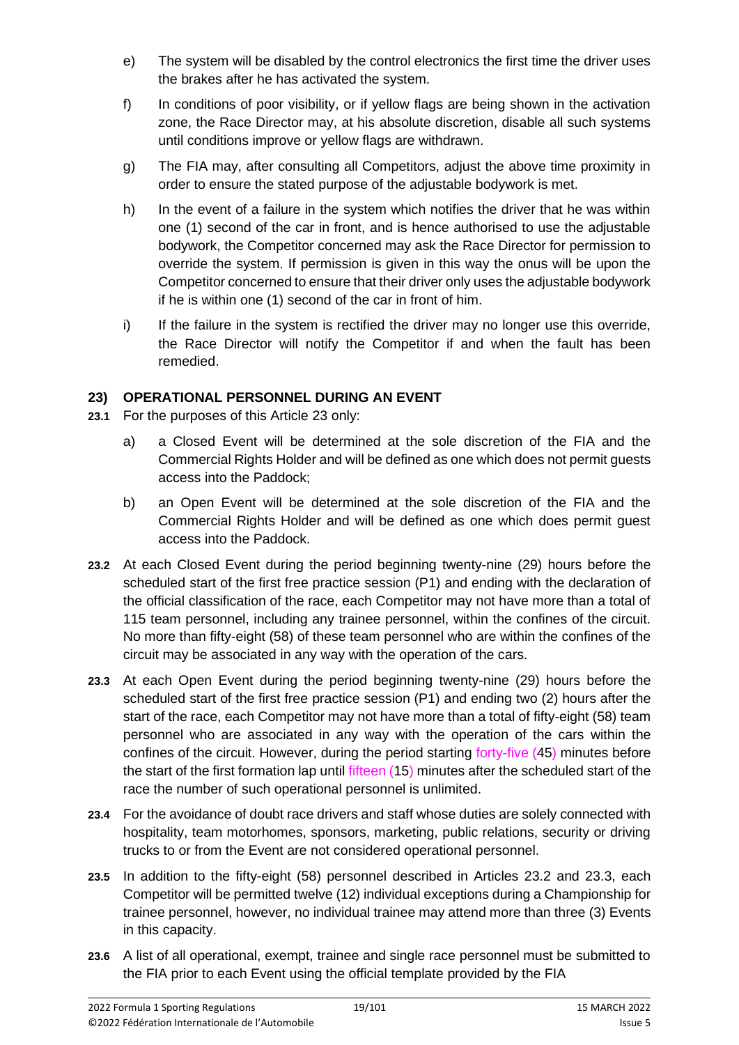- e) The system will be disabled by the control electronics the first time the driver uses the brakes after he has activated the system.
- f) In conditions of poor visibility, or if yellow flags are being shown in the activation zone, the Race Director may, at his absolute discretion, disable all such systems until conditions improve or yellow flags are withdrawn.
- g) The FIA may, after consulting all Competitors, adjust the above time proximity in order to ensure the stated purpose of the adjustable bodywork is met.
- h) In the event of a failure in the system which notifies the driver that he was within one (1) second of the car in front, and is hence authorised to use the adjustable bodywork, the Competitor concerned may ask the Race Director for permission to override the system. If permission is given in this way the onus will be upon the Competitor concerned to ensure that their driver only uses the adjustable bodywork if he is within one (1) second of the car in front of him.
- i) If the failure in the system is rectified the driver may no longer use this override, the Race Director will notify the Competitor if and when the fault has been remedied.

### **23) OPERATIONAL PERSONNEL DURING AN EVENT**

- **23.1** For the purposes of this Article 23 only:
	- a) a Closed Event will be determined at the sole discretion of the FIA and the Commercial Rights Holder and will be defined as one which does not permit guests access into the Paddock;
	- b) an Open Event will be determined at the sole discretion of the FIA and the Commercial Rights Holder and will be defined as one which does permit guest access into the Paddock.
- **23.2** At each Closed Event during the period beginning twenty-nine (29) hours before the scheduled start of the first free practice session (P1) and ending with the declaration of the official classification of the race, each Competitor may not have more than a total of 115 team personnel, including any trainee personnel, within the confines of the circuit. No more than fifty-eight (58) of these team personnel who are within the confines of the circuit may be associated in any way with the operation of the cars.
- **23.3** At each Open Event during the period beginning twenty-nine (29) hours before the scheduled start of the first free practice session (P1) and ending two (2) hours after the start of the race, each Competitor may not have more than a total of fifty-eight (58) team personnel who are associated in any way with the operation of the cars within the confines of the circuit. However, during the period starting forty-five (45) minutes before the start of the first formation lap until fifteen (15) minutes after the scheduled start of the race the number of such operational personnel is unlimited.
- **23.4** For the avoidance of doubt race drivers and staff whose duties are solely connected with hospitality, team motorhomes, sponsors, marketing, public relations, security or driving trucks to or from the Event are not considered operational personnel.
- **23.5** In addition to the fifty-eight (58) personnel described in Articles 23.2 and 23.3, each Competitor will be permitted twelve (12) individual exceptions during a Championship for trainee personnel, however, no individual trainee may attend more than three (3) Events in this capacity.
- **23.6** A list of all operational, exempt, trainee and single race personnel must be submitted to the FIA prior to each Event using the official template provided by the FIA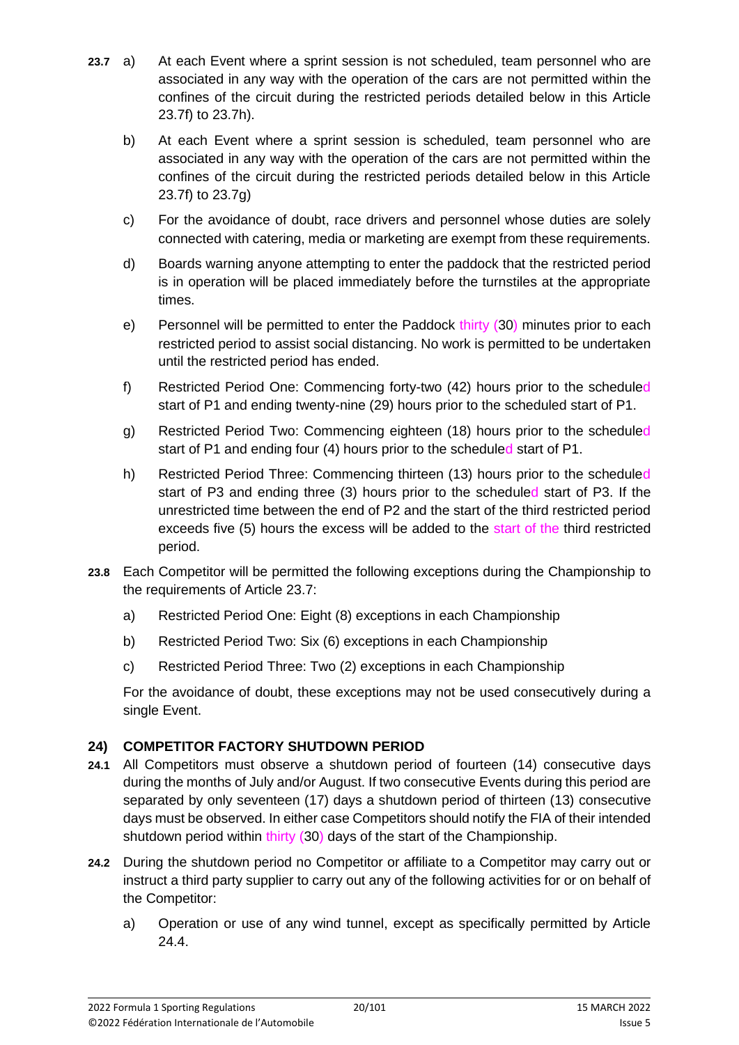- **23.7** a) At each Event where a sprint session is not scheduled, team personnel who are associated in any way with the operation of the cars are not permitted within the confines of the circuit during the restricted periods detailed below in this Article 23.7f) to 23.7h).
	- b) At each Event where a sprint session is scheduled, team personnel who are associated in any way with the operation of the cars are not permitted within the confines of the circuit during the restricted periods detailed below in this Article 23.7f) to 23.7g)
	- c) For the avoidance of doubt, race drivers and personnel whose duties are solely connected with catering, media or marketing are exempt from these requirements.
	- d) Boards warning anyone attempting to enter the paddock that the restricted period is in operation will be placed immediately before the turnstiles at the appropriate times.
	- e) Personnel will be permitted to enter the Paddock thirty (30) minutes prior to each restricted period to assist social distancing. No work is permitted to be undertaken until the restricted period has ended.
	- f) Restricted Period One: Commencing forty-two (42) hours prior to the scheduled start of P1 and ending twenty-nine (29) hours prior to the scheduled start of P1.
	- g) Restricted Period Two: Commencing eighteen (18) hours prior to the scheduled start of P1 and ending four (4) hours prior to the scheduled start of P1.
	- h) Restricted Period Three: Commencing thirteen (13) hours prior to the scheduled start of P3 and ending three (3) hours prior to the scheduled start of P3. If the unrestricted time between the end of P2 and the start of the third restricted period exceeds five (5) hours the excess will be added to the start of the third restricted period.
- **23.8** Each Competitor will be permitted the following exceptions during the Championship to the requirements of Article 23.7:
	- a) Restricted Period One: Eight (8) exceptions in each Championship
	- b) Restricted Period Two: Six (6) exceptions in each Championship
	- c) Restricted Period Three: Two (2) exceptions in each Championship

For the avoidance of doubt, these exceptions may not be used consecutively during a single Event.

# **24) COMPETITOR FACTORY SHUTDOWN PERIOD**

- **24.1** All Competitors must observe a shutdown period of fourteen (14) consecutive days during the months of July and/or August. If two consecutive Events during this period are separated by only seventeen (17) days a shutdown period of thirteen (13) consecutive days must be observed. In either case Competitors should notify the FIA of their intended shutdown period within thirty (30) days of the start of the Championship.
- **24.2** During the shutdown period no Competitor or affiliate to a Competitor may carry out or instruct a third party supplier to carry out any of the following activities for or on behalf of the Competitor:
	- a) Operation or use of any wind tunnel, except as specifically permitted by Article 24.4.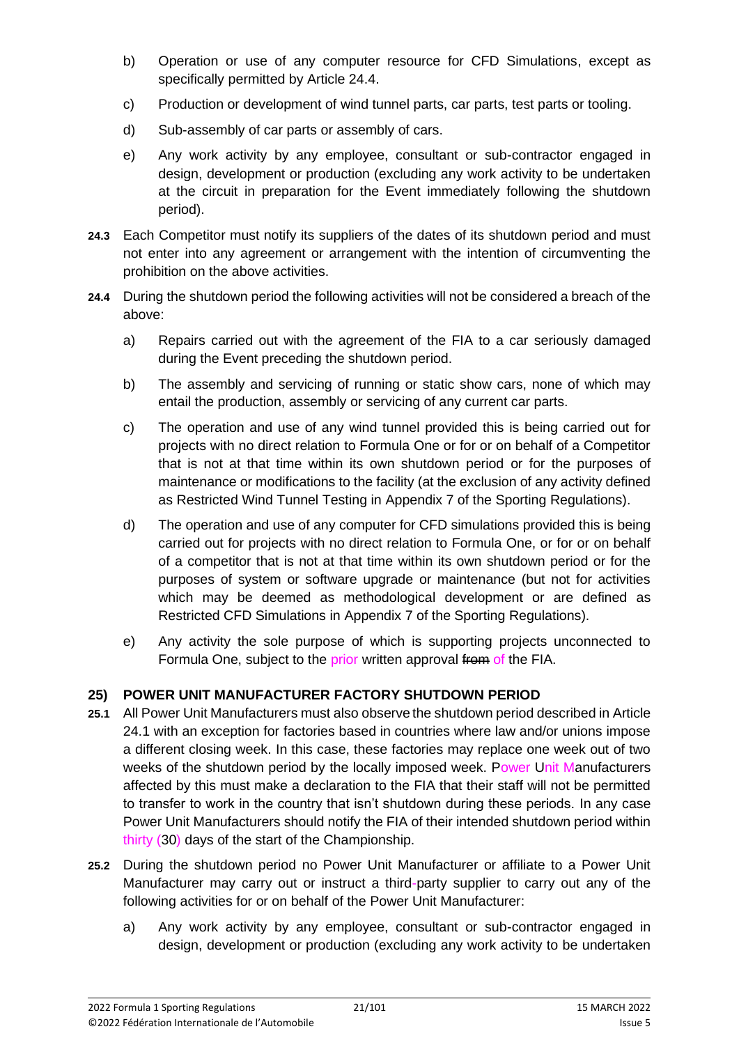- b) Operation or use of any computer resource for CFD Simulations, except as specifically permitted by Article 24.4.
- c) Production or development of wind tunnel parts, car parts, test parts or tooling.
- d) Sub-assembly of car parts or assembly of cars.
- e) Any work activity by any employee, consultant or sub-contractor engaged in design, development or production (excluding any work activity to be undertaken at the circuit in preparation for the Event immediately following the shutdown period).
- **24.3** Each Competitor must notify its suppliers of the dates of its shutdown period and must not enter into any agreement or arrangement with the intention of circumventing the prohibition on the above activities.
- **24.4** During the shutdown period the following activities will not be considered a breach of the above:
	- a) Repairs carried out with the agreement of the FIA to a car seriously damaged during the Event preceding the shutdown period.
	- b) The assembly and servicing of running or static show cars, none of which may entail the production, assembly or servicing of any current car parts.
	- c) The operation and use of any wind tunnel provided this is being carried out for projects with no direct relation to Formula One or for or on behalf of a Competitor that is not at that time within its own shutdown period or for the purposes of maintenance or modifications to the facility (at the exclusion of any activity defined as Restricted Wind Tunnel Testing in Appendix 7 of the Sporting Regulations).
	- d) The operation and use of any computer for CFD simulations provided this is being carried out for projects with no direct relation to Formula One, or for or on behalf of a competitor that is not at that time within its own shutdown period or for the purposes of system or software upgrade or maintenance (but not for activities which may be deemed as methodological development or are defined as Restricted CFD Simulations in Appendix 7 of the Sporting Regulations).
	- e) Any activity the sole purpose of which is supporting projects unconnected to Formula One, subject to the prior written approval from of the FIA.

### **25) POWER UNIT MANUFACTURER FACTORY SHUTDOWN PERIOD**

- **25.1** All Power Unit Manufacturers must also observe the shutdown period described in Article 24.1 with an exception for factories based in countries where law and/or unions impose a different closing week. In this case, these factories may replace one week out of two weeks of the shutdown period by the locally imposed week. Power Unit Manufacturers affected by this must make a declaration to the FIA that their staff will not be permitted to transfer to work in the country that isn't shutdown during these periods. In any case Power Unit Manufacturers should notify the FIA of their intended shutdown period within thirty (30) days of the start of the Championship.
- **25.2** During the shutdown period no Power Unit Manufacturer or affiliate to a Power Unit Manufacturer may carry out or instruct a third-party supplier to carry out any of the following activities for or on behalf of the Power Unit Manufacturer:
	- a) Any work activity by any employee, consultant or sub-contractor engaged in design, development or production (excluding any work activity to be undertaken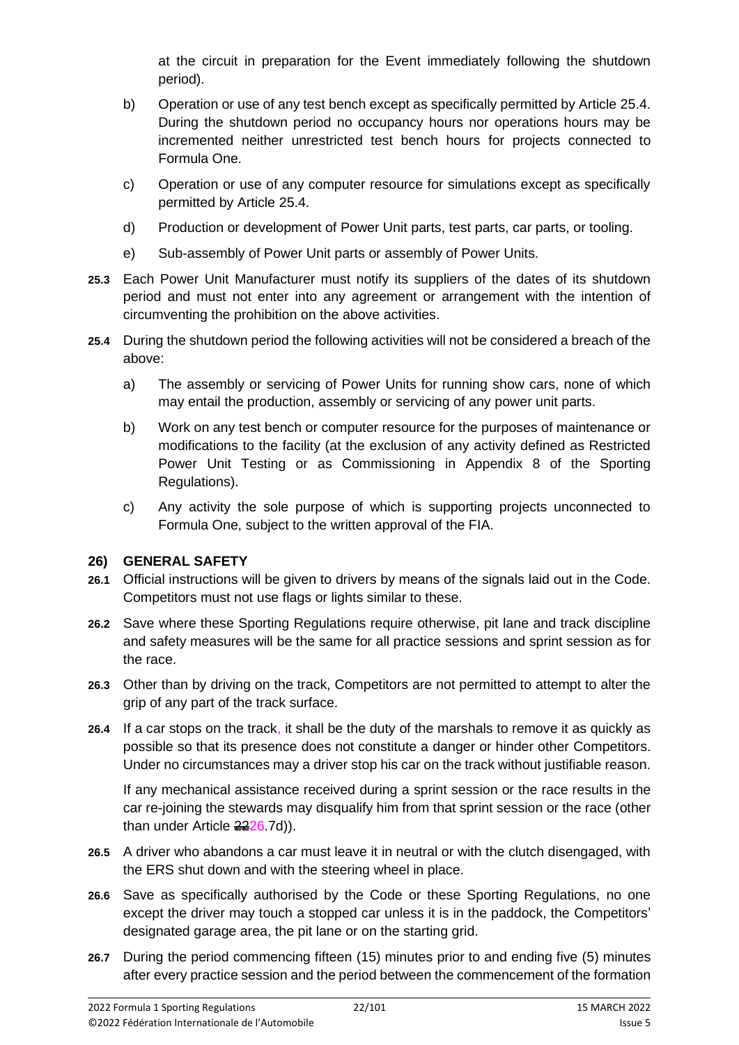at the circuit in preparation for the Event immediately following the shutdown period).

- b) Operation or use of any test bench except as specifically permitted by Article 25.4. During the shutdown period no occupancy hours nor operations hours may be incremented neither unrestricted test bench hours for projects connected to Formula One.
- c) Operation or use of any computer resource for simulations except as specifically permitted by Article 25.4.
- d) Production or development of Power Unit parts, test parts, car parts, or tooling.
- e) Sub-assembly of Power Unit parts or assembly of Power Units.
- **25.3** Each Power Unit Manufacturer must notify its suppliers of the dates of its shutdown period and must not enter into any agreement or arrangement with the intention of circumventing the prohibition on the above activities.
- **25.4** During the shutdown period the following activities will not be considered a breach of the above:
	- a) The assembly or servicing of Power Units for running show cars, none of which may entail the production, assembly or servicing of any power unit parts.
	- b) Work on any test bench or computer resource for the purposes of maintenance or modifications to the facility (at the exclusion of any activity defined as Restricted Power Unit Testing or as Commissioning in Appendix 8 of the Sporting Regulations).
	- c) Any activity the sole purpose of which is supporting projects unconnected to Formula One, subject to the written approval of the FIA.

# **26) GENERAL SAFETY**

- **26.1** Official instructions will be given to drivers by means of the signals laid out in the Code. Competitors must not use flags or lights similar to these.
- **26.2** Save where these Sporting Regulations require otherwise, pit lane and track discipline and safety measures will be the same for all practice sessions and sprint session as for the race.
- **26.3** Other than by driving on the track, Competitors are not permitted to attempt to alter the grip of any part of the track surface.
- **26.4** If a car stops on the track, it shall be the duty of the marshals to remove it as quickly as possible so that its presence does not constitute a danger or hinder other Competitors. Under no circumstances may a driver stop his car on the track without justifiable reason.

If any mechanical assistance received during a sprint session or the race results in the car re-joining the stewards may disqualify him from that sprint session or the race (other than under Article 2226.7d)).

- **26.5** A driver who abandons a car must leave it in neutral or with the clutch disengaged, with the ERS shut down and with the steering wheel in place.
- **26.6** Save as specifically authorised by the Code or these Sporting Regulations, no one except the driver may touch a stopped car unless it is in the paddock, the Competitors' designated garage area, the pit lane or on the starting grid.
- **26.7** During the period commencing fifteen (15) minutes prior to and ending five (5) minutes after every practice session and the period between the commencement of the formation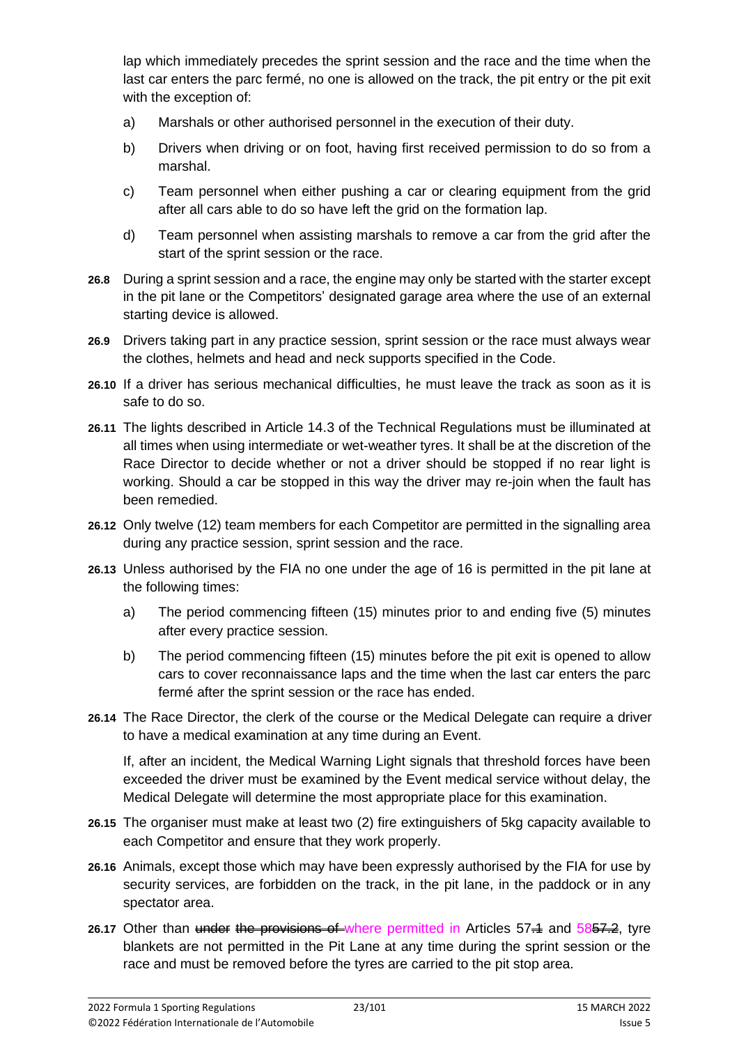lap which immediately precedes the sprint session and the race and the time when the last car enters the parc fermé, no one is allowed on the track, the pit entry or the pit exit with the exception of:

- a) Marshals or other authorised personnel in the execution of their duty.
- b) Drivers when driving or on foot, having first received permission to do so from a marshal.
- c) Team personnel when either pushing a car or clearing equipment from the grid after all cars able to do so have left the grid on the formation lap.
- d) Team personnel when assisting marshals to remove a car from the grid after the start of the sprint session or the race.
- **26.8** During a sprint session and a race, the engine may only be started with the starter except in the pit lane or the Competitors' designated garage area where the use of an external starting device is allowed.
- **26.9** Drivers taking part in any practice session, sprint session or the race must always wear the clothes, helmets and head and neck supports specified in the Code.
- **26.10** If a driver has serious mechanical difficulties, he must leave the track as soon as it is safe to do so.
- **26.11** The lights described in Article 14.3 of the Technical Regulations must be illuminated at all times when using intermediate or wet-weather tyres. It shall be at the discretion of the Race Director to decide whether or not a driver should be stopped if no rear light is working. Should a car be stopped in this way the driver may re-join when the fault has been remedied.
- **26.12** Only twelve (12) team members for each Competitor are permitted in the signalling area during any practice session, sprint session and the race.
- **26.13** Unless authorised by the FIA no one under the age of 16 is permitted in the pit lane at the following times:
	- a) The period commencing fifteen (15) minutes prior to and ending five (5) minutes after every practice session.
	- b) The period commencing fifteen (15) minutes before the pit exit is opened to allow cars to cover reconnaissance laps and the time when the last car enters the parc fermé after the sprint session or the race has ended.
- **26.14** The Race Director, the clerk of the course or the Medical Delegate can require a driver to have a medical examination at any time during an Event.

If, after an incident, the Medical Warning Light signals that threshold forces have been exceeded the driver must be examined by the Event medical service without delay, the Medical Delegate will determine the most appropriate place for this examination.

- **26.15** The organiser must make at least two (2) fire extinguishers of 5kg capacity available to each Competitor and ensure that they work properly.
- **26.16** Animals, except those which may have been expressly authorised by the FIA for use by security services, are forbidden on the track, in the pit lane, in the paddock or in any spectator area.
- 26.17 Other than under the provisions of where permitted in Articles 57.4 and 5857.2, tyre blankets are not permitted in the Pit Lane at any time during the sprint session or the race and must be removed before the tyres are carried to the pit stop area.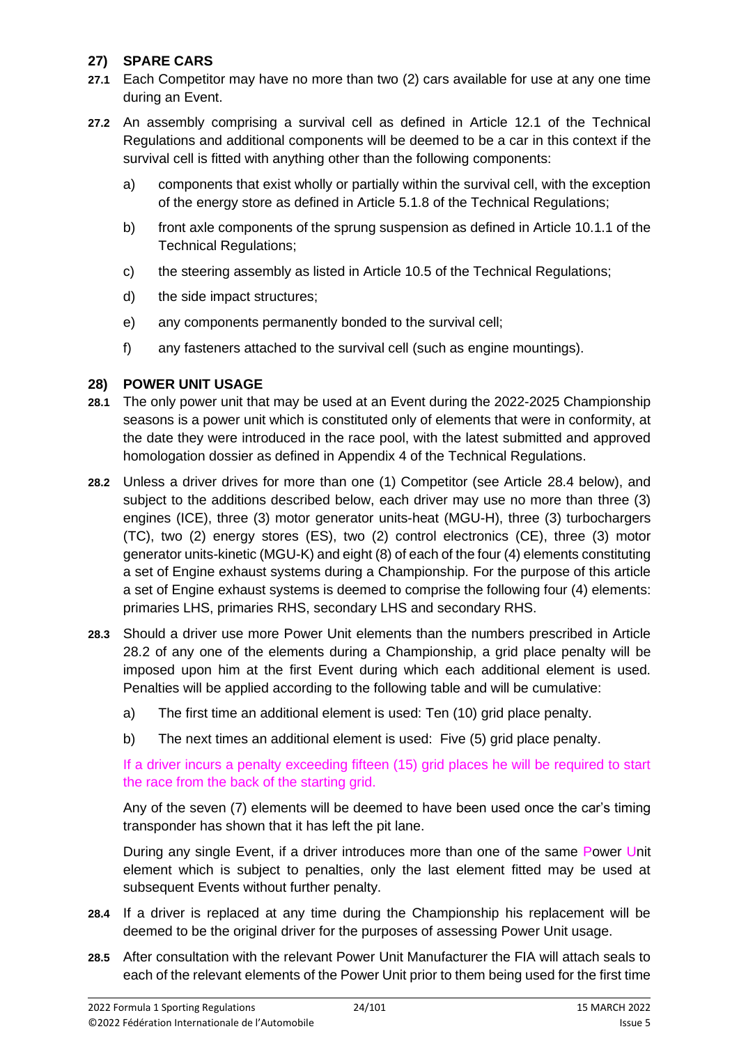### **27) SPARE CARS**

- **27.1** Each Competitor may have no more than two (2) cars available for use at any one time during an Event.
- **27.2** An assembly comprising a survival cell as defined in Article 12.1 of the Technical Regulations and additional components will be deemed to be a car in this context if the survival cell is fitted with anything other than the following components:
	- a) components that exist wholly or partially within the survival cell, with the exception of the energy store as defined in Article 5.1.8 of the Technical Regulations;
	- b) front axle components of the sprung suspension as defined in Article 10.1.1 of the Technical Regulations;
	- c) the steering assembly as listed in Article 10.5 of the Technical Regulations;
	- d) the side impact structures;
	- e) any components permanently bonded to the survival cell;
	- f) any fasteners attached to the survival cell (such as engine mountings).

### **28) POWER UNIT USAGE**

- **28.1** The only power unit that may be used at an Event during the 2022-2025 Championship seasons is a power unit which is constituted only of elements that were in conformity, at the date they were introduced in the race pool, with the latest submitted and approved homologation dossier as defined in Appendix 4 of the Technical Regulations.
- **28.2** Unless a driver drives for more than one (1) Competitor (see Article 28.4 below), and subject to the additions described below, each driver may use no more than three (3) engines (ICE), three (3) motor generator units-heat (MGU-H), three (3) turbochargers (TC), two (2) energy stores (ES), two (2) control electronics (CE), three (3) motor generator units-kinetic (MGU-K) and eight (8) of each of the four (4) elements constituting a set of Engine exhaust systems during a Championship. For the purpose of this article a set of Engine exhaust systems is deemed to comprise the following four (4) elements: primaries LHS, primaries RHS, secondary LHS and secondary RHS.
- **28.3** Should a driver use more Power Unit elements than the numbers prescribed in Article 28.2 of any one of the elements during a Championship, a grid place penalty will be imposed upon him at the first Event during which each additional element is used. Penalties will be applied according to the following table and will be cumulative:
	- a) The first time an additional element is used: Ten (10) grid place penalty.
	- b) The next times an additional element is used: Five (5) grid place penalty.

If a driver incurs a penalty exceeding fifteen (15) grid places he will be required to start the race from the back of the starting grid.

Any of the seven (7) elements will be deemed to have been used once the car's timing transponder has shown that it has left the pit lane.

During any single Event, if a driver introduces more than one of the same Power Unit element which is subject to penalties, only the last element fitted may be used at subsequent Events without further penalty.

- **28.4** If a driver is replaced at any time during the Championship his replacement will be deemed to be the original driver for the purposes of assessing Power Unit usage.
- **28.5** After consultation with the relevant Power Unit Manufacturer the FIA will attach seals to each of the relevant elements of the Power Unit prior to them being used for the first time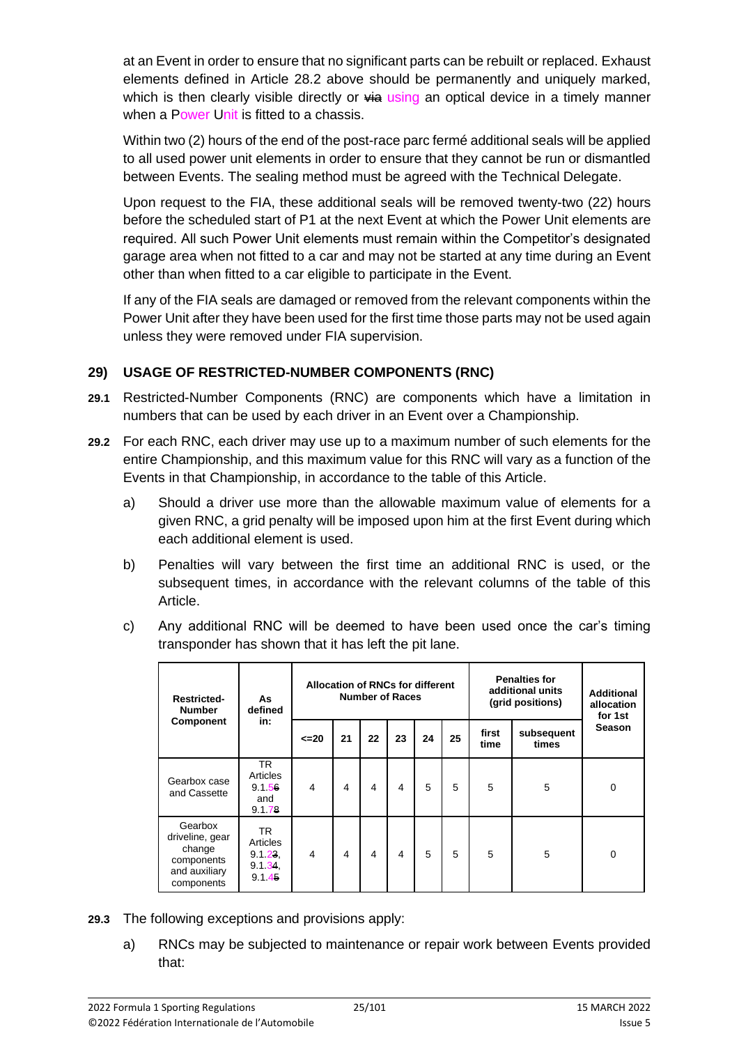at an Event in order to ensure that no significant parts can be rebuilt or replaced. Exhaust elements defined in Article 28.2 above should be permanently and uniquely marked, which is then clearly visible directly or  $\frac{1}{2}$  using an optical device in a timely manner when a Power Unit is fitted to a chassis.

Within two (2) hours of the end of the post-race parc fermé additional seals will be applied to all used power unit elements in order to ensure that they cannot be run or dismantled between Events. The sealing method must be agreed with the Technical Delegate.

Upon request to the FIA, these additional seals will be removed twenty-two (22) hours before the scheduled start of P1 at the next Event at which the Power Unit elements are required. All such Power Unit elements must remain within the Competitor's designated garage area when not fitted to a car and may not be started at any time during an Event other than when fitted to a car eligible to participate in the Event.

If any of the FIA seals are damaged or removed from the relevant components within the Power Unit after they have been used for the first time those parts may not be used again unless they were removed under FIA supervision.

### **29) USAGE OF RESTRICTED-NUMBER COMPONENTS (RNC)**

- **29.1** Restricted-Number Components (RNC) are components which have a limitation in numbers that can be used by each driver in an Event over a Championship.
- **29.2** For each RNC, each driver may use up to a maximum number of such elements for the entire Championship, and this maximum value for this RNC will vary as a function of the Events in that Championship, in accordance to the table of this Article.
	- a) Should a driver use more than the allowable maximum value of elements for a given RNC, a grid penalty will be imposed upon him at the first Event during which each additional element is used.
	- b) Penalties will vary between the first time an additional RNC is used, or the subsequent times, in accordance with the relevant columns of the table of this Article.
	- c) Any additional RNC will be deemed to have been used once the car's timing transponder has shown that it has left the pit lane.

| <b>Restricted-</b><br><b>Number</b>                                               | As<br>defined<br>in:                           | <b>Allocation of RNCs for different</b><br><b>Number of Races</b> |    |    |    |    | <b>Penalties for</b><br>additional units<br>(grid positions) |               | <b>Additional</b><br>allocation<br>for 1st |               |
|-----------------------------------------------------------------------------------|------------------------------------------------|-------------------------------------------------------------------|----|----|----|----|--------------------------------------------------------------|---------------|--------------------------------------------|---------------|
| <b>Component</b>                                                                  |                                                | $\leq$ 20                                                         | 21 | 22 | 23 | 24 | 25                                                           | first<br>time | subsequent<br>times                        | <b>Season</b> |
| Gearbox case<br>and Cassette                                                      | TR.<br>Articles<br>9.1.56<br>and<br>9.1.78     | $\overline{4}$                                                    | 4  | 4  | 4  | 5  | 5                                                            | 5             | 5                                          | 0             |
| Gearbox<br>driveline, gear<br>change<br>components<br>and auxiliary<br>components | TR.<br>Articles<br>9.1.23.<br>9.1.34<br>9.1.45 | $\overline{4}$                                                    | 4  | 4  | 4  | 5  | 5                                                            | 5             | 5                                          | 0             |

- **29.3** The following exceptions and provisions apply:
	- a) RNCs may be subjected to maintenance or repair work between Events provided that: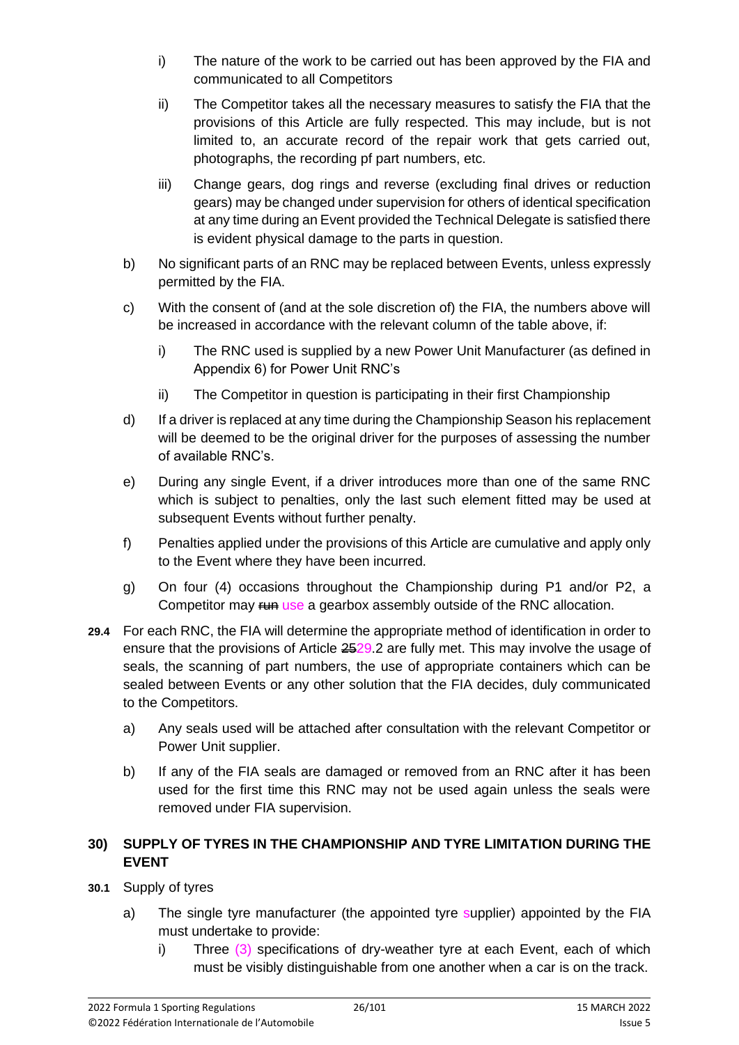- i) The nature of the work to be carried out has been approved by the FIA and communicated to all Competitors
- ii) The Competitor takes all the necessary measures to satisfy the FIA that the provisions of this Article are fully respected. This may include, but is not limited to, an accurate record of the repair work that gets carried out, photographs, the recording pf part numbers, etc.
- iii) Change gears, dog rings and reverse (excluding final drives or reduction gears) may be changed under supervision for others of identical specification at any time during an Event provided the Technical Delegate is satisfied there is evident physical damage to the parts in question.
- b) No significant parts of an RNC may be replaced between Events, unless expressly permitted by the FIA.
- c) With the consent of (and at the sole discretion of) the FIA, the numbers above will be increased in accordance with the relevant column of the table above, if:
	- i) The RNC used is supplied by a new Power Unit Manufacturer (as defined in Appendix 6) for Power Unit RNC's
	- ii) The Competitor in question is participating in their first Championship
- d) If a driver is replaced at any time during the Championship Season his replacement will be deemed to be the original driver for the purposes of assessing the number of available RNC's.
- e) During any single Event, if a driver introduces more than one of the same RNC which is subject to penalties, only the last such element fitted may be used at subsequent Events without further penalty.
- f) Penalties applied under the provisions of this Article are cumulative and apply only to the Event where they have been incurred.
- g) On four (4) occasions throughout the Championship during P1 and/or P2, a Competitor may  $\frac{f}{f}$  use a gearbox assembly outside of the RNC allocation.
- **29.4** For each RNC, the FIA will determine the appropriate method of identification in order to ensure that the provisions of Article 2529.2 are fully met. This may involve the usage of seals, the scanning of part numbers, the use of appropriate containers which can be sealed between Events or any other solution that the FIA decides, duly communicated to the Competitors.
	- a) Any seals used will be attached after consultation with the relevant Competitor or Power Unit supplier.
	- b) If any of the FIA seals are damaged or removed from an RNC after it has been used for the first time this RNC may not be used again unless the seals were removed under FIA supervision.

### **30) SUPPLY OF TYRES IN THE CHAMPIONSHIP AND TYRE LIMITATION DURING THE EVENT**

- **30.1** Supply of tyres
	- a) The single tyre manufacturer (the appointed tyre supplier) appointed by the FIA must undertake to provide:
		- i) Three (3) specifications of dry-weather tyre at each Event, each of which must be visibly distinguishable from one another when a car is on the track.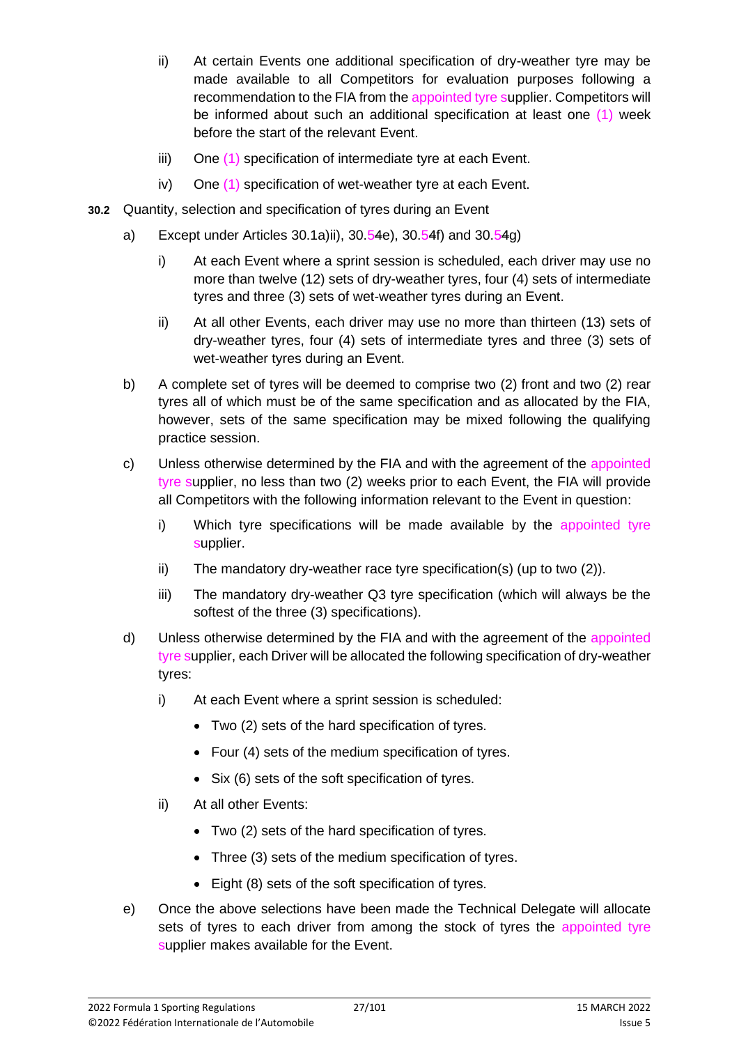- ii) At certain Events one additional specification of dry-weather tyre may be made available to all Competitors for evaluation purposes following a recommendation to the FIA from the appointed tyre supplier. Competitors will be informed about such an additional specification at least one (1) week before the start of the relevant Event.
- iii) One (1) specification of intermediate tyre at each Event.
- iv) One (1) specification of wet-weather tyre at each Event.
- **30.2** Quantity, selection and specification of tyres during an Event
	- a) Except under Articles 30.1a)ii),  $30.54e$ ,  $30.54f$  and  $30.54g$ 
		- i) At each Event where a sprint session is scheduled, each driver may use no more than twelve (12) sets of dry-weather tyres, four (4) sets of intermediate tyres and three (3) sets of wet-weather tyres during an Event.
		- ii) At all other Events, each driver may use no more than thirteen (13) sets of dry-weather tyres, four (4) sets of intermediate tyres and three (3) sets of wet-weather tyres during an Event.
	- b) A complete set of tyres will be deemed to comprise two (2) front and two (2) rear tyres all of which must be of the same specification and as allocated by the FIA, however, sets of the same specification may be mixed following the qualifying practice session.
	- c) Unless otherwise determined by the FIA and with the agreement of the appointed tyre supplier, no less than two (2) weeks prior to each Event, the FIA will provide all Competitors with the following information relevant to the Event in question:
		- i) Which tyre specifications will be made available by the appointed tyre supplier.
		- ii) The mandatory dry-weather race tyre specification(s) (up to two (2)).
		- iii) The mandatory dry-weather Q3 tyre specification (which will always be the softest of the three (3) specifications).
	- d) Unless otherwise determined by the FIA and with the agreement of the appointed tyre supplier, each Driver will be allocated the following specification of dry-weather tyres:
		- i) At each Event where a sprint session is scheduled:
			- Two (2) sets of the hard specification of tyres.
			- Four (4) sets of the medium specification of tyres.
			- Six (6) sets of the soft specification of tyres.
		- ii) At all other Events:
			- Two (2) sets of the hard specification of tyres.
			- Three (3) sets of the medium specification of tyres.
			- Eight (8) sets of the soft specification of tyres.
	- e) Once the above selections have been made the Technical Delegate will allocate sets of tyres to each driver from among the stock of tyres the appointed tyre supplier makes available for the Event.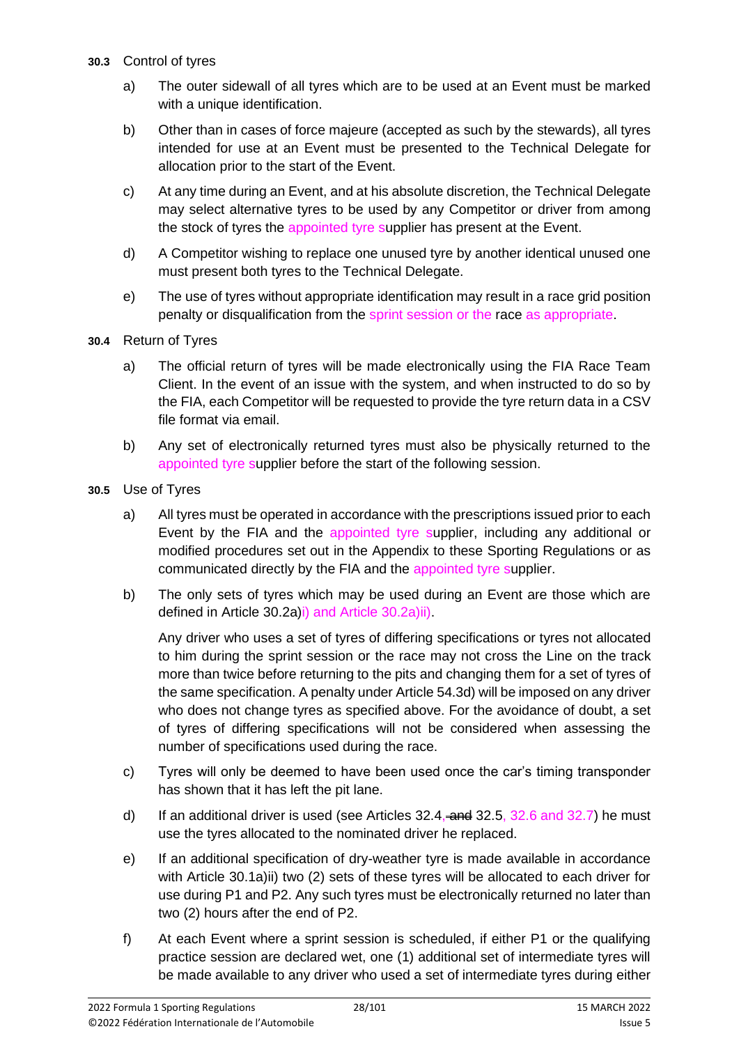- **30.3** Control of tyres
	- a) The outer sidewall of all tyres which are to be used at an Event must be marked with a unique identification.
	- b) Other than in cases of force majeure (accepted as such by the stewards), all tyres intended for use at an Event must be presented to the Technical Delegate for allocation prior to the start of the Event.
	- c) At any time during an Event, and at his absolute discretion, the Technical Delegate may select alternative tyres to be used by any Competitor or driver from among the stock of tyres the appointed tyre supplier has present at the Event.
	- d) A Competitor wishing to replace one unused tyre by another identical unused one must present both tyres to the Technical Delegate.
	- e) The use of tyres without appropriate identification may result in a race grid position penalty or disqualification from the sprint session or the race as appropriate.
- **30.4** Return of Tyres
	- a) The official return of tyres will be made electronically using the FIA Race Team Client. In the event of an issue with the system, and when instructed to do so by the FIA, each Competitor will be requested to provide the tyre return data in a CSV file format via email.
	- b) Any set of electronically returned tyres must also be physically returned to the appointed tyre supplier before the start of the following session.
- **30.5** Use of Tyres
	- a) All tyres must be operated in accordance with the prescriptions issued prior to each Event by the FIA and the appointed tyre supplier, including any additional or modified procedures set out in the Appendix to these Sporting Regulations or as communicated directly by the FIA and the appointed tyre supplier.
	- b) The only sets of tyres which may be used during an Event are those which are defined in Article 30.2a)i) and Article 30.2a)ii).

Any driver who uses a set of tyres of differing specifications or tyres not allocated to him during the sprint session or the race may not cross the Line on the track more than twice before returning to the pits and changing them for a set of tyres of the same specification. A penalty under Article 54.3d) will be imposed on any driver who does not change tyres as specified above. For the avoidance of doubt, a set of tyres of differing specifications will not be considered when assessing the number of specifications used during the race.

- c) Tyres will only be deemed to have been used once the car's timing transponder has shown that it has left the pit lane.
- d) If an additional driver is used (see Articles  $32.4$ ,  $\overline{=}$  and  $32.5$ ,  $32.6$  and  $32.7$ ) he must use the tyres allocated to the nominated driver he replaced.
- e) If an additional specification of dry-weather tyre is made available in accordance with Article 30.1a)ii) two (2) sets of these tyres will be allocated to each driver for use during P1 and P2. Any such tyres must be electronically returned no later than two (2) hours after the end of P2.
- f) At each Event where a sprint session is scheduled, if either P1 or the qualifying practice session are declared wet, one (1) additional set of intermediate tyres will be made available to any driver who used a set of intermediate tyres during either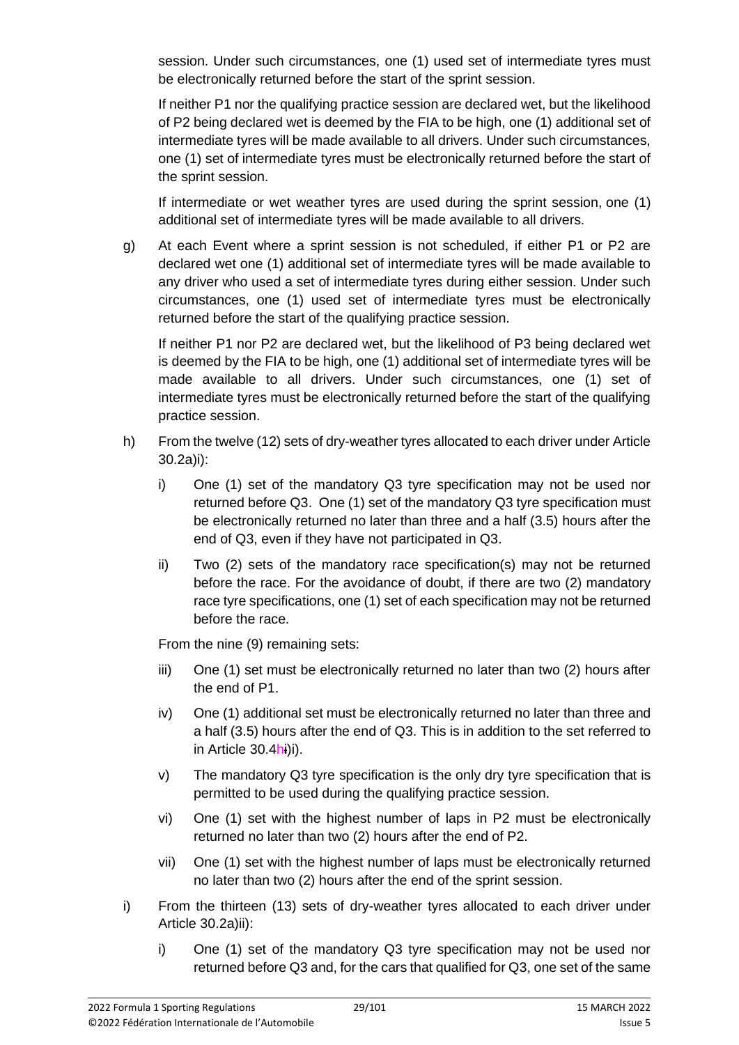session. Under such circumstances, one (1) used set of intermediate tyres must be electronically returned before the start of the sprint session.

If neither P1 nor the qualifying practice session are declared wet, but the likelihood of P2 being declared wet is deemed by the FIA to be high, one (1) additional set of intermediate tyres will be made available to all drivers. Under such circumstances, one (1) set of intermediate tyres must be electronically returned before the start of the sprint session.

If intermediate or wet weather tyres are used during the sprint session, one (1) additional set of intermediate tyres will be made available to all drivers.

g) At each Event where a sprint session is not scheduled, if either P1 or P2 are declared wet one (1) additional set of intermediate tyres will be made available to any driver who used a set of intermediate tyres during either session. Under such circumstances, one (1) used set of intermediate tyres must be electronically returned before the start of the qualifying practice session.

If neither P1 nor P2 are declared wet, but the likelihood of P3 being declared wet is deemed by the FIA to be high, one (1) additional set of intermediate tyres will be made available to all drivers. Under such circumstances, one (1) set of intermediate tyres must be electronically returned before the start of the qualifying practice session.

- h) From the twelve (12) sets of dry-weather tyres allocated to each driver under Article 30.2a)i):
	- i) One (1) set of the mandatory Q3 tyre specification may not be used nor returned before Q3. One (1) set of the mandatory Q3 tyre specification must be electronically returned no later than three and a half (3.5) hours after the end of Q3, even if they have not participated in Q3.
	- ii) Two (2) sets of the mandatory race specification(s) may not be returned before the race. For the avoidance of doubt, if there are two (2) mandatory race tyre specifications, one (1) set of each specification may not be returned before the race.

From the nine (9) remaining sets:

- iii) One (1) set must be electronically returned no later than two (2) hours after the end of P1.
- iv) One (1) additional set must be electronically returned no later than three and a half (3.5) hours after the end of Q3. This is in addition to the set referred to in Article 30.4hi)i).
- v) The mandatory Q3 tyre specification is the only dry tyre specification that is permitted to be used during the qualifying practice session.
- vi) One (1) set with the highest number of laps in P2 must be electronically returned no later than two (2) hours after the end of P2.
- vii) One (1) set with the highest number of laps must be electronically returned no later than two (2) hours after the end of the sprint session.
- i) From the thirteen (13) sets of dry-weather tyres allocated to each driver under Article 30.2a)ii):
	- i) One (1) set of the mandatory Q3 tyre specification may not be used nor returned before Q3 and, for the cars that qualified for Q3, one set of the same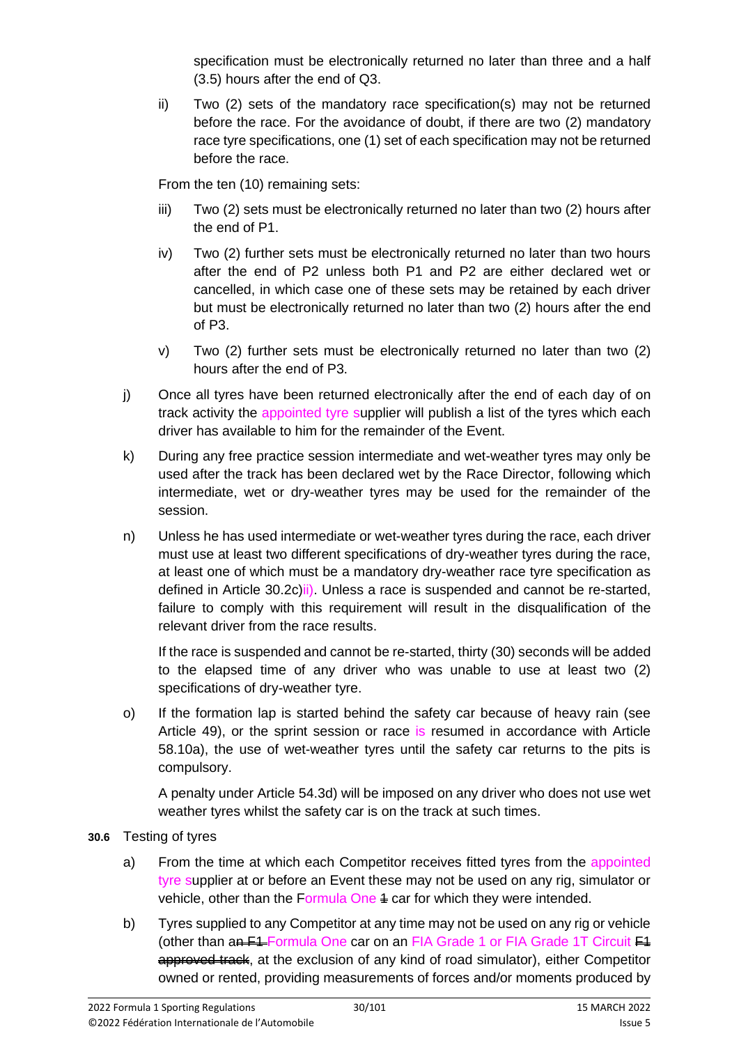specification must be electronically returned no later than three and a half (3.5) hours after the end of Q3.

ii) Two (2) sets of the mandatory race specification(s) may not be returned before the race. For the avoidance of doubt, if there are two (2) mandatory race tyre specifications, one (1) set of each specification may not be returned before the race.

From the ten (10) remaining sets:

- iii) Two (2) sets must be electronically returned no later than two (2) hours after the end of P1.
- iv) Two (2) further sets must be electronically returned no later than two hours after the end of P2 unless both P1 and P2 are either declared wet or cancelled, in which case one of these sets may be retained by each driver but must be electronically returned no later than two (2) hours after the end of P3.
- v) Two (2) further sets must be electronically returned no later than two (2) hours after the end of P3.
- j) Once all tyres have been returned electronically after the end of each day of on track activity the appointed tyre supplier will publish a list of the tyres which each driver has available to him for the remainder of the Event.
- k) During any free practice session intermediate and wet-weather tyres may only be used after the track has been declared wet by the Race Director, following which intermediate, wet or dry-weather tyres may be used for the remainder of the session.
- n) Unless he has used intermediate or wet-weather tyres during the race, each driver must use at least two different specifications of dry-weather tyres during the race, at least one of which must be a mandatory dry-weather race tyre specification as defined in Article 30.2c)ii). Unless a race is suspended and cannot be re-started, failure to comply with this requirement will result in the disqualification of the relevant driver from the race results.

If the race is suspended and cannot be re-started, thirty (30) seconds will be added to the elapsed time of any driver who was unable to use at least two (2) specifications of dry-weather tyre.

o) If the formation lap is started behind the safety car because of heavy rain (see Article 49), or the sprint session or race is resumed in accordance with Article 58.10a), the use of wet-weather tyres until the safety car returns to the pits is compulsory.

A penalty under Article 54.3d) will be imposed on any driver who does not use wet weather tyres whilst the safety car is on the track at such times.

- **30.6** Testing of tyres
	- a) From the time at which each Competitor receives fitted tyres from the appointed tyre supplier at or before an Event these may not be used on any rig, simulator or vehicle, other than the Formula One  $4$  car for which they were intended.
	- b) Tyres supplied to any Competitor at any time may not be used on any rig or vehicle (other than an F4 Formula One car on an FIA Grade 1 or FIA Grade 1T Circuit F4 approved track, at the exclusion of any kind of road simulator), either Competitor owned or rented, providing measurements of forces and/or moments produced by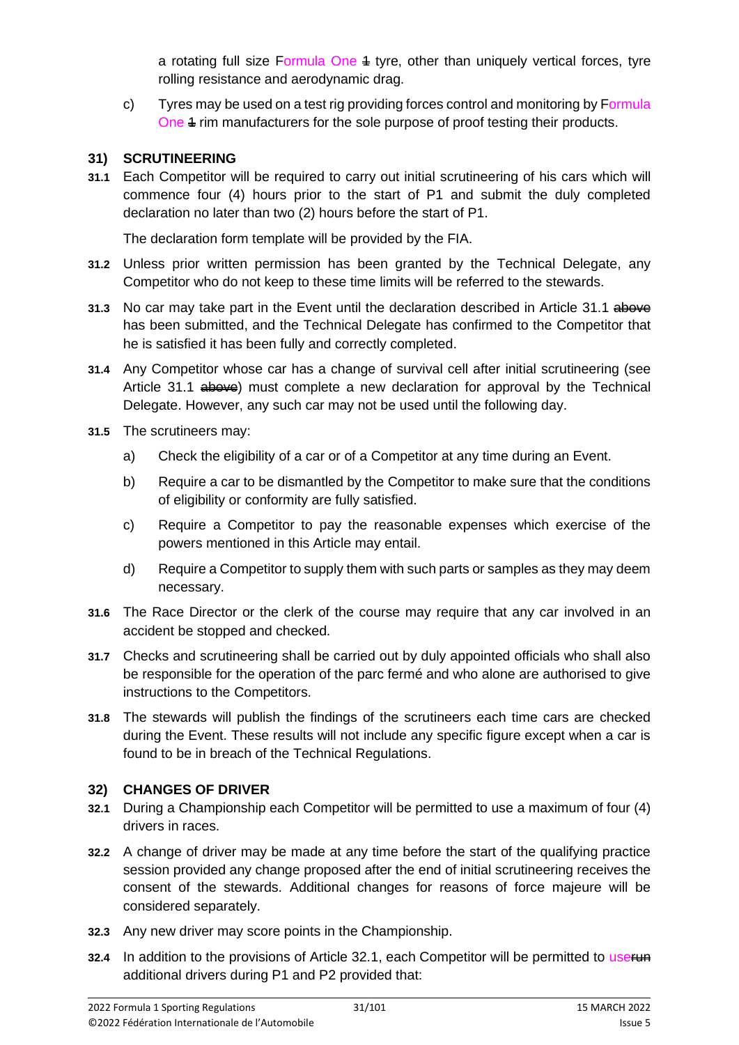a rotating full size Formula One  $4$  tyre, other than uniquely vertical forces, tyre rolling resistance and aerodynamic drag.

c) Tyres may be used on a test rig providing forces control and monitoring by Formula One 4 rim manufacturers for the sole purpose of proof testing their products.

### **31) SCRUTINEERING**

**31.1** Each Competitor will be required to carry out initial scrutineering of his cars which will commence four (4) hours prior to the start of P1 and submit the duly completed declaration no later than two (2) hours before the start of P1.

The declaration form template will be provided by the FIA.

- **31.2** Unless prior written permission has been granted by the Technical Delegate, any Competitor who do not keep to these time limits will be referred to the stewards.
- **31.3** No car may take part in the Event until the declaration described in Article 31.1 above has been submitted, and the Technical Delegate has confirmed to the Competitor that he is satisfied it has been fully and correctly completed.
- **31.4** Any Competitor whose car has a change of survival cell after initial scrutineering (see Article 31.1  $\theta$  above) must complete a new declaration for approval by the Technical Delegate. However, any such car may not be used until the following day.
- **31.5** The scrutineers may:
	- a) Check the eligibility of a car or of a Competitor at any time during an Event.
	- b) Require a car to be dismantled by the Competitor to make sure that the conditions of eligibility or conformity are fully satisfied.
	- c) Require a Competitor to pay the reasonable expenses which exercise of the powers mentioned in this Article may entail.
	- d) Require a Competitor to supply them with such parts or samples as they may deem necessary.
- **31.6** The Race Director or the clerk of the course may require that any car involved in an accident be stopped and checked.
- **31.7** Checks and scrutineering shall be carried out by duly appointed officials who shall also be responsible for the operation of the parc fermé and who alone are authorised to give instructions to the Competitors.
- **31.8** The stewards will publish the findings of the scrutineers each time cars are checked during the Event. These results will not include any specific figure except when a car is found to be in breach of the Technical Regulations.

### **32) CHANGES OF DRIVER**

- **32.1** During a Championship each Competitor will be permitted to use a maximum of four (4) drivers in races.
- **32.2** A change of driver may be made at any time before the start of the qualifying practice session provided any change proposed after the end of initial scrutineering receives the consent of the stewards. Additional changes for reasons of force majeure will be considered separately.
- **32.3** Any new driver may score points in the Championship.
- **32.4** In addition to the provisions of Article 32.1, each Competitor will be permitted to userund additional drivers during P1 and P2 provided that: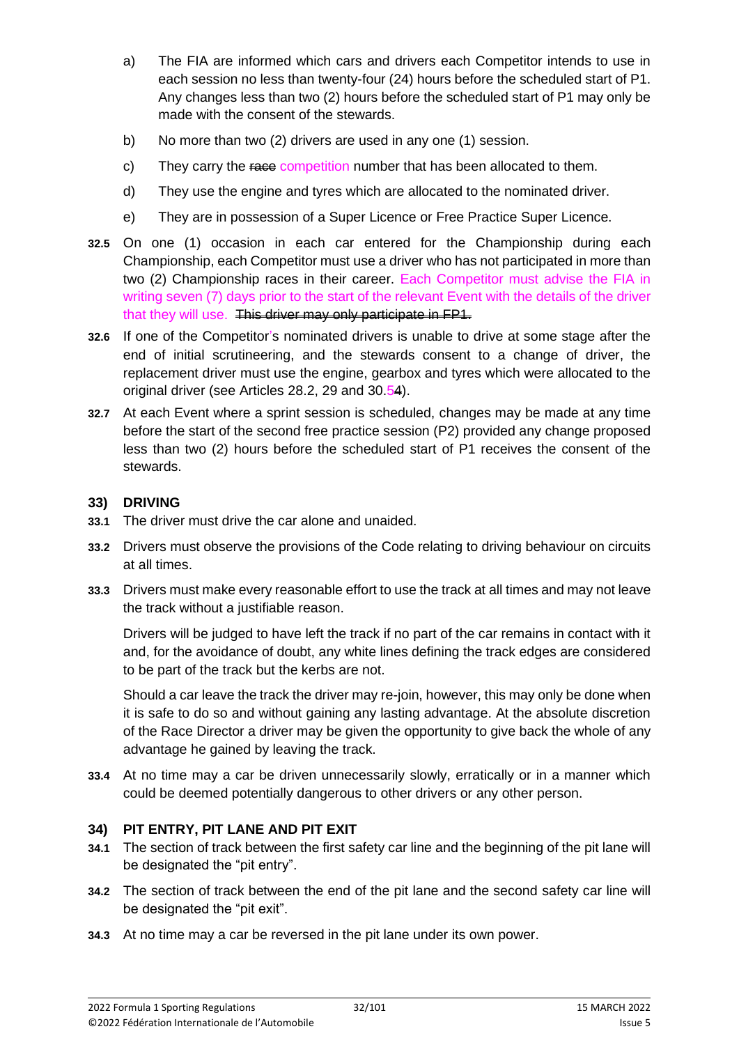- a) The FIA are informed which cars and drivers each Competitor intends to use in each session no less than twenty-four (24) hours before the scheduled start of P1. Any changes less than two (2) hours before the scheduled start of P1 may only be made with the consent of the stewards.
- b) No more than two (2) drivers are used in any one (1) session.
- c) They carry the race competition number that has been allocated to them.
- d) They use the engine and tyres which are allocated to the nominated driver.
- e) They are in possession of a Super Licence or Free Practice Super Licence.
- **32.5** On one (1) occasion in each car entered for the Championship during each Championship, each Competitor must use a driver who has not participated in more than two (2) Championship races in their career. Each Competitor must advise the FIA in writing seven (7) days prior to the start of the relevant Event with the details of the driver that they will use. This driver may only participate in FP1.
- **32.6** If one of the Competitor's nominated drivers is unable to drive at some stage after the end of initial scrutineering, and the stewards consent to a change of driver, the replacement driver must use the engine, gearbox and tyres which were allocated to the original driver (see Articles 28.2, 29 and 30.54).
- **32.7** At each Event where a sprint session is scheduled, changes may be made at any time before the start of the second free practice session (P2) provided any change proposed less than two (2) hours before the scheduled start of P1 receives the consent of the stewards.

#### **33) DRIVING**

- **33.1** The driver must drive the car alone and unaided.
- **33.2** Drivers must observe the provisions of the Code relating to driving behaviour on circuits at all times.
- **33.3** Drivers must make every reasonable effort to use the track at all times and may not leave the track without a justifiable reason.

Drivers will be judged to have left the track if no part of the car remains in contact with it and, for the avoidance of doubt, any white lines defining the track edges are considered to be part of the track but the kerbs are not.

Should a car leave the track the driver may re-join, however, this may only be done when it is safe to do so and without gaining any lasting advantage. At the absolute discretion of the Race Director a driver may be given the opportunity to give back the whole of any advantage he gained by leaving the track.

**33.4** At no time may a car be driven unnecessarily slowly, erratically or in a manner which could be deemed potentially dangerous to other drivers or any other person.

### **34) PIT ENTRY, PIT LANE AND PIT EXIT**

- **34.1** The section of track between the first safety car line and the beginning of the pit lane will be designated the "pit entry".
- **34.2** The section of track between the end of the pit lane and the second safety car line will be designated the "pit exit".
- **34.3** At no time may a car be reversed in the pit lane under its own power.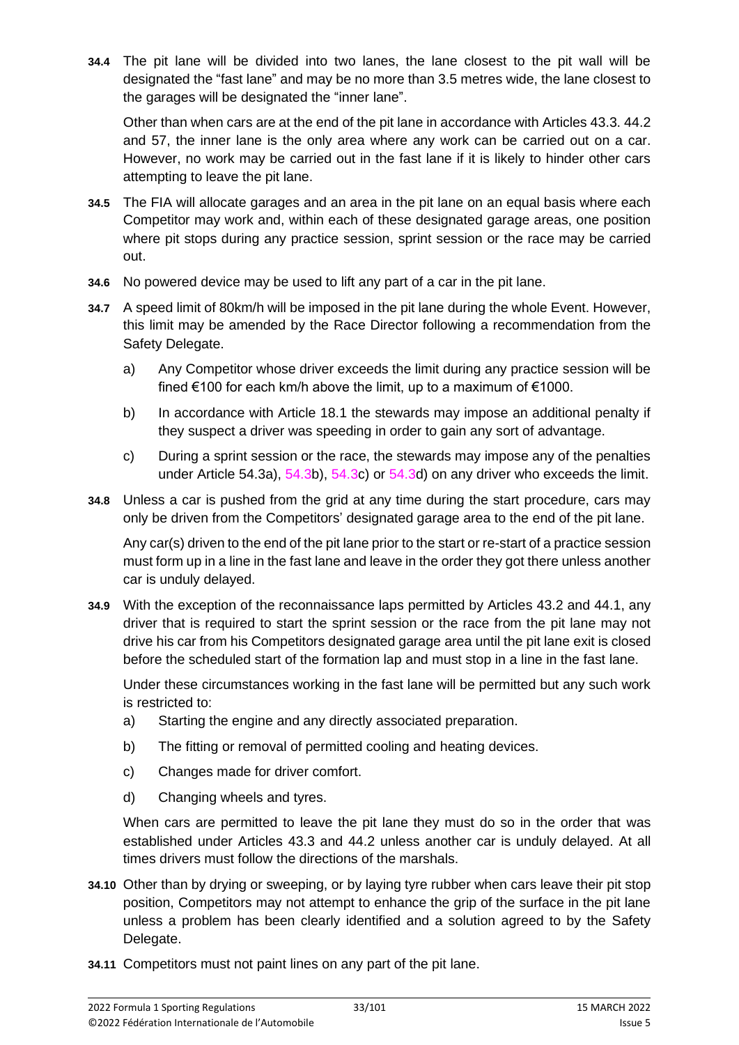**34.4** The pit lane will be divided into two lanes, the lane closest to the pit wall will be designated the "fast lane" and may be no more than 3.5 metres wide, the lane closest to the garages will be designated the "inner lane".

Other than when cars are at the end of the pit lane in accordance with Articles 43.3. 44.2 and 57, the inner lane is the only area where any work can be carried out on a car. However, no work may be carried out in the fast lane if it is likely to hinder other cars attempting to leave the pit lane.

- **34.5** The FIA will allocate garages and an area in the pit lane on an equal basis where each Competitor may work and, within each of these designated garage areas, one position where pit stops during any practice session, sprint session or the race may be carried out.
- **34.6** No powered device may be used to lift any part of a car in the pit lane.
- **34.7** A speed limit of 80km/h will be imposed in the pit lane during the whole Event. However, this limit may be amended by the Race Director following a recommendation from the Safety Delegate.
	- a) Any Competitor whose driver exceeds the limit during any practice session will be fined €100 for each km/h above the limit, up to a maximum of €1000.
	- b) In accordance with Article 18.1 the stewards may impose an additional penalty if they suspect a driver was speeding in order to gain any sort of advantage.
	- c) During a sprint session or the race, the stewards may impose any of the penalties under Article 54.3a), 54.3b), 54.3c) or 54.3d) on any driver who exceeds the limit.
- **34.8** Unless a car is pushed from the grid at any time during the start procedure, cars may only be driven from the Competitors' designated garage area to the end of the pit lane.

Any car(s) driven to the end of the pit lane prior to the start or re-start of a practice session must form up in a line in the fast lane and leave in the order they got there unless another car is unduly delayed.

**34.9** With the exception of the reconnaissance laps permitted by Articles 43.2 and 44.1, any driver that is required to start the sprint session or the race from the pit lane may not drive his car from his Competitors designated garage area until the pit lane exit is closed before the scheduled start of the formation lap and must stop in a line in the fast lane.

Under these circumstances working in the fast lane will be permitted but any such work is restricted to:

- a) Starting the engine and any directly associated preparation.
- b) The fitting or removal of permitted cooling and heating devices.
- c) Changes made for driver comfort.
- d) Changing wheels and tyres.

When cars are permitted to leave the pit lane they must do so in the order that was established under Articles 43.3 and 44.2 unless another car is unduly delayed. At all times drivers must follow the directions of the marshals.

- **34.10** Other than by drying or sweeping, or by laying tyre rubber when cars leave their pit stop position, Competitors may not attempt to enhance the grip of the surface in the pit lane unless a problem has been clearly identified and a solution agreed to by the Safety Delegate.
- **34.11** Competitors must not paint lines on any part of the pit lane.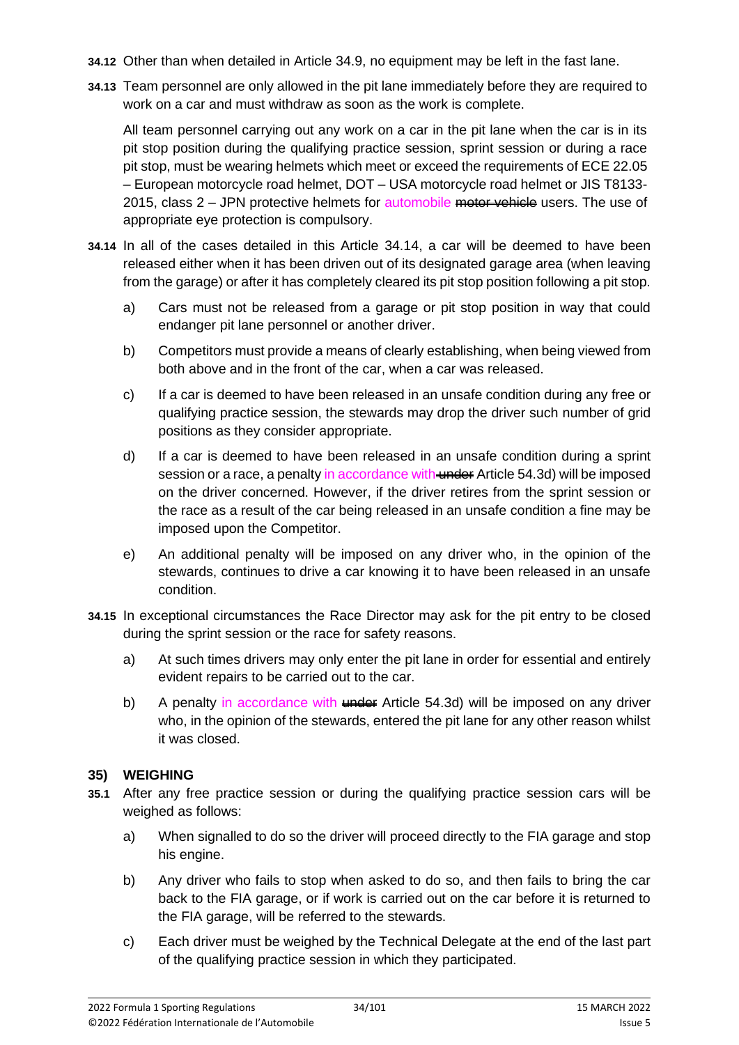- **34.12** Other than when detailed in Article 34.9, no equipment may be left in the fast lane.
- **34.13** Team personnel are only allowed in the pit lane immediately before they are required to work on a car and must withdraw as soon as the work is complete.

All team personnel carrying out any work on a car in the pit lane when the car is in its pit stop position during the qualifying practice session, sprint session or during a race pit stop, must be wearing helmets which meet or exceed the requirements of ECE 22.05 – European motorcycle road helmet, DOT – USA motorcycle road helmet or JIS T8133- 2015, class  $2 -$  JPN protective helmets for automobile motor vehicle users. The use of appropriate eye protection is compulsory.

- **34.14** In all of the cases detailed in this Article 34.14, a car will be deemed to have been released either when it has been driven out of its designated garage area (when leaving from the garage) or after it has completely cleared its pit stop position following a pit stop.
	- a) Cars must not be released from a garage or pit stop position in way that could endanger pit lane personnel or another driver.
	- b) Competitors must provide a means of clearly establishing, when being viewed from both above and in the front of the car, when a car was released.
	- c) If a car is deemed to have been released in an unsafe condition during any free or qualifying practice session, the stewards may drop the driver such number of grid positions as they consider appropriate.
	- d) If a car is deemed to have been released in an unsafe condition during a sprint session or a race, a penalty in accordance with under Article 54.3d) will be imposed on the driver concerned. However, if the driver retires from the sprint session or the race as a result of the car being released in an unsafe condition a fine may be imposed upon the Competitor.
	- e) An additional penalty will be imposed on any driver who, in the opinion of the stewards, continues to drive a car knowing it to have been released in an unsafe condition.
- **34.15** In exceptional circumstances the Race Director may ask for the pit entry to be closed during the sprint session or the race for safety reasons.
	- a) At such times drivers may only enter the pit lane in order for essential and entirely evident repairs to be carried out to the car.
	- b) A penalty in accordance with under Article 54.3d) will be imposed on any driver who, in the opinion of the stewards, entered the pit lane for any other reason whilst it was closed.

### **35) WEIGHING**

- **35.1** After any free practice session or during the qualifying practice session cars will be weighed as follows:
	- a) When signalled to do so the driver will proceed directly to the FIA garage and stop his engine.
	- b) Any driver who fails to stop when asked to do so, and then fails to bring the car back to the FIA garage, or if work is carried out on the car before it is returned to the FIA garage, will be referred to the stewards.
	- c) Each driver must be weighed by the Technical Delegate at the end of the last part of the qualifying practice session in which they participated.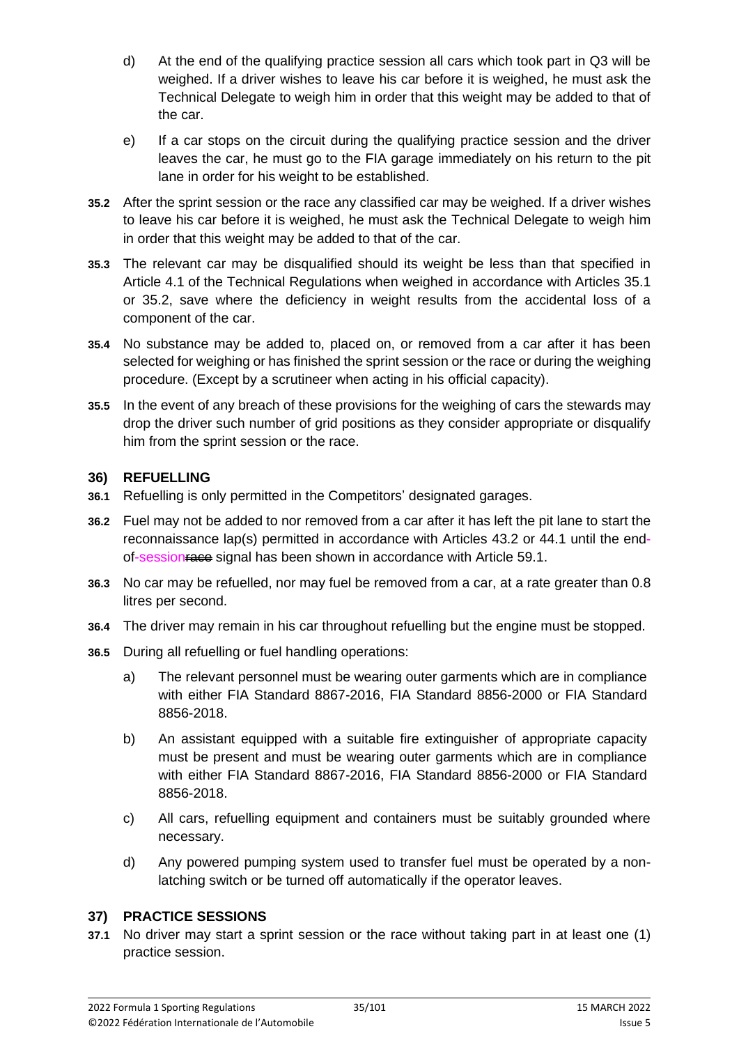- d) At the end of the qualifying practice session all cars which took part in Q3 will be weighed. If a driver wishes to leave his car before it is weighed, he must ask the Technical Delegate to weigh him in order that this weight may be added to that of the car.
- e) If a car stops on the circuit during the qualifying practice session and the driver leaves the car, he must go to the FIA garage immediately on his return to the pit lane in order for his weight to be established.
- **35.2** After the sprint session or the race any classified car may be weighed. If a driver wishes to leave his car before it is weighed, he must ask the Technical Delegate to weigh him in order that this weight may be added to that of the car.
- **35.3** The relevant car may be disqualified should its weight be less than that specified in Article 4.1 of the Technical Regulations when weighed in accordance with Articles 35.1 or 35.2, save where the deficiency in weight results from the accidental loss of a component of the car.
- **35.4** No substance may be added to, placed on, or removed from a car after it has been selected for weighing or has finished the sprint session or the race or during the weighing procedure. (Except by a scrutineer when acting in his official capacity).
- **35.5** In the event of any breach of these provisions for the weighing of cars the stewards may drop the driver such number of grid positions as they consider appropriate or disqualify him from the sprint session or the race.

#### **36) REFUELLING**

- **36.1** Refuelling is only permitted in the Competitors' designated garages.
- **36.2** Fuel may not be added to nor removed from a car after it has left the pit lane to start the reconnaissance lap(s) permitted in accordance with Articles 43.2 or 44.1 until the endof-sessionrace signal has been shown in accordance with Article 59.1.
- **36.3** No car may be refuelled, nor may fuel be removed from a car, at a rate greater than 0.8 litres per second.
- **36.4** The driver may remain in his car throughout refuelling but the engine must be stopped.
- **36.5** During all refuelling or fuel handling operations:
	- a) The relevant personnel must be wearing outer garments which are in compliance with either FIA Standard 8867-2016, FIA Standard 8856-2000 or FIA Standard 8856-2018.
	- b) An assistant equipped with a suitable fire extinguisher of appropriate capacity must be present and must be wearing outer garments which are in compliance with either FIA Standard 8867-2016, FIA Standard 8856-2000 or FIA Standard 8856-2018.
	- c) All cars, refuelling equipment and containers must be suitably grounded where necessary.
	- d) Any powered pumping system used to transfer fuel must be operated by a nonlatching switch or be turned off automatically if the operator leaves.

#### **37) PRACTICE SESSIONS**

**37.1** No driver may start a sprint session or the race without taking part in at least one (1) practice session.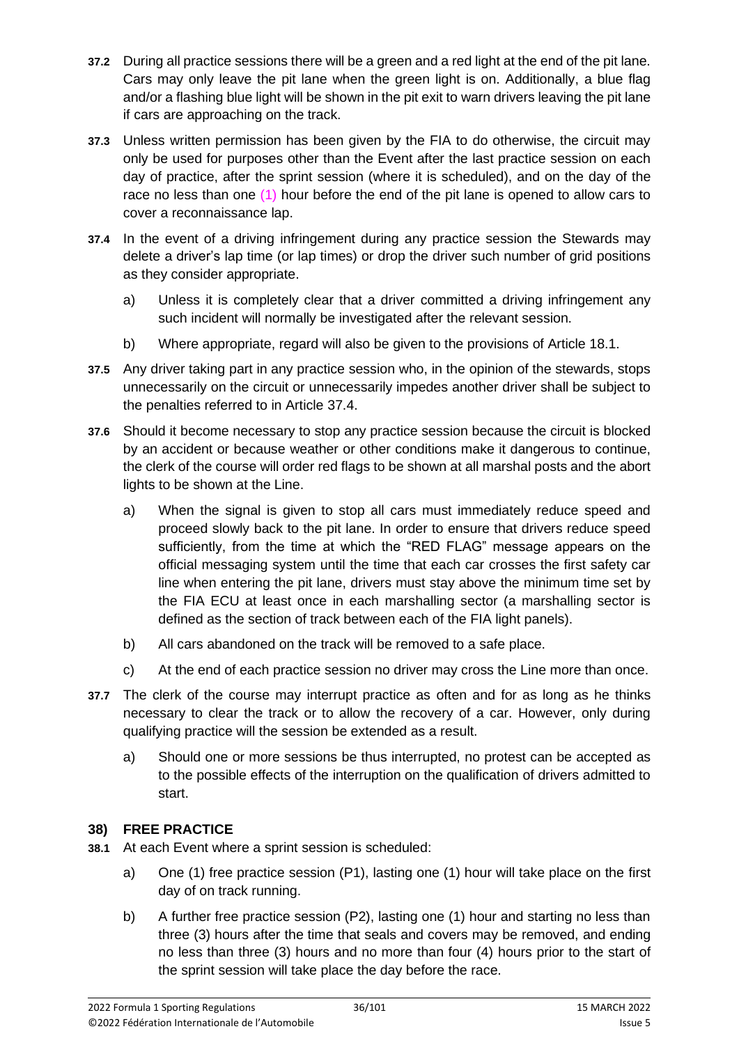- **37.2** During all practice sessions there will be a green and a red light at the end of the pit lane. Cars may only leave the pit lane when the green light is on. Additionally, a blue flag and/or a flashing blue light will be shown in the pit exit to warn drivers leaving the pit lane if cars are approaching on the track.
- **37.3** Unless written permission has been given by the FIA to do otherwise, the circuit may only be used for purposes other than the Event after the last practice session on each day of practice, after the sprint session (where it is scheduled), and on the day of the race no less than one (1) hour before the end of the pit lane is opened to allow cars to cover a reconnaissance lap.
- **37.4** In the event of a driving infringement during any practice session the Stewards may delete a driver's lap time (or lap times) or drop the driver such number of grid positions as they consider appropriate.
	- a) Unless it is completely clear that a driver committed a driving infringement any such incident will normally be investigated after the relevant session.
	- b) Where appropriate, regard will also be given to the provisions of Article 18.1.
- **37.5** Any driver taking part in any practice session who, in the opinion of the stewards, stops unnecessarily on the circuit or unnecessarily impedes another driver shall be subject to the penalties referred to in Article 37.4.
- **37.6** Should it become necessary to stop any practice session because the circuit is blocked by an accident or because weather or other conditions make it dangerous to continue, the clerk of the course will order red flags to be shown at all marshal posts and the abort lights to be shown at the Line.
	- a) When the signal is given to stop all cars must immediately reduce speed and proceed slowly back to the pit lane. In order to ensure that drivers reduce speed sufficiently, from the time at which the "RED FLAG" message appears on the official messaging system until the time that each car crosses the first safety car line when entering the pit lane, drivers must stay above the minimum time set by the FIA ECU at least once in each marshalling sector (a marshalling sector is defined as the section of track between each of the FIA light panels).
	- b) All cars abandoned on the track will be removed to a safe place.
	- c) At the end of each practice session no driver may cross the Line more than once.
- **37.7** The clerk of the course may interrupt practice as often and for as long as he thinks necessary to clear the track or to allow the recovery of a car. However, only during qualifying practice will the session be extended as a result.
	- a) Should one or more sessions be thus interrupted, no protest can be accepted as to the possible effects of the interruption on the qualification of drivers admitted to start.

# **38) FREE PRACTICE**

- **38.1** At each Event where a sprint session is scheduled:
	- a) One (1) free practice session (P1), lasting one (1) hour will take place on the first day of on track running.
	- b) A further free practice session (P2), lasting one (1) hour and starting no less than three (3) hours after the time that seals and covers may be removed, and ending no less than three (3) hours and no more than four (4) hours prior to the start of the sprint session will take place the day before the race.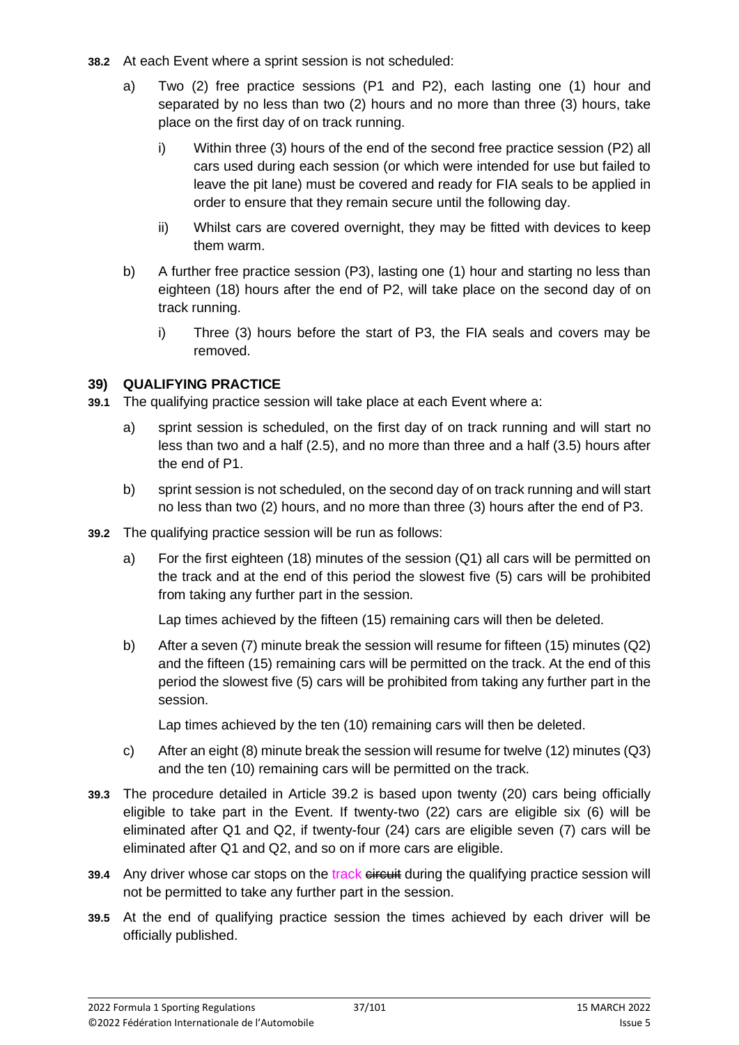- **38.2** At each Event where a sprint session is not scheduled:
	- a) Two (2) free practice sessions (P1 and P2), each lasting one (1) hour and separated by no less than two (2) hours and no more than three (3) hours, take place on the first day of on track running.
		- i) Within three (3) hours of the end of the second free practice session (P2) all cars used during each session (or which were intended for use but failed to leave the pit lane) must be covered and ready for FIA seals to be applied in order to ensure that they remain secure until the following day.
		- ii) Whilst cars are covered overnight, they may be fitted with devices to keep them warm.
	- b) A further free practice session (P3), lasting one (1) hour and starting no less than eighteen (18) hours after the end of P2, will take place on the second day of on track running.
		- i) Three (3) hours before the start of P3, the FIA seals and covers may be removed.

#### **39) QUALIFYING PRACTICE**

- **39.1** The qualifying practice session will take place at each Event where a:
	- a) sprint session is scheduled, on the first day of on track running and will start no less than two and a half (2.5), and no more than three and a half (3.5) hours after the end of P1.
	- b) sprint session is not scheduled, on the second day of on track running and will start no less than two (2) hours, and no more than three (3) hours after the end of P3.
- **39.2** The qualifying practice session will be run as follows:
	- a) For the first eighteen (18) minutes of the session (Q1) all cars will be permitted on the track and at the end of this period the slowest five (5) cars will be prohibited from taking any further part in the session.

Lap times achieved by the fifteen (15) remaining cars will then be deleted.

b) After a seven (7) minute break the session will resume for fifteen (15) minutes (Q2) and the fifteen (15) remaining cars will be permitted on the track. At the end of this period the slowest five (5) cars will be prohibited from taking any further part in the session.

Lap times achieved by the ten (10) remaining cars will then be deleted.

- c) After an eight (8) minute break the session will resume for twelve (12) minutes (Q3) and the ten (10) remaining cars will be permitted on the track.
- **39.3** The procedure detailed in Article 39.2 is based upon twenty (20) cars being officially eligible to take part in the Event. If twenty-two (22) cars are eligible six (6) will be eliminated after Q1 and Q2, if twenty-four (24) cars are eligible seven (7) cars will be eliminated after Q1 and Q2, and so on if more cars are eligible.
- **39.4** Any driver whose car stops on the track eireurit during the qualifying practice session will not be permitted to take any further part in the session.
- **39.5** At the end of qualifying practice session the times achieved by each driver will be officially published.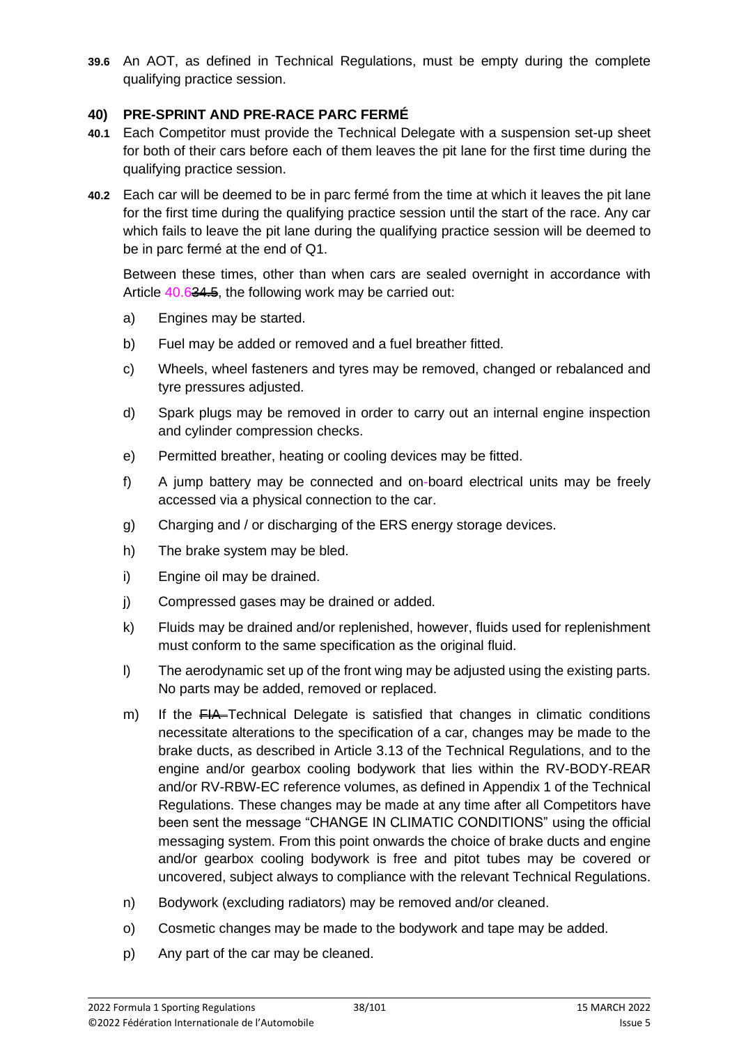**39.6** An AOT, as defined in Technical Regulations, must be empty during the complete qualifying practice session.

#### **40) PRE-SPRINT AND PRE-RACE PARC FERMÉ**

- **40.1** Each Competitor must provide the Technical Delegate with a suspension set-up sheet for both of their cars before each of them leaves the pit lane for the first time during the qualifying practice session.
- **40.2** Each car will be deemed to be in parc fermé from the time at which it leaves the pit lane for the first time during the qualifying practice session until the start of the race. Any car which fails to leave the pit lane during the qualifying practice session will be deemed to be in parc fermé at the end of Q1.

Between these times, other than when cars are sealed overnight in accordance with Article 40.634.5, the following work may be carried out:

- a) Engines may be started.
- b) Fuel may be added or removed and a fuel breather fitted.
- c) Wheels, wheel fasteners and tyres may be removed, changed or rebalanced and tyre pressures adjusted.
- d) Spark plugs may be removed in order to carry out an internal engine inspection and cylinder compression checks.
- e) Permitted breather, heating or cooling devices may be fitted.
- f) A jump battery may be connected and on-board electrical units may be freely accessed via a physical connection to the car.
- g) Charging and / or discharging of the ERS energy storage devices.
- h) The brake system may be bled.
- i) Engine oil may be drained.
- j) Compressed gases may be drained or added.
- k) Fluids may be drained and/or replenished, however, fluids used for replenishment must conform to the same specification as the original fluid.
- l) The aerodynamic set up of the front wing may be adjusted using the existing parts. No parts may be added, removed or replaced.
- m) If the  $FIA$ -Technical Delegate is satisfied that changes in climatic conditions necessitate alterations to the specification of a car, changes may be made to the brake ducts, as described in Article 3.13 of the Technical Regulations, and to the engine and/or gearbox cooling bodywork that lies within the RV-BODY-REAR and/or RV-RBW-EC reference volumes, as defined in Appendix 1 of the Technical Regulations. These changes may be made at any time after all Competitors have been sent the message "CHANGE IN CLIMATIC CONDITIONS" using the official messaging system. From this point onwards the choice of brake ducts and engine and/or gearbox cooling bodywork is free and pitot tubes may be covered or uncovered, subject always to compliance with the relevant Technical Regulations.
- n) Bodywork (excluding radiators) may be removed and/or cleaned.
- o) Cosmetic changes may be made to the bodywork and tape may be added.
- p) Any part of the car may be cleaned.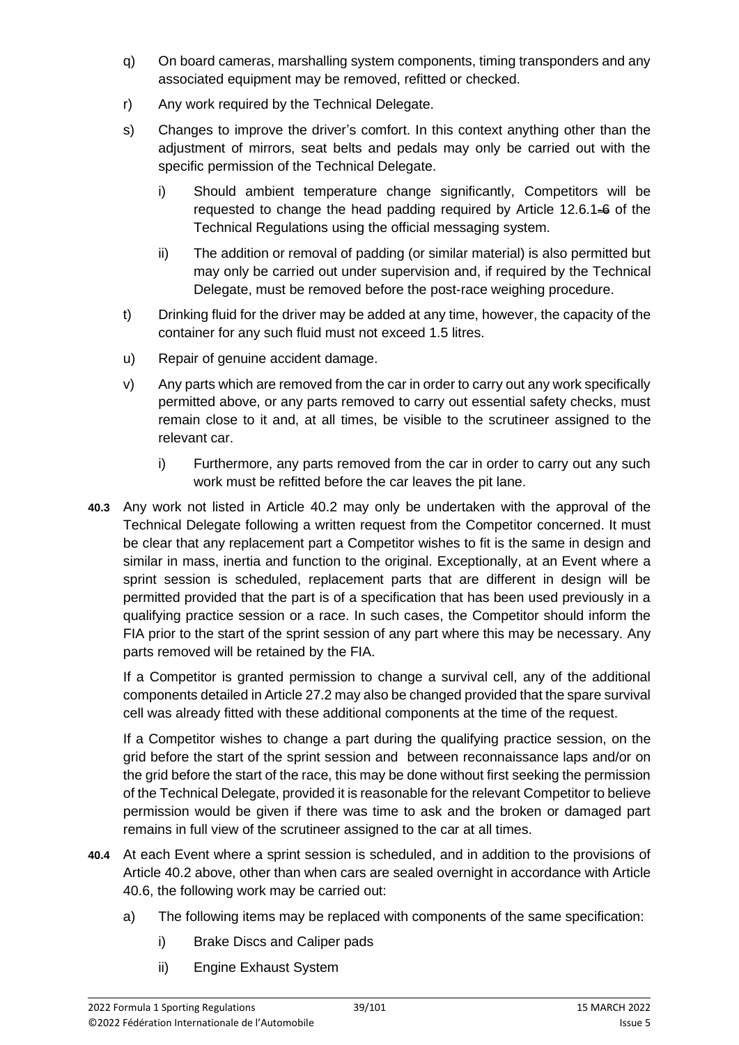- q) On board cameras, marshalling system components, timing transponders and any associated equipment may be removed, refitted or checked.
- r) Any work required by the Technical Delegate.
- s) Changes to improve the driver's comfort. In this context anything other than the adjustment of mirrors, seat belts and pedals may only be carried out with the specific permission of the Technical Delegate.
	- i) Should ambient temperature change significantly, Competitors will be requested to change the head padding required by Article 12.6.1 $\div$  of the Technical Regulations using the official messaging system.
	- ii) The addition or removal of padding (or similar material) is also permitted but may only be carried out under supervision and, if required by the Technical Delegate, must be removed before the post-race weighing procedure.
- t) Drinking fluid for the driver may be added at any time, however, the capacity of the container for any such fluid must not exceed 1.5 litres.
- u) Repair of genuine accident damage.
- v) Any parts which are removed from the car in order to carry out any work specifically permitted above, or any parts removed to carry out essential safety checks, must remain close to it and, at all times, be visible to the scrutineer assigned to the relevant car.
	- i) Furthermore, any parts removed from the car in order to carry out any such work must be refitted before the car leaves the pit lane.
- **40.3** Any work not listed in Article 40.2 may only be undertaken with the approval of the Technical Delegate following a written request from the Competitor concerned. It must be clear that any replacement part a Competitor wishes to fit is the same in design and similar in mass, inertia and function to the original. Exceptionally, at an Event where a sprint session is scheduled, replacement parts that are different in design will be permitted provided that the part is of a specification that has been used previously in a qualifying practice session or a race. In such cases, the Competitor should inform the FIA prior to the start of the sprint session of any part where this may be necessary. Any parts removed will be retained by the FIA.

If a Competitor is granted permission to change a survival cell, any of the additional components detailed in Article 27.2 may also be changed provided that the spare survival cell was already fitted with these additional components at the time of the request.

If a Competitor wishes to change a part during the qualifying practice session, on the grid before the start of the sprint session and between reconnaissance laps and/or on the grid before the start of the race, this may be done without first seeking the permission of the Technical Delegate, provided it is reasonable for the relevant Competitor to believe permission would be given if there was time to ask and the broken or damaged part remains in full view of the scrutineer assigned to the car at all times.

- **40.4** At each Event where a sprint session is scheduled, and in addition to the provisions of Article 40.2 above, other than when cars are sealed overnight in accordance with Article 40.6, the following work may be carried out:
	- a) The following items may be replaced with components of the same specification:
		- i) Brake Discs and Caliper pads
		- ii) Engine Exhaust System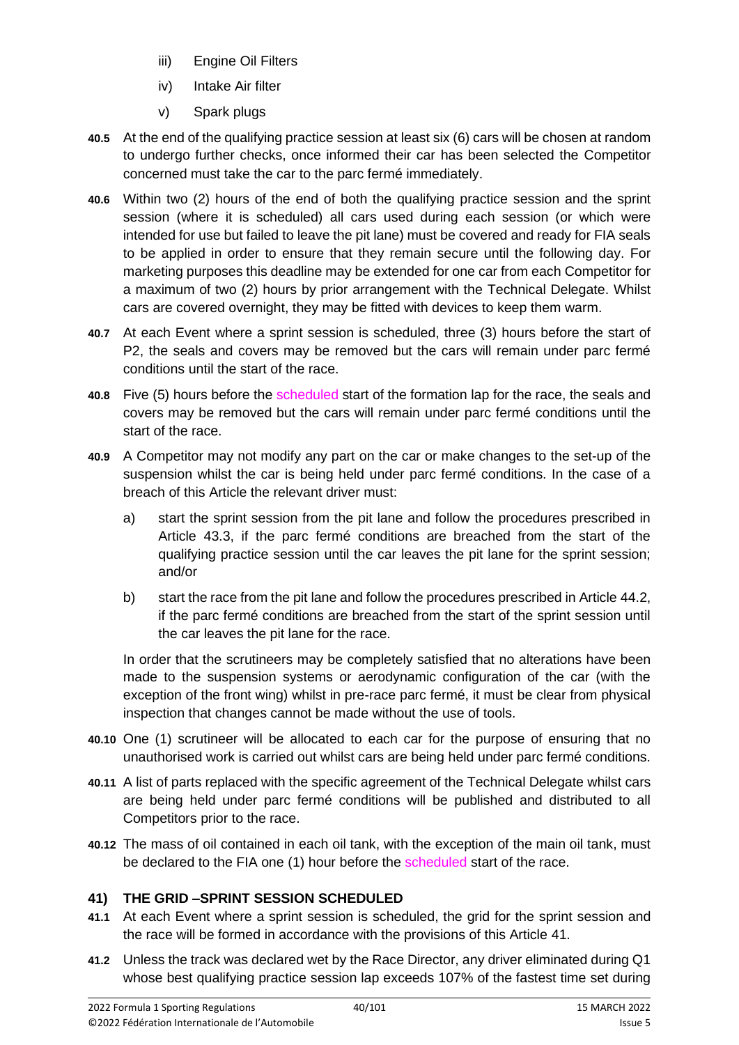- iii) Engine Oil Filters
- iv) Intake Air filter
- v) Spark plugs
- **40.5** At the end of the qualifying practice session at least six (6) cars will be chosen at random to undergo further checks, once informed their car has been selected the Competitor concerned must take the car to the parc fermé immediately.
- **40.6** Within two (2) hours of the end of both the qualifying practice session and the sprint session (where it is scheduled) all cars used during each session (or which were intended for use but failed to leave the pit lane) must be covered and ready for FIA seals to be applied in order to ensure that they remain secure until the following day. For marketing purposes this deadline may be extended for one car from each Competitor for a maximum of two (2) hours by prior arrangement with the Technical Delegate. Whilst cars are covered overnight, they may be fitted with devices to keep them warm.
- **40.7** At each Event where a sprint session is scheduled, three (3) hours before the start of P2, the seals and covers may be removed but the cars will remain under parc fermé conditions until the start of the race.
- **40.8** Five (5) hours before the scheduled start of the formation lap for the race, the seals and covers may be removed but the cars will remain under parc fermé conditions until the start of the race.
- **40.9** A Competitor may not modify any part on the car or make changes to the set-up of the suspension whilst the car is being held under parc fermé conditions. In the case of a breach of this Article the relevant driver must:
	- a) start the sprint session from the pit lane and follow the procedures prescribed in Article 43.3, if the parc fermé conditions are breached from the start of the qualifying practice session until the car leaves the pit lane for the sprint session; and/or
	- b) start the race from the pit lane and follow the procedures prescribed in Article 44.2, if the parc fermé conditions are breached from the start of the sprint session until the car leaves the pit lane for the race.

In order that the scrutineers may be completely satisfied that no alterations have been made to the suspension systems or aerodynamic configuration of the car (with the exception of the front wing) whilst in pre-race parc fermé, it must be clear from physical inspection that changes cannot be made without the use of tools.

- **40.10** One (1) scrutineer will be allocated to each car for the purpose of ensuring that no unauthorised work is carried out whilst cars are being held under parc fermé conditions.
- **40.11** A list of parts replaced with the specific agreement of the Technical Delegate whilst cars are being held under parc fermé conditions will be published and distributed to all Competitors prior to the race.
- **40.12** The mass of oil contained in each oil tank, with the exception of the main oil tank, must be declared to the FIA one (1) hour before the scheduled start of the race.

# **41) THE GRID –SPRINT SESSION SCHEDULED**

- **41.1** At each Event where a sprint session is scheduled, the grid for the sprint session and the race will be formed in accordance with the provisions of this Article 41.
- **41.2** Unless the track was declared wet by the Race Director, any driver eliminated during Q1 whose best qualifying practice session lap exceeds 107% of the fastest time set during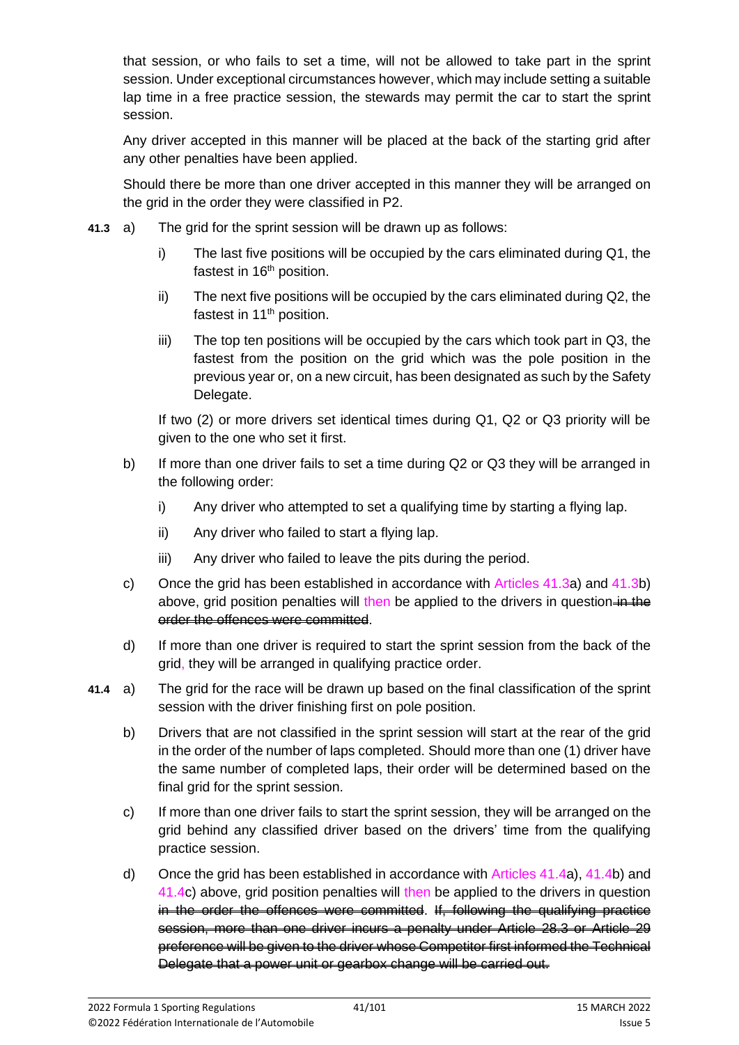that session, or who fails to set a time, will not be allowed to take part in the sprint session. Under exceptional circumstances however, which may include setting a suitable lap time in a free practice session, the stewards may permit the car to start the sprint session.

Any driver accepted in this manner will be placed at the back of the starting grid after any other penalties have been applied.

Should there be more than one driver accepted in this manner they will be arranged on the grid in the order they were classified in P2.

- **41.3** a) The grid for the sprint session will be drawn up as follows:
	- i) The last five positions will be occupied by the cars eliminated during Q1, the fastest in 16<sup>th</sup> position.
	- ii) The next five positions will be occupied by the cars eliminated during Q2, the fastest in 11<sup>th</sup> position.
	- iii) The top ten positions will be occupied by the cars which took part in Q3, the fastest from the position on the grid which was the pole position in the previous year or, on a new circuit, has been designated as such by the Safety Delegate.

If two (2) or more drivers set identical times during Q1, Q2 or Q3 priority will be given to the one who set it first.

- b) If more than one driver fails to set a time during Q2 or Q3 they will be arranged in the following order:
	- i) Any driver who attempted to set a qualifying time by starting a flying lap.
	- ii) Any driver who failed to start a flying lap.
	- iii) Any driver who failed to leave the pits during the period.
- c) Once the grid has been established in accordance with Articles 41.3a) and 41.3b) above, grid position penalties will then be applied to the drivers in question-in the order the offences were committed.
- d) If more than one driver is required to start the sprint session from the back of the grid, they will be arranged in qualifying practice order.
- **41.4** a) The grid for the race will be drawn up based on the final classification of the sprint session with the driver finishing first on pole position.
	- b) Drivers that are not classified in the sprint session will start at the rear of the grid in the order of the number of laps completed. Should more than one (1) driver have the same number of completed laps, their order will be determined based on the final grid for the sprint session.
	- c) If more than one driver fails to start the sprint session, they will be arranged on the grid behind any classified driver based on the drivers' time from the qualifying practice session.
	- d) Once the grid has been established in accordance with Articles 41.4a), 41.4b) and 41.4c) above, grid position penalties will then be applied to the drivers in question in the order the offences were committed. If, following the qualifying practice session, more than one driver incurs a penalty under Article 28.3 or Article 29 preference will be given to the driver whose Competitor first informed the Technical Delegate that a power unit or gearbox change will be carried out.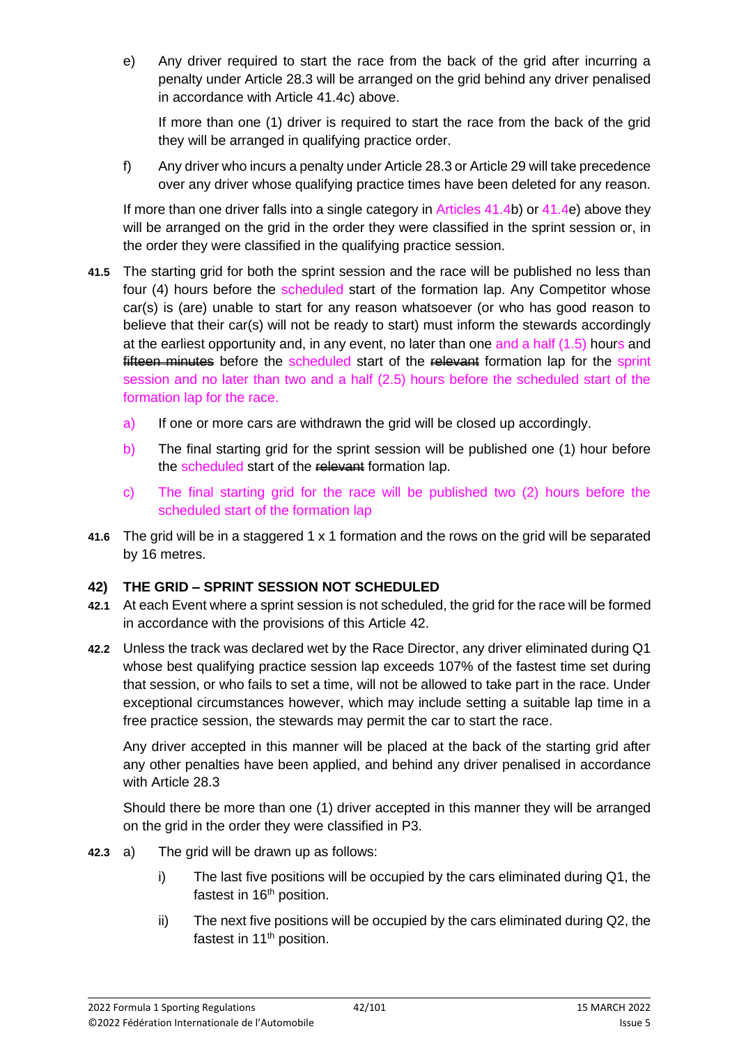e) Any driver required to start the race from the back of the grid after incurring a penalty under Article 28.3 will be arranged on the grid behind any driver penalised in accordance with Article 41.4c) above.

If more than one (1) driver is required to start the race from the back of the grid they will be arranged in qualifying practice order.

f) Any driver who incurs a penalty under Article 28.3 or Article 29 will take precedence over any driver whose qualifying practice times have been deleted for any reason.

If more than one driver falls into a single category in Articles 41.4b) or 41.4e) above they will be arranged on the grid in the order they were classified in the sprint session or, in the order they were classified in the qualifying practice session.

- **41.5** The starting grid for both the sprint session and the race will be published no less than four (4) hours before the scheduled start of the formation lap. Any Competitor whose car(s) is (are) unable to start for any reason whatsoever (or who has good reason to believe that their car(s) will not be ready to start) must inform the stewards accordingly at the earliest opportunity and, in any event, no later than one and a half (1.5) hours and **fifteen minutes** before the scheduled start of the relevant formation lap for the sprint session and no later than two and a half (2.5) hours before the scheduled start of the formation lap for the race.
	- a) If one or more cars are withdrawn the grid will be closed up accordingly.
	- b) The final starting grid for the sprint session will be published one (1) hour before the scheduled start of the relevant formation lap.
	- c) The final starting grid for the race will be published two (2) hours before the scheduled start of the formation lap
- **41.6** The grid will be in a staggered 1 x 1 formation and the rows on the grid will be separated by 16 metres.

# **42) THE GRID – SPRINT SESSION NOT SCHEDULED**

- **42.1** At each Event where a sprint session is not scheduled, the grid for the race will be formed in accordance with the provisions of this Article 42.
- **42.2** Unless the track was declared wet by the Race Director, any driver eliminated during Q1 whose best qualifying practice session lap exceeds 107% of the fastest time set during that session, or who fails to set a time, will not be allowed to take part in the race. Under exceptional circumstances however, which may include setting a suitable lap time in a free practice session, the stewards may permit the car to start the race.

Any driver accepted in this manner will be placed at the back of the starting grid after any other penalties have been applied, and behind any driver penalised in accordance with Article 28.3

Should there be more than one (1) driver accepted in this manner they will be arranged on the grid in the order they were classified in P3.

- **42.3** a) The grid will be drawn up as follows:
	- i) The last five positions will be occupied by the cars eliminated during Q1, the fastest in 16<sup>th</sup> position.
	- ii) The next five positions will be occupied by the cars eliminated during Q2, the fastest in 11<sup>th</sup> position.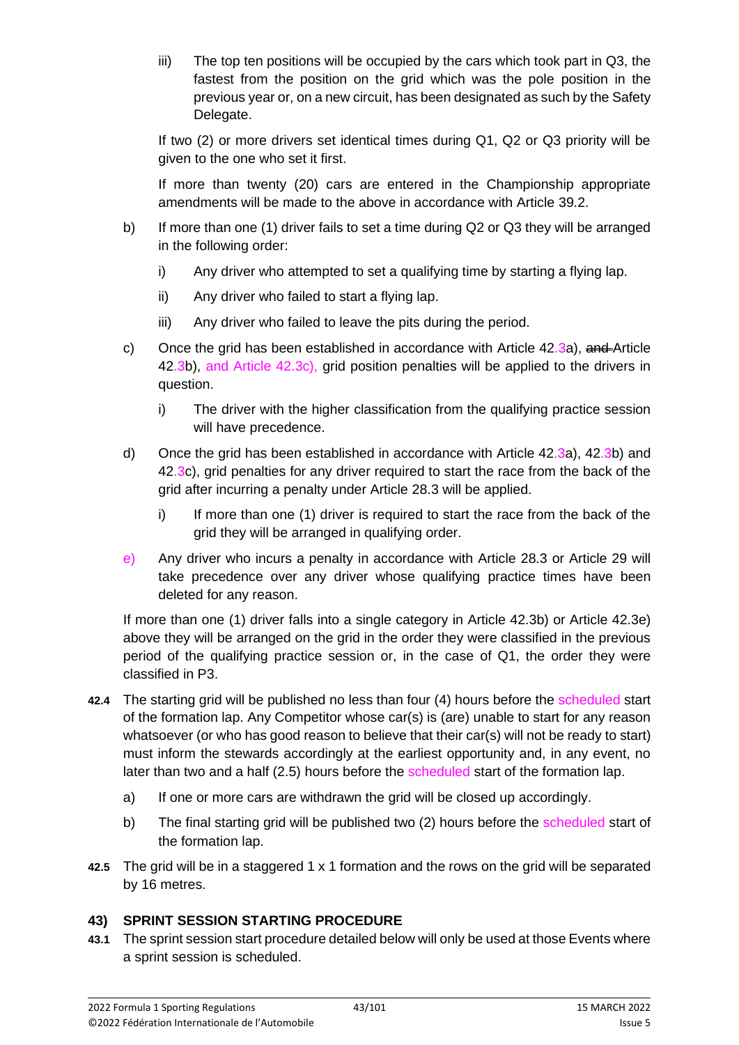$\frac{1}{10}$  The top ten positions will be occupied by the cars which took part in Q3, the fastest from the position on the grid which was the pole position in the previous year or, on a new circuit, has been designated as such by the Safety Delegate.

If two (2) or more drivers set identical times during Q1, Q2 or Q3 priority will be given to the one who set it first.

If more than twenty (20) cars are entered in the Championship appropriate amendments will be made to the above in accordance with Article 39.2.

- b) If more than one (1) driver fails to set a time during Q2 or Q3 they will be arranged in the following order:
	- i) Any driver who attempted to set a qualifying time by starting a flying lap.
	- ii) Any driver who failed to start a flying lap.
	- iii) Any driver who failed to leave the pits during the period.
- c) Once the grid has been established in accordance with Article  $42.3a$ ), and Article 42.3b), and Article 42.3c), grid position penalties will be applied to the drivers in question.
	- i) The driver with the higher classification from the qualifying practice session will have precedence.
- d) Once the grid has been established in accordance with Article 42.3a), 42.3b) and 42.3c), grid penalties for any driver required to start the race from the back of the grid after incurring a penalty under Article 28.3 will be applied.
	- i) If more than one (1) driver is required to start the race from the back of the grid they will be arranged in qualifying order.
- e) Any driver who incurs a penalty in accordance with Article 28.3 or Article 29 will take precedence over any driver whose qualifying practice times have been deleted for any reason.

If more than one (1) driver falls into a single category in Article 42.3b) or Article 42.3e) above they will be arranged on the grid in the order they were classified in the previous period of the qualifying practice session or, in the case of Q1, the order they were classified in P3.

- **42.4** The starting grid will be published no less than four (4) hours before the scheduled start of the formation lap. Any Competitor whose car(s) is (are) unable to start for any reason whatsoever (or who has good reason to believe that their car(s) will not be ready to start) must inform the stewards accordingly at the earliest opportunity and, in any event, no later than two and a half (2.5) hours before the scheduled start of the formation lap.
	- a) If one or more cars are withdrawn the grid will be closed up accordingly.
	- b) The final starting grid will be published two (2) hours before the scheduled start of the formation lap.
- **42.5** The grid will be in a staggered 1 x 1 formation and the rows on the grid will be separated by 16 metres.

## **43) SPRINT SESSION STARTING PROCEDURE**

**43.1** The sprint session start procedure detailed below will only be used at those Events where a sprint session is scheduled.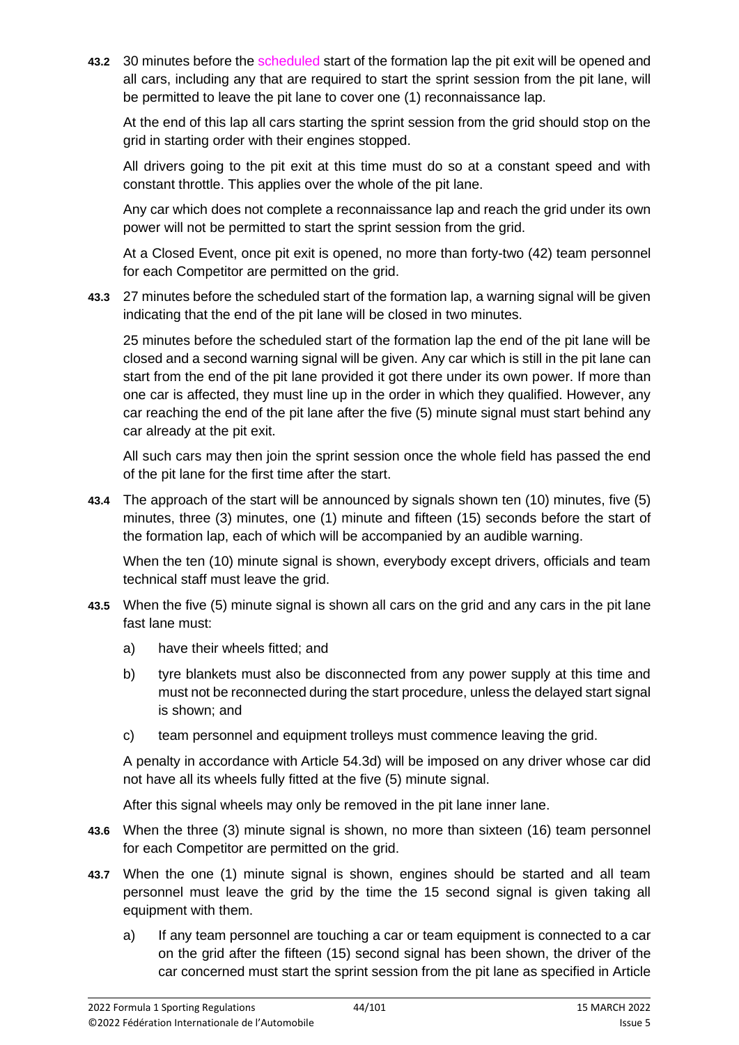**43.2** 30 minutes before the scheduled start of the formation lap the pit exit will be opened and all cars, including any that are required to start the sprint session from the pit lane, will be permitted to leave the pit lane to cover one (1) reconnaissance lap.

At the end of this lap all cars starting the sprint session from the grid should stop on the grid in starting order with their engines stopped.

All drivers going to the pit exit at this time must do so at a constant speed and with constant throttle. This applies over the whole of the pit lane.

Any car which does not complete a reconnaissance lap and reach the grid under its own power will not be permitted to start the sprint session from the grid.

At a Closed Event, once pit exit is opened, no more than forty-two (42) team personnel for each Competitor are permitted on the grid.

**43.3** 27 minutes before the scheduled start of the formation lap, a warning signal will be given indicating that the end of the pit lane will be closed in two minutes.

25 minutes before the scheduled start of the formation lap the end of the pit lane will be closed and a second warning signal will be given. Any car which is still in the pit lane can start from the end of the pit lane provided it got there under its own power. If more than one car is affected, they must line up in the order in which they qualified. However, any car reaching the end of the pit lane after the five (5) minute signal must start behind any car already at the pit exit.

All such cars may then join the sprint session once the whole field has passed the end of the pit lane for the first time after the start.

**43.4** The approach of the start will be announced by signals shown ten (10) minutes, five (5) minutes, three (3) minutes, one (1) minute and fifteen (15) seconds before the start of the formation lap, each of which will be accompanied by an audible warning.

When the ten (10) minute signal is shown, everybody except drivers, officials and team technical staff must leave the grid.

- **43.5** When the five (5) minute signal is shown all cars on the grid and any cars in the pit lane fast lane must:
	- a) have their wheels fitted; and
	- b) tyre blankets must also be disconnected from any power supply at this time and must not be reconnected during the start procedure, unless the delayed start signal is shown; and
	- c) team personnel and equipment trolleys must commence leaving the grid.

A penalty in accordance with Article 54.3d) will be imposed on any driver whose car did not have all its wheels fully fitted at the five (5) minute signal.

After this signal wheels may only be removed in the pit lane inner lane.

- **43.6** When the three (3) minute signal is shown, no more than sixteen (16) team personnel for each Competitor are permitted on the grid.
- **43.7** When the one (1) minute signal is shown, engines should be started and all team personnel must leave the grid by the time the 15 second signal is given taking all equipment with them.
	- a) If any team personnel are touching a car or team equipment is connected to a car on the grid after the fifteen (15) second signal has been shown, the driver of the car concerned must start the sprint session from the pit lane as specified in Article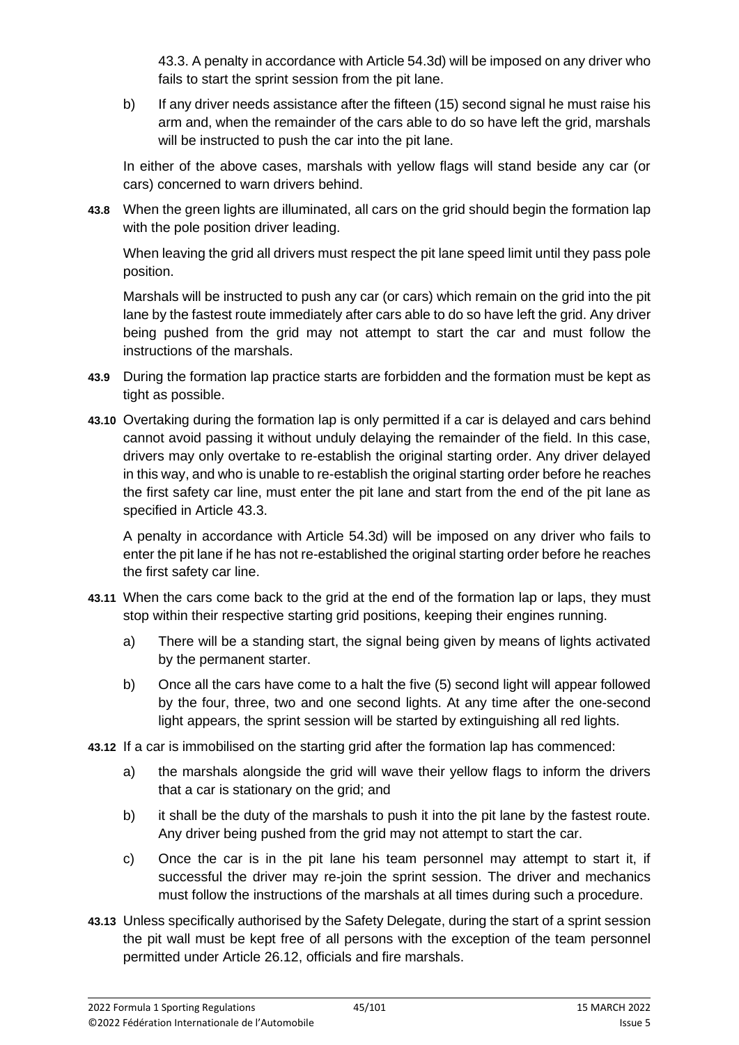43.3. A penalty in accordance with Article 54.3d) will be imposed on any driver who fails to start the sprint session from the pit lane.

b) If any driver needs assistance after the fifteen (15) second signal he must raise his arm and, when the remainder of the cars able to do so have left the grid, marshals will be instructed to push the car into the pit lane.

In either of the above cases, marshals with yellow flags will stand beside any car (or cars) concerned to warn drivers behind.

**43.8** When the green lights are illuminated, all cars on the grid should begin the formation lap with the pole position driver leading.

When leaving the grid all drivers must respect the pit lane speed limit until they pass pole position.

Marshals will be instructed to push any car (or cars) which remain on the grid into the pit lane by the fastest route immediately after cars able to do so have left the grid. Any driver being pushed from the grid may not attempt to start the car and must follow the instructions of the marshals.

- **43.9** During the formation lap practice starts are forbidden and the formation must be kept as tight as possible.
- **43.10** Overtaking during the formation lap is only permitted if a car is delayed and cars behind cannot avoid passing it without unduly delaying the remainder of the field. In this case, drivers may only overtake to re-establish the original starting order. Any driver delayed in this way, and who is unable to re-establish the original starting order before he reaches the first safety car line, must enter the pit lane and start from the end of the pit lane as specified in Article 43.3.

A penalty in accordance with Article 54.3d) will be imposed on any driver who fails to enter the pit lane if he has not re-established the original starting order before he reaches the first safety car line.

- **43.11** When the cars come back to the grid at the end of the formation lap or laps, they must stop within their respective starting grid positions, keeping their engines running.
	- a) There will be a standing start, the signal being given by means of lights activated by the permanent starter.
	- b) Once all the cars have come to a halt the five (5) second light will appear followed by the four, three, two and one second lights. At any time after the one-second light appears, the sprint session will be started by extinguishing all red lights.
- **43.12** If a car is immobilised on the starting grid after the formation lap has commenced:
	- a) the marshals alongside the grid will wave their yellow flags to inform the drivers that a car is stationary on the grid; and
	- b) it shall be the duty of the marshals to push it into the pit lane by the fastest route. Any driver being pushed from the grid may not attempt to start the car.
	- c) Once the car is in the pit lane his team personnel may attempt to start it, if successful the driver may re-join the sprint session. The driver and mechanics must follow the instructions of the marshals at all times during such a procedure.
- **43.13** Unless specifically authorised by the Safety Delegate, during the start of a sprint session the pit wall must be kept free of all persons with the exception of the team personnel permitted under Article 26.12, officials and fire marshals.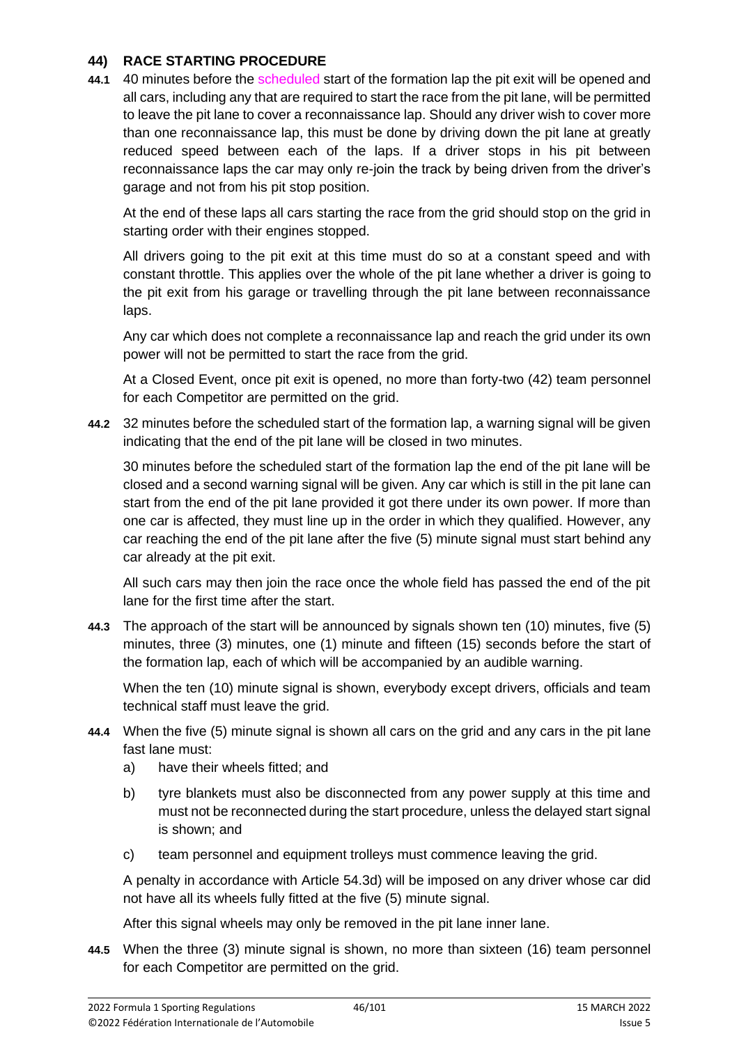#### **44) RACE STARTING PROCEDURE**

**44.1** 40 minutes before the scheduled start of the formation lap the pit exit will be opened and all cars, including any that are required to start the race from the pit lane, will be permitted to leave the pit lane to cover a reconnaissance lap. Should any driver wish to cover more than one reconnaissance lap, this must be done by driving down the pit lane at greatly reduced speed between each of the laps. If a driver stops in his pit between reconnaissance laps the car may only re-join the track by being driven from the driver's garage and not from his pit stop position.

At the end of these laps all cars starting the race from the grid should stop on the grid in starting order with their engines stopped.

All drivers going to the pit exit at this time must do so at a constant speed and with constant throttle. This applies over the whole of the pit lane whether a driver is going to the pit exit from his garage or travelling through the pit lane between reconnaissance laps.

Any car which does not complete a reconnaissance lap and reach the grid under its own power will not be permitted to start the race from the grid.

At a Closed Event, once pit exit is opened, no more than forty-two (42) team personnel for each Competitor are permitted on the grid.

**44.2** 32 minutes before the scheduled start of the formation lap, a warning signal will be given indicating that the end of the pit lane will be closed in two minutes.

30 minutes before the scheduled start of the formation lap the end of the pit lane will be closed and a second warning signal will be given. Any car which is still in the pit lane can start from the end of the pit lane provided it got there under its own power. If more than one car is affected, they must line up in the order in which they qualified. However, any car reaching the end of the pit lane after the five (5) minute signal must start behind any car already at the pit exit.

All such cars may then join the race once the whole field has passed the end of the pit lane for the first time after the start.

**44.3** The approach of the start will be announced by signals shown ten (10) minutes, five (5) minutes, three (3) minutes, one (1) minute and fifteen (15) seconds before the start of the formation lap, each of which will be accompanied by an audible warning.

When the ten (10) minute signal is shown, everybody except drivers, officials and team technical staff must leave the grid.

- **44.4** When the five (5) minute signal is shown all cars on the grid and any cars in the pit lane fast lane must:
	- a) have their wheels fitted; and
	- b) tyre blankets must also be disconnected from any power supply at this time and must not be reconnected during the start procedure, unless the delayed start signal is shown; and
	- c) team personnel and equipment trolleys must commence leaving the grid.

A penalty in accordance with Article 54.3d) will be imposed on any driver whose car did not have all its wheels fully fitted at the five (5) minute signal.

After this signal wheels may only be removed in the pit lane inner lane.

**44.5** When the three (3) minute signal is shown, no more than sixteen (16) team personnel for each Competitor are permitted on the grid.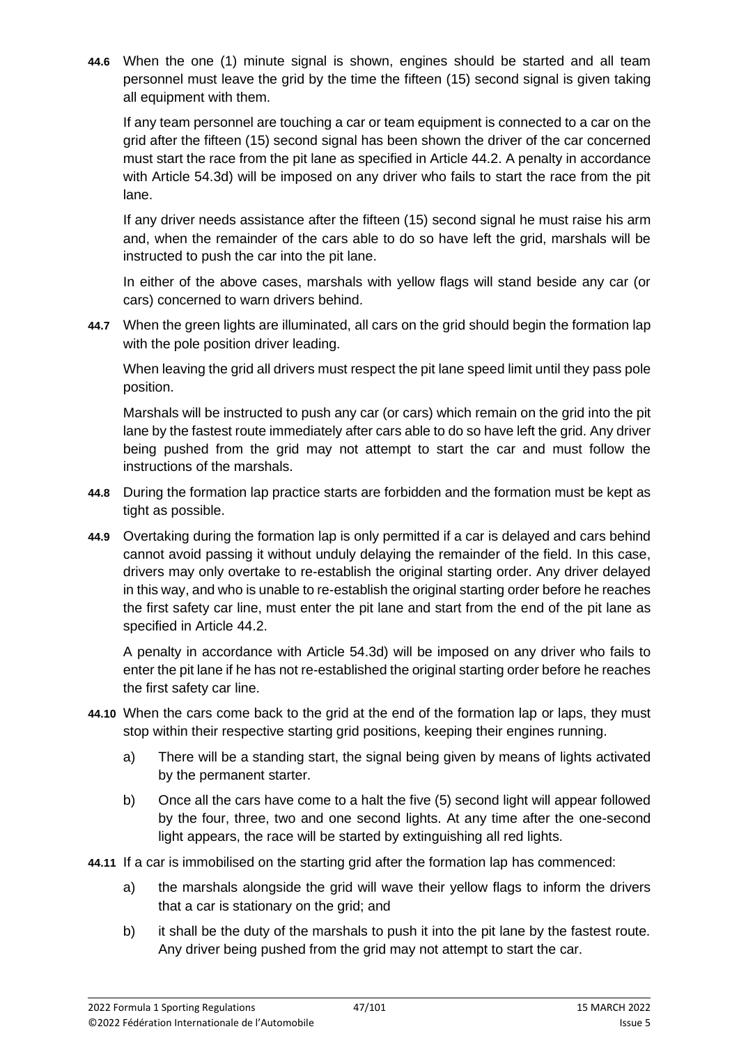**44.6** When the one (1) minute signal is shown, engines should be started and all team personnel must leave the grid by the time the fifteen (15) second signal is given taking all equipment with them.

If any team personnel are touching a car or team equipment is connected to a car on the grid after the fifteen (15) second signal has been shown the driver of the car concerned must start the race from the pit lane as specified in Article 44.2. A penalty in accordance with Article 54.3d) will be imposed on any driver who fails to start the race from the pit lane.

If any driver needs assistance after the fifteen (15) second signal he must raise his arm and, when the remainder of the cars able to do so have left the grid, marshals will be instructed to push the car into the pit lane.

In either of the above cases, marshals with yellow flags will stand beside any car (or cars) concerned to warn drivers behind.

**44.7** When the green lights are illuminated, all cars on the grid should begin the formation lap with the pole position driver leading.

When leaving the grid all drivers must respect the pit lane speed limit until they pass pole position.

Marshals will be instructed to push any car (or cars) which remain on the grid into the pit lane by the fastest route immediately after cars able to do so have left the grid. Any driver being pushed from the grid may not attempt to start the car and must follow the instructions of the marshals.

- **44.8** During the formation lap practice starts are forbidden and the formation must be kept as tight as possible.
- **44.9** Overtaking during the formation lap is only permitted if a car is delayed and cars behind cannot avoid passing it without unduly delaying the remainder of the field. In this case, drivers may only overtake to re-establish the original starting order. Any driver delayed in this way, and who is unable to re-establish the original starting order before he reaches the first safety car line, must enter the pit lane and start from the end of the pit lane as specified in Article 44.2.

A penalty in accordance with Article 54.3d) will be imposed on any driver who fails to enter the pit lane if he has not re-established the original starting order before he reaches the first safety car line.

- **44.10** When the cars come back to the grid at the end of the formation lap or laps, they must stop within their respective starting grid positions, keeping their engines running.
	- a) There will be a standing start, the signal being given by means of lights activated by the permanent starter.
	- b) Once all the cars have come to a halt the five (5) second light will appear followed by the four, three, two and one second lights. At any time after the one-second light appears, the race will be started by extinguishing all red lights.
- **44.11** If a car is immobilised on the starting grid after the formation lap has commenced:
	- a) the marshals alongside the grid will wave their yellow flags to inform the drivers that a car is stationary on the grid; and
	- b) it shall be the duty of the marshals to push it into the pit lane by the fastest route. Any driver being pushed from the grid may not attempt to start the car.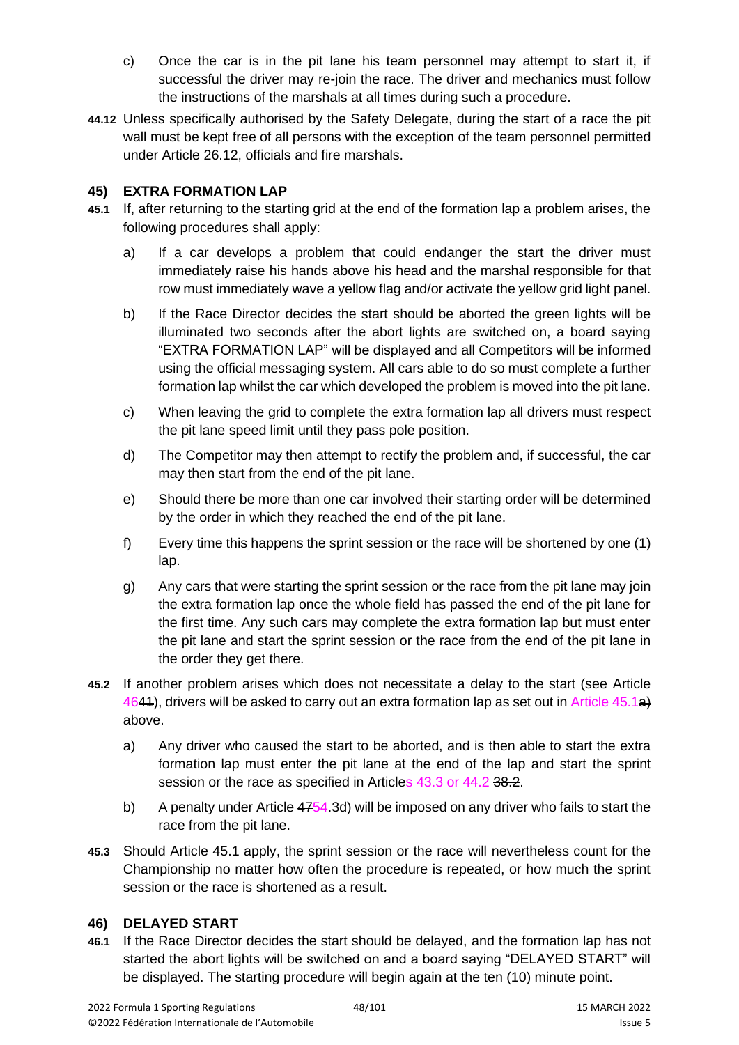- c) Once the car is in the pit lane his team personnel may attempt to start it, if successful the driver may re-join the race. The driver and mechanics must follow the instructions of the marshals at all times during such a procedure.
- **44.12** Unless specifically authorised by the Safety Delegate, during the start of a race the pit wall must be kept free of all persons with the exception of the team personnel permitted under Article 26.12, officials and fire marshals.

## **45) EXTRA FORMATION LAP**

- **45.1** If, after returning to the starting grid at the end of the formation lap a problem arises, the following procedures shall apply:
	- a) If a car develops a problem that could endanger the start the driver must immediately raise his hands above his head and the marshal responsible for that row must immediately wave a yellow flag and/or activate the yellow grid light panel.
	- b) If the Race Director decides the start should be aborted the green lights will be illuminated two seconds after the abort lights are switched on, a board saying "EXTRA FORMATION LAP" will be displayed and all Competitors will be informed using the official messaging system. All cars able to do so must complete a further formation lap whilst the car which developed the problem is moved into the pit lane.
	- c) When leaving the grid to complete the extra formation lap all drivers must respect the pit lane speed limit until they pass pole position.
	- d) The Competitor may then attempt to rectify the problem and, if successful, the car may then start from the end of the pit lane.
	- e) Should there be more than one car involved their starting order will be determined by the order in which they reached the end of the pit lane.
	- f) Every time this happens the sprint session or the race will be shortened by one (1) lap.
	- g) Any cars that were starting the sprint session or the race from the pit lane may join the extra formation lap once the whole field has passed the end of the pit lane for the first time. Any such cars may complete the extra formation lap but must enter the pit lane and start the sprint session or the race from the end of the pit lane in the order they get there.
- **45.2** If another problem arises which does not necessitate a delay to the start (see Article 4644), drivers will be asked to carry out an extra formation lap as set out in Article 45.1<sup>a</sup>) above.
	- a) Any driver who caused the start to be aborted, and is then able to start the extra formation lap must enter the pit lane at the end of the lap and start the sprint session or the race as specified in Articles 43.3 or 44.2 38.2.
	- b) A penalty under Article  $4754.3d$  will be imposed on any driver who fails to start the race from the pit lane.
- **45.3** Should Article 45.1 apply, the sprint session or the race will nevertheless count for the Championship no matter how often the procedure is repeated, or how much the sprint session or the race is shortened as a result.

## **46) DELAYED START**

**46.1** If the Race Director decides the start should be delayed, and the formation lap has not started the abort lights will be switched on and a board saying "DELAYED START" will be displayed. The starting procedure will begin again at the ten (10) minute point.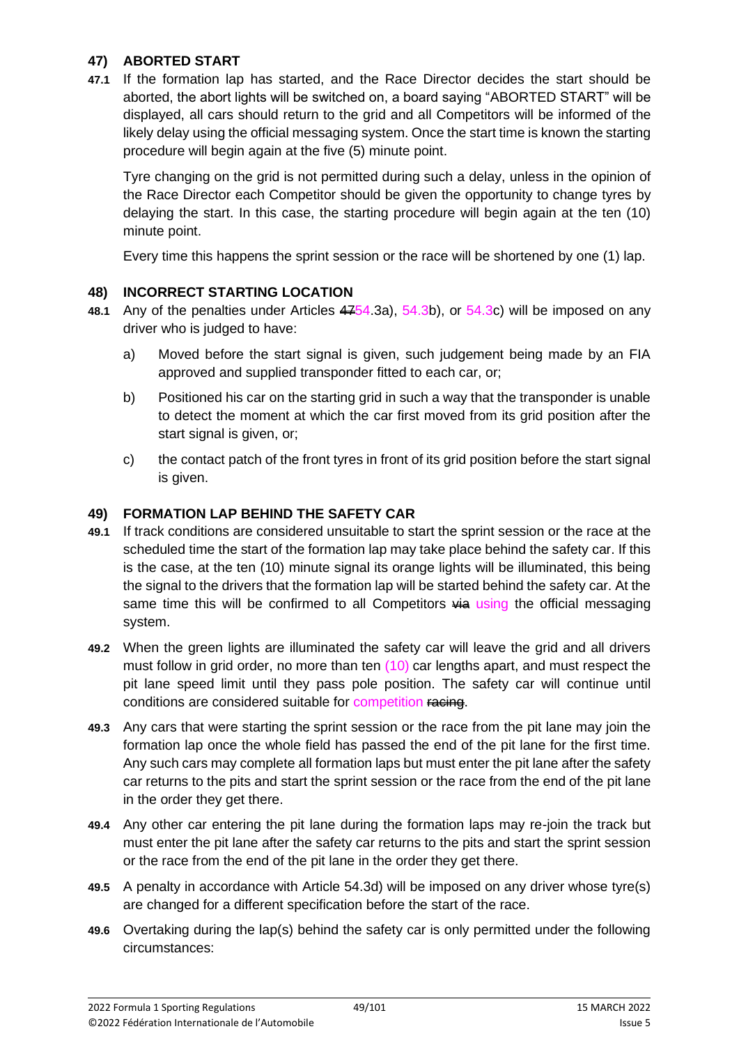## **47) ABORTED START**

**47.1** If the formation lap has started, and the Race Director decides the start should be aborted, the abort lights will be switched on, a board saying "ABORTED START" will be displayed, all cars should return to the grid and all Competitors will be informed of the likely delay using the official messaging system. Once the start time is known the starting procedure will begin again at the five (5) minute point.

Tyre changing on the grid is not permitted during such a delay, unless in the opinion of the Race Director each Competitor should be given the opportunity to change tyres by delaying the start. In this case, the starting procedure will begin again at the ten (10) minute point.

Every time this happens the sprint session or the race will be shortened by one (1) lap.

## **48) INCORRECT STARTING LOCATION**

- **48.1** Any of the penalties under Articles 4754.3a), 54.3b), or 54.3c) will be imposed on any driver who is judged to have:
	- a) Moved before the start signal is given, such judgement being made by an FIA approved and supplied transponder fitted to each car, or;
	- b) Positioned his car on the starting grid in such a way that the transponder is unable to detect the moment at which the car first moved from its grid position after the start signal is given, or;
	- c) the contact patch of the front tyres in front of its grid position before the start signal is given.

#### **49) FORMATION LAP BEHIND THE SAFETY CAR**

- **49.1** If track conditions are considered unsuitable to start the sprint session or the race at the scheduled time the start of the formation lap may take place behind the safety car. If this is the case, at the ten (10) minute signal its orange lights will be illuminated, this being the signal to the drivers that the formation lap will be started behind the safety car. At the same time this will be confirmed to all Competitors  $\overline{4a}$  using the official messaging system.
- **49.2** When the green lights are illuminated the safety car will leave the grid and all drivers must follow in grid order, no more than ten (10) car lengths apart, and must respect the pit lane speed limit until they pass pole position. The safety car will continue until conditions are considered suitable for competition racing.
- **49.3** Any cars that were starting the sprint session or the race from the pit lane may join the formation lap once the whole field has passed the end of the pit lane for the first time. Any such cars may complete all formation laps but must enter the pit lane after the safety car returns to the pits and start the sprint session or the race from the end of the pit lane in the order they get there.
- **49.4** Any other car entering the pit lane during the formation laps may re-join the track but must enter the pit lane after the safety car returns to the pits and start the sprint session or the race from the end of the pit lane in the order they get there.
- **49.5** A penalty in accordance with Article 54.3d) will be imposed on any driver whose tyre(s) are changed for a different specification before the start of the race.
- **49.6** Overtaking during the lap(s) behind the safety car is only permitted under the following circumstances: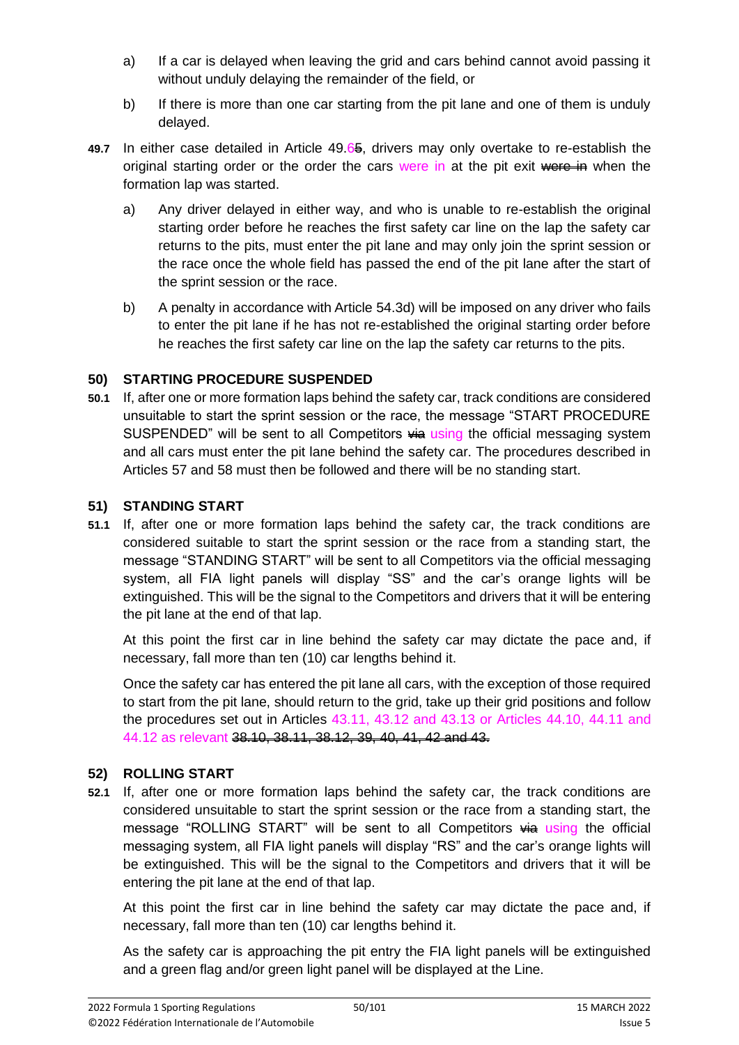- a) If a car is delayed when leaving the grid and cars behind cannot avoid passing it without unduly delaying the remainder of the field, or
- b) If there is more than one car starting from the pit lane and one of them is unduly delayed.
- **49.7** In either case detailed in Article 49.65, drivers may only overtake to re-establish the original starting order or the order the cars were in at the pit exit were in when the formation lap was started.
	- a) Any driver delayed in either way, and who is unable to re-establish the original starting order before he reaches the first safety car line on the lap the safety car returns to the pits, must enter the pit lane and may only join the sprint session or the race once the whole field has passed the end of the pit lane after the start of the sprint session or the race.
	- b) A penalty in accordance with Article 54.3d) will be imposed on any driver who fails to enter the pit lane if he has not re-established the original starting order before he reaches the first safety car line on the lap the safety car returns to the pits.

## **50) STARTING PROCEDURE SUSPENDED**

**50.1** If, after one or more formation laps behind the safety car, track conditions are considered unsuitable to start the sprint session or the race, the message "START PROCEDURE SUSPENDED" will be sent to all Competitors  $\frac{1}{2}$  using the official messaging system and all cars must enter the pit lane behind the safety car. The procedures described in Articles 57 and 58 must then be followed and there will be no standing start.

# **51) STANDING START**

**51.1** If, after one or more formation laps behind the safety car, the track conditions are considered suitable to start the sprint session or the race from a standing start, the message "STANDING START" will be sent to all Competitors via the official messaging system, all FIA light panels will display "SS" and the car's orange lights will be extinguished. This will be the signal to the Competitors and drivers that it will be entering the pit lane at the end of that lap.

At this point the first car in line behind the safety car may dictate the pace and, if necessary, fall more than ten (10) car lengths behind it.

Once the safety car has entered the pit lane all cars, with the exception of those required to start from the pit lane, should return to the grid, take up their grid positions and follow the procedures set out in Articles 43.11, 43.12 and 43.13 or Articles 44.10, 44.11 and 44.12 as relevant 38.10, 38.11, 38.12, 39, 40, 41, 42 and 43.

# **52) ROLLING START**

**52.1** If, after one or more formation laps behind the safety car, the track conditions are considered unsuitable to start the sprint session or the race from a standing start, the message "ROLLING START" will be sent to all Competitors  $\frac{1}{2}$  using the official messaging system, all FIA light panels will display "RS" and the car's orange lights will be extinguished. This will be the signal to the Competitors and drivers that it will be entering the pit lane at the end of that lap.

At this point the first car in line behind the safety car may dictate the pace and, if necessary, fall more than ten (10) car lengths behind it.

As the safety car is approaching the pit entry the FIA light panels will be extinguished and a green flag and/or green light panel will be displayed at the Line.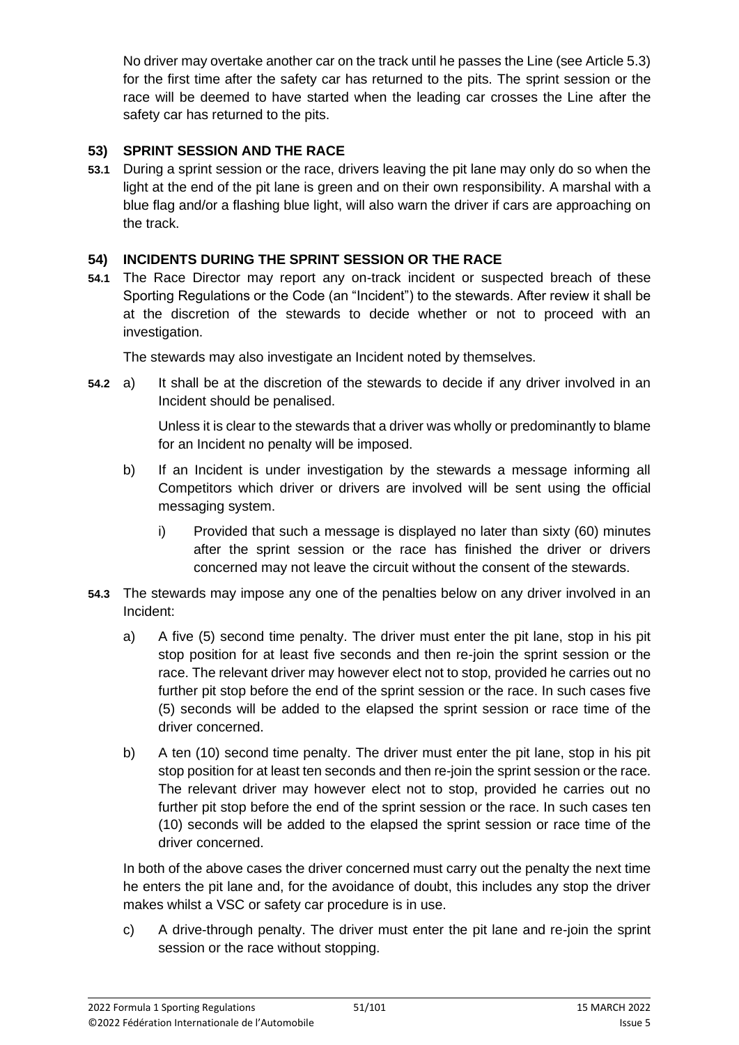No driver may overtake another car on the track until he passes the Line (see Article 5.3) for the first time after the safety car has returned to the pits. The sprint session or the race will be deemed to have started when the leading car crosses the Line after the safety car has returned to the pits.

## **53) SPRINT SESSION AND THE RACE**

**53.1** During a sprint session or the race, drivers leaving the pit lane may only do so when the light at the end of the pit lane is green and on their own responsibility. A marshal with a blue flag and/or a flashing blue light, will also warn the driver if cars are approaching on the track.

## **54) INCIDENTS DURING THE SPRINT SESSION OR THE RACE**

**54.1** The Race Director may report any on-track incident or suspected breach of these Sporting Regulations or the Code (an "Incident") to the stewards. After review it shall be at the discretion of the stewards to decide whether or not to proceed with an investigation.

The stewards may also investigate an Incident noted by themselves.

**54.2** a) It shall be at the discretion of the stewards to decide if any driver involved in an Incident should be penalised.

> Unless it is clear to the stewards that a driver was wholly or predominantly to blame for an Incident no penalty will be imposed.

- b) If an Incident is under investigation by the stewards a message informing all Competitors which driver or drivers are involved will be sent using the official messaging system.
	- i) Provided that such a message is displayed no later than sixty (60) minutes after the sprint session or the race has finished the driver or drivers concerned may not leave the circuit without the consent of the stewards.
- **54.3** The stewards may impose any one of the penalties below on any driver involved in an Incident:
	- a) A five (5) second time penalty. The driver must enter the pit lane, stop in his pit stop position for at least five seconds and then re-join the sprint session or the race. The relevant driver may however elect not to stop, provided he carries out no further pit stop before the end of the sprint session or the race. In such cases five (5) seconds will be added to the elapsed the sprint session or race time of the driver concerned.
	- b) A ten (10) second time penalty. The driver must enter the pit lane, stop in his pit stop position for at least ten seconds and then re-join the sprint session or the race. The relevant driver may however elect not to stop, provided he carries out no further pit stop before the end of the sprint session or the race. In such cases ten (10) seconds will be added to the elapsed the sprint session or race time of the driver concerned.

In both of the above cases the driver concerned must carry out the penalty the next time he enters the pit lane and, for the avoidance of doubt, this includes any stop the driver makes whilst a VSC or safety car procedure is in use.

c) A drive-through penalty. The driver must enter the pit lane and re-join the sprint session or the race without stopping.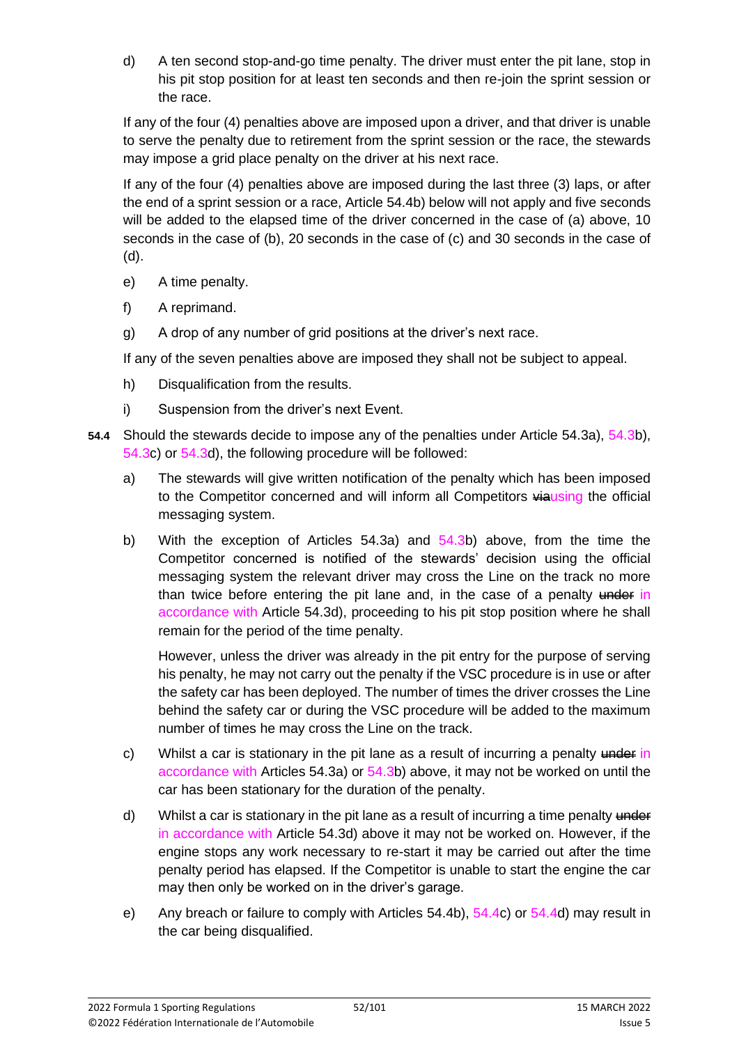d) A ten second stop-and-go time penalty. The driver must enter the pit lane, stop in his pit stop position for at least ten seconds and then re-join the sprint session or the race.

If any of the four (4) penalties above are imposed upon a driver, and that driver is unable to serve the penalty due to retirement from the sprint session or the race, the stewards may impose a grid place penalty on the driver at his next race.

If any of the four (4) penalties above are imposed during the last three (3) laps, or after the end of a sprint session or a race, Article 54.4b) below will not apply and five seconds will be added to the elapsed time of the driver concerned in the case of (a) above, 10 seconds in the case of (b), 20 seconds in the case of (c) and 30 seconds in the case of (d).

- e) A time penalty.
- f) A reprimand.
- g) A drop of any number of grid positions at the driver's next race.

If any of the seven penalties above are imposed they shall not be subject to appeal.

- h) Disqualification from the results.
- i) Suspension from the driver's next Event.
- **54.4** Should the stewards decide to impose any of the penalties under Article 54.3a), 54.3b), 54.3c) or 54.3d), the following procedure will be followed:
	- a) The stewards will give written notification of the penalty which has been imposed to the Competitor concerned and will inform all Competitors viausing the official messaging system.
	- b) With the exception of Articles 54.3a) and 54.3b) above, from the time the Competitor concerned is notified of the stewards' decision using the official messaging system the relevant driver may cross the Line on the track no more than twice before entering the pit lane and, in the case of a penalty under in accordance with Article 54.3d), proceeding to his pit stop position where he shall remain for the period of the time penalty.

However, unless the driver was already in the pit entry for the purpose of serving his penalty, he may not carry out the penalty if the VSC procedure is in use or after the safety car has been deployed. The number of times the driver crosses the Line behind the safety car or during the VSC procedure will be added to the maximum number of times he may cross the Line on the track.

- c) Whilst a car is stationary in the pit lane as a result of incurring a penalty  $\frac{1}{2}$ accordance with Articles 54.3a) or 54.3b) above, it may not be worked on until the car has been stationary for the duration of the penalty.
- d) Whilst a car is stationary in the pit lane as a result of incurring a time penalty  $\frac{1}{2}$ in accordance with Article 54.3d) above it may not be worked on. However, if the engine stops any work necessary to re-start it may be carried out after the time penalty period has elapsed. If the Competitor is unable to start the engine the car may then only be worked on in the driver's garage.
- e) Any breach or failure to comply with Articles 54.4b), 54.4c) or 54.4d) may result in the car being disqualified.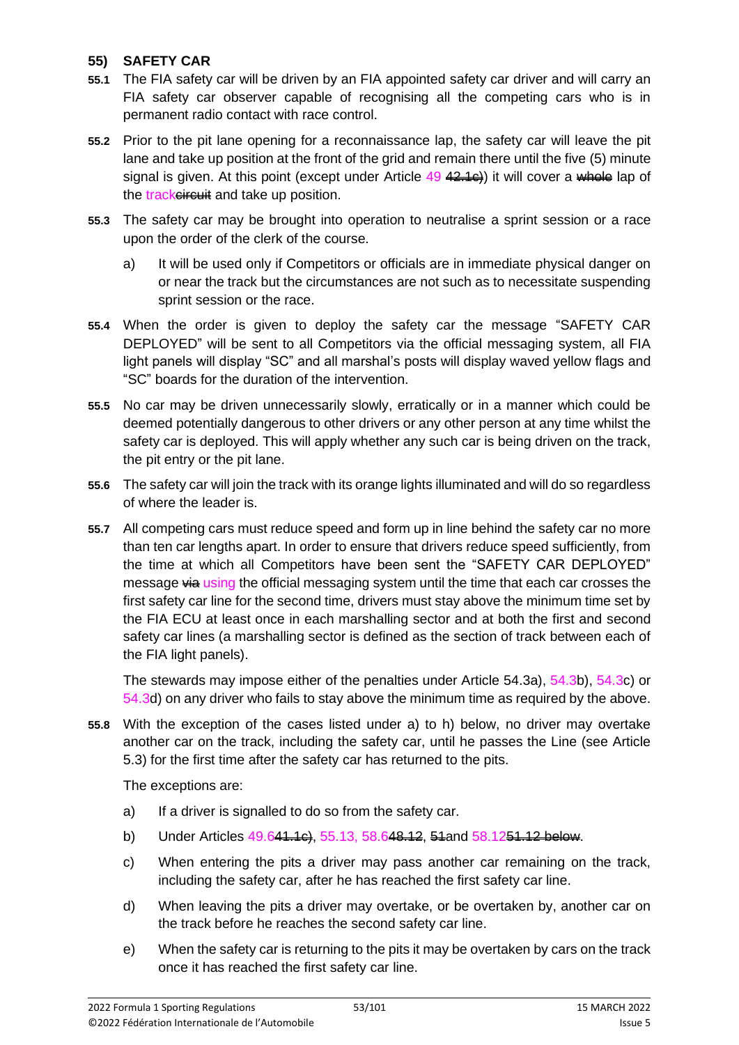#### **55) SAFETY CAR**

- **55.1** The FIA safety car will be driven by an FIA appointed safety car driver and will carry an FIA safety car observer capable of recognising all the competing cars who is in permanent radio contact with race control.
- **55.2** Prior to the pit lane opening for a reconnaissance lap, the safety car will leave the pit lane and take up position at the front of the grid and remain there until the five (5) minute signal is given. At this point (except under Article  $49$   $42.1c$ ) it will cover a whole lap of the trackeireuit and take up position.
- **55.3** The safety car may be brought into operation to neutralise a sprint session or a race upon the order of the clerk of the course.
	- a) It will be used only if Competitors or officials are in immediate physical danger on or near the track but the circumstances are not such as to necessitate suspending sprint session or the race.
- **55.4** When the order is given to deploy the safety car the message "SAFETY CAR DEPLOYED" will be sent to all Competitors via the official messaging system, all FIA light panels will display "SC" and all marshal's posts will display waved yellow flags and "SC" boards for the duration of the intervention.
- **55.5** No car may be driven unnecessarily slowly, erratically or in a manner which could be deemed potentially dangerous to other drivers or any other person at any time whilst the safety car is deployed. This will apply whether any such car is being driven on the track, the pit entry or the pit lane.
- **55.6** The safety car will join the track with its orange lights illuminated and will do so regardless of where the leader is.
- **55.7** All competing cars must reduce speed and form up in line behind the safety car no more than ten car lengths apart. In order to ensure that drivers reduce speed sufficiently, from the time at which all Competitors have been sent the "SAFETY CAR DEPLOYED" message via using the official messaging system until the time that each car crosses the first safety car line for the second time, drivers must stay above the minimum time set by the FIA ECU at least once in each marshalling sector and at both the first and second safety car lines (a marshalling sector is defined as the section of track between each of the FIA light panels).

The stewards may impose either of the penalties under Article 54.3a), 54.3b), 54.3c) or 54.3d) on any driver who fails to stay above the minimum time as required by the above.

**55.8** With the exception of the cases listed under a) to h) below, no driver may overtake another car on the track, including the safety car, until he passes the Line (see Article 5.3) for the first time after the safety car has returned to the pits.

The exceptions are:

- a) If a driver is signalled to do so from the safety car.
- b) Under Articles 49.641.1c), 55.13, 58.648.12, 54and 58.1251.12 below.
- c) When entering the pits a driver may pass another car remaining on the track, including the safety car, after he has reached the first safety car line.
- d) When leaving the pits a driver may overtake, or be overtaken by, another car on the track before he reaches the second safety car line.
- e) When the safety car is returning to the pits it may be overtaken by cars on the track once it has reached the first safety car line.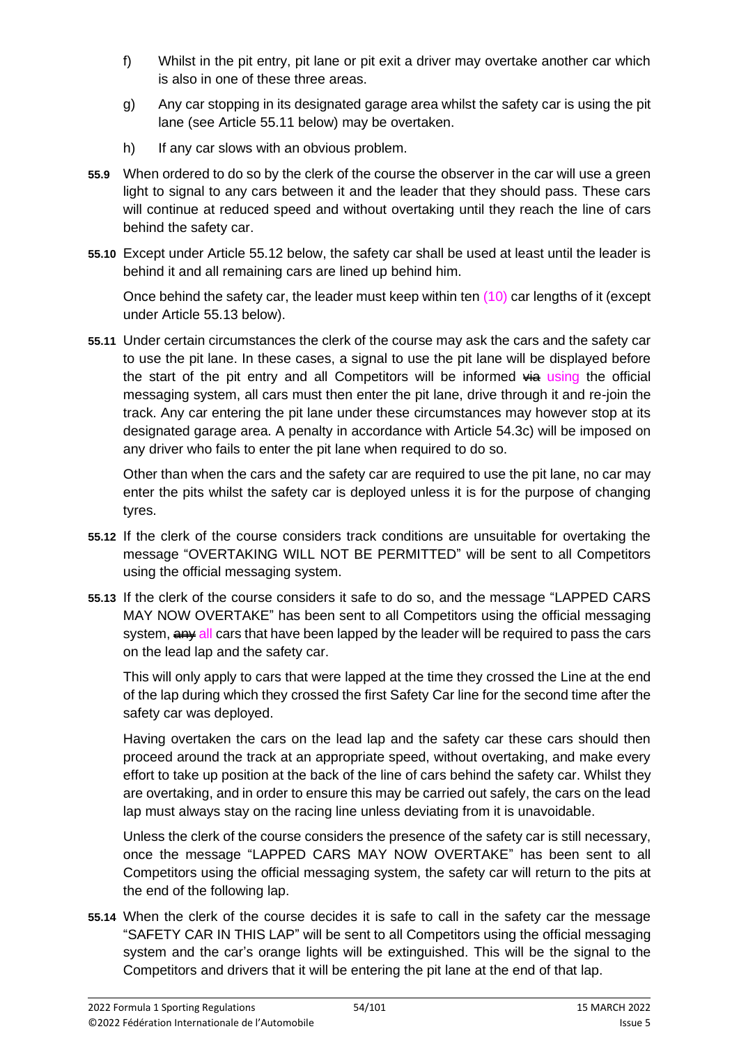- f) Whilst in the pit entry, pit lane or pit exit a driver may overtake another car which is also in one of these three areas.
- g) Any car stopping in its designated garage area whilst the safety car is using the pit lane (see Article 55.11 below) may be overtaken.
- h) If any car slows with an obvious problem.
- **55.9** When ordered to do so by the clerk of the course the observer in the car will use a green light to signal to any cars between it and the leader that they should pass. These cars will continue at reduced speed and without overtaking until they reach the line of cars behind the safety car.
- **55.10** Except under Article 55.12 below, the safety car shall be used at least until the leader is behind it and all remaining cars are lined up behind him.

Once behind the safety car, the leader must keep within ten (10) car lengths of it (except under Article 55.13 below).

**55.11** Under certain circumstances the clerk of the course may ask the cars and the safety car to use the pit lane. In these cases, a signal to use the pit lane will be displayed before the start of the pit entry and all Competitors will be informed  $\frac{1}{2}$  using the official messaging system, all cars must then enter the pit lane, drive through it and re-join the track. Any car entering the pit lane under these circumstances may however stop at its designated garage area. A penalty in accordance with Article 54.3c) will be imposed on any driver who fails to enter the pit lane when required to do so.

Other than when the cars and the safety car are required to use the pit lane, no car may enter the pits whilst the safety car is deployed unless it is for the purpose of changing tyres.

- **55.12** If the clerk of the course considers track conditions are unsuitable for overtaking the message "OVERTAKING WILL NOT BE PERMITTED" will be sent to all Competitors using the official messaging system.
- **55.13** If the clerk of the course considers it safe to do so, and the message "LAPPED CARS MAY NOW OVERTAKE" has been sent to all Competitors using the official messaging system,  $\frac{a}{b}$  all cars that have been lapped by the leader will be required to pass the cars on the lead lap and the safety car.

This will only apply to cars that were lapped at the time they crossed the Line at the end of the lap during which they crossed the first Safety Car line for the second time after the safety car was deployed.

Having overtaken the cars on the lead lap and the safety car these cars should then proceed around the track at an appropriate speed, without overtaking, and make every effort to take up position at the back of the line of cars behind the safety car. Whilst they are overtaking, and in order to ensure this may be carried out safely, the cars on the lead lap must always stay on the racing line unless deviating from it is unavoidable.

Unless the clerk of the course considers the presence of the safety car is still necessary, once the message "LAPPED CARS MAY NOW OVERTAKE" has been sent to all Competitors using the official messaging system, the safety car will return to the pits at the end of the following lap.

**55.14** When the clerk of the course decides it is safe to call in the safety car the message "SAFETY CAR IN THIS LAP" will be sent to all Competitors using the official messaging system and the car's orange lights will be extinguished. This will be the signal to the Competitors and drivers that it will be entering the pit lane at the end of that lap.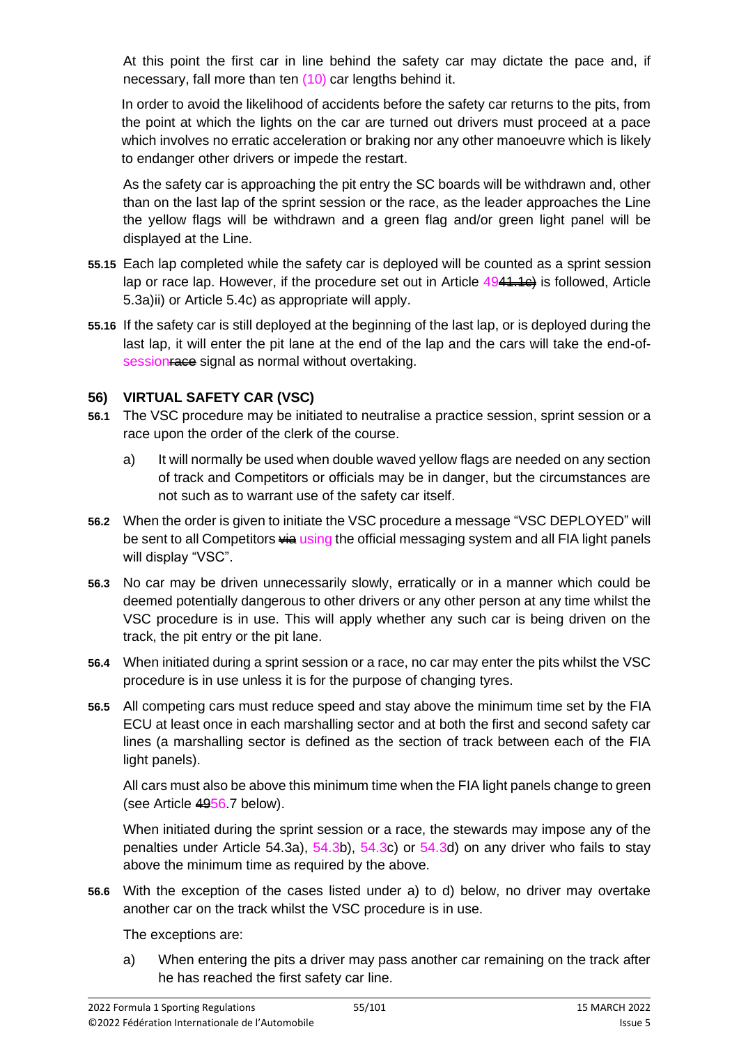At this point the first car in line behind the safety car may dictate the pace and, if necessary, fall more than ten (10) car lengths behind it.

In order to avoid the likelihood of accidents before the safety car returns to the pits, from the point at which the lights on the car are turned out drivers must proceed at a pace which involves no erratic acceleration or braking nor any other manoeuvre which is likely to endanger other drivers or impede the restart.

As the safety car is approaching the pit entry the SC boards will be withdrawn and, other than on the last lap of the sprint session or the race, as the leader approaches the Line the yellow flags will be withdrawn and a green flag and/or green light panel will be displayed at the Line.

- **55.15** Each lap completed while the safety car is deployed will be counted as a sprint session lap or race lap. However, if the procedure set out in Article  $4944.1e$  is followed, Article 5.3a)ii) or Article 5.4c) as appropriate will apply.
- **55.16** If the safety car is still deployed at the beginning of the last lap, or is deployed during the last lap, it will enter the pit lane at the end of the lap and the cars will take the end-ofsession as signal as normal without overtaking.

## **56) VIRTUAL SAFETY CAR (VSC)**

- **56.1** The VSC procedure may be initiated to neutralise a practice session, sprint session or a race upon the order of the clerk of the course.
	- a) It will normally be used when double waved yellow flags are needed on any section of track and Competitors or officials may be in danger, but the circumstances are not such as to warrant use of the safety car itself.
- **56.2** When the order is given to initiate the VSC procedure a message "VSC DEPLOYED" will be sent to all Competitors **via using the official messaging system and all FIA light panels** will display "VSC".
- **56.3** No car may be driven unnecessarily slowly, erratically or in a manner which could be deemed potentially dangerous to other drivers or any other person at any time whilst the VSC procedure is in use. This will apply whether any such car is being driven on the track, the pit entry or the pit lane.
- **56.4** When initiated during a sprint session or a race, no car may enter the pits whilst the VSC procedure is in use unless it is for the purpose of changing tyres.
- **56.5** All competing cars must reduce speed and stay above the minimum time set by the FIA ECU at least once in each marshalling sector and at both the first and second safety car lines (a marshalling sector is defined as the section of track between each of the FIA light panels).

All cars must also be above this minimum time when the FIA light panels change to green (see Article 4956.7 below).

When initiated during the sprint session or a race, the stewards may impose any of the penalties under Article 54.3a), 54.3b), 54.3c) or 54.3d) on any driver who fails to stay above the minimum time as required by the above.

**56.6** With the exception of the cases listed under a) to d) below, no driver may overtake another car on the track whilst the VSC procedure is in use.

The exceptions are:

a) When entering the pits a driver may pass another car remaining on the track after he has reached the first safety car line.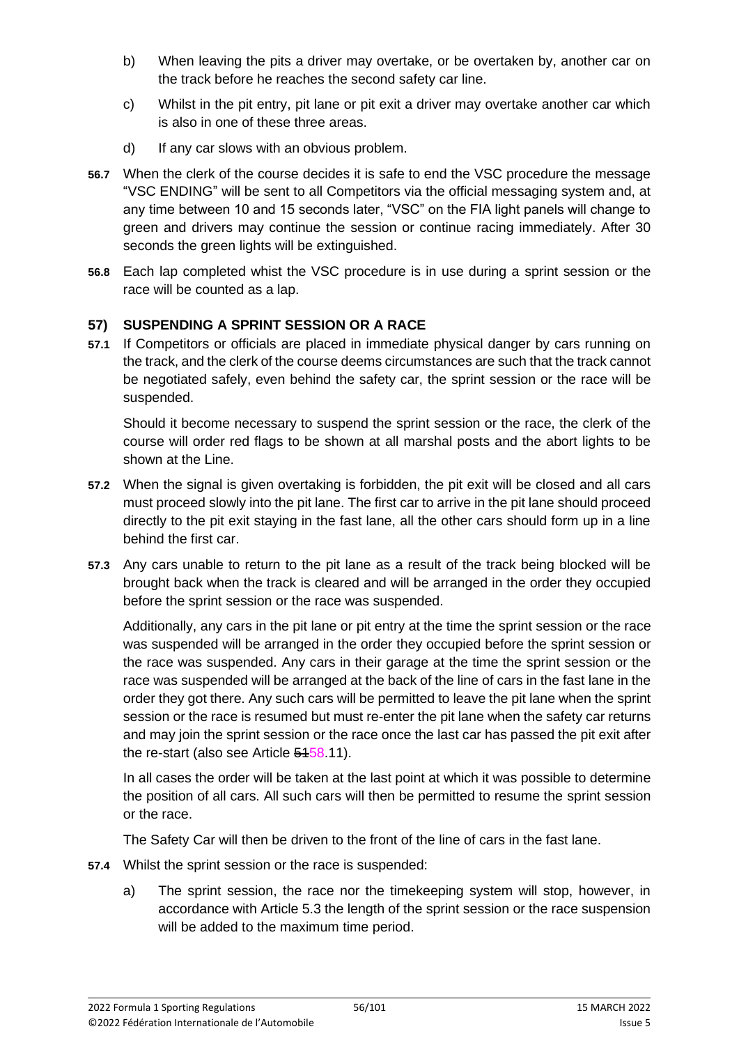- b) When leaving the pits a driver may overtake, or be overtaken by, another car on the track before he reaches the second safety car line.
- c) Whilst in the pit entry, pit lane or pit exit a driver may overtake another car which is also in one of these three areas.
- d) If any car slows with an obvious problem.
- **56.7** When the clerk of the course decides it is safe to end the VSC procedure the message "VSC ENDING" will be sent to all Competitors via the official messaging system and, at any time between 10 and 15 seconds later, "VSC" on the FIA light panels will change to green and drivers may continue the session or continue racing immediately. After 30 seconds the green lights will be extinguished.
- **56.8** Each lap completed whist the VSC procedure is in use during a sprint session or the race will be counted as a lap.

# **57) SUSPENDING A SPRINT SESSION OR A RACE**

**57.1** If Competitors or officials are placed in immediate physical danger by cars running on the track, and the clerk of the course deems circumstances are such that the track cannot be negotiated safely, even behind the safety car, the sprint session or the race will be suspended.

Should it become necessary to suspend the sprint session or the race, the clerk of the course will order red flags to be shown at all marshal posts and the abort lights to be shown at the Line.

- **57.2** When the signal is given overtaking is forbidden, the pit exit will be closed and all cars must proceed slowly into the pit lane. The first car to arrive in the pit lane should proceed directly to the pit exit staying in the fast lane, all the other cars should form up in a line behind the first car.
- **57.3** Any cars unable to return to the pit lane as a result of the track being blocked will be brought back when the track is cleared and will be arranged in the order they occupied before the sprint session or the race was suspended.

Additionally, any cars in the pit lane or pit entry at the time the sprint session or the race was suspended will be arranged in the order they occupied before the sprint session or the race was suspended. Any cars in their garage at the time the sprint session or the race was suspended will be arranged at the back of the line of cars in the fast lane in the order they got there. Any such cars will be permitted to leave the pit lane when the sprint session or the race is resumed but must re-enter the pit lane when the safety car returns and may join the sprint session or the race once the last car has passed the pit exit after the re-start (also see Article 5458.11).

In all cases the order will be taken at the last point at which it was possible to determine the position of all cars. All such cars will then be permitted to resume the sprint session or the race.

The Safety Car will then be driven to the front of the line of cars in the fast lane.

- **57.4** Whilst the sprint session or the race is suspended:
	- a) The sprint session, the race nor the timekeeping system will stop, however, in accordance with Article 5.3 the length of the sprint session or the race suspension will be added to the maximum time period.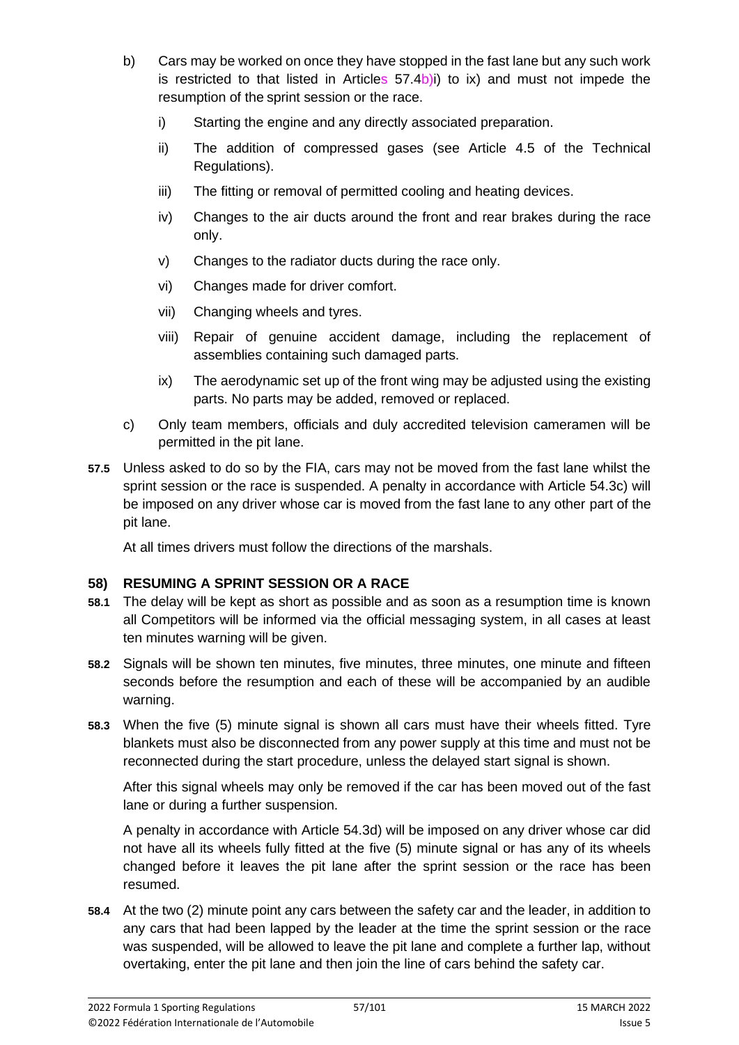- b) Cars may be worked on once they have stopped in the fast lane but any such work is restricted to that listed in Articles  $57.4$ b)i) to ix) and must not impede the resumption of the sprint session or the race.
	- i) Starting the engine and any directly associated preparation.
	- ii) The addition of compressed gases (see Article 4.5 of the Technical Regulations).
	- iii) The fitting or removal of permitted cooling and heating devices.
	- iv) Changes to the air ducts around the front and rear brakes during the race only.
	- v) Changes to the radiator ducts during the race only.
	- vi) Changes made for driver comfort.
	- vii) Changing wheels and tyres.
	- viii) Repair of genuine accident damage, including the replacement of assemblies containing such damaged parts.
	- ix) The aerodynamic set up of the front wing may be adjusted using the existing parts. No parts may be added, removed or replaced.
- c) Only team members, officials and duly accredited television cameramen will be permitted in the pit lane.
- **57.5** Unless asked to do so by the FIA, cars may not be moved from the fast lane whilst the sprint session or the race is suspended. A penalty in accordance with Article 54.3c) will be imposed on any driver whose car is moved from the fast lane to any other part of the pit lane.

At all times drivers must follow the directions of the marshals.

# **58) RESUMING A SPRINT SESSION OR A RACE**

- **58.1** The delay will be kept as short as possible and as soon as a resumption time is known all Competitors will be informed via the official messaging system, in all cases at least ten minutes warning will be given.
- **58.2** Signals will be shown ten minutes, five minutes, three minutes, one minute and fifteen seconds before the resumption and each of these will be accompanied by an audible warning.
- **58.3** When the five (5) minute signal is shown all cars must have their wheels fitted. Tyre blankets must also be disconnected from any power supply at this time and must not be reconnected during the start procedure, unless the delayed start signal is shown.

After this signal wheels may only be removed if the car has been moved out of the fast lane or during a further suspension.

A penalty in accordance with Article 54.3d) will be imposed on any driver whose car did not have all its wheels fully fitted at the five (5) minute signal or has any of its wheels changed before it leaves the pit lane after the sprint session or the race has been resumed.

**58.4** At the two (2) minute point any cars between the safety car and the leader, in addition to any cars that had been lapped by the leader at the time the sprint session or the race was suspended, will be allowed to leave the pit lane and complete a further lap, without overtaking, enter the pit lane and then join the line of cars behind the safety car.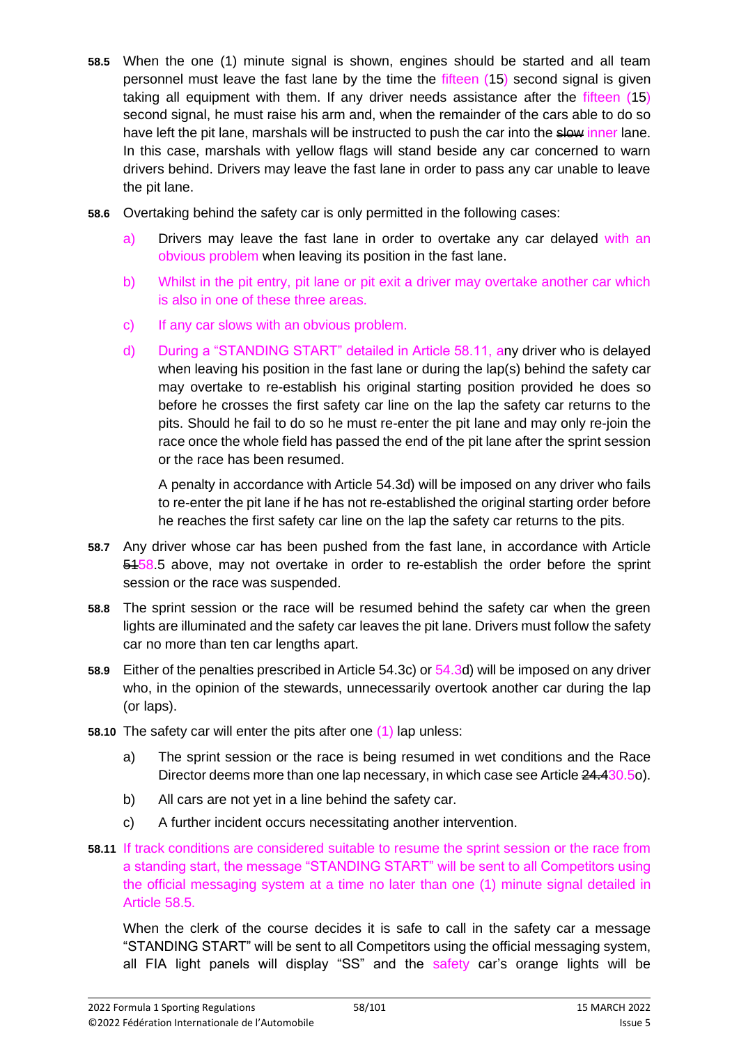- **58.5** When the one (1) minute signal is shown, engines should be started and all team personnel must leave the fast lane by the time the fifteen (15) second signal is given taking all equipment with them. If any driver needs assistance after the fifteen (15) second signal, he must raise his arm and, when the remainder of the cars able to do so have left the pit lane, marshals will be instructed to push the car into the slow inner lane. In this case, marshals with yellow flags will stand beside any car concerned to warn drivers behind. Drivers may leave the fast lane in order to pass any car unable to leave the pit lane.
- **58.6** Overtaking behind the safety car is only permitted in the following cases:
	- a) Drivers may leave the fast lane in order to overtake any car delayed with an obvious problem when leaving its position in the fast lane.
	- b) Whilst in the pit entry, pit lane or pit exit a driver may overtake another car which is also in one of these three areas.
	- c) If any car slows with an obvious problem.
	- d) During a "STANDING START" detailed in Article 58.11, any driver who is delayed when leaving his position in the fast lane or during the lap(s) behind the safety car may overtake to re-establish his original starting position provided he does so before he crosses the first safety car line on the lap the safety car returns to the pits. Should he fail to do so he must re-enter the pit lane and may only re-join the race once the whole field has passed the end of the pit lane after the sprint session or the race has been resumed.

A penalty in accordance with Article 54.3d) will be imposed on any driver who fails to re-enter the pit lane if he has not re-established the original starting order before he reaches the first safety car line on the lap the safety car returns to the pits.

- **58.7** Any driver whose car has been pushed from the fast lane, in accordance with Article 5458.5 above, may not overtake in order to re-establish the order before the sprint session or the race was suspended.
- **58.8** The sprint session or the race will be resumed behind the safety car when the green lights are illuminated and the safety car leaves the pit lane. Drivers must follow the safety car no more than ten car lengths apart.
- **58.9** Either of the penalties prescribed in Article 54.3c) or 54.3d) will be imposed on any driver who, in the opinion of the stewards, unnecessarily overtook another car during the lap (or laps).
- **58.10** The safety car will enter the pits after one (1) lap unless:
	- a) The sprint session or the race is being resumed in wet conditions and the Race Director deems more than one lap necessary, in which case see Article 24,430.5o).
	- b) All cars are not yet in a line behind the safety car.
	- c) A further incident occurs necessitating another intervention.
- **58.11** If track conditions are considered suitable to resume the sprint session or the race from a standing start, the message "STANDING START" will be sent to all Competitors using the official messaging system at a time no later than one (1) minute signal detailed in Article 58.5.

When the clerk of the course decides it is safe to call in the safety car a message "STANDING START" will be sent to all Competitors using the official messaging system, all FIA light panels will display "SS" and the safety car's orange lights will be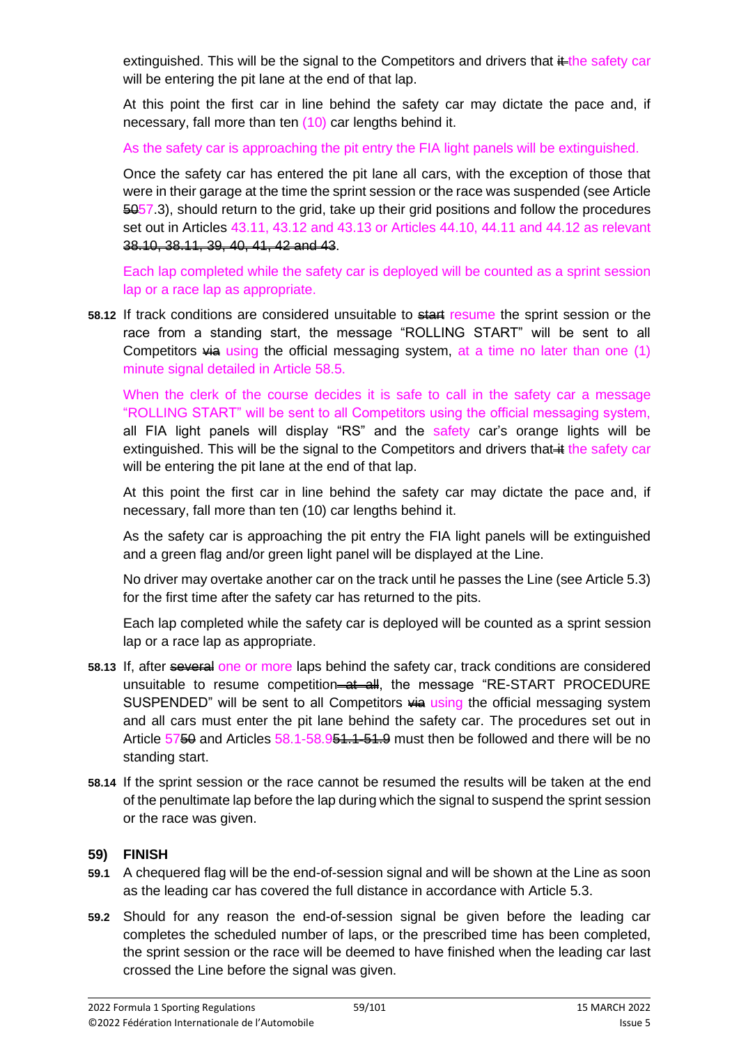extinguished. This will be the signal to the Competitors and drivers that  $\frac{1}{k}$ the safety car will be entering the pit lane at the end of that lap.

At this point the first car in line behind the safety car may dictate the pace and, if necessary, fall more than ten (10) car lengths behind it.

As the safety car is approaching the pit entry the FIA light panels will be extinguished.

Once the safety car has entered the pit lane all cars, with the exception of those that were in their garage at the time the sprint session or the race was suspended (see Article  $\overline{6057.3}$ , should return to the grid, take up their grid positions and follow the procedures set out in Articles 43.11, 43.12 and 43.13 or Articles 44.10, 44.11 and 44.12 as relevant 38.10, 38.11, 39, 40, 41, 42 and 43.

Each lap completed while the safety car is deployed will be counted as a sprint session lap or a race lap as appropriate.

58.12 If track conditions are considered unsuitable to start resume the sprint session or the race from a standing start, the message "ROLLING START" will be sent to all Competitors  $\frac{1}{2}$  using the official messaging system, at a time no later than one (1) minute signal detailed in Article 58.5.

When the clerk of the course decides it is safe to call in the safety car a message "ROLLING START" will be sent to all Competitors using the official messaging system, all FIA light panels will display "RS" and the safety car's orange lights will be extinguished. This will be the signal to the Competitors and drivers that  $\ddot{a}$  the safety car will be entering the pit lane at the end of that lap.

At this point the first car in line behind the safety car may dictate the pace and, if necessary, fall more than ten (10) car lengths behind it.

As the safety car is approaching the pit entry the FIA light panels will be extinguished and a green flag and/or green light panel will be displayed at the Line.

No driver may overtake another car on the track until he passes the Line (see Article 5.3) for the first time after the safety car has returned to the pits.

Each lap completed while the safety car is deployed will be counted as a sprint session lap or a race lap as appropriate.

- **58.13** If, after several one or more laps behind the safety car, track conditions are considered unsuitable to resume competition-at all, the message "RE-START PROCEDURE SUSPENDED" will be sent to all Competitors  $\frac{1}{2}$  using the official messaging system and all cars must enter the pit lane behind the safety car. The procedures set out in Article  $5750$  and Articles  $58.1 - 58.951 + 51.9$  must then be followed and there will be no standing start.
- **58.14** If the sprint session or the race cannot be resumed the results will be taken at the end of the penultimate lap before the lap during which the signal to suspend the sprint session or the race was given.

#### **59) FINISH**

- **59.1** A chequered flag will be the end-of-session signal and will be shown at the Line as soon as the leading car has covered the full distance in accordance with Article 5.3.
- **59.2** Should for any reason the end-of-session signal be given before the leading car completes the scheduled number of laps, or the prescribed time has been completed, the sprint session or the race will be deemed to have finished when the leading car last crossed the Line before the signal was given.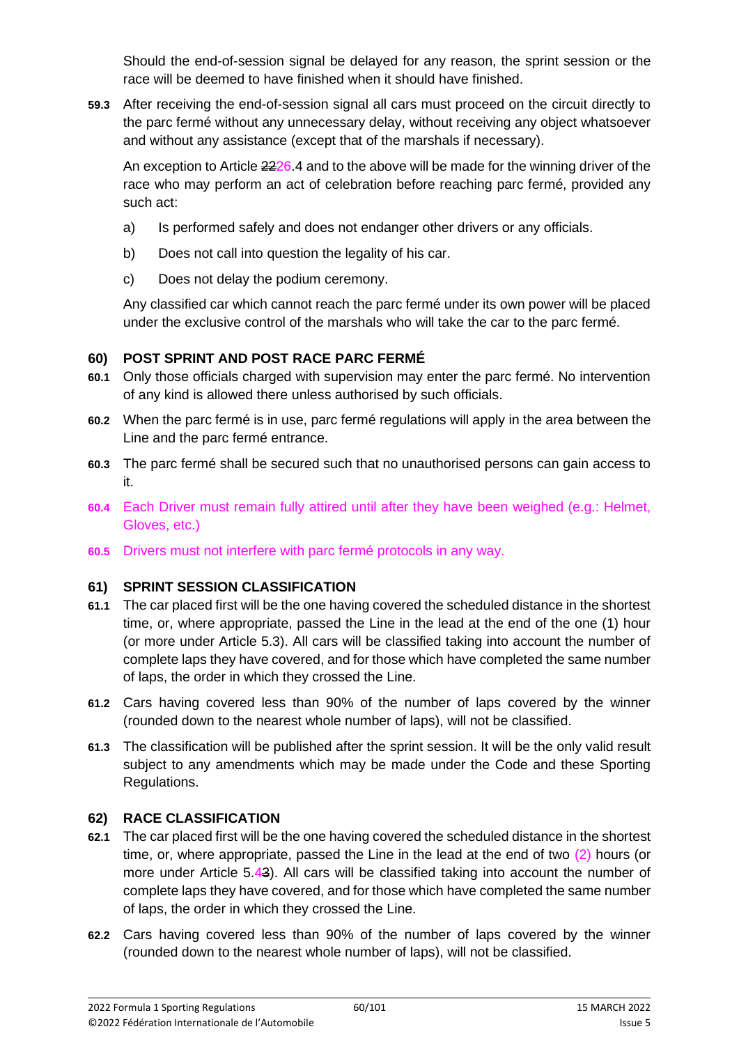Should the end-of-session signal be delayed for any reason, the sprint session or the race will be deemed to have finished when it should have finished.

**59.3** After receiving the end-of-session signal all cars must proceed on the circuit directly to the parc fermé without any unnecessary delay, without receiving any object whatsoever and without any assistance (except that of the marshals if necessary).

An exception to Article  $2226.4$  and to the above will be made for the winning driver of the race who may perform an act of celebration before reaching parc fermé, provided any such act:

- a) Is performed safely and does not endanger other drivers or any officials.
- b) Does not call into question the legality of his car.
- c) Does not delay the podium ceremony.

Any classified car which cannot reach the parc fermé under its own power will be placed under the exclusive control of the marshals who will take the car to the parc fermé.

# **60) POST SPRINT AND POST RACE PARC FERMÉ**

- **60.1** Only those officials charged with supervision may enter the parc fermé. No intervention of any kind is allowed there unless authorised by such officials.
- **60.2** When the parc fermé is in use, parc fermé regulations will apply in the area between the Line and the parc fermé entrance.
- **60.3** The parc fermé shall be secured such that no unauthorised persons can gain access to it.
- **60.4** Each Driver must remain fully attired until after they have been weighed (e.g.: Helmet, Gloves, etc.)
- **60.5** Drivers must not interfere with parc fermé protocols in any way.

## **61) SPRINT SESSION CLASSIFICATION**

- **61.1** The car placed first will be the one having covered the scheduled distance in the shortest time, or, where appropriate, passed the Line in the lead at the end of the one (1) hour (or more under Article 5.3). All cars will be classified taking into account the number of complete laps they have covered, and for those which have completed the same number of laps, the order in which they crossed the Line.
- **61.2** Cars having covered less than 90% of the number of laps covered by the winner (rounded down to the nearest whole number of laps), will not be classified.
- **61.3** The classification will be published after the sprint session. It will be the only valid result subject to any amendments which may be made under the Code and these Sporting Regulations.

## **62) RACE CLASSIFICATION**

- **62.1** The car placed first will be the one having covered the scheduled distance in the shortest time, or, where appropriate, passed the Line in the lead at the end of two (2) hours (or more under Article 5.43). All cars will be classified taking into account the number of complete laps they have covered, and for those which have completed the same number of laps, the order in which they crossed the Line.
- **62.2** Cars having covered less than 90% of the number of laps covered by the winner (rounded down to the nearest whole number of laps), will not be classified.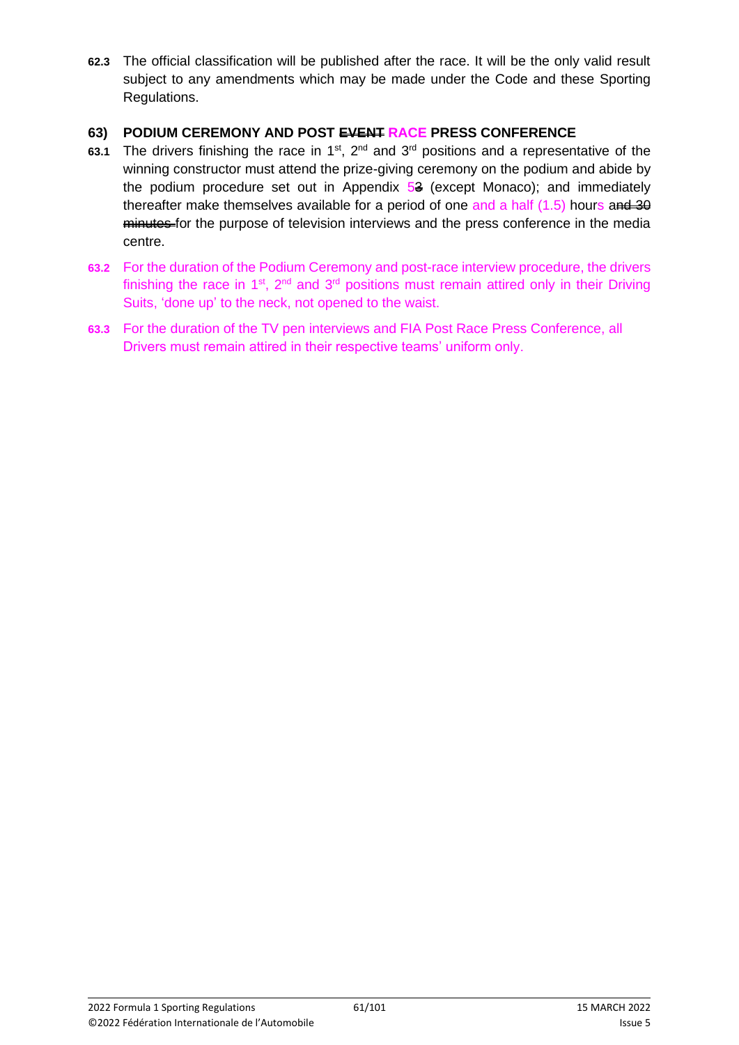**62.3** The official classification will be published after the race. It will be the only valid result subject to any amendments which may be made under the Code and these Sporting Regulations.

#### **63) PODIUM CEREMONY AND POST EVENT RACE PRESS CONFERENCE**

- 63.1 The drivers finishing the race in 1<sup>st</sup>, 2<sup>nd</sup> and 3<sup>rd</sup> positions and a representative of the winning constructor must attend the prize-giving ceremony on the podium and abide by the podium procedure set out in Appendix  $5<sup>3</sup>$  (except Monaco); and immediately thereafter make themselves available for a period of one and a half  $(1.5)$  hours and  $\overline{30}$ minutes for the purpose of television interviews and the press conference in the media centre.
- **63.2** For the duration of the Podium Ceremony and post-race interview procedure, the drivers finishing the race in 1<sup>st</sup>, 2<sup>nd</sup> and 3<sup>rd</sup> positions must remain attired only in their Driving Suits, 'done up' to the neck, not opened to the waist.
- **63.3** For the duration of the TV pen interviews and FIA Post Race Press Conference, all Drivers must remain attired in their respective teams' uniform only.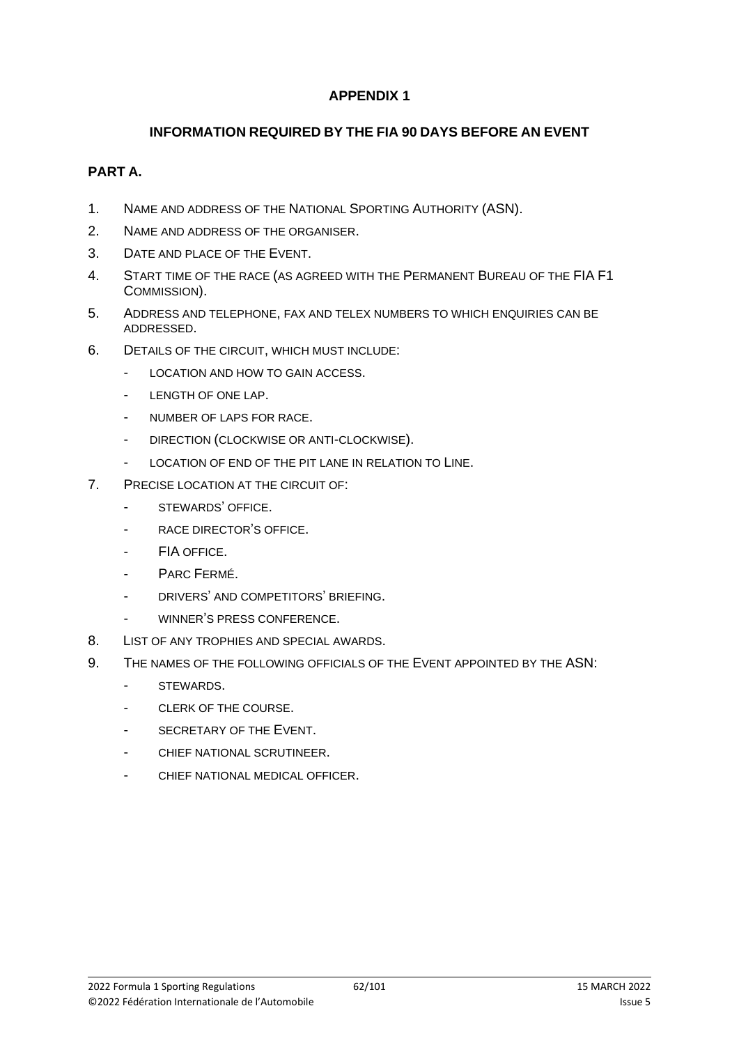#### **INFORMATION REQUIRED BY THE FIA 90 DAYS BEFORE AN EVENT**

#### **PART A.**

- 1. NAME AND ADDRESS OF THE NATIONAL SPORTING AUTHORITY (ASN).
- 2. NAME AND ADDRESS OF THE ORGANISER.
- 3. DATE AND PLACE OF THE EVENT.
- 4. START TIME OF THE RACE (AS AGREED WITH THE PERMANENT BUREAU OF THE FIA F1 COMMISSION).
- 5. ADDRESS AND TELEPHONE, FAX AND TELEX NUMBERS TO WHICH ENQUIRIES CAN BE ADDRESSED.
- 6. DETAILS OF THE CIRCUIT, WHICH MUST INCLUDE:
	- LOCATION AND HOW TO GAIN ACCESS.
	- LENGTH OF ONE LAP.
	- NUMBER OF LAPS FOR RACE.
	- DIRECTION (CLOCKWISE OR ANTI-CLOCKWISE).
	- LOCATION OF END OF THE PIT LANE IN RELATION TO LINE.
- 7. PRECISE LOCATION AT THE CIRCUIT OF:
	- STEWARDS' OFFICE.
	- RACE DIRECTOR'S OFFICE.
	- FIA OFFICE.
	- PARC FERMÉ.
	- DRIVERS' AND COMPETITORS' BRIEFING.
	- WINNER'S PRESS CONFERENCE.
- 8. LIST OF ANY TROPHIES AND SPECIAL AWARDS.
- 9. THE NAMES OF THE FOLLOWING OFFICIALS OF THE EVENT APPOINTED BY THE ASN:
	- STEWARDS.
	- CLERK OF THE COURSE.
	- SECRETARY OF THE EVENT.
	- CHIEF NATIONAL SCRUTINEER.
	- CHIEF NATIONAL MEDICAL OFFICER.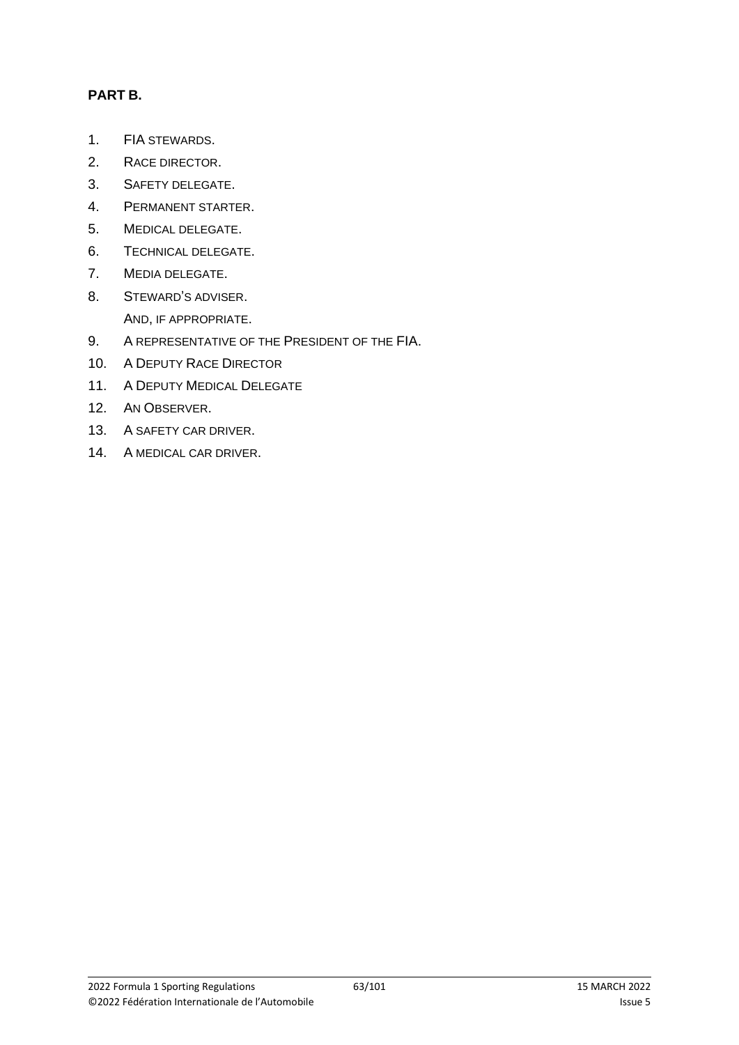## **PART B.**

- 1. FIA STEWARDS.
- 2. RACE DIRECTOR.
- 3. SAFETY DELEGATE.
- 4. PERMANENT STARTER.
- 5. MEDICAL DELEGATE.
- 6. TECHNICAL DELEGATE.
- 7. MEDIA DELEGATE.
- 8. STEWARD'S ADVISER. AND, IF APPROPRIATE.
- 9. A REPRESENTATIVE OF THE PRESIDENT OF THE FIA.
- 10. A DEPUTY RACE DIRECTOR
- 11. A DEPUTY MEDICAL DELEGATE
- 12. AN OBSERVER.
- 13. A SAFETY CAR DRIVER.
- 14. A MEDICAL CAR DRIVER.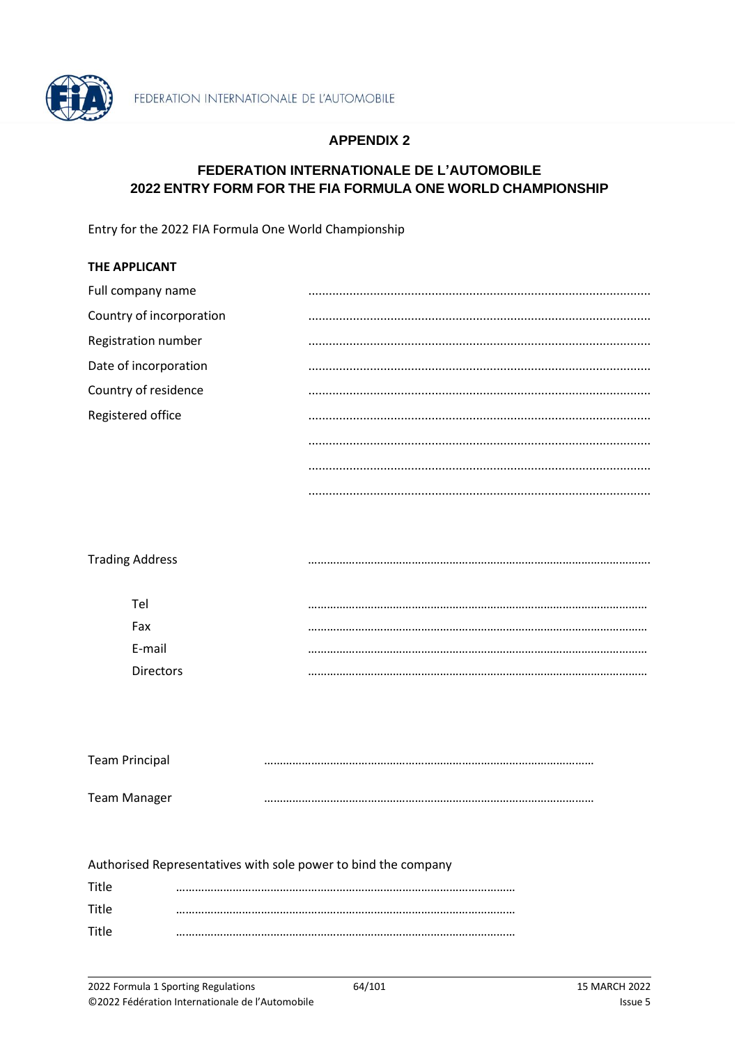

#### FEDERATION INTERNATIONALE DE L'AUTOMOBILE 2022 ENTRY FORM FOR THE FIA FORMULA ONE WORLD CHAMPIONSHIP

Entry for the 2022 FIA Formula One World Championship

| <b>THE APPLICANT</b>     |  |
|--------------------------|--|
| Full company name        |  |
| Country of incorporation |  |
| Registration number      |  |
| Date of incorporation    |  |
| Country of residence     |  |
| Registered office        |  |
|                          |  |
|                          |  |
|                          |  |

| <b>Trading Address</b> |  |
|------------------------|--|
|                        |  |
| Tel                    |  |
| Fax                    |  |
| E-mail                 |  |
| <b>Directors</b>       |  |
|                        |  |

| <b>Team Principal</b> |  |
|-----------------------|--|
| <b>Team Manager</b>   |  |

| Authorised Representatives with sole power to bind the company |  |  |  |  |
|----------------------------------------------------------------|--|--|--|--|
| Title                                                          |  |  |  |  |
| Title                                                          |  |  |  |  |
| Title                                                          |  |  |  |  |
|                                                                |  |  |  |  |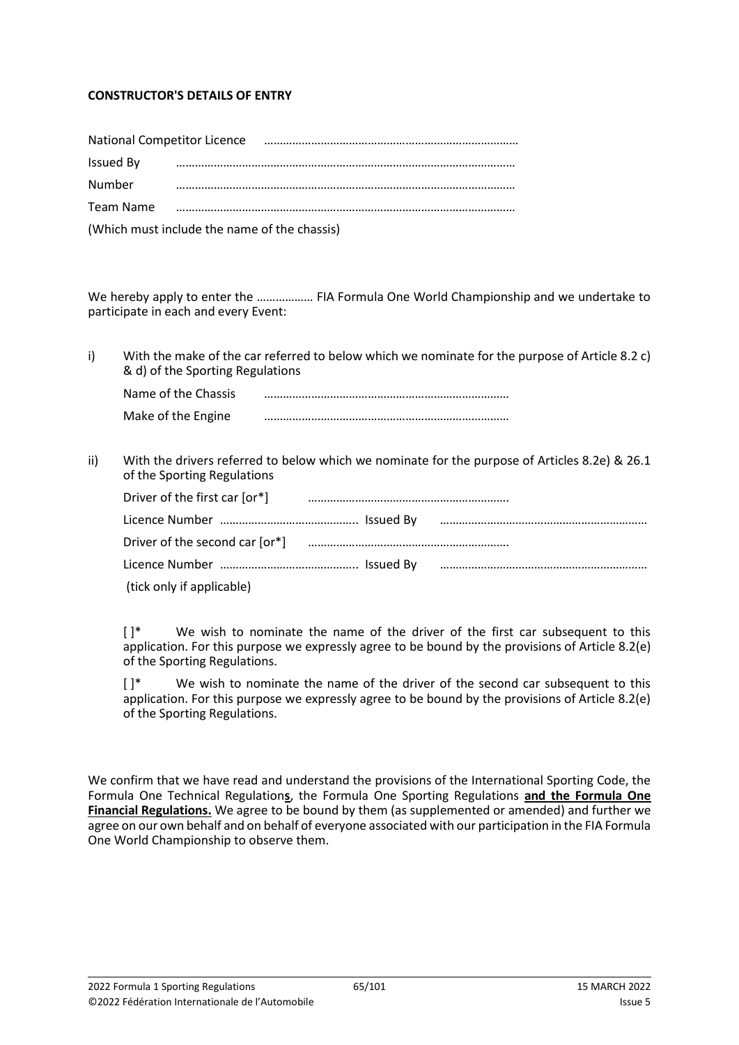#### **CONSTRUCTOR'S DETAILS OF ENTRY**

| National Competitor Licence                  |  |  |  |
|----------------------------------------------|--|--|--|
| Issued By                                    |  |  |  |
| <b>Number</b>                                |  |  |  |
| Team Name                                    |  |  |  |
| (Which must include the name of the chassis) |  |  |  |

We hereby apply to enter the ……………… FIA Formula One World Championship and we undertake to participate in each and every Event:

i) With the make of the car referred to below which we nominate for the purpose of Article 8.2 c) & d) of the Sporting Regulations

| Name of the Chassis |  |
|---------------------|--|
| Make of the Engine  |  |

ii) With the drivers referred to below which we nominate for the purpose of Articles 8.2e) & 26.1 of the Sporting Regulations

| Driver of the first car [or*] [2004] [2012] [2013] [2014] [2014] [2014] [2014] [2014] [2014] [2014] [2014] [20 |  |
|----------------------------------------------------------------------------------------------------------------|--|
|                                                                                                                |  |
|                                                                                                                |  |
|                                                                                                                |  |
| (tick only if applicable)                                                                                      |  |

 $[ ]^*$  We wish to nominate the name of the driver of the first car subsequent to this application. For this purpose we expressly agree to be bound by the provisions of Article 8.2(e) of the Sporting Regulations.

 $[ ]^*$  We wish to nominate the name of the driver of the second car subsequent to this application. For this purpose we expressly agree to be bound by the provisions of Article 8.2(e) of the Sporting Regulations.

We confirm that we have read and understand the provisions of the International Sporting Code, the Formula One Technical Regulation**s**, the Formula One Sporting Regulations **and the Formula One Financial Regulations.** We agree to be bound by them (as supplemented or amended) and further we agree on our own behalf and on behalf of everyone associated with our participation in the FIA Formula One World Championship to observe them.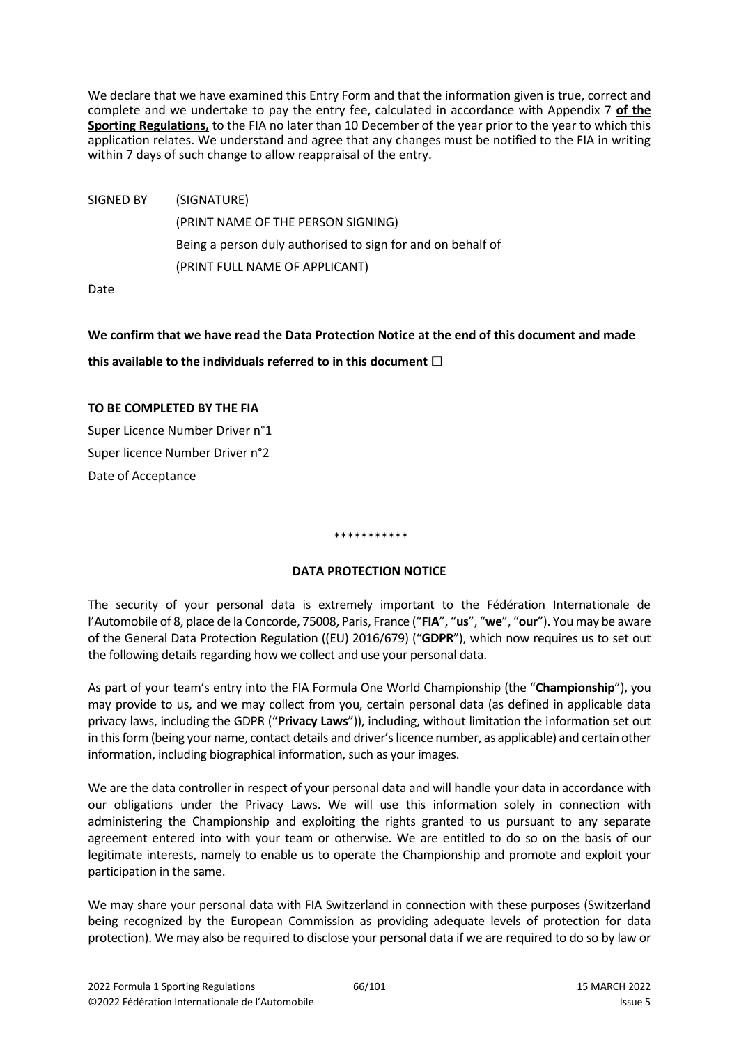We declare that we have examined this Entry Form and that the information given is true, correct and complete and we undertake to pay the entry fee, calculated in accordance with Appendix 7 **of the Sporting Regulations,** to the FIA no later than 10 December of the year prior to the year to which this application relates. We understand and agree that any changes must be notified to the FIA in writing within 7 days of such change to allow reappraisal of the entry.

SIGNED BY (SIGNATURE) (PRINT NAME OF THE PERSON SIGNING) Being a person duly authorised to sign for and on behalf of (PRINT FULL NAME OF APPLICANT)

Date

# **We confirm that we have read the Data Protection Notice at the end of this document and made this available to the individuals referred to in this document** ☐

#### **TO BE COMPLETED BY THE FIA**

Super Licence Number Driver n°1 Super licence Number Driver n°2 Date of Acceptance

#### \*\*\*\*\*\*\*\*\*\*\*

#### **DATA PROTECTION NOTICE**

The security of your personal data is extremely important to the Fédération Internationale de l'Automobile of 8, place de la Concorde, 75008, Paris, France ("**FIA**", "**us**", "**we**", "**our**"). You may be aware of the General Data Protection Regulation ((EU) 2016/679) ("**GDPR**"), which now requires us to set out the following details regarding how we collect and use your personal data.

As part of your team's entry into the FIA Formula One World Championship (the "**Championship**"), you may provide to us, and we may collect from you, certain personal data (as defined in applicable data privacy laws, including the GDPR ("**Privacy Laws**")), including, without limitation the information set out in this form (being your name, contact details and driver's licence number, as applicable) and certain other information, including biographical information, such as your images.

We are the data controller in respect of your personal data and will handle your data in accordance with our obligations under the Privacy Laws. We will use this information solely in connection with administering the Championship and exploiting the rights granted to us pursuant to any separate agreement entered into with your team or otherwise. We are entitled to do so on the basis of our legitimate interests, namely to enable us to operate the Championship and promote and exploit your participation in the same.

We may share your personal data with FIA Switzerland in connection with these purposes (Switzerland being recognized by the European Commission as providing adequate levels of protection for data protection). We may also be required to disclose your personal data if we are required to do so by law or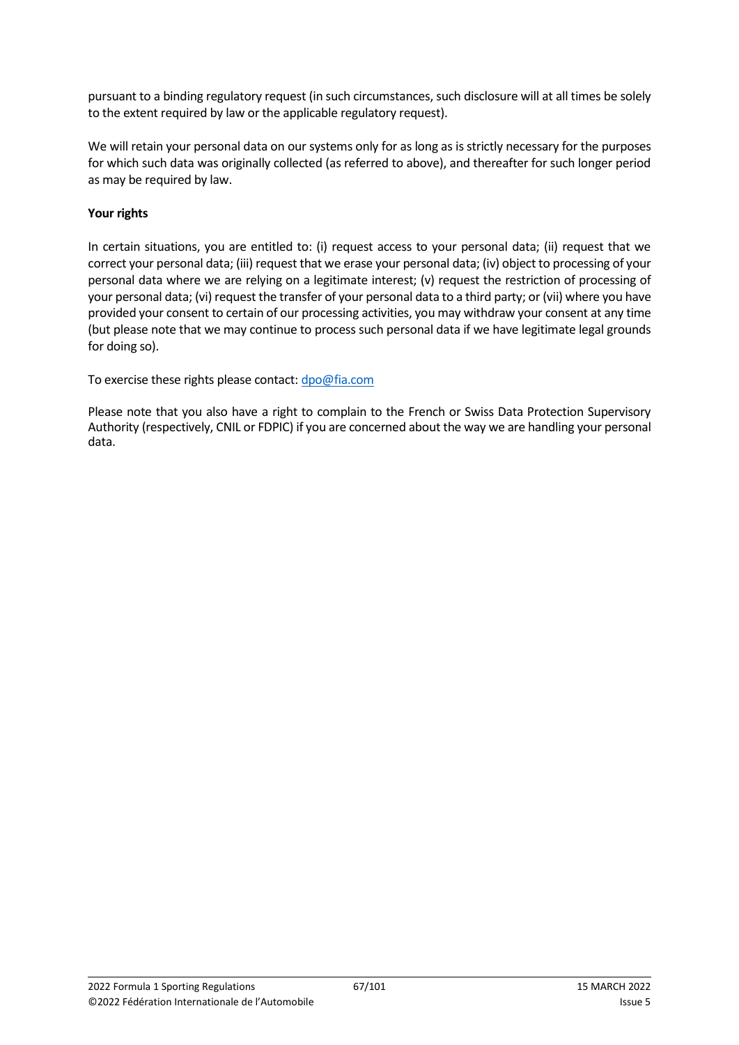pursuant to a binding regulatory request (in such circumstances, such disclosure will at all times be solely to the extent required by law or the applicable regulatory request).

We will retain your personal data on our systems only for as long as is strictly necessary for the purposes for which such data was originally collected (as referred to above), and thereafter for such longer period as may be required by law.

#### **Your rights**

In certain situations, you are entitled to: (i) request access to your personal data; (ii) request that we correct your personal data; (iii) request that we erase your personal data; (iv) object to processing of your personal data where we are relying on a legitimate interest; (v) request the restriction of processing of your personal data; (vi) request the transfer of your personal data to a third party; or (vii) where you have provided your consent to certain of our processing activities, you may withdraw your consent at any time (but please note that we may continue to process such personal data if we have legitimate legal grounds for doing so).

To exercise these rights please contact[: dpo@fia.com](mailto:dpo@fia.com)

Please note that you also have a right to complain to the French or Swiss Data Protection Supervisory Authority (respectively, CNIL or FDPIC) if you are concerned about the way we are handling your personal data.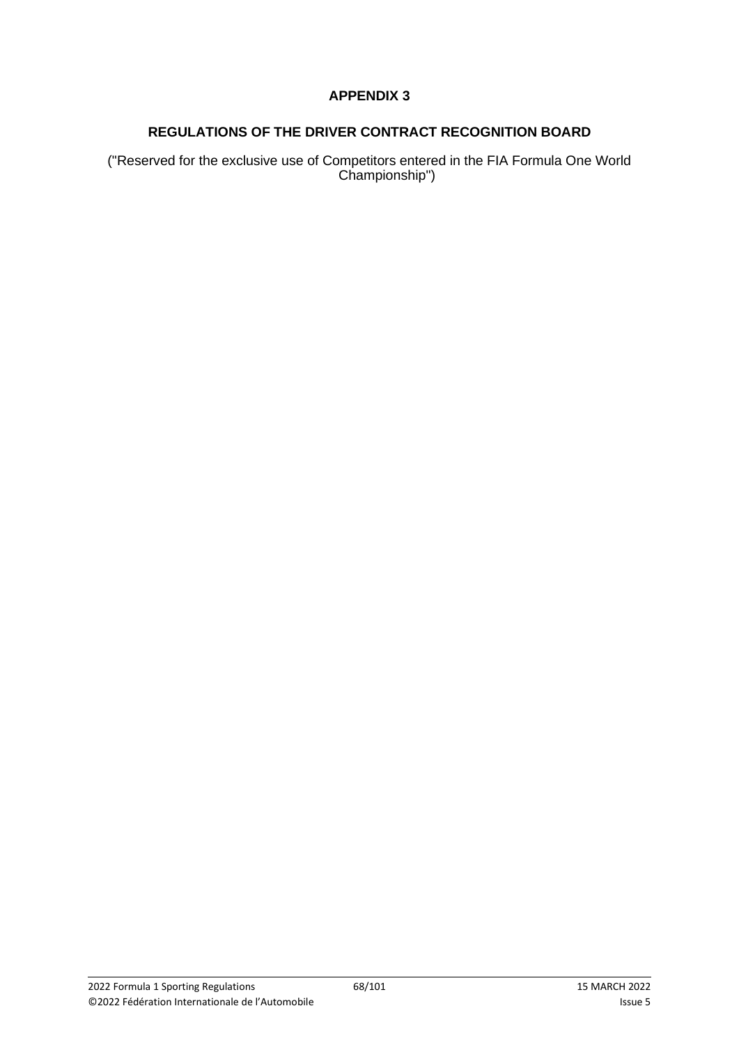# **REGULATIONS OF THE DRIVER CONTRACT RECOGNITION BOARD**

("Reserved for the exclusive use of Competitors entered in the FIA Formula One World Championship")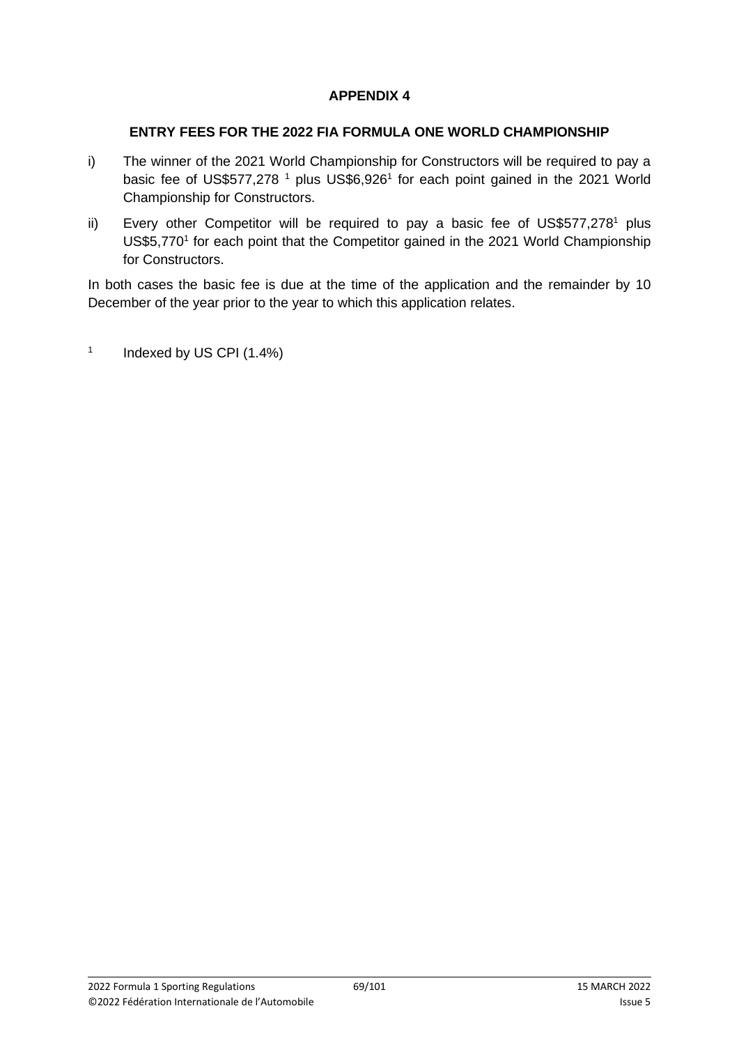#### **ENTRY FEES FOR THE 2022 FIA FORMULA ONE WORLD CHAMPIONSHIP**

- i) The winner of the 2021 World Championship for Constructors will be required to pay a basic fee of US\$577,278<sup>1</sup> plus US\$6,926<sup>1</sup> for each point gained in the 2021 World Championship for Constructors.
- ii) Every other Competitor will be required to pay a basic fee of US\$577,278<sup>1</sup> plus US\$5,770<sup>1</sup> for each point that the Competitor gained in the 2021 World Championship for Constructors.

In both cases the basic fee is due at the time of the application and the remainder by 10 December of the year prior to the year to which this application relates.

1 Indexed by US CPI (1.4%)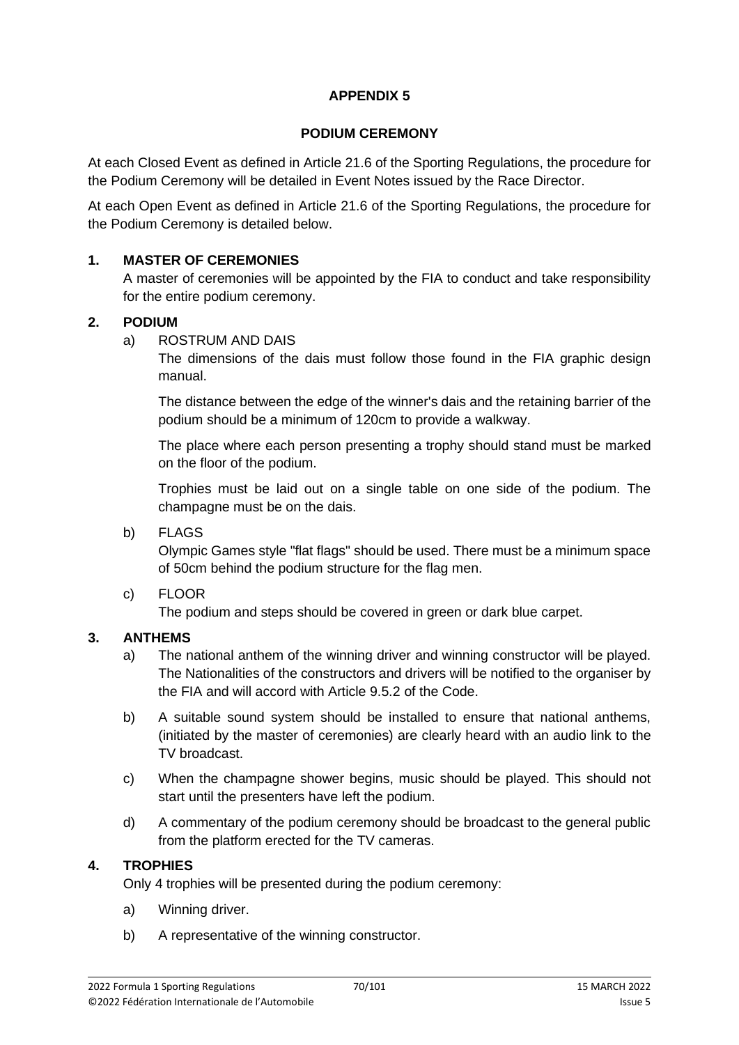#### **PODIUM CEREMONY**

At each Closed Event as defined in Article 21.6 of the Sporting Regulations, the procedure for the Podium Ceremony will be detailed in Event Notes issued by the Race Director.

At each Open Event as defined in Article 21.6 of the Sporting Regulations, the procedure for the Podium Ceremony is detailed below.

#### **1. MASTER OF CEREMONIES**

A master of ceremonies will be appointed by the FIA to conduct and take responsibility for the entire podium ceremony.

#### **2. PODIUM**

a) ROSTRUM AND DAIS

The dimensions of the dais must follow those found in the FIA graphic design manual.

The distance between the edge of the winner's dais and the retaining barrier of the podium should be a minimum of 120cm to provide a walkway.

The place where each person presenting a trophy should stand must be marked on the floor of the podium.

Trophies must be laid out on a single table on one side of the podium. The champagne must be on the dais.

b) FLAGS

Olympic Games style "flat flags" should be used. There must be a minimum space of 50cm behind the podium structure for the flag men.

c) FLOOR

The podium and steps should be covered in green or dark blue carpet.

## **3. ANTHEMS**

- a) The national anthem of the winning driver and winning constructor will be played. The Nationalities of the constructors and drivers will be notified to the organiser by the FIA and will accord with Article 9.5.2 of the Code.
- b) A suitable sound system should be installed to ensure that national anthems, (initiated by the master of ceremonies) are clearly heard with an audio link to the TV broadcast.
- c) When the champagne shower begins, music should be played. This should not start until the presenters have left the podium.
- d) A commentary of the podium ceremony should be broadcast to the general public from the platform erected for the TV cameras.

#### **4. TROPHIES**

Only 4 trophies will be presented during the podium ceremony:

- a) Winning driver.
- b) A representative of the winning constructor.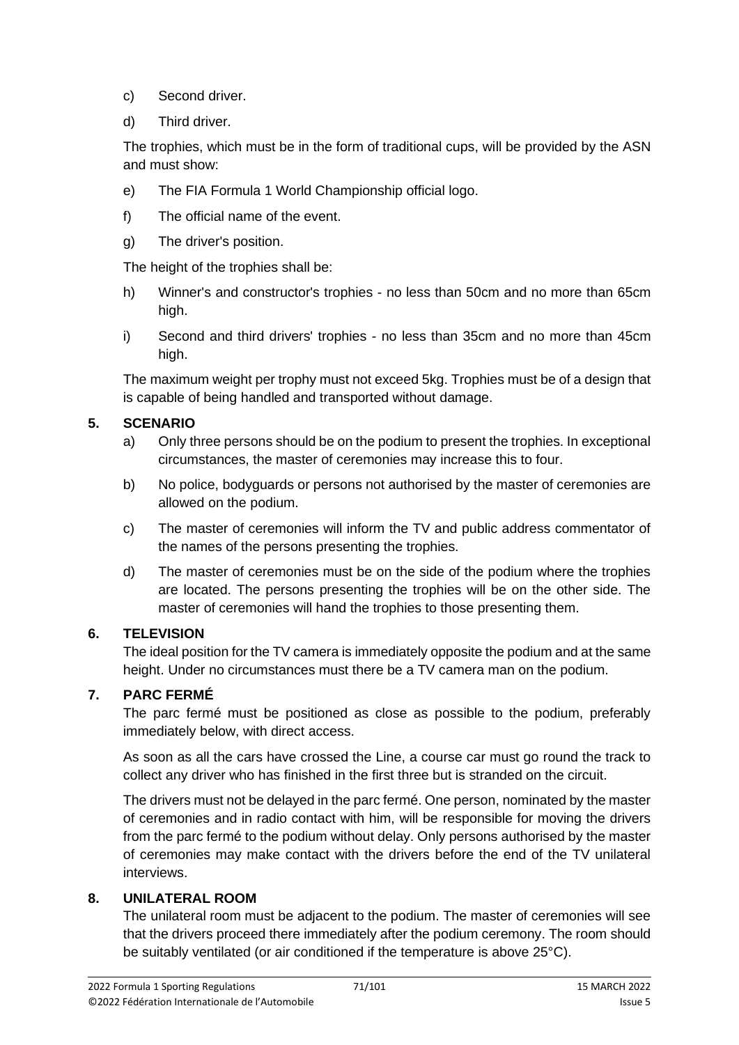- c) Second driver.
- d) Third driver.

The trophies, which must be in the form of traditional cups, will be provided by the ASN and must show:

- e) The FIA Formula 1 World Championship official logo.
- f) The official name of the event.
- g) The driver's position.

The height of the trophies shall be:

- h) Winner's and constructor's trophies no less than 50cm and no more than 65cm high.
- i) Second and third drivers' trophies no less than 35cm and no more than 45cm high.

The maximum weight per trophy must not exceed 5kg. Trophies must be of a design that is capable of being handled and transported without damage.

# **5. SCENARIO**

- a) Only three persons should be on the podium to present the trophies. In exceptional circumstances, the master of ceremonies may increase this to four.
- b) No police, bodyguards or persons not authorised by the master of ceremonies are allowed on the podium.
- c) The master of ceremonies will inform the TV and public address commentator of the names of the persons presenting the trophies.
- d) The master of ceremonies must be on the side of the podium where the trophies are located. The persons presenting the trophies will be on the other side. The master of ceremonies will hand the trophies to those presenting them.

# **6. TELEVISION**

The ideal position for the TV camera is immediately opposite the podium and at the same height. Under no circumstances must there be a TV camera man on the podium.

# **7. PARC FERMÉ**

The parc fermé must be positioned as close as possible to the podium, preferably immediately below, with direct access.

As soon as all the cars have crossed the Line, a course car must go round the track to collect any driver who has finished in the first three but is stranded on the circuit.

The drivers must not be delayed in the parc fermé. One person, nominated by the master of ceremonies and in radio contact with him, will be responsible for moving the drivers from the parc fermé to the podium without delay. Only persons authorised by the master of ceremonies may make contact with the drivers before the end of the TV unilateral interviews.

## **8. UNILATERAL ROOM**

The unilateral room must be adjacent to the podium. The master of ceremonies will see that the drivers proceed there immediately after the podium ceremony. The room should be suitably ventilated (or air conditioned if the temperature is above 25°C).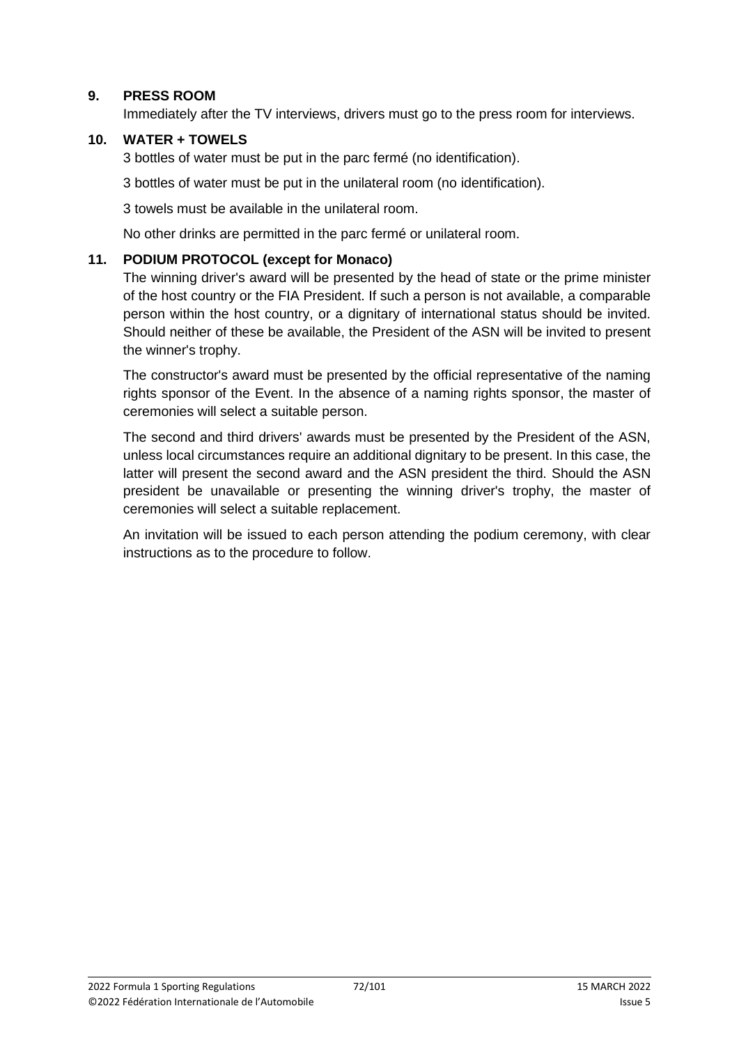#### **9. PRESS ROOM**

Immediately after the TV interviews, drivers must go to the press room for interviews.

#### **10. WATER + TOWELS**

3 bottles of water must be put in the parc fermé (no identification).

3 bottles of water must be put in the unilateral room (no identification).

3 towels must be available in the unilateral room.

No other drinks are permitted in the parc fermé or unilateral room.

#### **11. PODIUM PROTOCOL (except for Monaco)**

The winning driver's award will be presented by the head of state or the prime minister of the host country or the FIA President. If such a person is not available, a comparable person within the host country, or a dignitary of international status should be invited. Should neither of these be available, the President of the ASN will be invited to present the winner's trophy.

The constructor's award must be presented by the official representative of the naming rights sponsor of the Event. In the absence of a naming rights sponsor, the master of ceremonies will select a suitable person.

The second and third drivers' awards must be presented by the President of the ASN, unless local circumstances require an additional dignitary to be present. In this case, the latter will present the second award and the ASN president the third. Should the ASN president be unavailable or presenting the winning driver's trophy, the master of ceremonies will select a suitable replacement.

An invitation will be issued to each person attending the podium ceremony, with clear instructions as to the procedure to follow.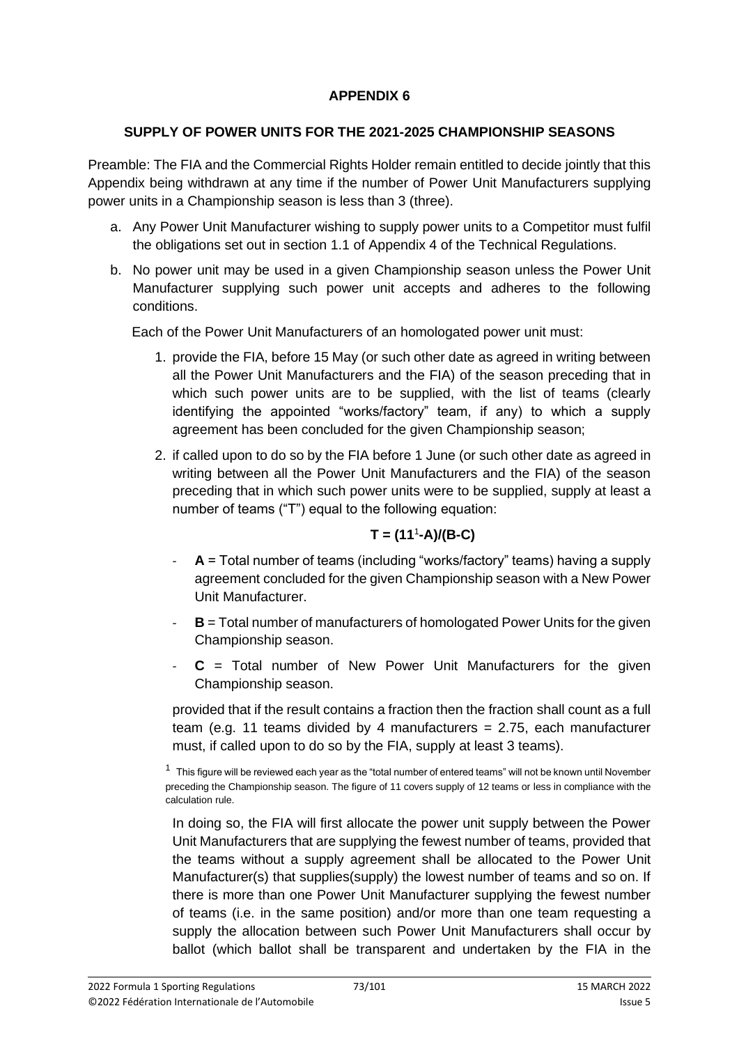## **APPENDIX 6**

#### **SUPPLY OF POWER UNITS FOR THE 2021-2025 CHAMPIONSHIP SEASONS**

Preamble: The FIA and the Commercial Rights Holder remain entitled to decide jointly that this Appendix being withdrawn at any time if the number of Power Unit Manufacturers supplying power units in a Championship season is less than 3 (three).

- a. Any Power Unit Manufacturer wishing to supply power units to a Competitor must fulfil the obligations set out in section 1.1 of Appendix 4 of the Technical Regulations.
- b. No power unit may be used in a given Championship season unless the Power Unit Manufacturer supplying such power unit accepts and adheres to the following conditions.

Each of the Power Unit Manufacturers of an homologated power unit must:

- 1. provide the FIA, before 15 May (or such other date as agreed in writing between all the Power Unit Manufacturers and the FIA) of the season preceding that in which such power units are to be supplied, with the list of teams (clearly identifying the appointed "works/factory" team, if any) to which a supply agreement has been concluded for the given Championship season;
- 2. if called upon to do so by the FIA before 1 June (or such other date as agreed in writing between all the Power Unit Manufacturers and the FIA) of the season preceding that in which such power units were to be supplied, supply at least a number of teams ("T") equal to the following equation:

## **T = (11**<sup>1</sup> **-A)/(B-C)**

- **A** = Total number of teams (including "works/factory" teams) having a supply agreement concluded for the given Championship season with a New Power Unit Manufacturer.
- **B** = Total number of manufacturers of homologated Power Units for the given Championship season.
- **C** = Total number of New Power Unit Manufacturers for the given Championship season.

provided that if the result contains a fraction then the fraction shall count as a full team (e.g. 11 teams divided by 4 manufacturers  $= 2.75$ , each manufacturer must, if called upon to do so by the FIA, supply at least 3 teams).

In doing so, the FIA will first allocate the power unit supply between the Power Unit Manufacturers that are supplying the fewest number of teams, provided that the teams without a supply agreement shall be allocated to the Power Unit Manufacturer(s) that supplies(supply) the lowest number of teams and so on. If there is more than one Power Unit Manufacturer supplying the fewest number of teams (i.e. in the same position) and/or more than one team requesting a supply the allocation between such Power Unit Manufacturers shall occur by ballot (which ballot shall be transparent and undertaken by the FIA in the

 $^{\rm 1}\,$  This figure will be reviewed each year as the "total number of entered teams" will not be known until November preceding the Championship season. The figure of 11 covers supply of 12 teams or less in compliance with the calculation rule.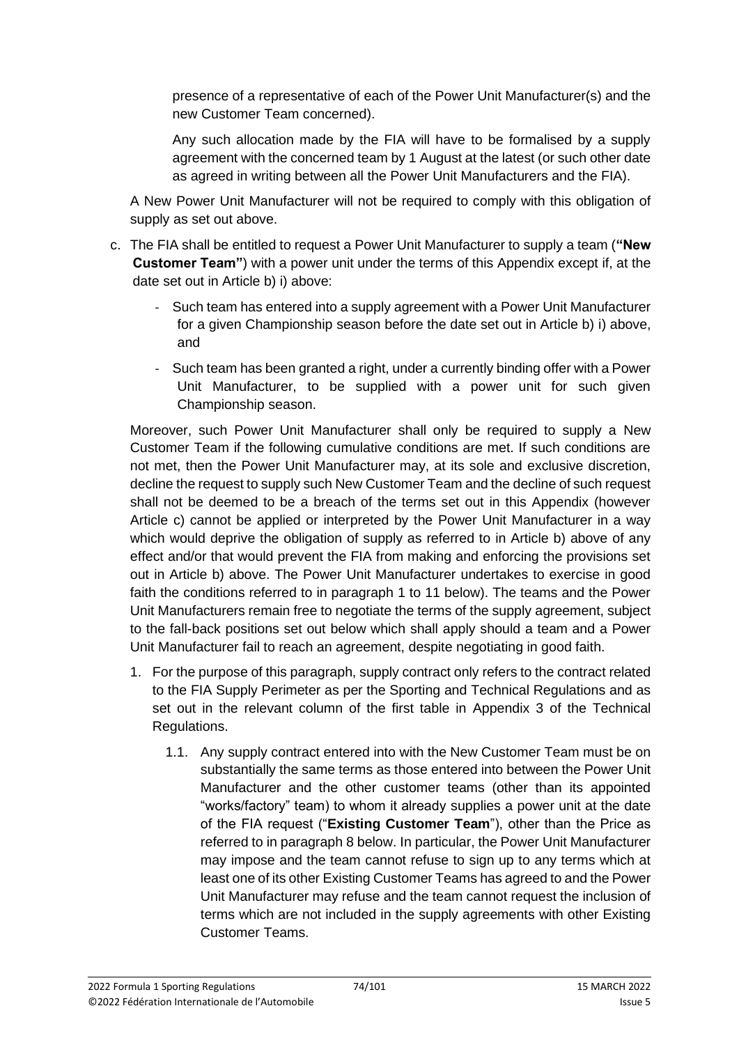presence of a representative of each of the Power Unit Manufacturer(s) and the new Customer Team concerned).

Any such allocation made by the FIA will have to be formalised by a supply agreement with the concerned team by 1 August at the latest (or such other date as agreed in writing between all the Power Unit Manufacturers and the FIA).

A New Power Unit Manufacturer will not be required to comply with this obligation of supply as set out above.

- c. The FIA shall be entitled to request a Power Unit Manufacturer to supply a team (**"New Customer Team"**) with a power unit under the terms of this Appendix except if, at the date set out in Article b) i) above:
	- Such team has entered into a supply agreement with a Power Unit Manufacturer for a given Championship season before the date set out in Article b) i) above, and
	- Such team has been granted a right, under a currently binding offer with a Power Unit Manufacturer, to be supplied with a power unit for such given Championship season.

Moreover, such Power Unit Manufacturer shall only be required to supply a New Customer Team if the following cumulative conditions are met. If such conditions are not met, then the Power Unit Manufacturer may, at its sole and exclusive discretion, decline the request to supply such New Customer Team and the decline of such request shall not be deemed to be a breach of the terms set out in this Appendix (however Article c) cannot be applied or interpreted by the Power Unit Manufacturer in a way which would deprive the obligation of supply as referred to in Article b) above of any effect and/or that would prevent the FIA from making and enforcing the provisions set out in Article b) above. The Power Unit Manufacturer undertakes to exercise in good faith the conditions referred to in paragraph 1 to 11 below). The teams and the Power Unit Manufacturers remain free to negotiate the terms of the supply agreement, subject to the fall-back positions set out below which shall apply should a team and a Power Unit Manufacturer fail to reach an agreement, despite negotiating in good faith.

- 1. For the purpose of this paragraph, supply contract only refers to the contract related to the FIA Supply Perimeter as per the Sporting and Technical Regulations and as set out in the relevant column of the first table in Appendix 3 of the Technical Regulations.
	- 1.1. Any supply contract entered into with the New Customer Team must be on substantially the same terms as those entered into between the Power Unit Manufacturer and the other customer teams (other than its appointed "works/factory" team) to whom it already supplies a power unit at the date of the FIA request ("**Existing Customer Team**"), other than the Price as referred to in paragraph 8 below. In particular, the Power Unit Manufacturer may impose and the team cannot refuse to sign up to any terms which at least one of its other Existing Customer Teams has agreed to and the Power Unit Manufacturer may refuse and the team cannot request the inclusion of terms which are not included in the supply agreements with other Existing Customer Teams.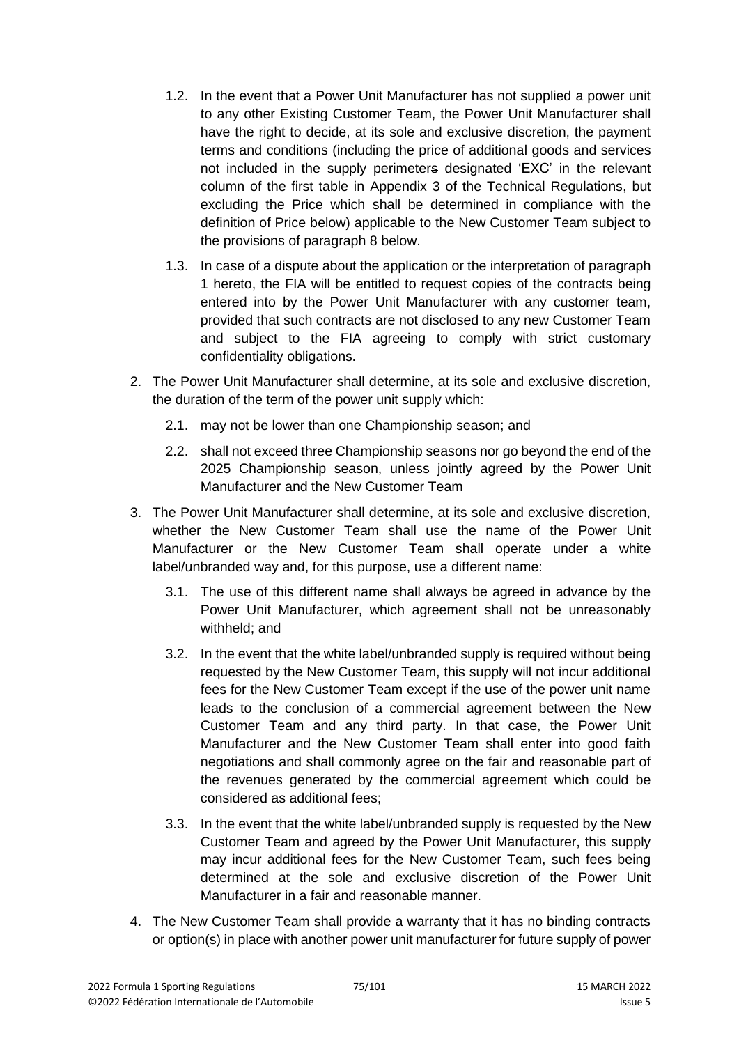- 1.2. In the event that a Power Unit Manufacturer has not supplied a power unit to any other Existing Customer Team, the Power Unit Manufacturer shall have the right to decide, at its sole and exclusive discretion, the payment terms and conditions (including the price of additional goods and services not included in the supply perimeters designated 'EXC' in the relevant column of the first table in Appendix 3 of the Technical Regulations, but excluding the Price which shall be determined in compliance with the definition of Price below) applicable to the New Customer Team subject to the provisions of paragraph 8 below.
- 1.3. In case of a dispute about the application or the interpretation of paragraph 1 hereto, the FIA will be entitled to request copies of the contracts being entered into by the Power Unit Manufacturer with any customer team, provided that such contracts are not disclosed to any new Customer Team and subject to the FIA agreeing to comply with strict customary confidentiality obligations.
- 2. The Power Unit Manufacturer shall determine, at its sole and exclusive discretion, the duration of the term of the power unit supply which:
	- 2.1. may not be lower than one Championship season; and
	- 2.2. shall not exceed three Championship seasons nor go beyond the end of the 2025 Championship season, unless jointly agreed by the Power Unit Manufacturer and the New Customer Team
- 3. The Power Unit Manufacturer shall determine, at its sole and exclusive discretion, whether the New Customer Team shall use the name of the Power Unit Manufacturer or the New Customer Team shall operate under a white label/unbranded way and, for this purpose, use a different name:
	- 3.1. The use of this different name shall always be agreed in advance by the Power Unit Manufacturer, which agreement shall not be unreasonably withheld; and
	- 3.2. In the event that the white label/unbranded supply is required without being requested by the New Customer Team, this supply will not incur additional fees for the New Customer Team except if the use of the power unit name leads to the conclusion of a commercial agreement between the New Customer Team and any third party. In that case, the Power Unit Manufacturer and the New Customer Team shall enter into good faith negotiations and shall commonly agree on the fair and reasonable part of the revenues generated by the commercial agreement which could be considered as additional fees;
	- 3.3. In the event that the white label/unbranded supply is requested by the New Customer Team and agreed by the Power Unit Manufacturer, this supply may incur additional fees for the New Customer Team, such fees being determined at the sole and exclusive discretion of the Power Unit Manufacturer in a fair and reasonable manner.
- 4. The New Customer Team shall provide a warranty that it has no binding contracts or option(s) in place with another power unit manufacturer for future supply of power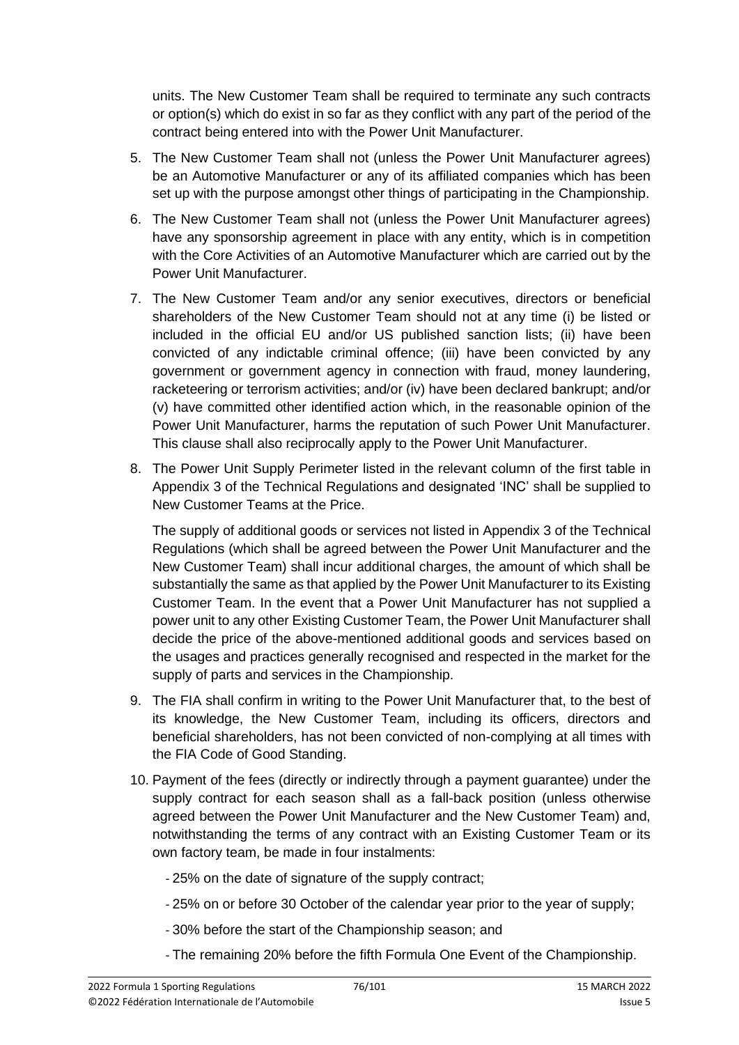units. The New Customer Team shall be required to terminate any such contracts or option(s) which do exist in so far as they conflict with any part of the period of the contract being entered into with the Power Unit Manufacturer.

- 5. The New Customer Team shall not (unless the Power Unit Manufacturer agrees) be an Automotive Manufacturer or any of its affiliated companies which has been set up with the purpose amongst other things of participating in the Championship.
- 6. The New Customer Team shall not (unless the Power Unit Manufacturer agrees) have any sponsorship agreement in place with any entity, which is in competition with the Core Activities of an Automotive Manufacturer which are carried out by the Power Unit Manufacturer.
- 7. The New Customer Team and/or any senior executives, directors or beneficial shareholders of the New Customer Team should not at any time (i) be listed or included in the official EU and/or US published sanction lists; (ii) have been convicted of any indictable criminal offence; (iii) have been convicted by any government or government agency in connection with fraud, money laundering, racketeering or terrorism activities; and/or (iv) have been declared bankrupt; and/or (v) have committed other identified action which, in the reasonable opinion of the Power Unit Manufacturer, harms the reputation of such Power Unit Manufacturer. This clause shall also reciprocally apply to the Power Unit Manufacturer.
- 8. The Power Unit Supply Perimeter listed in the relevant column of the first table in Appendix 3 of the Technical Regulations and designated 'INC' shall be supplied to New Customer Teams at the Price.

The supply of additional goods or services not listed in Appendix 3 of the Technical Regulations (which shall be agreed between the Power Unit Manufacturer and the New Customer Team) shall incur additional charges, the amount of which shall be substantially the same as that applied by the Power Unit Manufacturer to its Existing Customer Team. In the event that a Power Unit Manufacturer has not supplied a power unit to any other Existing Customer Team, the Power Unit Manufacturer shall decide the price of the above-mentioned additional goods and services based on the usages and practices generally recognised and respected in the market for the supply of parts and services in the Championship.

- 9. The FIA shall confirm in writing to the Power Unit Manufacturer that, to the best of its knowledge, the New Customer Team, including its officers, directors and beneficial shareholders, has not been convicted of non-complying at all times with the FIA Code of Good Standing.
- 10. Payment of the fees (directly or indirectly through a payment guarantee) under the supply contract for each season shall as a fall-back position (unless otherwise agreed between the Power Unit Manufacturer and the New Customer Team) and, notwithstanding the terms of any contract with an Existing Customer Team or its own factory team, be made in four instalments:
	- 25% on the date of signature of the supply contract;
	- 25% on or before 30 October of the calendar year prior to the year of supply;
	- 30% before the start of the Championship season; and
	- The remaining 20% before the fifth Formula One Event of the Championship.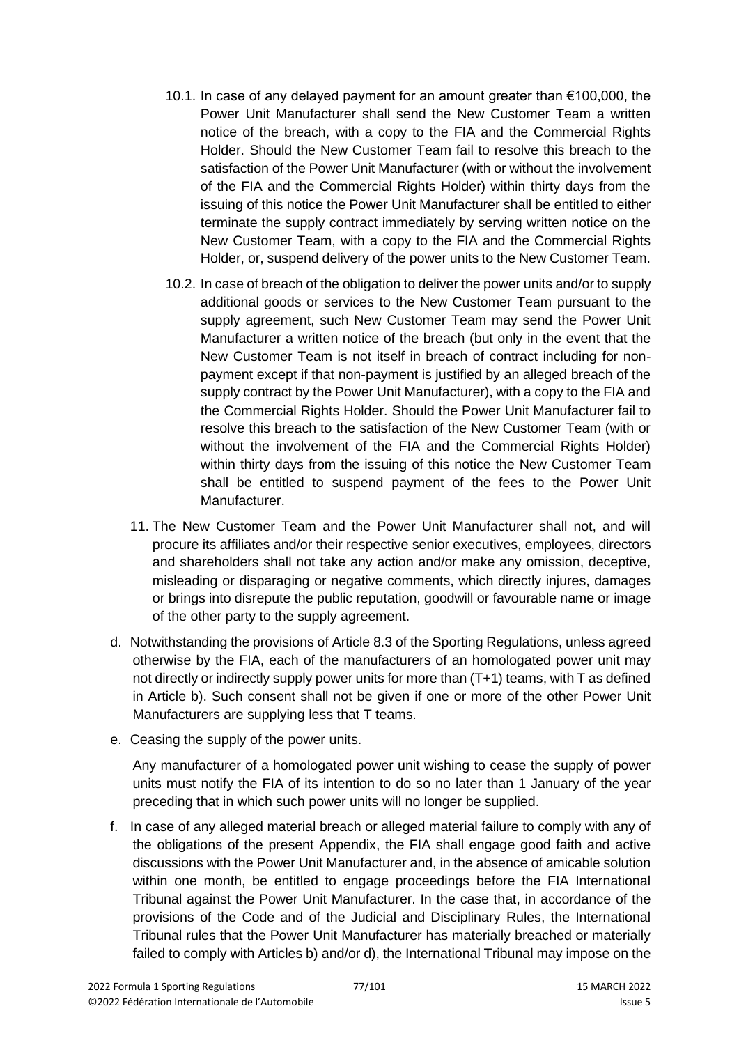- 10.1. In case of any delayed payment for an amount greater than €100,000, the Power Unit Manufacturer shall send the New Customer Team a written notice of the breach, with a copy to the FIA and the Commercial Rights Holder. Should the New Customer Team fail to resolve this breach to the satisfaction of the Power Unit Manufacturer (with or without the involvement of the FIA and the Commercial Rights Holder) within thirty days from the issuing of this notice the Power Unit Manufacturer shall be entitled to either terminate the supply contract immediately by serving written notice on the New Customer Team, with a copy to the FIA and the Commercial Rights Holder, or, suspend delivery of the power units to the New Customer Team.
- 10.2. In case of breach of the obligation to deliver the power units and/or to supply additional goods or services to the New Customer Team pursuant to the supply agreement, such New Customer Team may send the Power Unit Manufacturer a written notice of the breach (but only in the event that the New Customer Team is not itself in breach of contract including for nonpayment except if that non-payment is justified by an alleged breach of the supply contract by the Power Unit Manufacturer), with a copy to the FIA and the Commercial Rights Holder. Should the Power Unit Manufacturer fail to resolve this breach to the satisfaction of the New Customer Team (with or without the involvement of the FIA and the Commercial Rights Holder) within thirty days from the issuing of this notice the New Customer Team shall be entitled to suspend payment of the fees to the Power Unit Manufacturer.
- 11. The New Customer Team and the Power Unit Manufacturer shall not, and will procure its affiliates and/or their respective senior executives, employees, directors and shareholders shall not take any action and/or make any omission, deceptive, misleading or disparaging or negative comments, which directly injures, damages or brings into disrepute the public reputation, goodwill or favourable name or image of the other party to the supply agreement.
- d. Notwithstanding the provisions of Article 8.3 of the Sporting Regulations, unless agreed otherwise by the FIA, each of the manufacturers of an homologated power unit may not directly or indirectly supply power units for more than (T+1) teams, with T as defined in Article b). Such consent shall not be given if one or more of the other Power Unit Manufacturers are supplying less that T teams.
- e. Ceasing the supply of the power units.

Any manufacturer of a homologated power unit wishing to cease the supply of power units must notify the FIA of its intention to do so no later than 1 January of the year preceding that in which such power units will no longer be supplied.

f. In case of any alleged material breach or alleged material failure to comply with any of the obligations of the present Appendix, the FIA shall engage good faith and active discussions with the Power Unit Manufacturer and, in the absence of amicable solution within one month, be entitled to engage proceedings before the FIA International Tribunal against the Power Unit Manufacturer. In the case that, in accordance of the provisions of the Code and of the Judicial and Disciplinary Rules, the International Tribunal rules that the Power Unit Manufacturer has materially breached or materially failed to comply with Articles b) and/or d), the International Tribunal may impose on the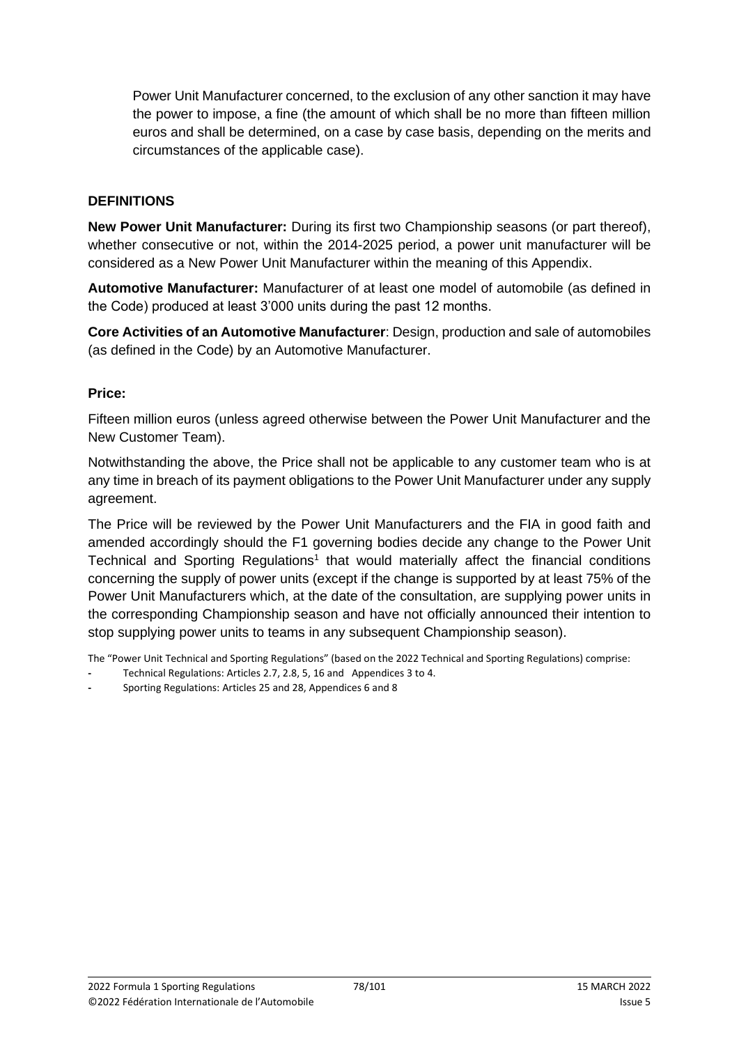Power Unit Manufacturer concerned, to the exclusion of any other sanction it may have the power to impose, a fine (the amount of which shall be no more than fifteen million euros and shall be determined, on a case by case basis, depending on the merits and circumstances of the applicable case).

#### **DEFINITIONS**

**New Power Unit Manufacturer:** During its first two Championship seasons (or part thereof), whether consecutive or not, within the 2014-2025 period, a power unit manufacturer will be considered as a New Power Unit Manufacturer within the meaning of this Appendix.

**Automotive Manufacturer:** Manufacturer of at least one model of automobile (as defined in the Code) produced at least 3'000 units during the past 12 months.

**Core Activities of an Automotive Manufacturer**: Design, production and sale of automobiles (as defined in the Code) by an Automotive Manufacturer.

#### **Price:**

Fifteen million euros (unless agreed otherwise between the Power Unit Manufacturer and the New Customer Team).

Notwithstanding the above, the Price shall not be applicable to any customer team who is at any time in breach of its payment obligations to the Power Unit Manufacturer under any supply agreement.

The Price will be reviewed by the Power Unit Manufacturers and the FIA in good faith and amended accordingly should the F1 governing bodies decide any change to the Power Unit Technical and Sporting Regulations<sup>1</sup> that would materially affect the financial conditions concerning the supply of power units (except if the change is supported by at least 75% of the Power Unit Manufacturers which, at the date of the consultation, are supplying power units in the corresponding Championship season and have not officially announced their intention to stop supplying power units to teams in any subsequent Championship season).

The "Power Unit Technical and Sporting Regulations" (based on the 2022 Technical and Sporting Regulations) comprise:

- **-** Technical Regulations: Articles 2.7, 2.8, 5, 16 and Appendices 3 to 4.
- **-** Sporting Regulations: Articles 25 and 28, Appendices 6 and 8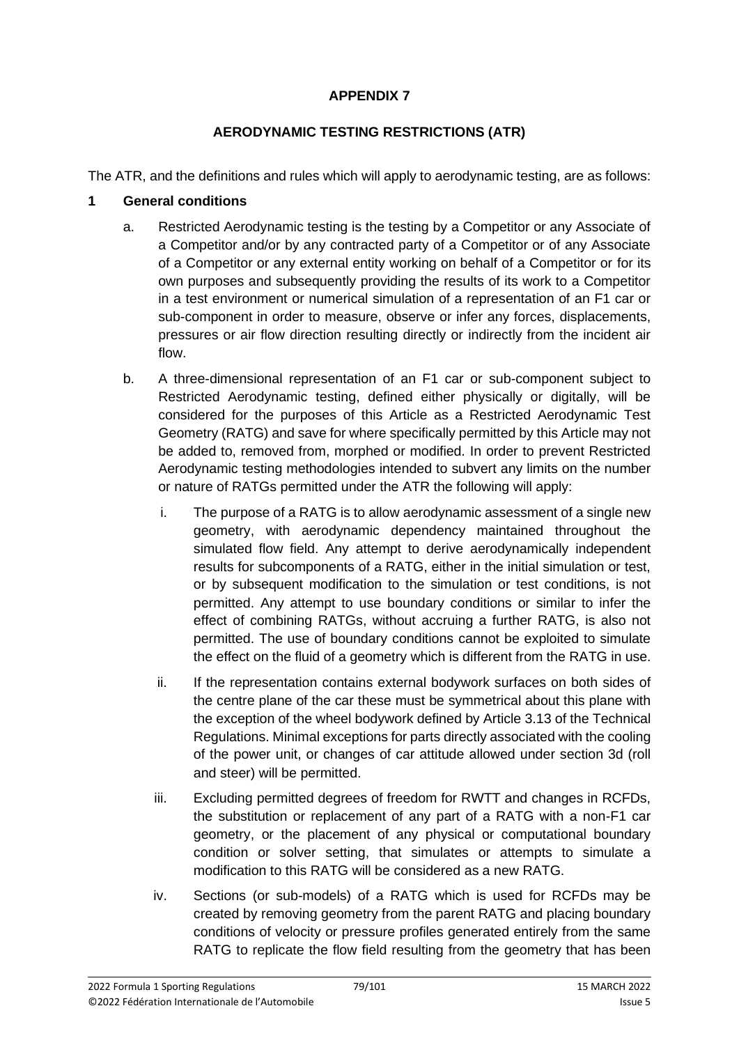## **APPENDIX 7**

## **AERODYNAMIC TESTING RESTRICTIONS (ATR)**

The ATR, and the definitions and rules which will apply to aerodynamic testing, are as follows:

## **1 General conditions**

- a. Restricted Aerodynamic testing is the testing by a Competitor or any Associate of a Competitor and/or by any contracted party of a Competitor or of any Associate of a Competitor or any external entity working on behalf of a Competitor or for its own purposes and subsequently providing the results of its work to a Competitor in a test environment or numerical simulation of a representation of an F1 car or sub-component in order to measure, observe or infer any forces, displacements, pressures or air flow direction resulting directly or indirectly from the incident air flow.
- b. A three-dimensional representation of an F1 car or sub-component subject to Restricted Aerodynamic testing, defined either physically or digitally, will be considered for the purposes of this Article as a Restricted Aerodynamic Test Geometry (RATG) and save for where specifically permitted by this Article may not be added to, removed from, morphed or modified. In order to prevent Restricted Aerodynamic testing methodologies intended to subvert any limits on the number or nature of RATGs permitted under the ATR the following will apply:
	- i. The purpose of a RATG is to allow aerodynamic assessment of a single new geometry, with aerodynamic dependency maintained throughout the simulated flow field. Any attempt to derive aerodynamically independent results for subcomponents of a RATG, either in the initial simulation or test, or by subsequent modification to the simulation or test conditions, is not permitted. Any attempt to use boundary conditions or similar to infer the effect of combining RATGs, without accruing a further RATG, is also not permitted. The use of boundary conditions cannot be exploited to simulate the effect on the fluid of a geometry which is different from the RATG in use.
	- ii. If the representation contains external bodywork surfaces on both sides of the centre plane of the car these must be symmetrical about this plane with the exception of the wheel bodywork defined by Article 3.13 of the Technical Regulations. Minimal exceptions for parts directly associated with the cooling of the power unit, or changes of car attitude allowed under section 3d (roll and steer) will be permitted.
	- iii. Excluding permitted degrees of freedom for RWTT and changes in RCFDs, the substitution or replacement of any part of a RATG with a non-F1 car geometry, or the placement of any physical or computational boundary condition or solver setting, that simulates or attempts to simulate a modification to this RATG will be considered as a new RATG.
	- iv. Sections (or sub-models) of a RATG which is used for RCFDs may be created by removing geometry from the parent RATG and placing boundary conditions of velocity or pressure profiles generated entirely from the same RATG to replicate the flow field resulting from the geometry that has been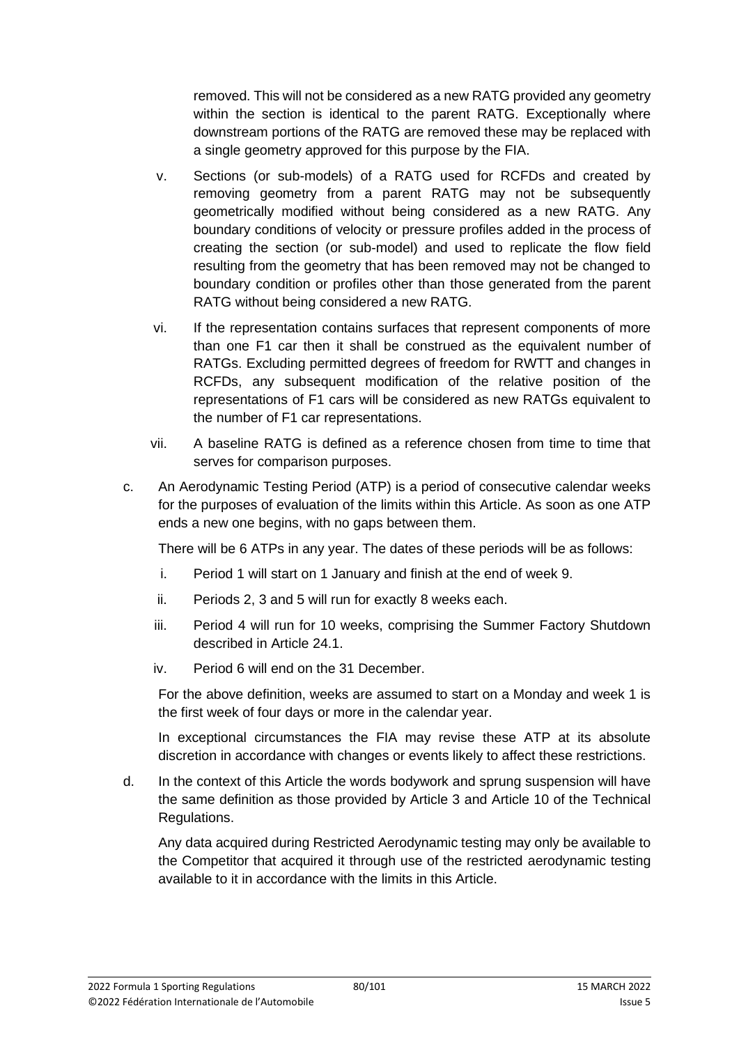removed. This will not be considered as a new RATG provided any geometry within the section is identical to the parent RATG. Exceptionally where downstream portions of the RATG are removed these may be replaced with a single geometry approved for this purpose by the FIA.

- v. Sections (or sub-models) of a RATG used for RCFDs and created by removing geometry from a parent RATG may not be subsequently geometrically modified without being considered as a new RATG. Any boundary conditions of velocity or pressure profiles added in the process of creating the section (or sub-model) and used to replicate the flow field resulting from the geometry that has been removed may not be changed to boundary condition or profiles other than those generated from the parent RATG without being considered a new RATG.
- vi. If the representation contains surfaces that represent components of more than one F1 car then it shall be construed as the equivalent number of RATGs. Excluding permitted degrees of freedom for RWTT and changes in RCFDs, any subsequent modification of the relative position of the representations of F1 cars will be considered as new RATGs equivalent to the number of F1 car representations.
- vii. A baseline RATG is defined as a reference chosen from time to time that serves for comparison purposes.
- c. An Aerodynamic Testing Period (ATP) is a period of consecutive calendar weeks for the purposes of evaluation of the limits within this Article. As soon as one ATP ends a new one begins, with no gaps between them.

There will be 6 ATPs in any year. The dates of these periods will be as follows:

- i. Period 1 will start on 1 January and finish at the end of week 9.
- ii. Periods 2, 3 and 5 will run for exactly 8 weeks each.
- iii. Period 4 will run for 10 weeks, comprising the Summer Factory Shutdown described in Article 24.1.
- iv. Period 6 will end on the 31 December.

For the above definition, weeks are assumed to start on a Monday and week 1 is the first week of four days or more in the calendar year.

In exceptional circumstances the FIA may revise these ATP at its absolute discretion in accordance with changes or events likely to affect these restrictions.

d. In the context of this Article the words bodywork and sprung suspension will have the same definition as those provided by Article 3 and Article 10 of the Technical Regulations.

Any data acquired during Restricted Aerodynamic testing may only be available to the Competitor that acquired it through use of the restricted aerodynamic testing available to it in accordance with the limits in this Article.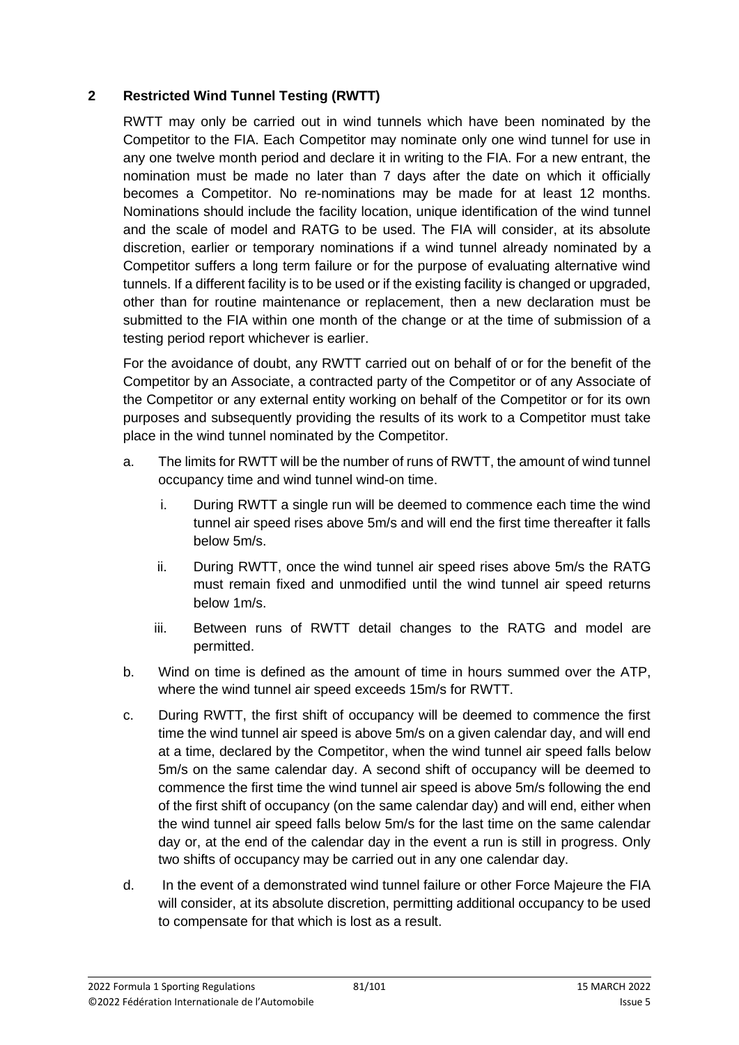## **2 Restricted Wind Tunnel Testing (RWTT)**

RWTT may only be carried out in wind tunnels which have been nominated by the Competitor to the FIA. Each Competitor may nominate only one wind tunnel for use in any one twelve month period and declare it in writing to the FIA. For a new entrant, the nomination must be made no later than 7 days after the date on which it officially becomes a Competitor. No re-nominations may be made for at least 12 months. Nominations should include the facility location, unique identification of the wind tunnel and the scale of model and RATG to be used. The FIA will consider, at its absolute discretion, earlier or temporary nominations if a wind tunnel already nominated by a Competitor suffers a long term failure or for the purpose of evaluating alternative wind tunnels. If a different facility is to be used or if the existing facility is changed or upgraded, other than for routine maintenance or replacement, then a new declaration must be submitted to the FIA within one month of the change or at the time of submission of a testing period report whichever is earlier.

For the avoidance of doubt, any RWTT carried out on behalf of or for the benefit of the Competitor by an Associate, a contracted party of the Competitor or of any Associate of the Competitor or any external entity working on behalf of the Competitor or for its own purposes and subsequently providing the results of its work to a Competitor must take place in the wind tunnel nominated by the Competitor.

- a. The limits for RWTT will be the number of runs of RWTT, the amount of wind tunnel occupancy time and wind tunnel wind-on time.
	- i. During RWTT a single run will be deemed to commence each time the wind tunnel air speed rises above 5m/s and will end the first time thereafter it falls below 5m/s.
	- ii. During RWTT, once the wind tunnel air speed rises above 5m/s the RATG must remain fixed and unmodified until the wind tunnel air speed returns below 1m/s.
	- iii. Between runs of RWTT detail changes to the RATG and model are permitted.
- b. Wind on time is defined as the amount of time in hours summed over the ATP, where the wind tunnel air speed exceeds 15m/s for RWTT.
- c. During RWTT, the first shift of occupancy will be deemed to commence the first time the wind tunnel air speed is above 5m/s on a given calendar day, and will end at a time, declared by the Competitor, when the wind tunnel air speed falls below 5m/s on the same calendar day. A second shift of occupancy will be deemed to commence the first time the wind tunnel air speed is above 5m/s following the end of the first shift of occupancy (on the same calendar day) and will end, either when the wind tunnel air speed falls below 5m/s for the last time on the same calendar day or, at the end of the calendar day in the event a run is still in progress. Only two shifts of occupancy may be carried out in any one calendar day.
- d. In the event of a demonstrated wind tunnel failure or other Force Majeure the FIA will consider, at its absolute discretion, permitting additional occupancy to be used to compensate for that which is lost as a result.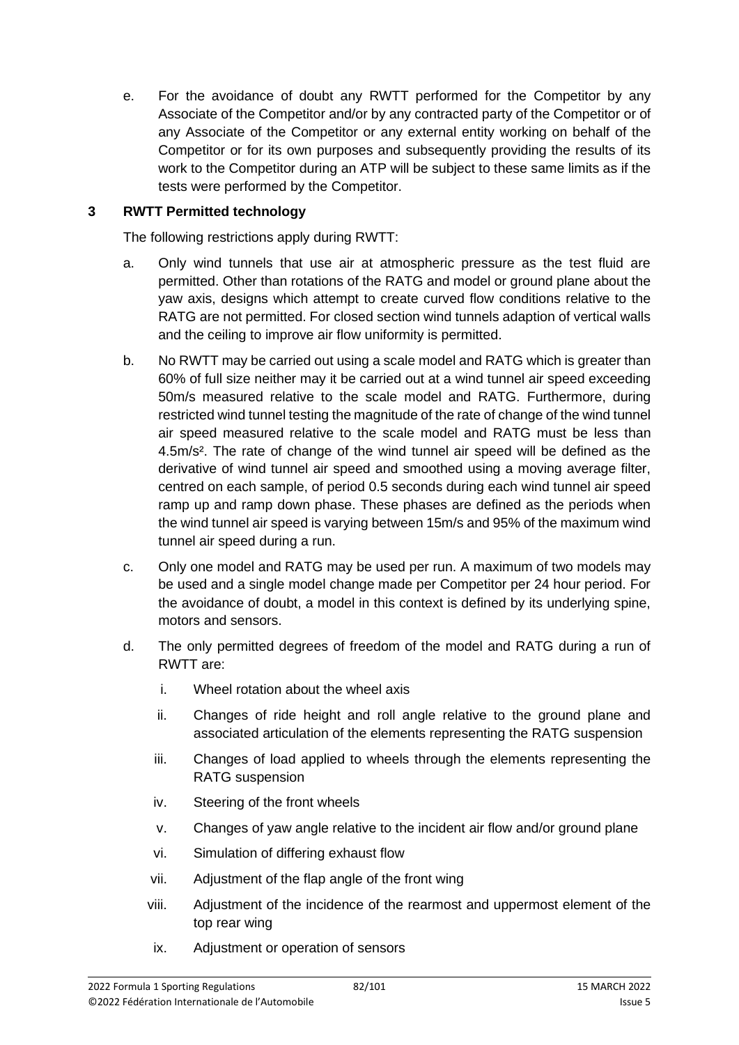e. For the avoidance of doubt any RWTT performed for the Competitor by any Associate of the Competitor and/or by any contracted party of the Competitor or of any Associate of the Competitor or any external entity working on behalf of the Competitor or for its own purposes and subsequently providing the results of its work to the Competitor during an ATP will be subject to these same limits as if the tests were performed by the Competitor.

#### **3 RWTT Permitted technology**

The following restrictions apply during RWTT:

- a. Only wind tunnels that use air at atmospheric pressure as the test fluid are permitted. Other than rotations of the RATG and model or ground plane about the yaw axis, designs which attempt to create curved flow conditions relative to the RATG are not permitted. For closed section wind tunnels adaption of vertical walls and the ceiling to improve air flow uniformity is permitted.
- b. No RWTT may be carried out using a scale model and RATG which is greater than 60% of full size neither may it be carried out at a wind tunnel air speed exceeding 50m/s measured relative to the scale model and RATG. Furthermore, during restricted wind tunnel testing the magnitude of the rate of change of the wind tunnel air speed measured relative to the scale model and RATG must be less than 4.5m/s<sup>2</sup>. The rate of change of the wind tunnel air speed will be defined as the derivative of wind tunnel air speed and smoothed using a moving average filter, centred on each sample, of period 0.5 seconds during each wind tunnel air speed ramp up and ramp down phase. These phases are defined as the periods when the wind tunnel air speed is varying between 15m/s and 95% of the maximum wind tunnel air speed during a run.
- c. Only one model and RATG may be used per run. A maximum of two models may be used and a single model change made per Competitor per 24 hour period. For the avoidance of doubt, a model in this context is defined by its underlying spine, motors and sensors.
- d. The only permitted degrees of freedom of the model and RATG during a run of RWTT are:
	- i. Wheel rotation about the wheel axis
	- ii. Changes of ride height and roll angle relative to the ground plane and associated articulation of the elements representing the RATG suspension
	- iii. Changes of load applied to wheels through the elements representing the RATG suspension
	- iv. Steering of the front wheels
	- v. Changes of yaw angle relative to the incident air flow and/or ground plane
	- vi. Simulation of differing exhaust flow
	- vii. Adjustment of the flap angle of the front wing
	- viii. Adjustment of the incidence of the rearmost and uppermost element of the top rear wing
	- ix. Adjustment or operation of sensors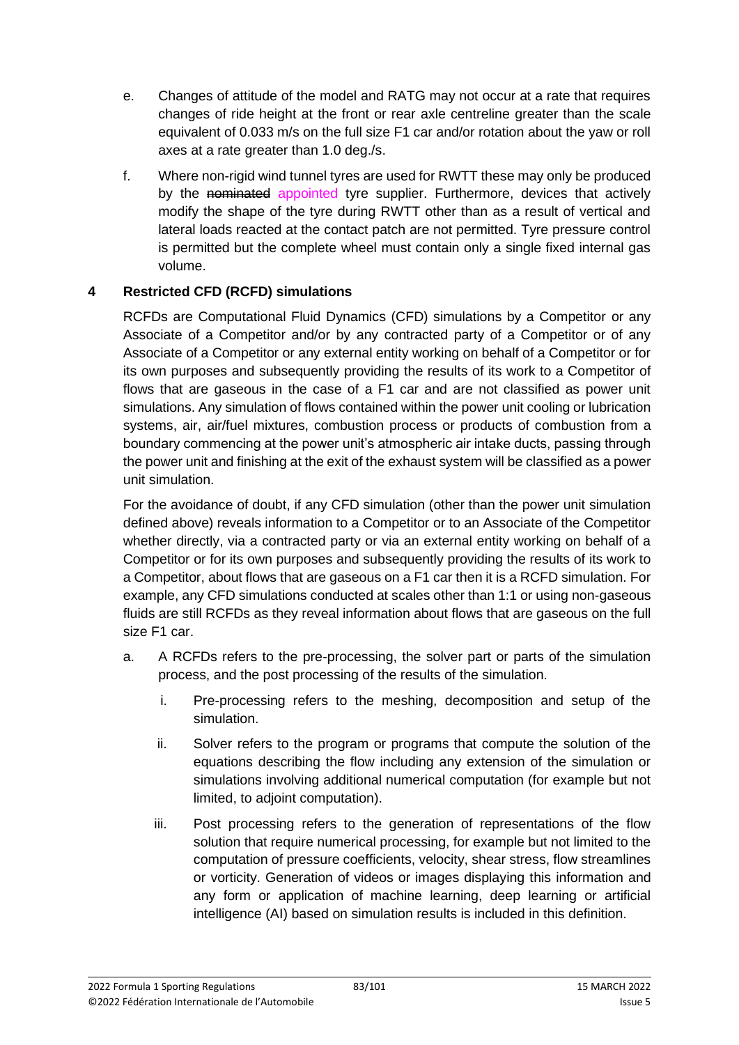- e. Changes of attitude of the model and RATG may not occur at a rate that requires changes of ride height at the front or rear axle centreline greater than the scale equivalent of 0.033 m/s on the full size F1 car and/or rotation about the yaw or roll axes at a rate greater than 1.0 deg./s.
- f. Where non-rigid wind tunnel tyres are used for RWTT these may only be produced by the nominated appointed tyre supplier. Furthermore, devices that actively modify the shape of the tyre during RWTT other than as a result of vertical and lateral loads reacted at the contact patch are not permitted. Tyre pressure control is permitted but the complete wheel must contain only a single fixed internal gas volume.

## **4 Restricted CFD (RCFD) simulations**

RCFDs are Computational Fluid Dynamics (CFD) simulations by a Competitor or any Associate of a Competitor and/or by any contracted party of a Competitor or of any Associate of a Competitor or any external entity working on behalf of a Competitor or for its own purposes and subsequently providing the results of its work to a Competitor of flows that are gaseous in the case of a F1 car and are not classified as power unit simulations. Any simulation of flows contained within the power unit cooling or lubrication systems, air, air/fuel mixtures, combustion process or products of combustion from a boundary commencing at the power unit's atmospheric air intake ducts, passing through the power unit and finishing at the exit of the exhaust system will be classified as a power unit simulation.

For the avoidance of doubt, if any CFD simulation (other than the power unit simulation defined above) reveals information to a Competitor or to an Associate of the Competitor whether directly, via a contracted party or via an external entity working on behalf of a Competitor or for its own purposes and subsequently providing the results of its work to a Competitor, about flows that are gaseous on a F1 car then it is a RCFD simulation. For example, any CFD simulations conducted at scales other than 1:1 or using non-gaseous fluids are still RCFDs as they reveal information about flows that are gaseous on the full size F1 car.

- a. A RCFDs refers to the pre-processing, the solver part or parts of the simulation process, and the post processing of the results of the simulation.
	- i. Pre-processing refers to the meshing, decomposition and setup of the simulation.
	- ii. Solver refers to the program or programs that compute the solution of the equations describing the flow including any extension of the simulation or simulations involving additional numerical computation (for example but not limited, to adjoint computation).
	- iii. Post processing refers to the generation of representations of the flow solution that require numerical processing, for example but not limited to the computation of pressure coefficients, velocity, shear stress, flow streamlines or vorticity. Generation of videos or images displaying this information and any form or application of machine learning, deep learning or artificial intelligence (AI) based on simulation results is included in this definition.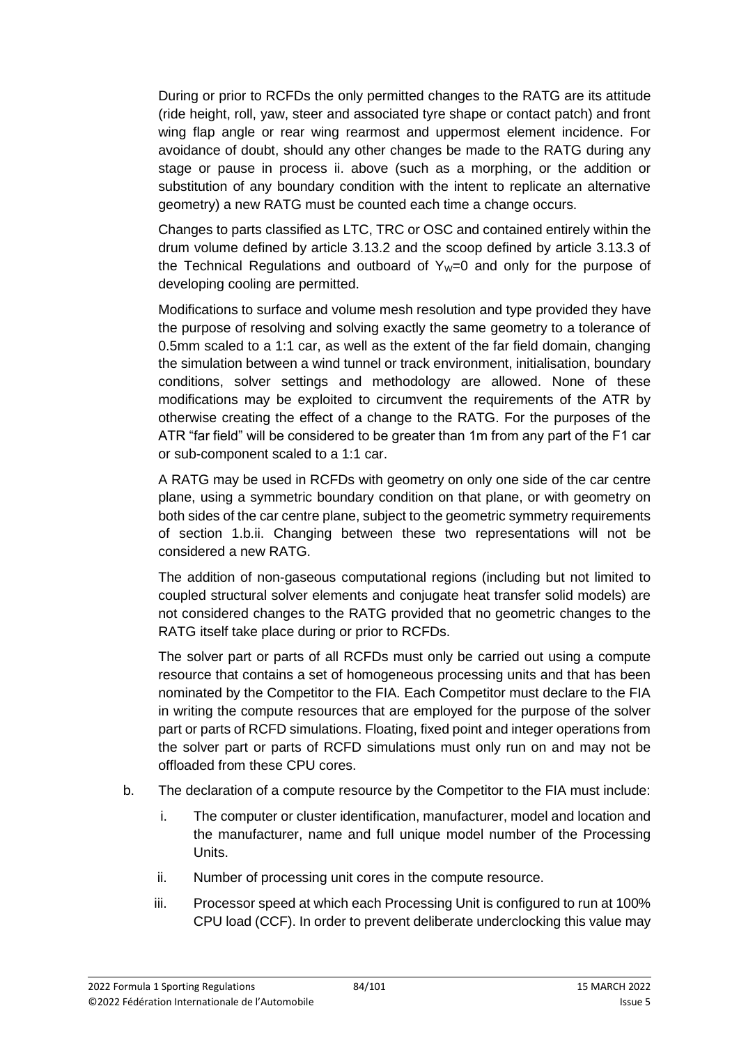During or prior to RCFDs the only permitted changes to the RATG are its attitude (ride height, roll, yaw, steer and associated tyre shape or contact patch) and front wing flap angle or rear wing rearmost and uppermost element incidence. For avoidance of doubt, should any other changes be made to the RATG during any stage or pause in process ii. above (such as a morphing, or the addition or substitution of any boundary condition with the intent to replicate an alternative geometry) a new RATG must be counted each time a change occurs.

Changes to parts classified as LTC, TRC or OSC and contained entirely within the drum volume defined by article 3.13.2 and the scoop defined by article 3.13.3 of the Technical Regulations and outboard of  $Y_W=0$  and only for the purpose of developing cooling are permitted.

Modifications to surface and volume mesh resolution and type provided they have the purpose of resolving and solving exactly the same geometry to a tolerance of 0.5mm scaled to a 1:1 car, as well as the extent of the far field domain, changing the simulation between a wind tunnel or track environment, initialisation, boundary conditions, solver settings and methodology are allowed. None of these modifications may be exploited to circumvent the requirements of the ATR by otherwise creating the effect of a change to the RATG. For the purposes of the ATR "far field" will be considered to be greater than 1m from any part of the F1 car or sub-component scaled to a 1:1 car.

A RATG may be used in RCFDs with geometry on only one side of the car centre plane, using a symmetric boundary condition on that plane, or with geometry on both sides of the car centre plane, subject to the geometric symmetry requirements of section 1.b.ii. Changing between these two representations will not be considered a new RATG.

The addition of non-gaseous computational regions (including but not limited to coupled structural solver elements and conjugate heat transfer solid models) are not considered changes to the RATG provided that no geometric changes to the RATG itself take place during or prior to RCFDs.

The solver part or parts of all RCFDs must only be carried out using a compute resource that contains a set of homogeneous processing units and that has been nominated by the Competitor to the FIA. Each Competitor must declare to the FIA in writing the compute resources that are employed for the purpose of the solver part or parts of RCFD simulations. Floating, fixed point and integer operations from the solver part or parts of RCFD simulations must only run on and may not be offloaded from these CPU cores.

- b. The declaration of a compute resource by the Competitor to the FIA must include:
	- i. The computer or cluster identification, manufacturer, model and location and the manufacturer, name and full unique model number of the Processing Units.
	- ii. Number of processing unit cores in the compute resource.
	- iii. Processor speed at which each Processing Unit is configured to run at 100% CPU load (CCF). In order to prevent deliberate underclocking this value may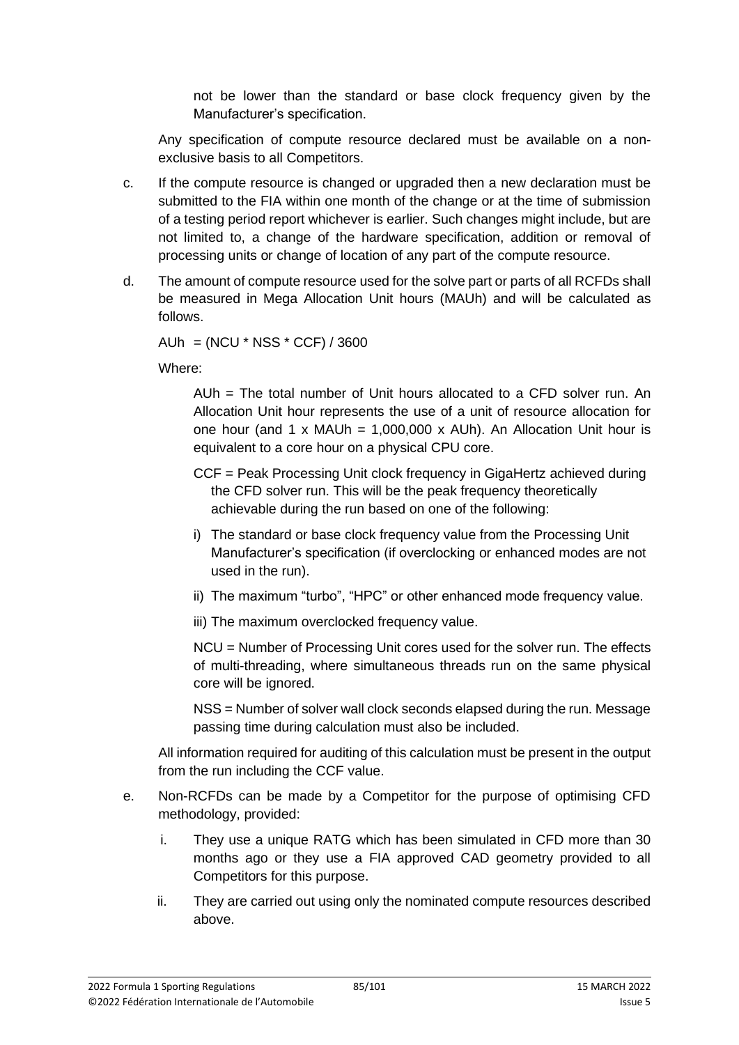not be lower than the standard or base clock frequency given by the Manufacturer's specification.

Any specification of compute resource declared must be available on a nonexclusive basis to all Competitors.

- c. If the compute resource is changed or upgraded then a new declaration must be submitted to the FIA within one month of the change or at the time of submission of a testing period report whichever is earlier. Such changes might include, but are not limited to, a change of the hardware specification, addition or removal of processing units or change of location of any part of the compute resource.
- d. The amount of compute resource used for the solve part or parts of all RCFDs shall be measured in Mega Allocation Unit hours (MAUh) and will be calculated as follows.

AUh =  $(NCU * NSS * CCF) / 3600$ 

Where:

AUh = The total number of Unit hours allocated to a CFD solver run. An Allocation Unit hour represents the use of a unit of resource allocation for one hour (and 1 x MAUh = 1,000,000 x AUh). An Allocation Unit hour is equivalent to a core hour on a physical CPU core.

- CCF = Peak Processing Unit clock frequency in GigaHertz achieved during the CFD solver run. This will be the peak frequency theoretically achievable during the run based on one of the following:
- i) The standard or base clock frequency value from the Processing Unit Manufacturer's specification (if overclocking or enhanced modes are not used in the run).
- ii) The maximum "turbo", "HPC" or other enhanced mode frequency value.
- iii) The maximum overclocked frequency value.

NCU = Number of Processing Unit cores used for the solver run. The effects of multi-threading, where simultaneous threads run on the same physical core will be ignored.

NSS = Number of solver wall clock seconds elapsed during the run. Message passing time during calculation must also be included.

All information required for auditing of this calculation must be present in the output from the run including the CCF value.

- e. Non-RCFDs can be made by a Competitor for the purpose of optimising CFD methodology, provided:
	- i. They use a unique RATG which has been simulated in CFD more than 30 months ago or they use a FIA approved CAD geometry provided to all Competitors for this purpose.
	- ii. They are carried out using only the nominated compute resources described above.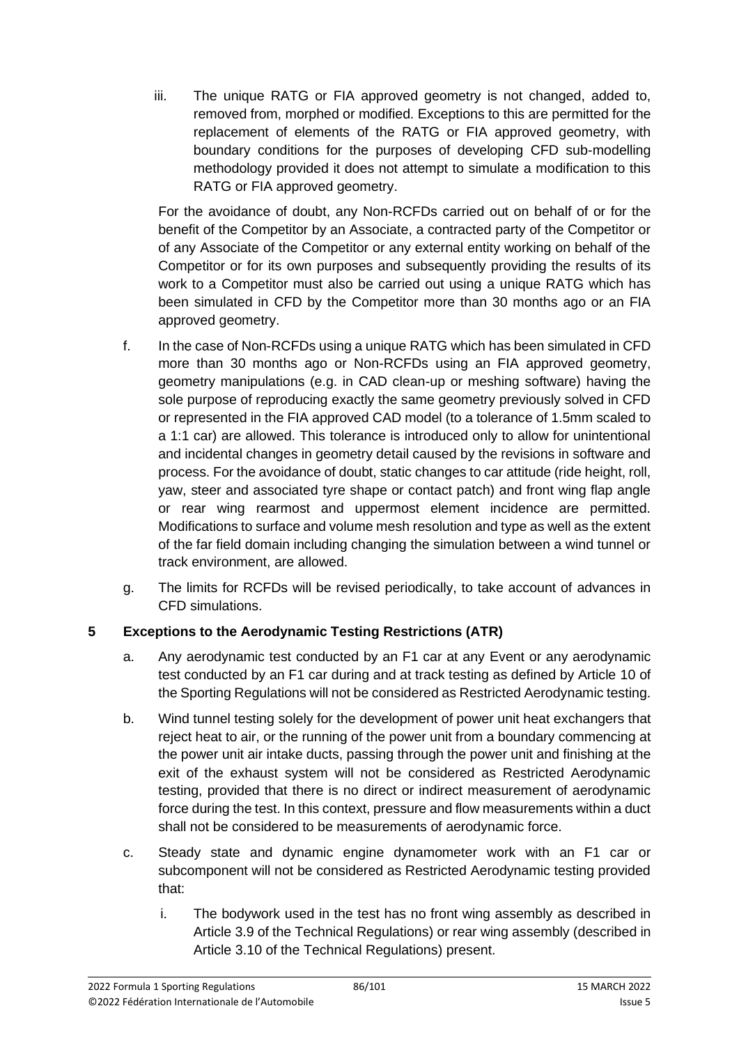iii. The unique RATG or FIA approved geometry is not changed, added to, removed from, morphed or modified. Exceptions to this are permitted for the replacement of elements of the RATG or FIA approved geometry, with boundary conditions for the purposes of developing CFD sub-modelling methodology provided it does not attempt to simulate a modification to this RATG or FIA approved geometry.

For the avoidance of doubt, any Non-RCFDs carried out on behalf of or for the benefit of the Competitor by an Associate, a contracted party of the Competitor or of any Associate of the Competitor or any external entity working on behalf of the Competitor or for its own purposes and subsequently providing the results of its work to a Competitor must also be carried out using a unique RATG which has been simulated in CFD by the Competitor more than 30 months ago or an FIA approved geometry.

- f. In the case of Non-RCFDs using a unique RATG which has been simulated in CFD more than 30 months ago or Non-RCFDs using an FIA approved geometry, geometry manipulations (e.g. in CAD clean-up or meshing software) having the sole purpose of reproducing exactly the same geometry previously solved in CFD or represented in the FIA approved CAD model (to a tolerance of 1.5mm scaled to a 1:1 car) are allowed. This tolerance is introduced only to allow for unintentional and incidental changes in geometry detail caused by the revisions in software and process. For the avoidance of doubt, static changes to car attitude (ride height, roll, yaw, steer and associated tyre shape or contact patch) and front wing flap angle or rear wing rearmost and uppermost element incidence are permitted. Modifications to surface and volume mesh resolution and type as well as the extent of the far field domain including changing the simulation between a wind tunnel or track environment, are allowed.
- g. The limits for RCFDs will be revised periodically, to take account of advances in CFD simulations.

# **5 Exceptions to the Aerodynamic Testing Restrictions (ATR)**

- a. Any aerodynamic test conducted by an F1 car at any Event or any aerodynamic test conducted by an F1 car during and at track testing as defined by Article 10 of the Sporting Regulations will not be considered as Restricted Aerodynamic testing.
- b. Wind tunnel testing solely for the development of power unit heat exchangers that reject heat to air, or the running of the power unit from a boundary commencing at the power unit air intake ducts, passing through the power unit and finishing at the exit of the exhaust system will not be considered as Restricted Aerodynamic testing, provided that there is no direct or indirect measurement of aerodynamic force during the test. In this context, pressure and flow measurements within a duct shall not be considered to be measurements of aerodynamic force.
- c. Steady state and dynamic engine dynamometer work with an F1 car or subcomponent will not be considered as Restricted Aerodynamic testing provided that:
	- i. The bodywork used in the test has no front wing assembly as described in Article 3.9 of the Technical Regulations) or rear wing assembly (described in Article 3.10 of the Technical Regulations) present.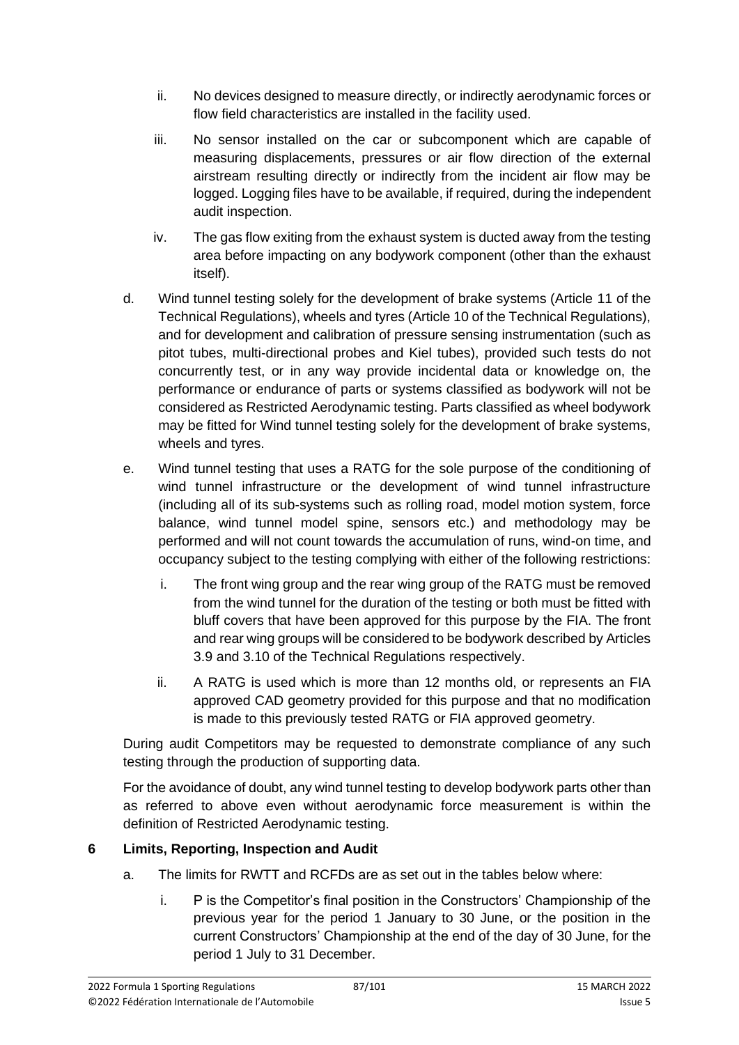- ii. No devices designed to measure directly, or indirectly aerodynamic forces or flow field characteristics are installed in the facility used.
- iii. No sensor installed on the car or subcomponent which are capable of measuring displacements, pressures or air flow direction of the external airstream resulting directly or indirectly from the incident air flow may be logged. Logging files have to be available, if required, during the independent audit inspection.
- iv. The gas flow exiting from the exhaust system is ducted away from the testing area before impacting on any bodywork component (other than the exhaust itself).
- d. Wind tunnel testing solely for the development of brake systems (Article 11 of the Technical Regulations), wheels and tyres (Article 10 of the Technical Regulations), and for development and calibration of pressure sensing instrumentation (such as pitot tubes, multi-directional probes and Kiel tubes), provided such tests do not concurrently test, or in any way provide incidental data or knowledge on, the performance or endurance of parts or systems classified as bodywork will not be considered as Restricted Aerodynamic testing. Parts classified as wheel bodywork may be fitted for Wind tunnel testing solely for the development of brake systems, wheels and tyres.
- e. Wind tunnel testing that uses a RATG for the sole purpose of the conditioning of wind tunnel infrastructure or the development of wind tunnel infrastructure (including all of its sub-systems such as rolling road, model motion system, force balance, wind tunnel model spine, sensors etc.) and methodology may be performed and will not count towards the accumulation of runs, wind-on time, and occupancy subject to the testing complying with either of the following restrictions:
	- i. The front wing group and the rear wing group of the RATG must be removed from the wind tunnel for the duration of the testing or both must be fitted with bluff covers that have been approved for this purpose by the FIA. The front and rear wing groups will be considered to be bodywork described by Articles 3.9 and 3.10 of the Technical Regulations respectively.
	- ii. A RATG is used which is more than 12 months old, or represents an FIA approved CAD geometry provided for this purpose and that no modification is made to this previously tested RATG or FIA approved geometry.

During audit Competitors may be requested to demonstrate compliance of any such testing through the production of supporting data.

For the avoidance of doubt, any wind tunnel testing to develop bodywork parts other than as referred to above even without aerodynamic force measurement is within the definition of Restricted Aerodynamic testing.

# **6 Limits, Reporting, Inspection and Audit**

- a. The limits for RWTT and RCFDs are as set out in the tables below where:
	- i. P is the Competitor's final position in the Constructors' Championship of the previous year for the period 1 January to 30 June, or the position in the current Constructors' Championship at the end of the day of 30 June, for the period 1 July to 31 December.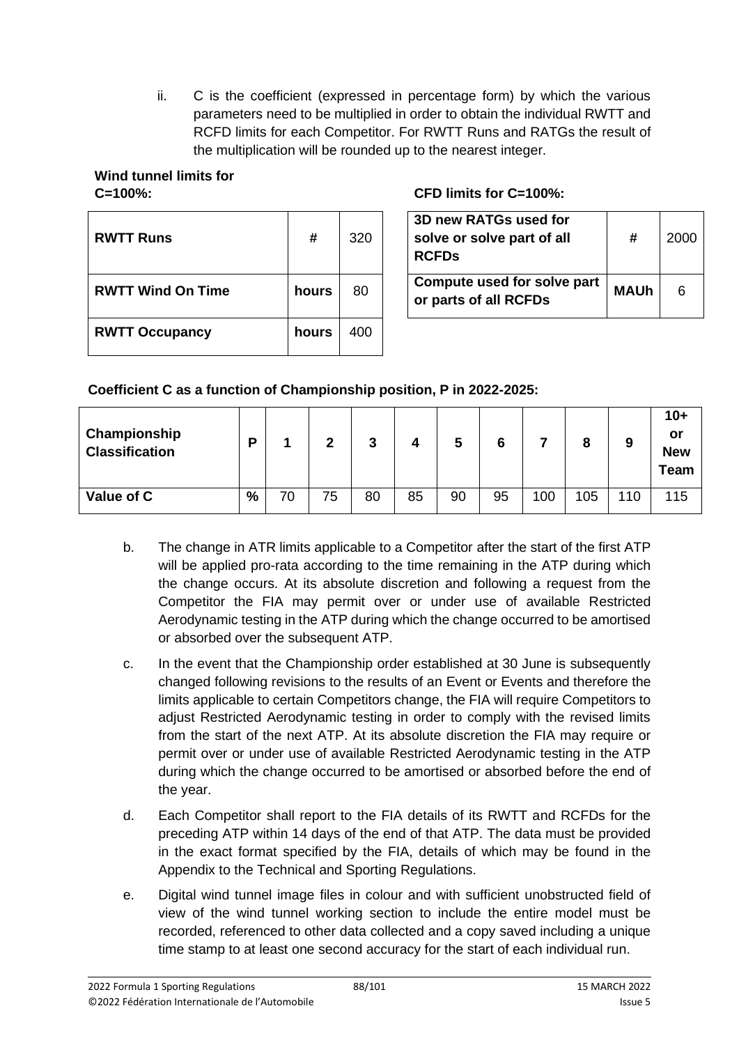ii. C is the coefficient (expressed in percentage form) by which the various parameters need to be multiplied in order to obtain the individual RWTT and RCFD limits for each Competitor. For RWTT Runs and RATGs the result of the multiplication will be rounded up to the nearest integer.

# **Wind tunnel limits for**

| <b>RWTT Runs</b>         | #     | 320 | 3D new RATGs used for<br>solve or solve part of all<br><b>RCFDs</b> |
|--------------------------|-------|-----|---------------------------------------------------------------------|
| <b>RWTT Wind On Time</b> | hours | 80  | Compute used for solve part<br>or parts of all RCFDs                |
| <b>RWTT Occupancy</b>    | hours | 400 |                                                                     |

## **C=100%: CFD limits for C=100%:**

| 3D new RATGs used for<br>solve or solve part of all<br><b>RCFDs</b> | #           | 2000 |
|---------------------------------------------------------------------|-------------|------|
| Compute used for solve part<br>or parts of all RCFDs                | <b>MAUh</b> |      |

## **Coefficient C as a function of Championship position, P in 2022-2025:**

| Championship<br><b>Classification</b> | D |    | ∍  | っ  |    | 5  | 6  |     |     | 9   | $10+$<br>or<br><b>New</b><br><b>Team</b> |
|---------------------------------------|---|----|----|----|----|----|----|-----|-----|-----|------------------------------------------|
| Value of C                            | % | 70 | 75 | 80 | 85 | 90 | 95 | 100 | 105 | 110 | 115                                      |

- b. The change in ATR limits applicable to a Competitor after the start of the first ATP will be applied pro-rata according to the time remaining in the ATP during which the change occurs. At its absolute discretion and following a request from the Competitor the FIA may permit over or under use of available Restricted Aerodynamic testing in the ATP during which the change occurred to be amortised or absorbed over the subsequent ATP.
- c. In the event that the Championship order established at 30 June is subsequently changed following revisions to the results of an Event or Events and therefore the limits applicable to certain Competitors change, the FIA will require Competitors to adjust Restricted Aerodynamic testing in order to comply with the revised limits from the start of the next ATP. At its absolute discretion the FIA may require or permit over or under use of available Restricted Aerodynamic testing in the ATP during which the change occurred to be amortised or absorbed before the end of the year.
- d. Each Competitor shall report to the FIA details of its RWTT and RCFDs for the preceding ATP within 14 days of the end of that ATP. The data must be provided in the exact format specified by the FIA, details of which may be found in the Appendix to the Technical and Sporting Regulations.
- e. Digital wind tunnel image files in colour and with sufficient unobstructed field of view of the wind tunnel working section to include the entire model must be recorded, referenced to other data collected and a copy saved including a unique time stamp to at least one second accuracy for the start of each individual run.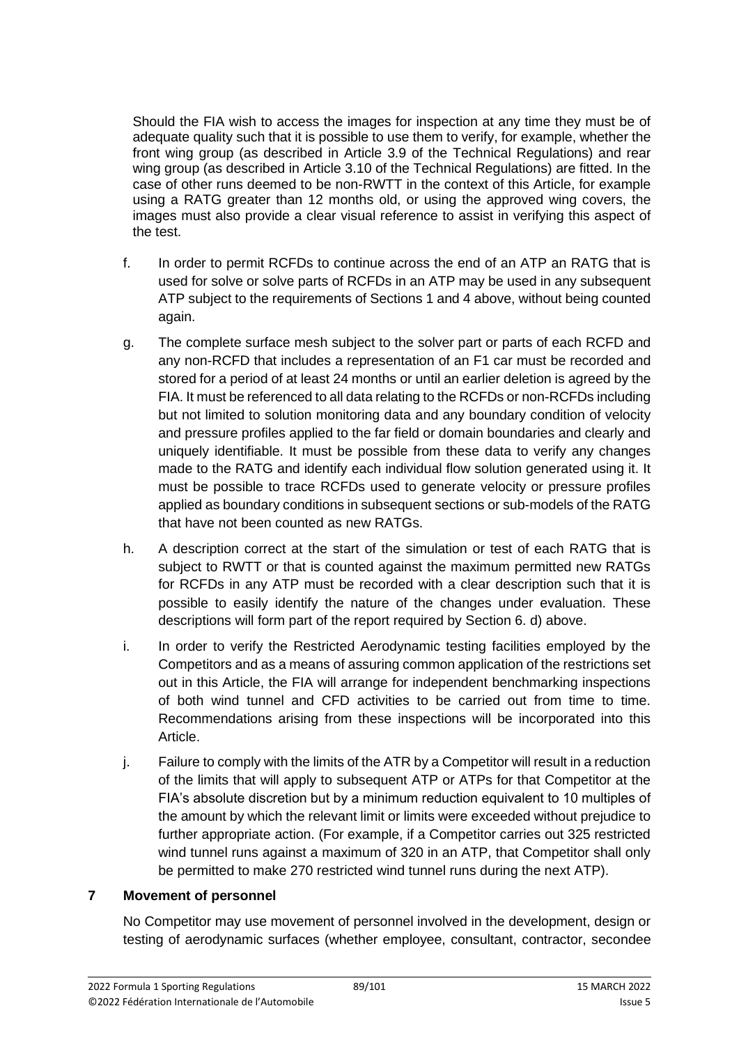Should the FIA wish to access the images for inspection at any time they must be of adequate quality such that it is possible to use them to verify, for example, whether the front wing group (as described in Article 3.9 of the Technical Regulations) and rear wing group (as described in Article 3.10 of the Technical Regulations) are fitted. In the case of other runs deemed to be non-RWTT in the context of this Article, for example using a RATG greater than 12 months old, or using the approved wing covers, the images must also provide a clear visual reference to assist in verifying this aspect of the test.

- f. In order to permit RCFDs to continue across the end of an ATP an RATG that is used for solve or solve parts of RCFDs in an ATP may be used in any subsequent ATP subject to the requirements of Sections 1 and 4 above, without being counted again.
- g. The complete surface mesh subject to the solver part or parts of each RCFD and any non-RCFD that includes a representation of an F1 car must be recorded and stored for a period of at least 24 months or until an earlier deletion is agreed by the FIA. It must be referenced to all data relating to the RCFDs or non-RCFDs including but not limited to solution monitoring data and any boundary condition of velocity and pressure profiles applied to the far field or domain boundaries and clearly and uniquely identifiable. It must be possible from these data to verify any changes made to the RATG and identify each individual flow solution generated using it. It must be possible to trace RCFDs used to generate velocity or pressure profiles applied as boundary conditions in subsequent sections or sub-models of the RATG that have not been counted as new RATGs.
- h. A description correct at the start of the simulation or test of each RATG that is subject to RWTT or that is counted against the maximum permitted new RATGs for RCFDs in any ATP must be recorded with a clear description such that it is possible to easily identify the nature of the changes under evaluation. These descriptions will form part of the report required by Section 6. d) above.
- i. In order to verify the Restricted Aerodynamic testing facilities employed by the Competitors and as a means of assuring common application of the restrictions set out in this Article, the FIA will arrange for independent benchmarking inspections of both wind tunnel and CFD activities to be carried out from time to time. Recommendations arising from these inspections will be incorporated into this Article.
- j. Failure to comply with the limits of the ATR by a Competitor will result in a reduction of the limits that will apply to subsequent ATP or ATPs for that Competitor at the FIA's absolute discretion but by a minimum reduction equivalent to 10 multiples of the amount by which the relevant limit or limits were exceeded without prejudice to further appropriate action. (For example, if a Competitor carries out 325 restricted wind tunnel runs against a maximum of 320 in an ATP, that Competitor shall only be permitted to make 270 restricted wind tunnel runs during the next ATP).

#### **7 Movement of personnel**

No Competitor may use movement of personnel involved in the development, design or testing of aerodynamic surfaces (whether employee, consultant, contractor, secondee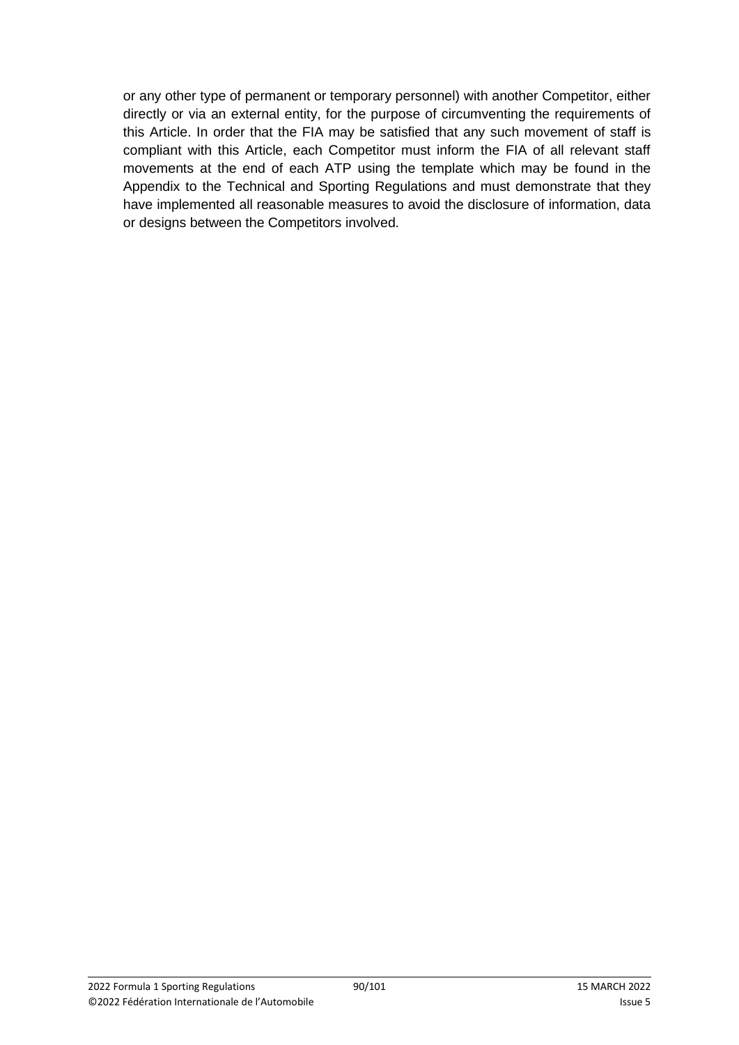or any other type of permanent or temporary personnel) with another Competitor, either directly or via an external entity, for the purpose of circumventing the requirements of this Article. In order that the FIA may be satisfied that any such movement of staff is compliant with this Article, each Competitor must inform the FIA of all relevant staff movements at the end of each ATP using the template which may be found in the Appendix to the Technical and Sporting Regulations and must demonstrate that they have implemented all reasonable measures to avoid the disclosure of information, data or designs between the Competitors involved.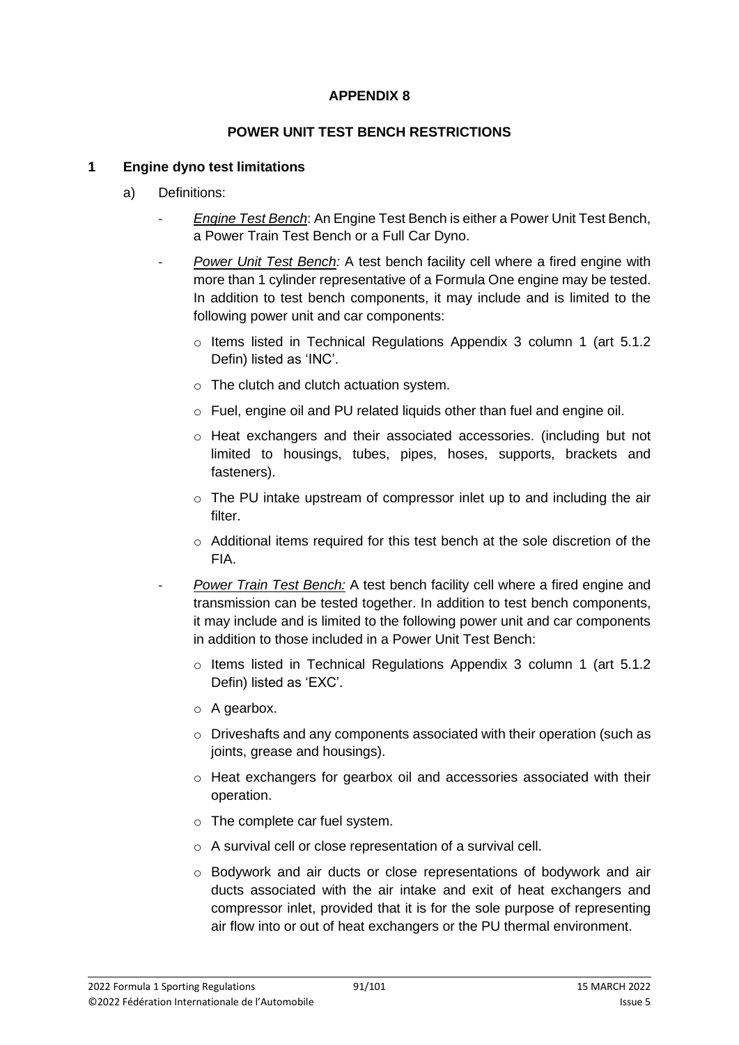#### **APPENDIX 8**

#### **POWER UNIT TEST BENCH RESTRICTIONS**

#### **1 Engine dyno test limitations**

- a) Definitions:
	- *Engine Test Bench*: An Engine Test Bench is either a Power Unit Test Bench, a Power Train Test Bench or a Full Car Dyno.
	- Power Unit Test Bench: A test bench facility cell where a fired engine with more than 1 cylinder representative of a Formula One engine may be tested. In addition to test bench components, it may include and is limited to the following power unit and car components:
		- o Items listed in Technical Regulations Appendix 3 column 1 (art 5.1.2 Defin) listed as 'INC'.
		- o The clutch and clutch actuation system.
		- o Fuel, engine oil and PU related liquids other than fuel and engine oil.
		- o Heat exchangers and their associated accessories. (including but not limited to housings, tubes, pipes, hoses, supports, brackets and fasteners).
		- o The PU intake upstream of compressor inlet up to and including the air filter.
		- o Additional items required for this test bench at the sole discretion of the FIA.
		- *Power Train Test Bench:* A test bench facility cell where a fired engine and transmission can be tested together. In addition to test bench components, it may include and is limited to the following power unit and car components in addition to those included in a Power Unit Test Bench:
			- $\circ$  Items listed in Technical Regulations Appendix 3 column 1 (art 5.1.2) Defin) listed as 'EXC'.
			- o A gearbox.
			- $\circ$  Driveshafts and any components associated with their operation (such as joints, grease and housings).
			- o Heat exchangers for gearbox oil and accessories associated with their operation.
			- o The complete car fuel system.
			- o A survival cell or close representation of a survival cell.
			- o Bodywork and air ducts or close representations of bodywork and air ducts associated with the air intake and exit of heat exchangers and compressor inlet, provided that it is for the sole purpose of representing air flow into or out of heat exchangers or the PU thermal environment.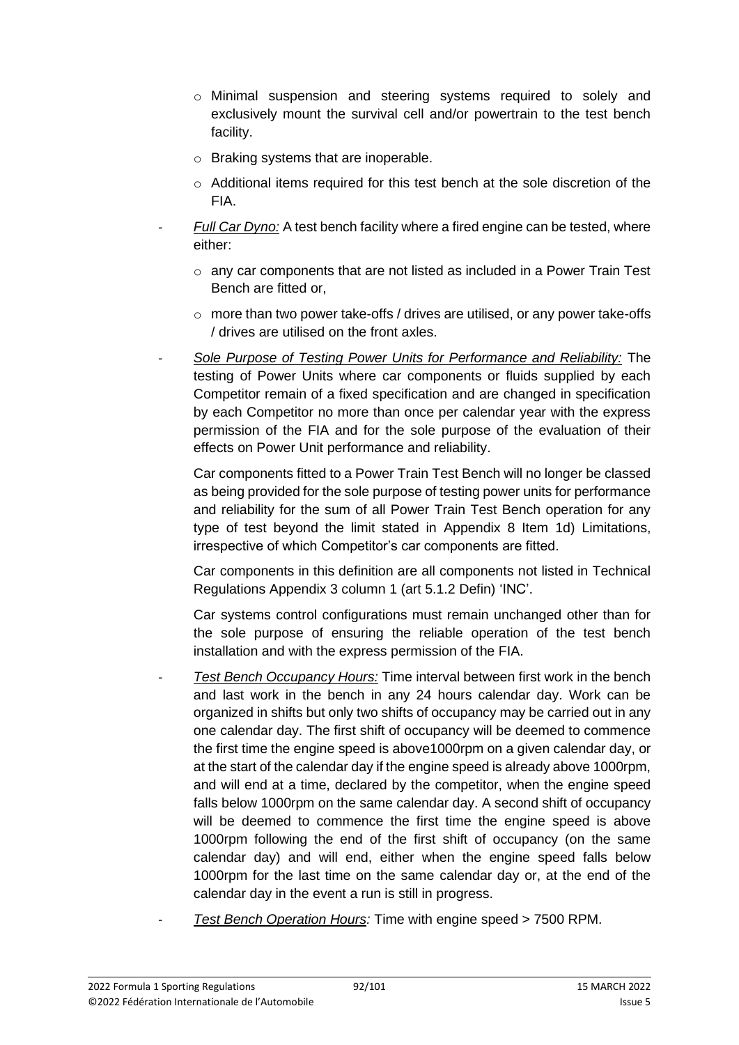- o Minimal suspension and steering systems required to solely and exclusively mount the survival cell and/or powertrain to the test bench facility.
- o Braking systems that are inoperable.
- o Additional items required for this test bench at the sole discretion of the FIA.
- *Full Car Dyno:* A test bench facility where a fired engine can be tested, where either:
	- $\circ$  any car components that are not listed as included in a Power Train Test Bench are fitted or,
	- o more than two power take-offs / drives are utilised, or any power take-offs / drives are utilised on the front axles.
- *Sole Purpose of Testing Power Units for Performance and Reliability:* The testing of Power Units where car components or fluids supplied by each Competitor remain of a fixed specification and are changed in specification by each Competitor no more than once per calendar year with the express permission of the FIA and for the sole purpose of the evaluation of their effects on Power Unit performance and reliability.

Car components fitted to a Power Train Test Bench will no longer be classed as being provided for the sole purpose of testing power units for performance and reliability for the sum of all Power Train Test Bench operation for any type of test beyond the limit stated in Appendix 8 Item 1d) Limitations, irrespective of which Competitor's car components are fitted.

Car components in this definition are all components not listed in Technical Regulations Appendix 3 column 1 (art 5.1.2 Defin) 'INC'.

Car systems control configurations must remain unchanged other than for the sole purpose of ensuring the reliable operation of the test bench installation and with the express permission of the FIA.

- *Test Bench Occupancy Hours:* Time interval between first work in the bench and last work in the bench in any 24 hours calendar day. Work can be organized in shifts but only two shifts of occupancy may be carried out in any one calendar day. The first shift of occupancy will be deemed to commence the first time the engine speed is above1000rpm on a given calendar day, or at the start of the calendar day if the engine speed is already above 1000rpm, and will end at a time, declared by the competitor, when the engine speed falls below 1000rpm on the same calendar day. A second shift of occupancy will be deemed to commence the first time the engine speed is above 1000rpm following the end of the first shift of occupancy (on the same calendar day) and will end, either when the engine speed falls below 1000rpm for the last time on the same calendar day or, at the end of the calendar day in the event a run is still in progress.
	- *Test Bench Operation Hours:* Time with engine speed > 7500 RPM.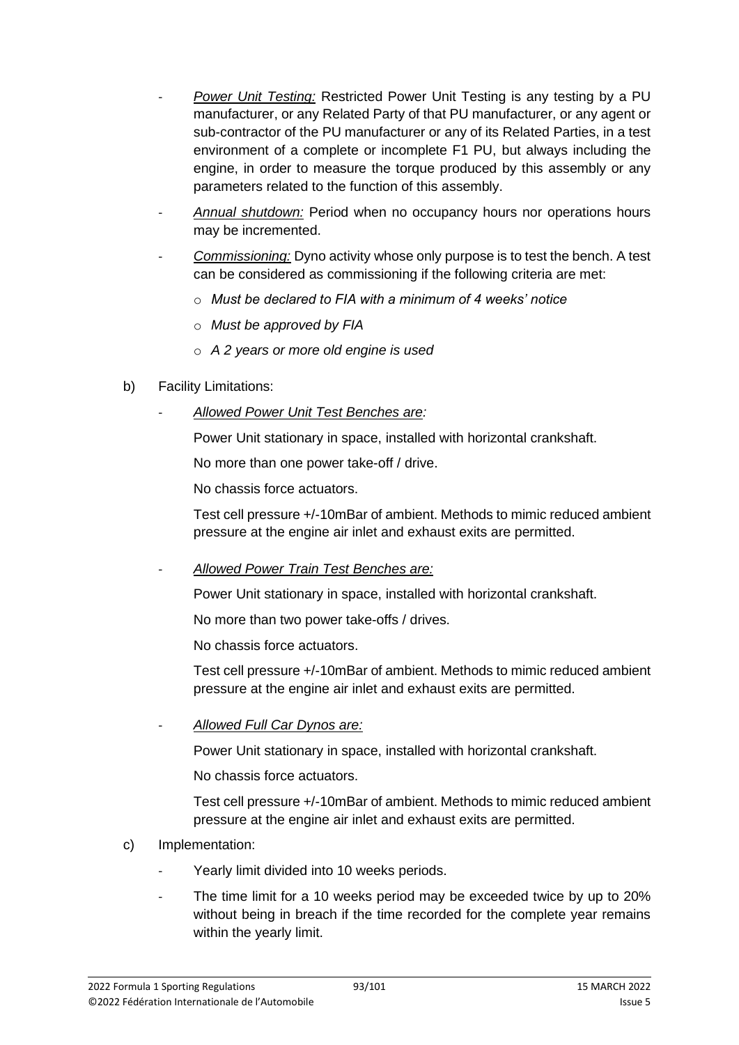- *Power Unit Testing:* Restricted Power Unit Testing is any testing by a PU manufacturer, or any Related Party of that PU manufacturer, or any agent or sub-contractor of the PU manufacturer or any of its Related Parties, in a test environment of a complete or incomplete F1 PU, but always including the engine, in order to measure the torque produced by this assembly or any parameters related to the function of this assembly.
- *Annual shutdown:* Period when no occupancy hours nor operations hours may be incremented.
- *Commissioning:* Dyno activity whose only purpose is to test the bench. A test can be considered as commissioning if the following criteria are met:
	- o *Must be declared to FIA with a minimum of 4 weeks' notice*
	- o *Must be approved by FIA*
	- o *A 2 years or more old engine is used*

## b) Facility Limitations:

- *Allowed Power Unit Test Benches are:*

Power Unit stationary in space, installed with horizontal crankshaft.

No more than one power take-off / drive.

No chassis force actuators.

Test cell pressure +/-10mBar of ambient. Methods to mimic reduced ambient pressure at the engine air inlet and exhaust exits are permitted.

- *Allowed Power Train Test Benches are:*

Power Unit stationary in space, installed with horizontal crankshaft.

No more than two power take-offs / drives.

No chassis force actuators.

Test cell pressure +/-10mBar of ambient. Methods to mimic reduced ambient pressure at the engine air inlet and exhaust exits are permitted.

- *Allowed Full Car Dynos are:*

Power Unit stationary in space, installed with horizontal crankshaft.

No chassis force actuators.

Test cell pressure +/-10mBar of ambient. Methods to mimic reduced ambient pressure at the engine air inlet and exhaust exits are permitted.

- c) Implementation:
	- Yearly limit divided into 10 weeks periods.
	- The time limit for a 10 weeks period may be exceeded twice by up to 20% without being in breach if the time recorded for the complete year remains within the yearly limit.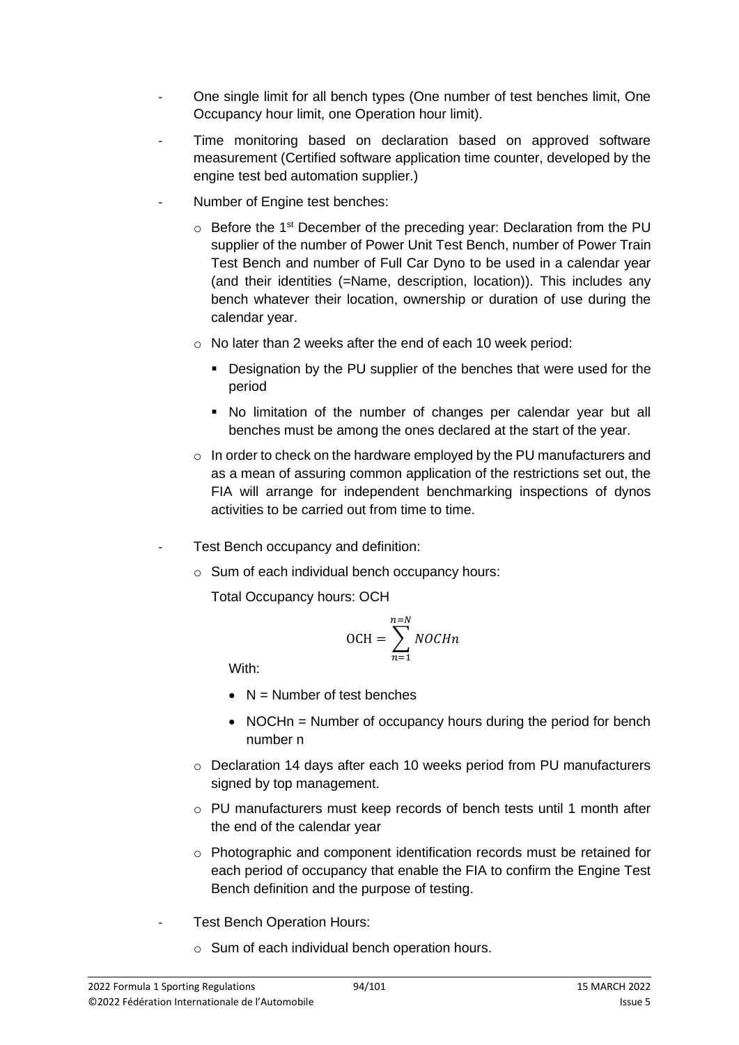- One single limit for all bench types (One number of test benches limit, One Occupancy hour limit, one Operation hour limit).
- Time monitoring based on declaration based on approved software measurement (Certified software application time counter, developed by the engine test bed automation supplier.)
- Number of Engine test benches:
	- $\circ$  Before the 1<sup>st</sup> December of the preceding year: Declaration from the PU supplier of the number of Power Unit Test Bench, number of Power Train Test Bench and number of Full Car Dyno to be used in a calendar year (and their identities (=Name, description, location)). This includes any bench whatever their location, ownership or duration of use during the calendar year.
	- o No later than 2 weeks after the end of each 10 week period:
		- Designation by the PU supplier of the benches that were used for the period
		- No limitation of the number of changes per calendar year but all benches must be among the ones declared at the start of the year.
	- $\circ$  In order to check on the hardware employed by the PU manufacturers and as a mean of assuring common application of the restrictions set out, the FIA will arrange for independent benchmarking inspections of dynos activities to be carried out from time to time.
	- Test Bench occupancy and definition:
		- o Sum of each individual bench occupancy hours:

Total Occupancy hours: OCH

$$
OCH = \sum_{n=1}^{n=N} NOCHn
$$

With:

- $\bullet$  N = Number of test benches
- NOCHn = Number of occupancy hours during the period for bench number n
- o Declaration 14 days after each 10 weeks period from PU manufacturers signed by top management.
- o PU manufacturers must keep records of bench tests until 1 month after the end of the calendar year
- $\circ$  Photographic and component identification records must be retained for each period of occupancy that enable the FIA to confirm the Engine Test Bench definition and the purpose of testing.
- Test Bench Operation Hours:
	- o Sum of each individual bench operation hours.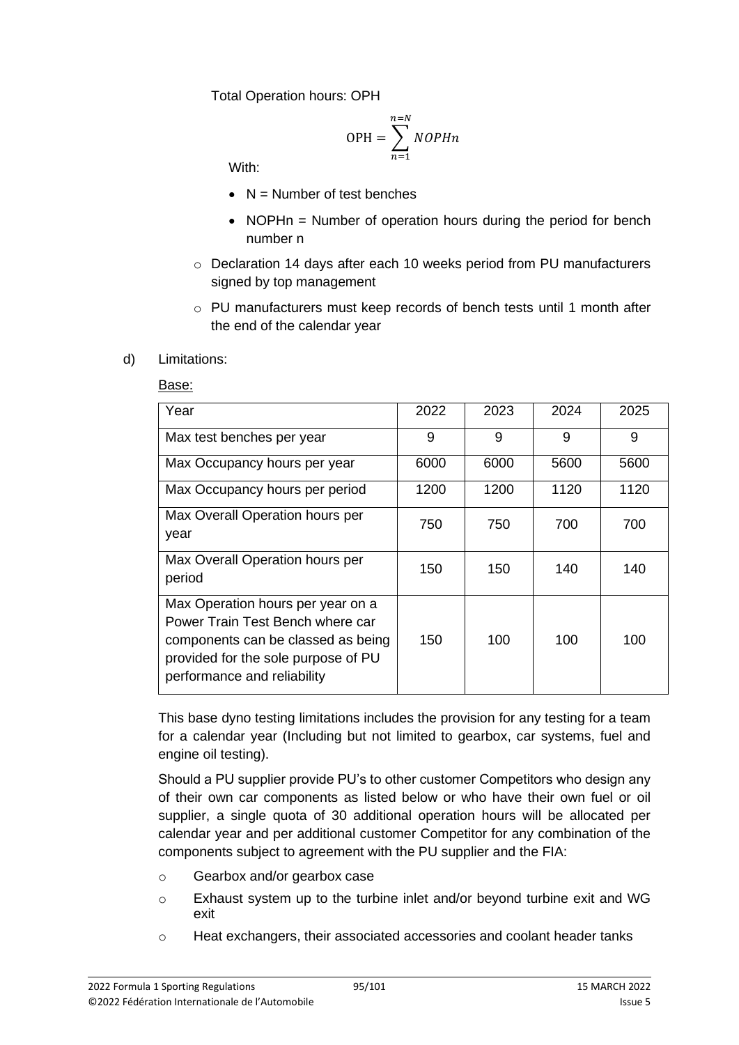Total Operation hours: OPH

$$
OPH = \sum_{n=1}^{n=N} NOPHn
$$

With:

- $\bullet$  N = Number of test benches
- NOPHn = Number of operation hours during the period for bench number n
- o Declaration 14 days after each 10 weeks period from PU manufacturers signed by top management
- o PU manufacturers must keep records of bench tests until 1 month after the end of the calendar year

#### d) Limitations:

#### Base:

| Year                                                                                                                                                                              | 2022 | 2023 | 2024 | 2025 |
|-----------------------------------------------------------------------------------------------------------------------------------------------------------------------------------|------|------|------|------|
| Max test benches per year                                                                                                                                                         | 9    | 9    | 9    | 9    |
| Max Occupancy hours per year                                                                                                                                                      | 6000 | 6000 | 5600 | 5600 |
| Max Occupancy hours per period                                                                                                                                                    | 1200 | 1200 | 1120 | 1120 |
| Max Overall Operation hours per<br>year                                                                                                                                           | 750  | 750  | 700  | 700  |
| Max Overall Operation hours per<br>period                                                                                                                                         | 150  | 150  | 140  | 140  |
| Max Operation hours per year on a<br>Power Train Test Bench where car<br>components can be classed as being<br>provided for the sole purpose of PU<br>performance and reliability | 150  | 100  | 100  | 100  |

This base dyno testing limitations includes the provision for any testing for a team for a calendar year (Including but not limited to gearbox, car systems, fuel and engine oil testing).

Should a PU supplier provide PU's to other customer Competitors who design any of their own car components as listed below or who have their own fuel or oil supplier, a single quota of 30 additional operation hours will be allocated per calendar year and per additional customer Competitor for any combination of the components subject to agreement with the PU supplier and the FIA:

- o Gearbox and/or gearbox case
- o Exhaust system up to the turbine inlet and/or beyond turbine exit and WG exit
- o Heat exchangers, their associated accessories and coolant header tanks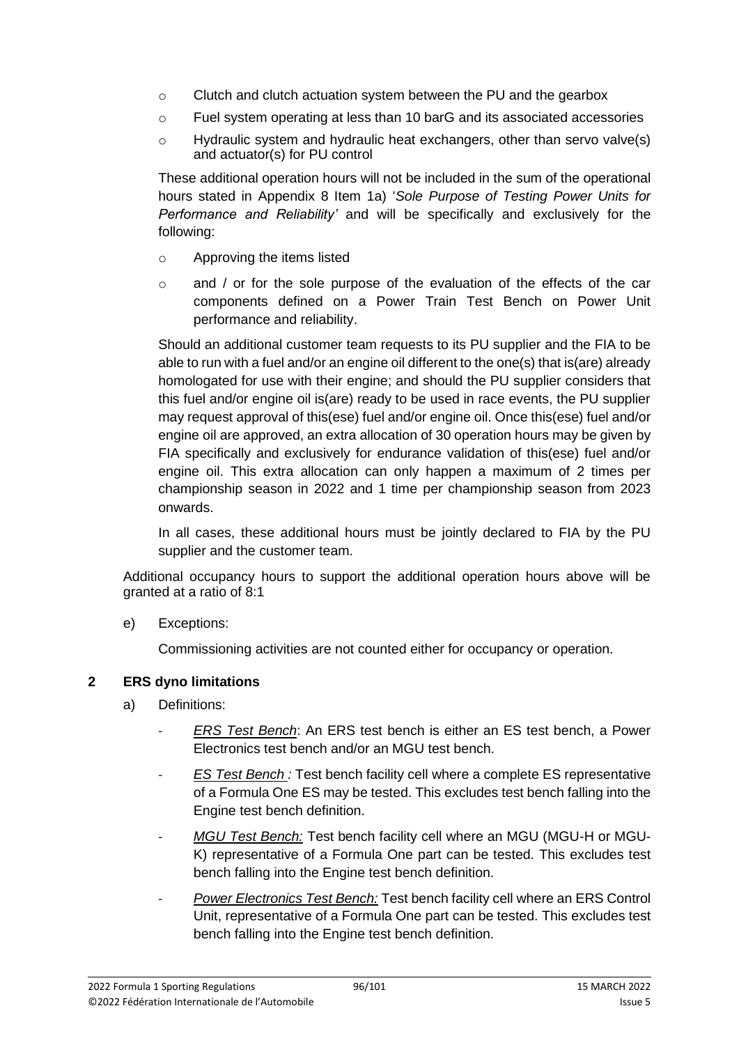- o Clutch and clutch actuation system between the PU and the gearbox
- o Fuel system operating at less than 10 barG and its associated accessories
- o Hydraulic system and hydraulic heat exchangers, other than servo valve(s) and actuator(s) for PU control

These additional operation hours will not be included in the sum of the operational hours stated in Appendix 8 Item 1a) '*Sole Purpose of Testing Power Units for Performance and Reliability'* and will be specifically and exclusively for the following:

- o Approving the items listed
- $\circ$  and / or for the sole purpose of the evaluation of the effects of the car components defined on a Power Train Test Bench on Power Unit performance and reliability.

Should an additional customer team requests to its PU supplier and the FIA to be able to run with a fuel and/or an engine oil different to the one(s) that is(are) already homologated for use with their engine; and should the PU supplier considers that this fuel and/or engine oil is(are) ready to be used in race events, the PU supplier may request approval of this(ese) fuel and/or engine oil. Once this(ese) fuel and/or engine oil are approved, an extra allocation of 30 operation hours may be given by FIA specifically and exclusively for endurance validation of this(ese) fuel and/or engine oil. This extra allocation can only happen a maximum of 2 times per championship season in 2022 and 1 time per championship season from 2023 onwards.

In all cases, these additional hours must be jointly declared to FIA by the PU supplier and the customer team.

Additional occupancy hours to support the additional operation hours above will be granted at a ratio of 8:1

e) Exceptions:

Commissioning activities are not counted either for occupancy or operation.

## **2 ERS dyno limitations**

- a) Definitions:
	- *ERS Test Bench*: An ERS test bench is either an ES test bench, a Power Electronics test bench and/or an MGU test bench.
	- *ES Test Bench :* Test bench facility cell where a complete ES representative of a Formula One ES may be tested. This excludes test bench falling into the Engine test bench definition.
	- *MGU Test Bench:* Test bench facility cell where an MGU (MGU-H or MGU-K) representative of a Formula One part can be tested. This excludes test bench falling into the Engine test bench definition.
	- Power Electronics Test Bench: Test bench facility cell where an ERS Control Unit, representative of a Formula One part can be tested. This excludes test bench falling into the Engine test bench definition.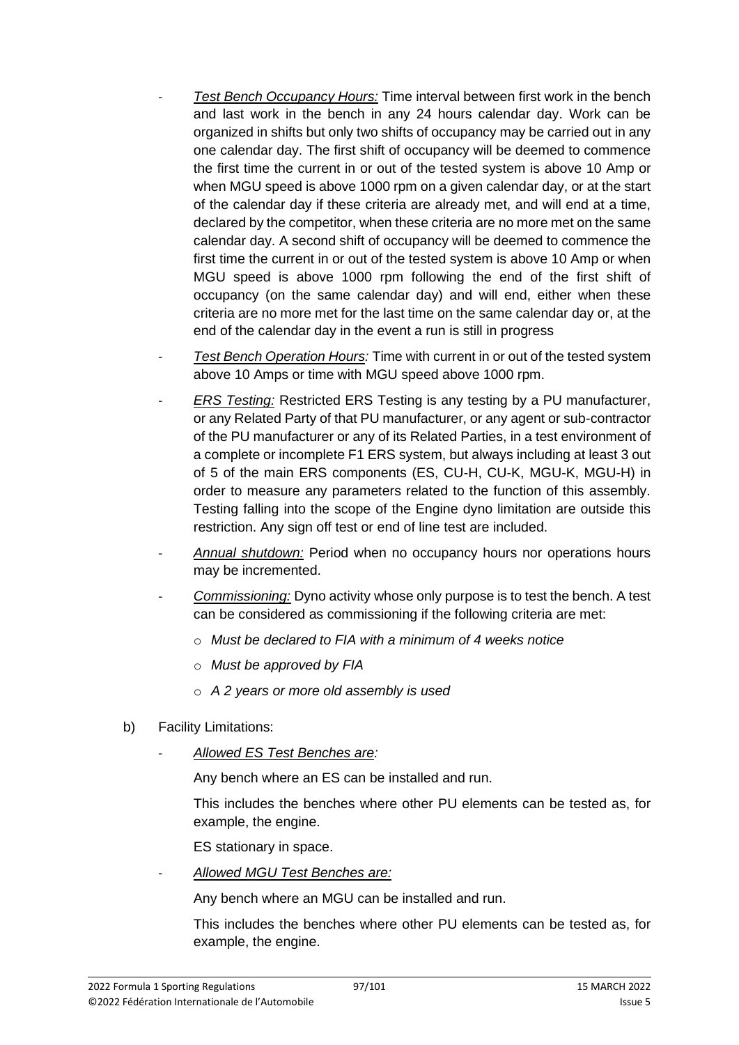- *Test Bench Occupancy Hours:* Time interval between first work in the bench and last work in the bench in any 24 hours calendar day. Work can be organized in shifts but only two shifts of occupancy may be carried out in any one calendar day. The first shift of occupancy will be deemed to commence the first time the current in or out of the tested system is above 10 Amp or when MGU speed is above 1000 rpm on a given calendar day, or at the start of the calendar day if these criteria are already met, and will end at a time, declared by the competitor, when these criteria are no more met on the same calendar day. A second shift of occupancy will be deemed to commence the first time the current in or out of the tested system is above 10 Amp or when MGU speed is above 1000 rpm following the end of the first shift of occupancy (on the same calendar day) and will end, either when these criteria are no more met for the last time on the same calendar day or, at the end of the calendar day in the event a run is still in progress
- *Test Bench Operation Hours:* Time with current in or out of the tested system above 10 Amps or time with MGU speed above 1000 rpm.
- *ERS Testing: Restricted ERS Testing is any testing by a PU manufacturer,* or any Related Party of that PU manufacturer, or any agent or sub-contractor of the PU manufacturer or any of its Related Parties, in a test environment of a complete or incomplete F1 ERS system, but always including at least 3 out of 5 of the main ERS components (ES, CU-H, CU-K, MGU-K, MGU-H) in order to measure any parameters related to the function of this assembly. Testing falling into the scope of the Engine dyno limitation are outside this restriction. Any sign off test or end of line test are included.
- Annual shutdown: Period when no occupancy hours nor operations hours may be incremented.
- Commissioning: Dyno activity whose only purpose is to test the bench. A test can be considered as commissioning if the following criteria are met:
	- o *Must be declared to FIA with a minimum of 4 weeks notice*
	- o *Must be approved by FIA*
	- o *A 2 years or more old assembly is used*
- b) Facility Limitations:
	- *Allowed ES Test Benches are:*

Any bench where an ES can be installed and run.

This includes the benches where other PU elements can be tested as, for example, the engine.

ES stationary in space.

- *Allowed MGU Test Benches are:*

Any bench where an MGU can be installed and run.

This includes the benches where other PU elements can be tested as, for example, the engine.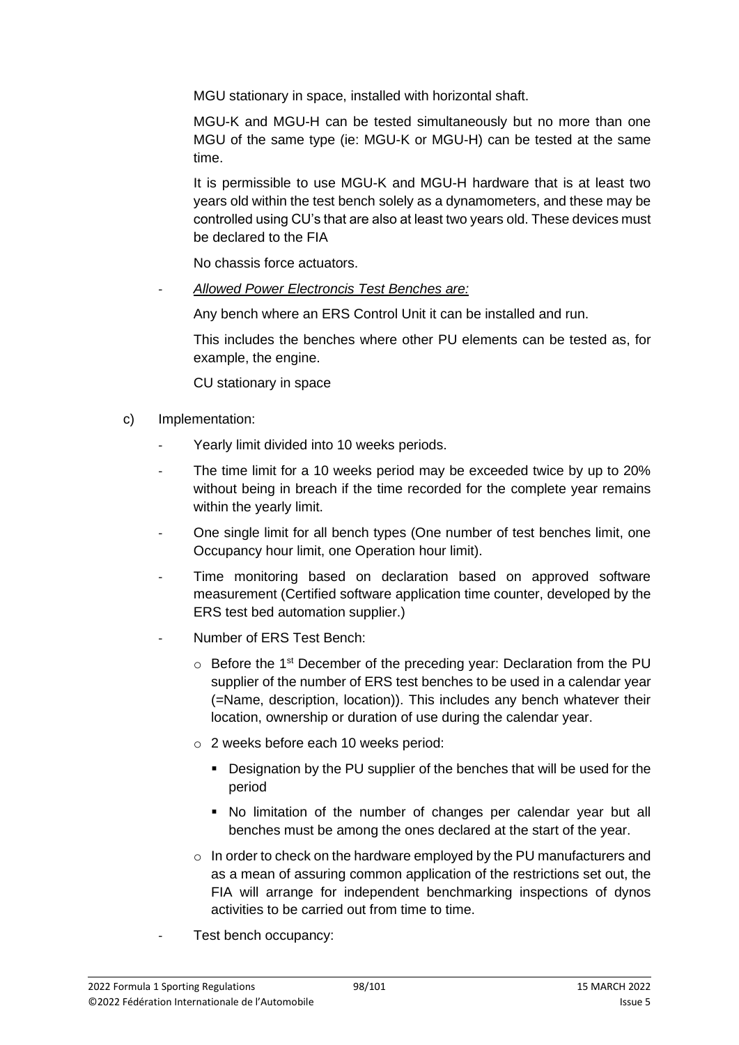MGU stationary in space, installed with horizontal shaft.

MGU-K and MGU-H can be tested simultaneously but no more than one MGU of the same type (ie: MGU-K or MGU-H) can be tested at the same time.

It is permissible to use MGU-K and MGU-H hardware that is at least two years old within the test bench solely as a dynamometers, and these may be controlled using CU's that are also at least two years old. These devices must be declared to the FIA

No chassis force actuators.

- *Allowed Power Electroncis Test Benches are:*

Any bench where an ERS Control Unit it can be installed and run.

This includes the benches where other PU elements can be tested as, for example, the engine.

CU stationary in space

- c) Implementation:
	- Yearly limit divided into 10 weeks periods.
	- The time limit for a 10 weeks period may be exceeded twice by up to 20% without being in breach if the time recorded for the complete year remains within the yearly limit.
	- One single limit for all bench types (One number of test benches limit, one Occupancy hour limit, one Operation hour limit).
	- Time monitoring based on declaration based on approved software measurement (Certified software application time counter, developed by the ERS test bed automation supplier.)
	- Number of ERS Test Bench:
		- $\circ$  Before the 1<sup>st</sup> December of the preceding year: Declaration from the PU supplier of the number of ERS test benches to be used in a calendar year (=Name, description, location)). This includes any bench whatever their location, ownership or duration of use during the calendar year.
		- o 2 weeks before each 10 weeks period:
			- Designation by the PU supplier of the benches that will be used for the period
			- No limitation of the number of changes per calendar year but all benches must be among the ones declared at the start of the year.
		- $\circ$  In order to check on the hardware employed by the PU manufacturers and as a mean of assuring common application of the restrictions set out, the FIA will arrange for independent benchmarking inspections of dynos activities to be carried out from time to time.
	- Test bench occupancy: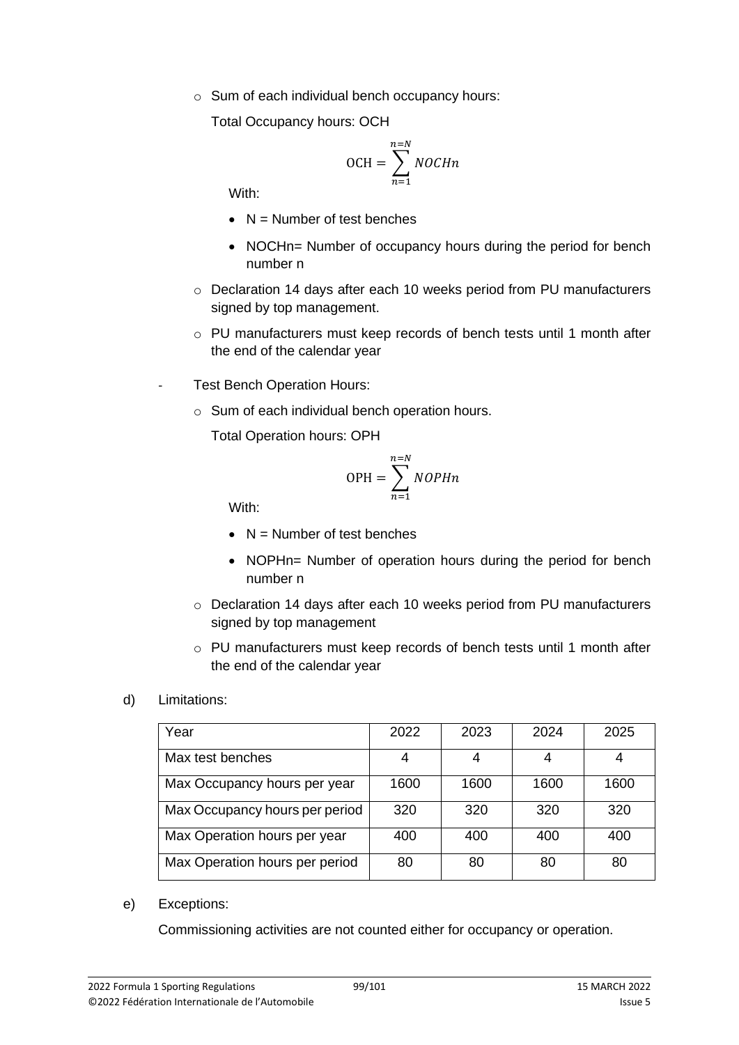o Sum of each individual bench occupancy hours:

Total Occupancy hours: OCH

$$
OCH = \sum_{n=1}^{n=N} NOCHn
$$

With:

- $\bullet$  N = Number of test benches
- NOCHn= Number of occupancy hours during the period for bench number n
- o Declaration 14 days after each 10 weeks period from PU manufacturers signed by top management.
- o PU manufacturers must keep records of bench tests until 1 month after the end of the calendar year
- Test Bench Operation Hours:
	- o Sum of each individual bench operation hours.

Total Operation hours: OPH

$$
OPH = \sum_{n=1}^{n=N} NOPHn
$$

With:

- $\bullet$  N = Number of test benches
- NOPHn= Number of operation hours during the period for bench number n
- o Declaration 14 days after each 10 weeks period from PU manufacturers signed by top management
- $\circ$  PU manufacturers must keep records of bench tests until 1 month after the end of the calendar year

## d) Limitations:

| Year                           | 2022 | 2023 | 2024 | 2025 |
|--------------------------------|------|------|------|------|
| Max test benches               |      |      |      |      |
| Max Occupancy hours per year   | 1600 | 1600 | 1600 | 1600 |
| Max Occupancy hours per period | 320  | 320  | 320  | 320  |
| Max Operation hours per year   | 400  | 400  | 400  | 400  |
| Max Operation hours per period | 80   | 80   | 80   | 80   |

e) Exceptions:

Commissioning activities are not counted either for occupancy or operation.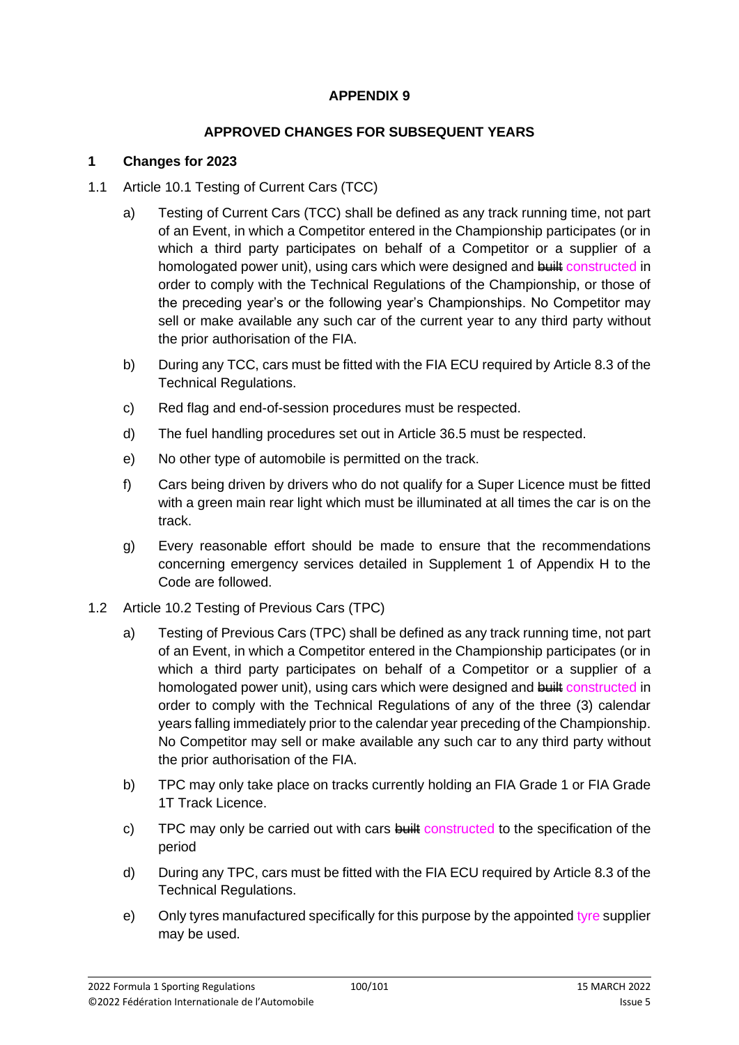## **APPENDIX 9**

## **APPROVED CHANGES FOR SUBSEQUENT YEARS**

#### **1 Changes for 2023**

- 1.1 Article 10.1 Testing of Current Cars (TCC)
	- a) Testing of Current Cars (TCC) shall be defined as any track running time, not part of an Event, in which a Competitor entered in the Championship participates (or in which a third party participates on behalf of a Competitor or a supplier of a homologated power unit), using cars which were designed and built constructed in order to comply with the Technical Regulations of the Championship, or those of the preceding year's or the following year's Championships. No Competitor may sell or make available any such car of the current year to any third party without the prior authorisation of the FIA.
	- b) During any TCC, cars must be fitted with the FIA ECU required by Article 8.3 of the Technical Regulations.
	- c) Red flag and end-of-session procedures must be respected.
	- d) The fuel handling procedures set out in Article 36.5 must be respected.
	- e) No other type of automobile is permitted on the track.
	- f) Cars being driven by drivers who do not qualify for a Super Licence must be fitted with a green main rear light which must be illuminated at all times the car is on the track.
	- g) Every reasonable effort should be made to ensure that the recommendations concerning emergency services detailed in Supplement 1 of Appendix H to the Code are followed.
- 1.2 Article 10.2 Testing of Previous Cars (TPC)
	- a) Testing of Previous Cars (TPC) shall be defined as any track running time, not part of an Event, in which a Competitor entered in the Championship participates (or in which a third party participates on behalf of a Competitor or a supplier of a homologated power unit), using cars which were designed and built constructed in order to comply with the Technical Regulations of any of the three (3) calendar years falling immediately prior to the calendar year preceding of the Championship. No Competitor may sell or make available any such car to any third party without the prior authorisation of the FIA.
	- b) TPC may only take place on tracks currently holding an FIA Grade 1 or FIA Grade 1T Track Licence.
	- c) TPC may only be carried out with cars built constructed to the specification of the period
	- d) During any TPC, cars must be fitted with the FIA ECU required by Article 8.3 of the Technical Regulations.
	- e) Only tyres manufactured specifically for this purpose by the appointed tyre supplier may be used.